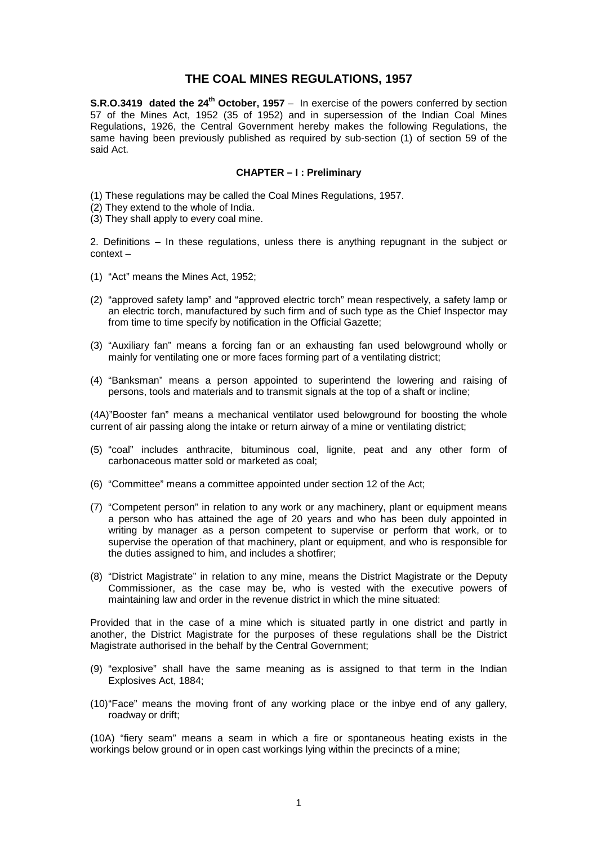# **THE COAL MINES REGULATIONS, 1957**

**S.R.O.3419 dated the 24<sup>th</sup> October, 1957** – In exercise of the powers conferred by section 57 of the Mines Act, 1952 (35 of 1952) and in supersession of the Indian Coal Mines Regulations, 1926, the Central Government hereby makes the following Regulations, the same having been previously published as required by sub-section (1) of section 59 of the said Act.

## **CHAPTER – I : Preliminary**

(1) These regulations may be called the Coal Mines Regulations, 1957.

- (2) They extend to the whole of India.
- (3) They shall apply to every coal mine.

2. Definitions – In these regulations, unless there is anything repugnant in the subject or context –

- (1) "Act" means the Mines Act, 1952;
- (2) "approved safety lamp" and "approved electric torch" mean respectively, a safety lamp or an electric torch, manufactured by such firm and of such type as the Chief Inspector may from time to time specify by notification in the Official Gazette;
- (3) "Auxiliary fan" means a forcing fan or an exhausting fan used belowground wholly or mainly for ventilating one or more faces forming part of a ventilating district;
- (4) "Banksman" means a person appointed to superintend the lowering and raising of persons, tools and materials and to transmit signals at the top of a shaft or incline;

(4A)"Booster fan" means a mechanical ventilator used belowground for boosting the whole current of air passing along the intake or return airway of a mine or ventilating district;

- (5) "coal" includes anthracite, bituminous coal, lignite, peat and any other form of carbonaceous matter sold or marketed as coal;
- (6) "Committee" means a committee appointed under section 12 of the Act;
- (7) "Competent person" in relation to any work or any machinery, plant or equipment means a person who has attained the age of 20 years and who has been duly appointed in writing by manager as a person competent to supervise or perform that work, or to supervise the operation of that machinery, plant or equipment, and who is responsible for the duties assigned to him, and includes a shotfirer;
- (8) "District Magistrate" in relation to any mine, means the District Magistrate or the Deputy Commissioner, as the case may be, who is vested with the executive powers of maintaining law and order in the revenue district in which the mine situated:

Provided that in the case of a mine which is situated partly in one district and partly in another, the District Magistrate for the purposes of these regulations shall be the District Magistrate authorised in the behalf by the Central Government;

- (9) "explosive" shall have the same meaning as is assigned to that term in the Indian Explosives Act, 1884;
- (10) "Face" means the moving front of any working place or the inbye end of any gallery, roadway or drift;

(10A) "fiery seam" means a seam in which a fire or spontaneous heating exists in the workings below ground or in open cast workings lying within the precincts of a mine;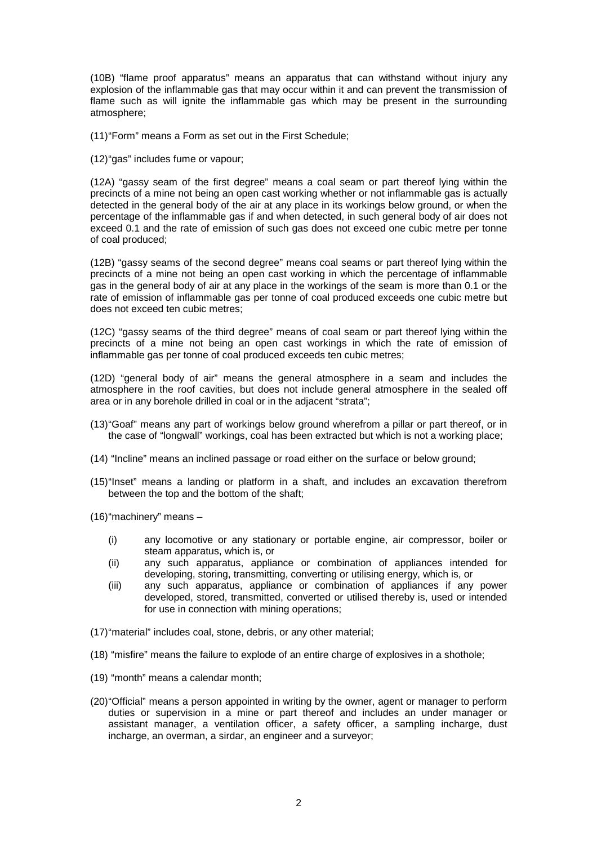(10B) "flame proof apparatus" means an apparatus that can withstand without injury any explosion of the inflammable gas that may occur within it and can prevent the transmission of flame such as will ignite the inflammable gas which may be present in the surrounding atmosphere;

(11) "Form" means a Form as set out in the First Schedule;

(12) "gas" includes fume or vapour;

(12A) "gassy seam of the first degree" means a coal seam or part thereof lying within the precincts of a mine not being an open cast working whether or not inflammable gas is actually detected in the general body of the air at any place in its workings below ground, or when the percentage of the inflammable gas if and when detected, in such general body of air does not exceed 0.1 and the rate of emission of such gas does not exceed one cubic metre per tonne of coal produced;

(12B) "gassy seams of the second degree" means coal seams or part thereof lying within the precincts of a mine not being an open cast working in which the percentage of inflammable gas in the general body of air at any place in the workings of the seam is more than 0.1 or the rate of emission of inflammable gas per tonne of coal produced exceeds one cubic metre but does not exceed ten cubic metres;

(12C) "gassy seams of the third degree" means of coal seam or part thereof lying within the precincts of a mine not being an open cast workings in which the rate of emission of inflammable gas per tonne of coal produced exceeds ten cubic metres;

(12D) "general body of air" means the general atmosphere in a seam and includes the atmosphere in the roof cavities, but does not include general atmosphere in the sealed off area or in any borehole drilled in coal or in the adjacent "strata";

- (13) "Goaf" means any part of workings below ground wherefrom a pillar or part thereof, or in the case of "longwall" workings, coal has been extracted but which is not a working place;
- (14)"Incline" means an inclined passage or road either on the surface or below ground;
- (15) "Inset" means a landing or platform in a shaft, and includes an excavation therefrom between the top and the bottom of the shaft;

(16) "machinery" means –

- (i) any locomotive or any stationary or portable engine, air compressor, boiler or steam apparatus, which is, or
- (ii) any such apparatus, appliance or combination of appliances intended for developing, storing, transmitting, converting or utilising energy, which is, or
- (iii) any such apparatus, appliance or combination of appliances if any power developed, stored, transmitted, converted or utilised thereby is, used or intended for use in connection with mining operations;
- (17) "material" includes coal, stone, debris, or any other material;
- (18)"misfire" means the failure to explode of an entire charge of explosives in a shothole;
- (19)"month" means a calendar month;
- (20) "Official" means a person appointed in writing by the owner, agent or manager to perform duties or supervision in a mine or part thereof and includes an under manager or assistant manager, a ventilation officer, a safety officer, a sampling incharge, dust incharge, an overman, a sirdar, an engineer and a surveyor;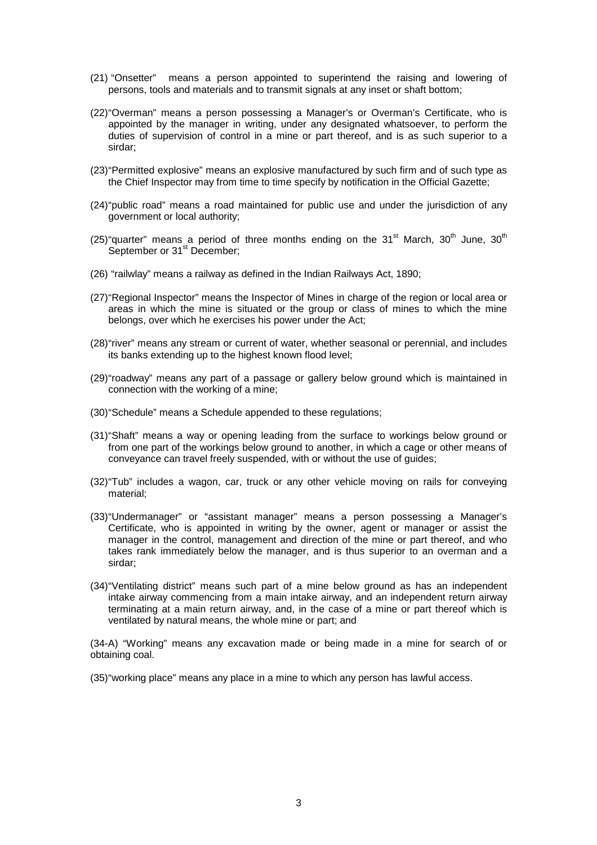- (21)"Onsetter" means a person appointed to superintend the raising and lowering of persons, tools and materials and to transmit signals at any inset or shaft bottom;
- (22) "Overman" means a person possessing a Manager's or Overman's Certificate, who is appointed by the manager in writing, under any designated whatsoever, to perform the duties of supervision of control in a mine or part thereof, and is as such superior to a sirdar;
- (23) "Permitted explosive" means an explosive manufactured by such firm and of such type as the Chief Inspector may from time to time specify by notification in the Official Gazette;
- (24) "public road" means a road maintained for public use and under the jurisdiction of any government or local authority;
- (25) "quarter" means a period of three months ending on the  $31<sup>st</sup>$  March,  $30<sup>th</sup>$  June,  $30<sup>th</sup>$ September or 31<sup>st</sup> December:
- (26) "railwlay" means a railway as defined in the Indian Railways Act, 1890;
- (27) "Regional Inspector" means the Inspector of Mines in charge of the region or local area or areas in which the mine is situated or the group or class of mines to which the mine belongs, over which he exercises his power under the Act;
- (28) "river" means any stream or current of water, whether seasonal or perennial, and includes its banks extending up to the highest known flood level;
- (29) "roadway" means any part of a passage or gallery below ground which is maintained in connection with the working of a mine;
- (30) "Schedule" means a Schedule appended to these regulations;
- (31) "Shaft" means a way or opening leading from the surface to workings below ground or from one part of the workings below ground to another, in which a cage or other means of conveyance can travel freely suspended, with or without the use of guides;
- (32) "Tub" includes a wagon, car, truck or any other vehicle moving on rails for conveying material;
- (33) "Undermanager" or "assistant manager" means a person possessing a Manager's Certificate, who is appointed in writing by the owner, agent or manager or assist the manager in the control, management and direction of the mine or part thereof, and who takes rank immediately below the manager, and is thus superior to an overman and a sirdar;
- (34) "Ventilating district" means such part of a mine below ground as has an independent intake airway commencing from a main intake airway, and an independent return airway terminating at a main return airway, and, in the case of a mine or part thereof which is ventilated by natural means, the whole mine or part; and

(34-A) "Working" means any excavation made or being made in a mine for search of or obtaining coal.

(35) "working place" means any place in a mine to which any person has lawful access.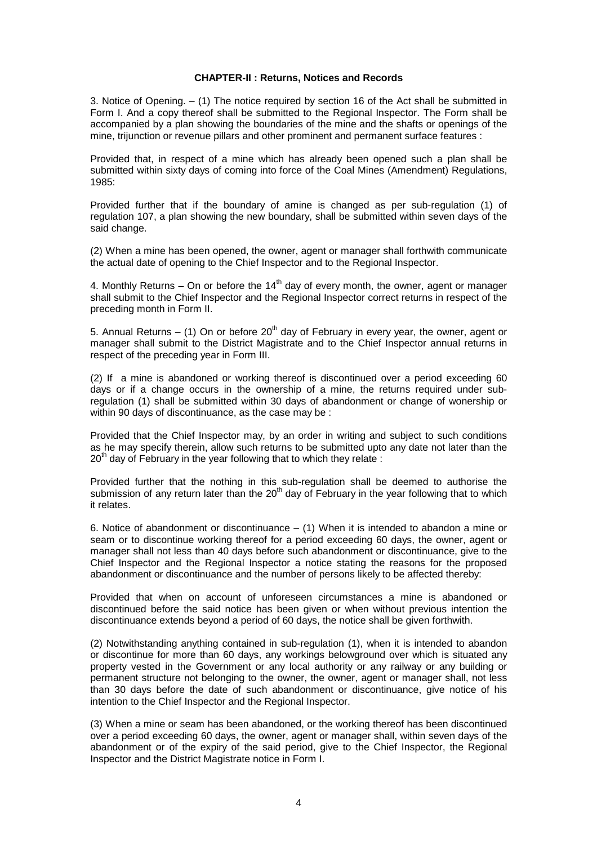#### **CHAPTER-II : Returns, Notices and Records**

3. Notice of Opening. – (1) The notice required by section 16 of the Act shall be submitted in Form I. And a copy thereof shall be submitted to the Regional Inspector. The Form shall be accompanied by a plan showing the boundaries of the mine and the shafts or openings of the mine, trijunction or revenue pillars and other prominent and permanent surface features :

Provided that, in respect of a mine which has already been opened such a plan shall be submitted within sixty days of coming into force of the Coal Mines (Amendment) Regulations, 1985:

Provided further that if the boundary of amine is changed as per sub-regulation (1) of regulation 107, a plan showing the new boundary, shall be submitted within seven days of the said change.

(2) When a mine has been opened, the owner, agent or manager shall forthwith communicate the actual date of opening to the Chief Inspector and to the Regional Inspector.

4. Monthly Returns – On or before the  $14<sup>th</sup>$  day of every month, the owner, agent or manager shall submit to the Chief Inspector and the Regional Inspector correct returns in respect of the preceding month in Form II.

5. Annual Returns – (1) On or before 20<sup>th</sup> day of February in every year, the owner, agent or manager shall submit to the District Magistrate and to the Chief Inspector annual returns in respect of the preceding year in Form III.

(2) If a mine is abandoned or working thereof is discontinued over a period exceeding 60 days or if a change occurs in the ownership of a mine, the returns required under subregulation (1) shall be submitted within 30 days of abandonment or change of wonership or within 90 days of discontinuance, as the case may be :

Provided that the Chief Inspector may, by an order in writing and subject to such conditions as he may specify therein, allow such returns to be submitted upto any date not later than the  $20<sup>th</sup>$  day of February in the year following that to which they relate :

Provided further that the nothing in this sub-regulation shall be deemed to authorise the submission of any return later than the  $20<sup>th</sup>$  day of February in the year following that to which it relates.

6. Notice of abandonment or discontinuance  $-$  (1) When it is intended to abandon a mine or seam or to discontinue working thereof for a period exceeding 60 days, the owner, agent or manager shall not less than 40 days before such abandonment or discontinuance, give to the Chief Inspector and the Regional Inspector a notice stating the reasons for the proposed abandonment or discontinuance and the number of persons likely to be affected thereby:

Provided that when on account of unforeseen circumstances a mine is abandoned or discontinued before the said notice has been given or when without previous intention the discontinuance extends beyond a period of 60 days, the notice shall be given forthwith.

(2) Notwithstanding anything contained in sub-regulation (1), when it is intended to abandon or discontinue for more than 60 days, any workings belowground over which is situated any property vested in the Government or any local authority or any railway or any building or permanent structure not belonging to the owner, the owner, agent or manager shall, not less than 30 days before the date of such abandonment or discontinuance, give notice of his intention to the Chief Inspector and the Regional Inspector.

(3) When a mine or seam has been abandoned, or the working thereof has been discontinued over a period exceeding 60 days, the owner, agent or manager shall, within seven days of the abandonment or of the expiry of the said period, give to the Chief Inspector, the Regional Inspector and the District Magistrate notice in Form I.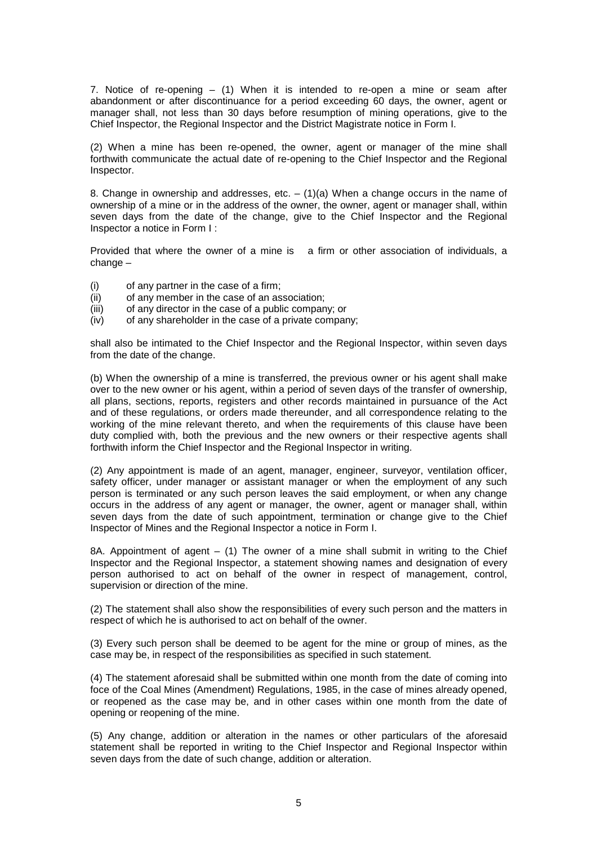7. Notice of re-opening – (1) When it is intended to re-open a mine or seam after abandonment or after discontinuance for a period exceeding 60 days, the owner, agent or manager shall, not less than 30 days before resumption of mining operations, give to the Chief Inspector, the Regional Inspector and the District Magistrate notice in Form I.

(2) When a mine has been re-opened, the owner, agent or manager of the mine shall forthwith communicate the actual date of re-opening to the Chief Inspector and the Regional Inspector.

8. Change in ownership and addresses, etc.  $- (1)(a)$  When a change occurs in the name of ownership of a mine or in the address of the owner, the owner, agent or manager shall, within seven days from the date of the change, give to the Chief Inspector and the Regional Inspector a notice in Form I :

Provided that where the owner of a mine is a firm or other association of individuals, a change –

- (i) of any partner in the case of a firm;
- (ii) of any member in the case of an association;
- (iii) of any director in the case of a public company; or
- (iv) of any shareholder in the case of a private company;

shall also be intimated to the Chief Inspector and the Regional Inspector, within seven days from the date of the change.

(b) When the ownership of a mine is transferred, the previous owner or his agent shall make over to the new owner or his agent, within a period of seven days of the transfer of ownership, all plans, sections, reports, registers and other records maintained in pursuance of the Act and of these regulations, or orders made thereunder, and all correspondence relating to the working of the mine relevant thereto, and when the requirements of this clause have been duty complied with, both the previous and the new owners or their respective agents shall forthwith inform the Chief Inspector and the Regional Inspector in writing.

(2) Any appointment is made of an agent, manager, engineer, surveyor, ventilation officer, safety officer, under manager or assistant manager or when the employment of any such person is terminated or any such person leaves the said employment, or when any change occurs in the address of any agent or manager, the owner, agent or manager shall, within seven days from the date of such appointment, termination or change give to the Chief Inspector of Mines and the Regional Inspector a notice in Form I.

8A. Appointment of agent  $-$  (1) The owner of a mine shall submit in writing to the Chief Inspector and the Regional Inspector, a statement showing names and designation of every person authorised to act on behalf of the owner in respect of management, control, supervision or direction of the mine.

(2) The statement shall also show the responsibilities of every such person and the matters in respect of which he is authorised to act on behalf of the owner.

(3) Every such person shall be deemed to be agent for the mine or group of mines, as the case may be, in respect of the responsibilities as specified in such statement.

(4) The statement aforesaid shall be submitted within one month from the date of coming into foce of the Coal Mines (Amendment) Regulations, 1985, in the case of mines already opened, or reopened as the case may be, and in other cases within one month from the date of opening or reopening of the mine.

(5) Any change, addition or alteration in the names or other particulars of the aforesaid statement shall be reported in writing to the Chief Inspector and Regional Inspector within seven days from the date of such change, addition or alteration.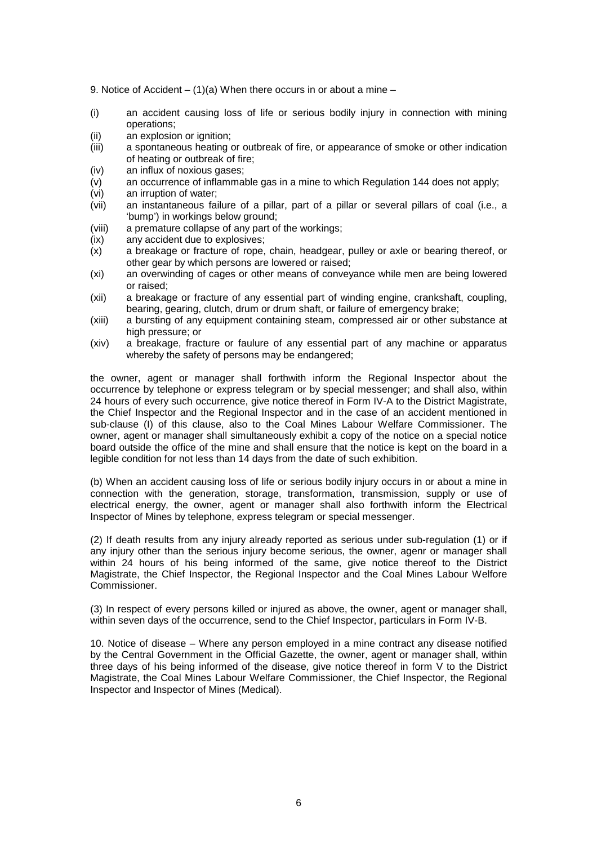9. Notice of Accident –  $(1)(a)$  When there occurs in or about a mine –

- (i) an accident causing loss of life or serious bodily injury in connection with mining operations;
- (ii) an explosion or ignition;
- (iii) a spontaneous heating or outbreak of fire, or appearance of smoke or other indication of heating or outbreak of fire;
- (iv) an influx of noxious gases;
- $\dot{y}$  an occurrence of inflammable gas in a mine to which Regulation 144 does not apply;
- (vi) an irruption of water;
- (vii) an instantaneous failure of a pillar, part of a pillar or several pillars of coal (i.e., a 'bump') in workings below ground;
- (viii) a premature collapse of any part of the workings;
- (ix) any accident due to explosives;
- (x) a breakage or fracture of rope, chain, headgear, pulley or axle or bearing thereof, or other gear by which persons are lowered or raised;
- (xi) an overwinding of cages or other means of conveyance while men are being lowered or raised;
- (xii) a breakage or fracture of any essential part of winding engine, crankshaft, coupling, bearing, gearing, clutch, drum or drum shaft, or failure of emergency brake;
- (xiii) a bursting of any equipment containing steam, compressed air or other substance at high pressure; or
- (xiv) a breakage, fracture or faulure of any essential part of any machine or apparatus whereby the safety of persons may be endangered:

the owner, agent or manager shall forthwith inform the Regional Inspector about the occurrence by telephone or express telegram or by special messenger; and shall also, within 24 hours of every such occurrence, give notice thereof in Form IV-A to the District Magistrate, the Chief Inspector and the Regional Inspector and in the case of an accident mentioned in sub-clause (I) of this clause, also to the Coal Mines Labour Welfare Commissioner. The owner, agent or manager shall simultaneously exhibit a copy of the notice on a special notice board outside the office of the mine and shall ensure that the notice is kept on the board in a legible condition for not less than 14 days from the date of such exhibition.

(b) When an accident causing loss of life or serious bodily injury occurs in or about a mine in connection with the generation, storage, transformation, transmission, supply or use of electrical energy, the owner, agent or manager shall also forthwith inform the Electrical Inspector of Mines by telephone, express telegram or special messenger.

(2) If death results from any injury already reported as serious under sub-regulation (1) or if any injury other than the serious injury become serious, the owner, agenr or manager shall within 24 hours of his being informed of the same, give notice thereof to the District Magistrate, the Chief Inspector, the Regional Inspector and the Coal Mines Labour Welfore Commissioner.

(3) In respect of every persons killed or injured as above, the owner, agent or manager shall, within seven days of the occurrence, send to the Chief Inspector, particulars in Form IV-B.

10. Notice of disease – Where any person employed in a mine contract any disease notified by the Central Government in the Official Gazette, the owner, agent or manager shall, within three days of his being informed of the disease, give notice thereof in form V to the District Magistrate, the Coal Mines Labour Welfare Commissioner, the Chief Inspector, the Regional Inspector and Inspector of Mines (Medical).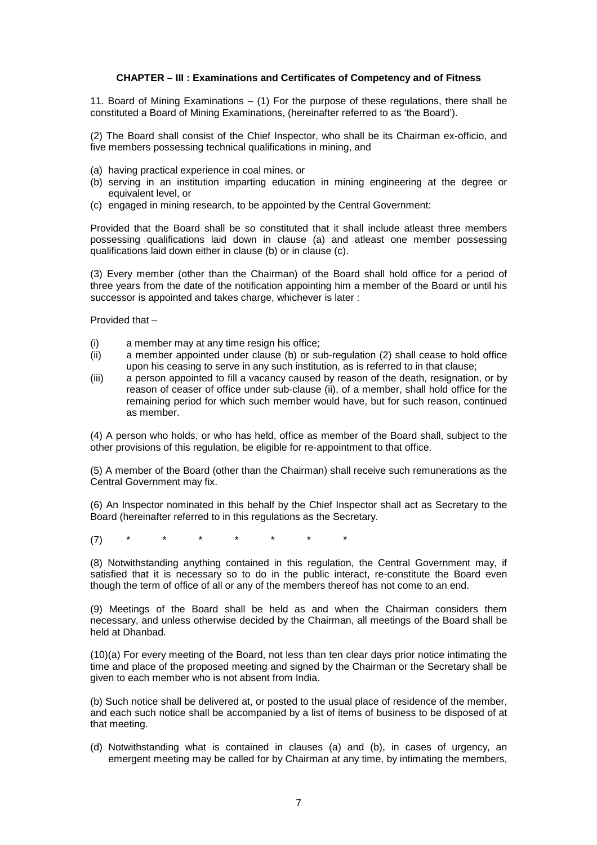## **CHAPTER – III : Examinations and Certificates of Competency and of Fitness**

11. Board of Mining Examinations – (1) For the purpose of these regulations, there shall be constituted a Board of Mining Examinations, (hereinafter referred to as 'the Board').

(2) The Board shall consist of the Chief Inspector, who shall be its Chairman ex-officio, and five members possessing technical qualifications in mining, and

- (a) having practical experience in coal mines, or
- (b) serving in an institution imparting education in mining engineering at the degree or equivalent level, or
- (c) engaged in mining research, to be appointed by the Central Government:

Provided that the Board shall be so constituted that it shall include atleast three members possessing qualifications laid down in clause (a) and atleast one member possessing qualifications laid down either in clause (b) or in clause (c).

(3) Every member (other than the Chairman) of the Board shall hold office for a period of three years from the date of the notification appointing him a member of the Board or until his successor is appointed and takes charge, whichever is later :

Provided that –

- (i) a member may at any time resign his office;
- (ii) a member appointed under clause (b) or sub-regulation (2) shall cease to hold office upon his ceasing to serve in any such institution, as is referred to in that clause;
- (iii) a person appointed to fill a vacancy caused by reason of the death, resignation, or by reason of ceaser of office under sub-clause (ii), of a member, shall hold office for the remaining period for which such member would have, but for such reason, continued as member.

(4) A person who holds, or who has held, office as member of the Board shall, subject to the other provisions of this regulation, be eligible for re-appointment to that office.

(5) A member of the Board (other than the Chairman) shall receive such remunerations as the Central Government may fix.

(6) An Inspector nominated in this behalf by the Chief Inspector shall act as Secretary to the Board (hereinafter referred to in this regulations as the Secretary.

(7) \* \* \* \* \* \* \*

(8) Notwithstanding anything contained in this regulation, the Central Government may, if satisfied that it is necessary so to do in the public interact, re-constitute the Board even though the term of office of all or any of the members thereof has not come to an end.

(9) Meetings of the Board shall be held as and when the Chairman considers them necessary, and unless otherwise decided by the Chairman, all meetings of the Board shall be held at Dhanbad.

(10)(a) For every meeting of the Board, not less than ten clear days prior notice intimating the time and place of the proposed meeting and signed by the Chairman or the Secretary shall be given to each member who is not absent from India.

(b) Such notice shall be delivered at, or posted to the usual place of residence of the member, and each such notice shall be accompanied by a list of items of business to be disposed of at that meeting.

(d) Notwithstanding what is contained in clauses (a) and (b), in cases of urgency, an emergent meeting may be called for by Chairman at any time, by intimating the members,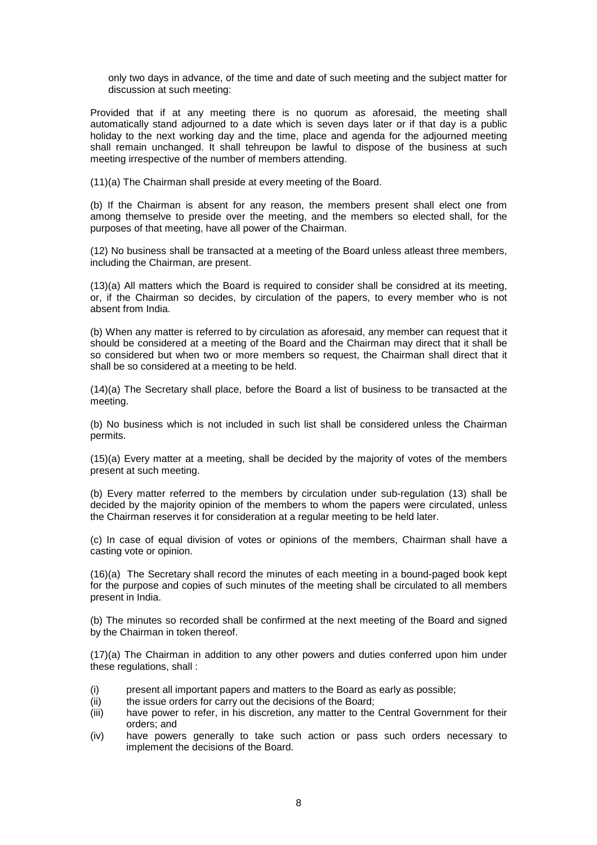only two days in advance, of the time and date of such meeting and the subject matter for discussion at such meeting:

Provided that if at any meeting there is no quorum as aforesaid, the meeting shall automatically stand adjourned to a date which is seven days later or if that day is a public holiday to the next working day and the time, place and agenda for the adjourned meeting shall remain unchanged. It shall tehreupon be lawful to dispose of the business at such meeting irrespective of the number of members attending.

(11)(a) The Chairman shall preside at every meeting of the Board.

(b) If the Chairman is absent for any reason, the members present shall elect one from among themselve to preside over the meeting, and the members so elected shall, for the purposes of that meeting, have all power of the Chairman.

(12) No business shall be transacted at a meeting of the Board unless atleast three members, including the Chairman, are present.

(13)(a) All matters which the Board is required to consider shall be considred at its meeting, or, if the Chairman so decides, by circulation of the papers, to every member who is not absent from India.

(b) When any matter is referred to by circulation as aforesaid, any member can request that it should be considered at a meeting of the Board and the Chairman may direct that it shall be so considered but when two or more members so request, the Chairman shall direct that it shall be so considered at a meeting to be held.

(14)(a) The Secretary shall place, before the Board a list of business to be transacted at the meeting.

(b) No business which is not included in such list shall be considered unless the Chairman permits.

(15)(a) Every matter at a meeting, shall be decided by the majority of votes of the members present at such meeting.

(b) Every matter referred to the members by circulation under sub-regulation (13) shall be decided by the majority opinion of the members to whom the papers were circulated, unless the Chairman reserves it for consideration at a regular meeting to be held later.

(c) In case of equal division of votes or opinions of the members, Chairman shall have a casting vote or opinion.

(16)(a) The Secretary shall record the minutes of each meeting in a bound-paged book kept for the purpose and copies of such minutes of the meeting shall be circulated to all members present in India.

(b) The minutes so recorded shall be confirmed at the next meeting of the Board and signed by the Chairman in token thereof.

(17)(a) The Chairman in addition to any other powers and duties conferred upon him under these regulations, shall :

- (i) present all important papers and matters to the Board as early as possible;
- (ii) the issue orders for carry out the decisions of the Board;
- (iii) have power to refer, in his discretion, any matter to the Central Government for their orders; and
- (iv) have powers generally to take such action or pass such orders necessary to implement the decisions of the Board.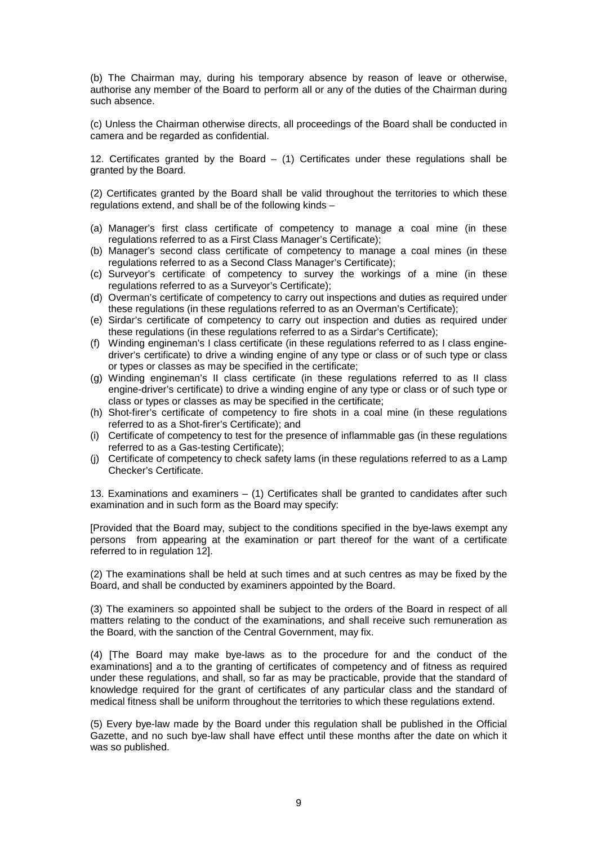(b) The Chairman may, during his temporary absence by reason of leave or otherwise, authorise any member of the Board to perform all or any of the duties of the Chairman during such absence.

(c) Unless the Chairman otherwise directs, all proceedings of the Board shall be conducted in camera and be regarded as confidential.

12. Certificates granted by the Board  $-$  (1) Certificates under these regulations shall be granted by the Board.

(2) Certificates granted by the Board shall be valid throughout the territories to which these regulations extend, and shall be of the following kinds –

- (a) Manager's first class certificate of competency to manage a coal mine (in these regulations referred to as a First Class Manager's Certificate);
- (b) Manager's second class certificate of competency to manage a coal mines (in these regulations referred to as a Second Class Manager's Certificate);
- (c) Surveyor's certificate of competency to survey the workings of a mine (in these regulations referred to as a Surveyor's Certificate);
- (d) Overman's certificate of competency to carry out inspections and duties as required under these regulations (in these regulations referred to as an Overman's Certificate);
- (e) Sirdar's certificate of competency to carry out inspection and duties as required under these regulations (in these regulations referred to as a Sirdar's Certificate);
- (f) Winding engineman's I class certificate (in these regulations referred to as I class enginedriver's certificate) to drive a winding engine of any type or class or of such type or class or types or classes as may be specified in the certificate;
- (g) Winding engineman's II class certificate (in these regulations referred to as II class engine-driver's certificate) to drive a winding engine of any type or class or of such type or class or types or classes as may be specified in the certificate;
- (h) Shot-firer's certificate of competency to fire shots in a coal mine (in these regulations referred to as a Shot-firer's Certificate); and
- (i) Certificate of competency to test for the presence of inflammable gas (in these regulations referred to as a Gas-testing Certificate);
- (j) Certificate of competency to check safety lams (in these regulations referred to as a Lamp Checker's Certificate.

13. Examinations and examiners – (1) Certificates shall be granted to candidates after such examination and in such form as the Board may specify:

[Provided that the Board may, subject to the conditions specified in the bye-laws exempt any persons from appearing at the examination or part thereof for the want of a certificate referred to in regulation 12].

(2) The examinations shall be held at such times and at such centres as may be fixed by the Board, and shall be conducted by examiners appointed by the Board.

(3) The examiners so appointed shall be subject to the orders of the Board in respect of all matters relating to the conduct of the examinations, and shall receive such remuneration as the Board, with the sanction of the Central Government, may fix.

(4) [The Board may make bye-laws as to the procedure for and the conduct of the examinations] and a to the granting of certificates of competency and of fitness as required under these regulations, and shall, so far as may be practicable, provide that the standard of knowledge required for the grant of certificates of any particular class and the standard of medical fitness shall be uniform throughout the territories to which these regulations extend.

(5) Every bye-law made by the Board under this regulation shall be published in the Official Gazette, and no such bye-law shall have effect until these months after the date on which it was so published.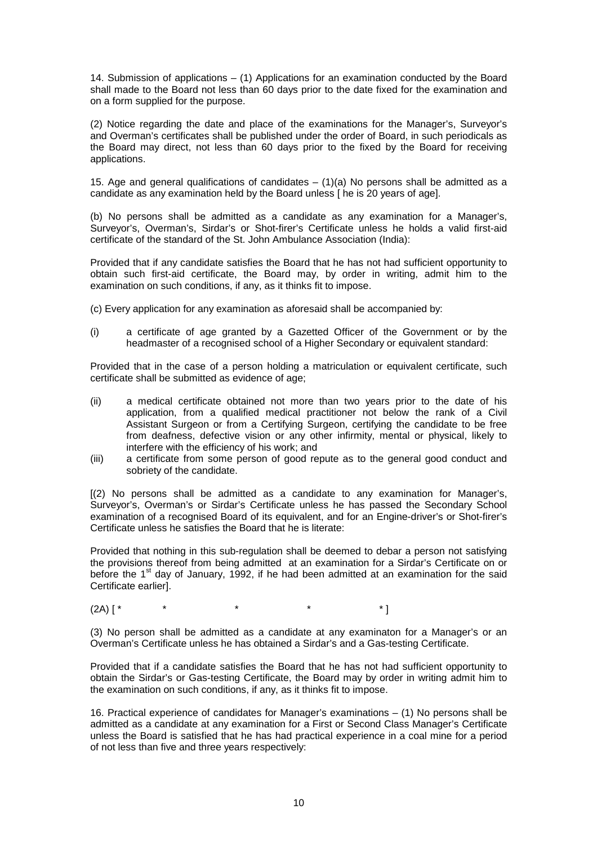14. Submission of applications – (1) Applications for an examination conducted by the Board shall made to the Board not less than 60 days prior to the date fixed for the examination and on a form supplied for the purpose.

(2) Notice regarding the date and place of the examinations for the Manager's, Surveyor's and Overman's certificates shall be published under the order of Board, in such periodicals as the Board may direct, not less than 60 days prior to the fixed by the Board for receiving applications.

15. Age and general qualifications of candidates  $- (1)(a)$  No persons shall be admitted as a candidate as any examination held by the Board unless [ he is 20 years of age].

(b) No persons shall be admitted as a candidate as any examination for a Manager's, Surveyor's, Overman's, Sirdar's or Shot-firer's Certificate unless he holds a valid first-aid certificate of the standard of the St. John Ambulance Association (India):

Provided that if any candidate satisfies the Board that he has not had sufficient opportunity to obtain such first-aid certificate, the Board may, by order in writing, admit him to the examination on such conditions, if any, as it thinks fit to impose.

- (c) Every application for any examination as aforesaid shall be accompanied by:
- (i) a certificate of age granted by a Gazetted Officer of the Government or by the headmaster of a recognised school of a Higher Secondary or equivalent standard:

Provided that in the case of a person holding a matriculation or equivalent certificate, such certificate shall be submitted as evidence of age;

- (ii) a medical certificate obtained not more than two years prior to the date of his application, from a qualified medical practitioner not below the rank of a Civil Assistant Surgeon or from a Certifying Surgeon, certifying the candidate to be free from deafness, defective vision or any other infirmity, mental or physical, likely to interfere with the efficiency of his work; and
- (iii) a certificate from some person of good repute as to the general good conduct and sobriety of the candidate.

[(2) No persons shall be admitted as a candidate to any examination for Manager's, Surveyor's, Overman's or Sirdar's Certificate unless he has passed the Secondary School examination of a recognised Board of its equivalent, and for an Engine-driver's or Shot-firer's Certificate unless he satisfies the Board that he is literate:

Provided that nothing in this sub-regulation shall be deemed to debar a person not satisfying the provisions thereof from being admitted at an examination for a Sirdar's Certificate on or before the  $1<sup>st</sup>$  day of January, 1992, if he had been admitted at an examination for the said Certificate earlier].

(2A) [ \* \* \* \* \* \* \* ]

(3) No person shall be admitted as a candidate at any examinaton for a Manager's or an Overman's Certificate unless he has obtained a Sirdar's and a Gas-testing Certificate.

Provided that if a candidate satisfies the Board that he has not had sufficient opportunity to obtain the Sirdar's or Gas-testing Certificate, the Board may by order in writing admit him to the examination on such conditions, if any, as it thinks fit to impose.

16. Practical experience of candidates for Manager's examinations – (1) No persons shall be admitted as a candidate at any examination for a First or Second Class Manager's Certificate unless the Board is satisfied that he has had practical experience in a coal mine for a period of not less than five and three years respectively: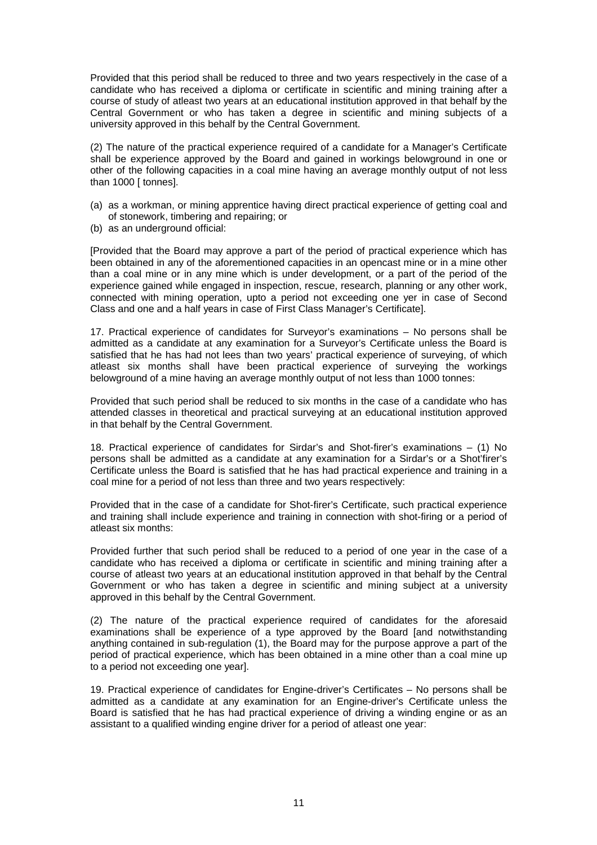Provided that this period shall be reduced to three and two years respectively in the case of a candidate who has received a diploma or certificate in scientific and mining training after a course of study of atleast two years at an educational institution approved in that behalf by the Central Government or who has taken a degree in scientific and mining subjects of a university approved in this behalf by the Central Government.

(2) The nature of the practical experience required of a candidate for a Manager's Certificate shall be experience approved by the Board and gained in workings belowground in one or other of the following capacities in a coal mine having an average monthly output of not less than 1000 [ tonnes].

- (a) as a workman, or mining apprentice having direct practical experience of getting coal and of stonework, timbering and repairing; or
- (b) as an underground official:

[Provided that the Board may approve a part of the period of practical experience which has been obtained in any of the aforementioned capacities in an opencast mine or in a mine other than a coal mine or in any mine which is under development, or a part of the period of the experience gained while engaged in inspection, rescue, research, planning or any other work, connected with mining operation, upto a period not exceeding one yer in case of Second Class and one and a half years in case of First Class Manager's Certificate].

17. Practical experience of candidates for Surveyor's examinations – No persons shall be admitted as a candidate at any examination for a Surveyor's Certificate unless the Board is satisfied that he has had not lees than two years' practical experience of surveying, of which atleast six months shall have been practical experience of surveying the workings belowground of a mine having an average monthly output of not less than 1000 tonnes:

Provided that such period shall be reduced to six months in the case of a candidate who has attended classes in theoretical and practical surveying at an educational institution approved in that behalf by the Central Government.

18. Practical experience of candidates for Sirdar's and Shot-firer's examinations – (1) No persons shall be admitted as a candidate at any examination for a Sirdar's or a Shot'firer's Certificate unless the Board is satisfied that he has had practical experience and training in a coal mine for a period of not less than three and two years respectively:

Provided that in the case of a candidate for Shot-firer's Certificate, such practical experience and training shall include experience and training in connection with shot-firing or a period of atleast six months:

Provided further that such period shall be reduced to a period of one year in the case of a candidate who has received a diploma or certificate in scientific and mining training after a course of atleast two years at an educational institution approved in that behalf by the Central Government or who has taken a degree in scientific and mining subject at a university approved in this behalf by the Central Government.

(2) The nature of the practical experience required of candidates for the aforesaid examinations shall be experience of a type approved by the Board [and notwithstanding anything contained in sub-regulation (1), the Board may for the purpose approve a part of the period of practical experience, which has been obtained in a mine other than a coal mine up to a period not exceeding one year].

19. Practical experience of candidates for Engine-driver's Certificates – No persons shall be admitted as a candidate at any examination for an Engine-driver's Certificate unless the Board is satisfied that he has had practical experience of driving a winding engine or as an assistant to a qualified winding engine driver for a period of atleast one year: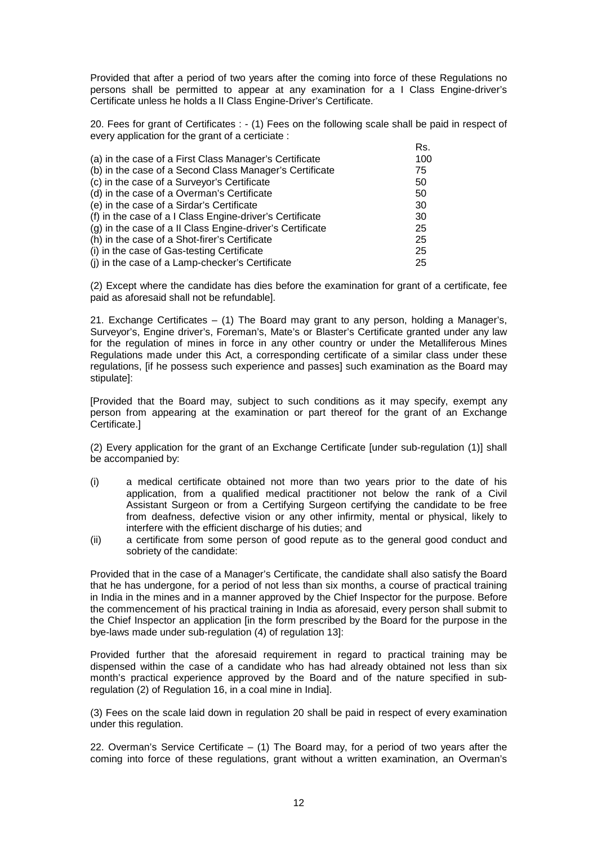Provided that after a period of two years after the coming into force of these Regulations no persons shall be permitted to appear at any examination for a I Class Engine-driver's Certificate unless he holds a II Class Engine-Driver's Certificate.

20. Fees for grant of Certificates : - (1) Fees on the following scale shall be paid in respect of every application for the grant of a certiciate :

|                                                           | Rs. |
|-----------------------------------------------------------|-----|
| (a) in the case of a First Class Manager's Certificate    | 100 |
| (b) in the case of a Second Class Manager's Certificate   | 75  |
| (c) in the case of a Surveyor's Certificate               | 50  |
| (d) in the case of a Overman's Certificate                | 50  |
| (e) in the case of a Sirdar's Certificate                 | 30  |
| (f) in the case of a I Class Engine-driver's Certificate  | 30  |
| (g) in the case of a II Class Engine-driver's Certificate | 25  |
| (h) in the case of a Shot-firer's Certificate             | 25  |
| (i) in the case of Gas-testing Certificate                | 25  |
| (i) in the case of a Lamp-checker's Certificate           | 25  |

(2) Except where the candidate has dies before the examination for grant of a certificate, fee paid as aforesaid shall not be refundable].

21. Exchange Certificates – (1) The Board may grant to any person, holding a Manager's, Surveyor's, Engine driver's, Foreman's, Mate's or Blaster's Certificate granted under any law for the regulation of mines in force in any other country or under the Metalliferous Mines Regulations made under this Act, a corresponding certificate of a similar class under these regulations, [if he possess such experience and passes] such examination as the Board may stipulate]:

[Provided that the Board may, subject to such conditions as it may specify, exempt any person from appearing at the examination or part thereof for the grant of an Exchange Certificate.]

(2) Every application for the grant of an Exchange Certificate [under sub-regulation (1)] shall be accompanied by:

- (i) a medical certificate obtained not more than two years prior to the date of his application, from a qualified medical practitioner not below the rank of a Civil Assistant Surgeon or from a Certifying Surgeon certifying the candidate to be free from deafness, defective vision or any other infirmity, mental or physical, likely to interfere with the efficient discharge of his duties; and
- (ii) a certificate from some person of good repute as to the general good conduct and sobriety of the candidate:

Provided that in the case of a Manager's Certificate, the candidate shall also satisfy the Board that he has undergone, for a period of not less than six months, a course of practical training in India in the mines and in a manner approved by the Chief Inspector for the purpose. Before the commencement of his practical training in India as aforesaid, every person shall submit to the Chief Inspector an application [in the form prescribed by the Board for the purpose in the bye-laws made under sub-regulation (4) of regulation 13]:

Provided further that the aforesaid requirement in regard to practical training may be dispensed within the case of a candidate who has had already obtained not less than six month's practical experience approved by the Board and of the nature specified in subregulation (2) of Regulation 16, in a coal mine in India].

(3) Fees on the scale laid down in regulation 20 shall be paid in respect of every examination under this regulation.

22. Overman's Service Certificate  $-$  (1) The Board may, for a period of two years after the coming into force of these regulations, grant without a written examination, an Overman's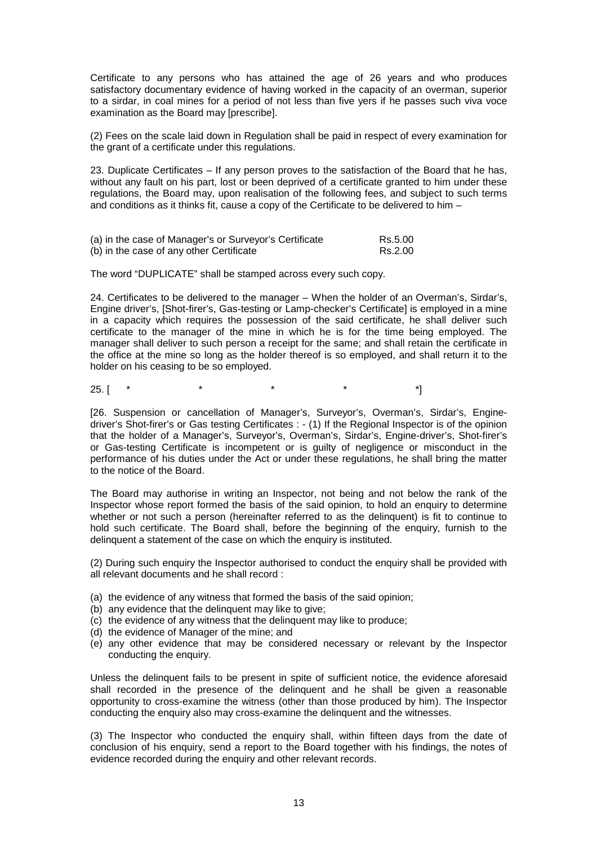Certificate to any persons who has attained the age of 26 years and who produces satisfactory documentary evidence of having worked in the capacity of an overman, superior to a sirdar, in coal mines for a period of not less than five yers if he passes such viva voce examination as the Board may [prescribe].

(2) Fees on the scale laid down in Regulation shall be paid in respect of every examination for the grant of a certificate under this regulations.

23. Duplicate Certificates – If any person proves to the satisfaction of the Board that he has, without any fault on his part, lost or been deprived of a certificate granted to him under these regulations, the Board may, upon realisation of the following fees, and subject to such terms and conditions as it thinks fit, cause a copy of the Certificate to be delivered to him –

| (a) in the case of Manager's or Surveyor's Certificate | Rs.5.00 |
|--------------------------------------------------------|---------|
| (b) in the case of any other Certificate               | Rs.2.00 |

The word "DUPLICATE" shall be stamped across every such copy.

24. Certificates to be delivered to the manager – When the holder of an Overman's, Sirdar's, Engine driver's, [Shot-firer's, Gas-testing or Lamp-checker's Certificate] is employed in a mine in a capacity which requires the possession of the said certificate, he shall deliver such certificate to the manager of the mine in which he is for the time being employed. The manager shall deliver to such person a receipt for the same; and shall retain the certificate in the office at the mine so long as the holder thereof is so employed, and shall return it to the holder on his ceasing to be so employed.

25. [ \* \* \* \* \* \* \* \*

[26. Suspension or cancellation of Manager's, Surveyor's, Overman's, Sirdar's, Enginedriver's Shot-firer's or Gas testing Certificates : - (1) If the Regional Inspector is of the opinion that the holder of a Manager's, Surveyor's, Overman's, Sirdar's, Engine-driver's, Shot-firer's or Gas-testing Certificate is incompetent or is guilty of negligence or misconduct in the performance of his duties under the Act or under these regulations, he shall bring the matter to the notice of the Board.

The Board may authorise in writing an Inspector, not being and not below the rank of the Inspector whose report formed the basis of the said opinion, to hold an enquiry to determine whether or not such a person (hereinafter referred to as the delinquent) is fit to continue to hold such certificate. The Board shall, before the beginning of the enquiry, furnish to the delinquent a statement of the case on which the enquiry is instituted.

(2) During such enquiry the Inspector authorised to conduct the enquiry shall be provided with all relevant documents and he shall record :

- (a) the evidence of any witness that formed the basis of the said opinion;
- (b) any evidence that the delinquent may like to give:
- (c) the evidence of any witness that the delinquent may like to produce;
- (d) the evidence of Manager of the mine; and
- (e) any other evidence that may be considered necessary or relevant by the Inspector conducting the enquiry.

Unless the delinquent fails to be present in spite of sufficient notice, the evidence aforesaid shall recorded in the presence of the delinquent and he shall be given a reasonable opportunity to cross-examine the witness (other than those produced by him). The Inspector conducting the enquiry also may cross-examine the delinquent and the witnesses.

(3) The Inspector who conducted the enquiry shall, within fifteen days from the date of conclusion of his enquiry, send a report to the Board together with his findings, the notes of evidence recorded during the enquiry and other relevant records.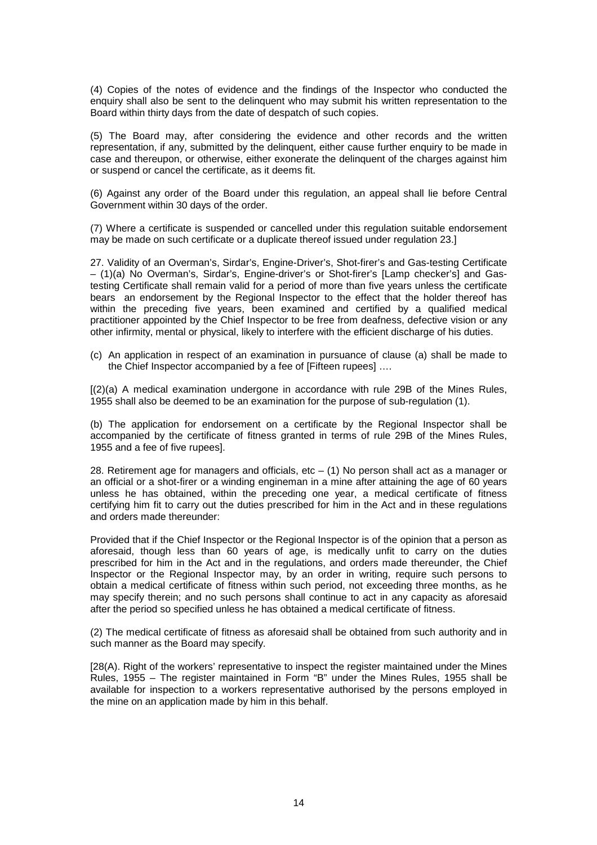(4) Copies of the notes of evidence and the findings of the Inspector who conducted the enquiry shall also be sent to the delinquent who may submit his written representation to the Board within thirty days from the date of despatch of such copies.

(5) The Board may, after considering the evidence and other records and the written representation, if any, submitted by the delinquent, either cause further enquiry to be made in case and thereupon, or otherwise, either exonerate the delinquent of the charges against him or suspend or cancel the certificate, as it deems fit.

(6) Against any order of the Board under this regulation, an appeal shall lie before Central Government within 30 days of the order.

(7) Where a certificate is suspended or cancelled under this regulation suitable endorsement may be made on such certificate or a duplicate thereof issued under regulation 23.]

27. Validity of an Overman's, Sirdar's, Engine-Driver's, Shot-firer's and Gas-testing Certificate – (1)(a) No Overman's, Sirdar's, Engine-driver's or Shot-firer's [Lamp checker's] and Gastesting Certificate shall remain valid for a period of more than five years unless the certificate bears an endorsement by the Regional Inspector to the effect that the holder thereof has within the preceding five years, been examined and certified by a qualified medical practitioner appointed by the Chief Inspector to be free from deafness, defective vision or any other infirmity, mental or physical, likely to interfere with the efficient discharge of his duties.

(c) An application in respect of an examination in pursuance of clause (a) shall be made to the Chief Inspector accompanied by a fee of [Fifteen rupees] ….

[(2)(a) A medical examination undergone in accordance with rule 29B of the Mines Rules, 1955 shall also be deemed to be an examination for the purpose of sub-regulation (1).

(b) The application for endorsement on a certificate by the Regional Inspector shall be accompanied by the certificate of fitness granted in terms of rule 29B of the Mines Rules, 1955 and a fee of five rupees].

28. Retirement age for managers and officials, etc  $-$  (1) No person shall act as a manager or an official or a shot-firer or a winding engineman in a mine after attaining the age of 60 years unless he has obtained, within the preceding one year, a medical certificate of fitness certifying him fit to carry out the duties prescribed for him in the Act and in these regulations and orders made thereunder:

Provided that if the Chief Inspector or the Regional Inspector is of the opinion that a person as aforesaid, though less than 60 years of age, is medically unfit to carry on the duties prescribed for him in the Act and in the regulations, and orders made thereunder, the Chief Inspector or the Regional Inspector may, by an order in writing, require such persons to obtain a medical certificate of fitness within such period, not exceeding three months, as he may specify therein; and no such persons shall continue to act in any capacity as aforesaid after the period so specified unless he has obtained a medical certificate of fitness.

(2) The medical certificate of fitness as aforesaid shall be obtained from such authority and in such manner as the Board may specify.

[28(A). Right of the workers' representative to inspect the register maintained under the Mines Rules, 1955 – The register maintained in Form "B" under the Mines Rules, 1955 shall be available for inspection to a workers representative authorised by the persons employed in the mine on an application made by him in this behalf.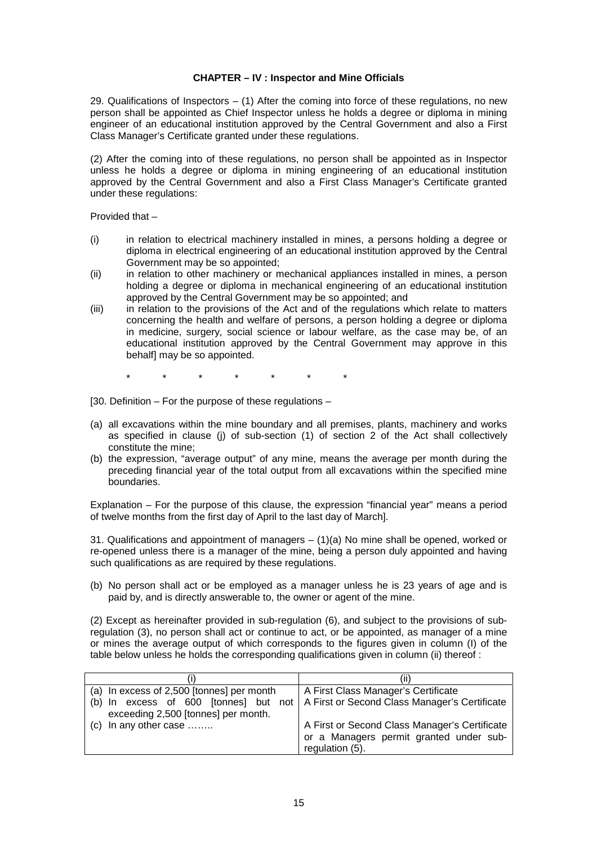## **CHAPTER – IV : Inspector and Mine Officials**

29. Qualifications of Inspectors  $-$  (1) After the coming into force of these regulations, no new person shall be appointed as Chief Inspector unless he holds a degree or diploma in mining engineer of an educational institution approved by the Central Government and also a First Class Manager's Certificate granted under these regulations.

(2) After the coming into of these regulations, no person shall be appointed as in Inspector unless he holds a degree or diploma in mining engineering of an educational institution approved by the Central Government and also a First Class Manager's Certificate granted under these regulations:

Provided that –

- (i) in relation to electrical machinery installed in mines, a persons holding a degree or diploma in electrical engineering of an educational institution approved by the Central Government may be so appointed;
- (ii) in relation to other machinery or mechanical appliances installed in mines, a person holding a degree or diploma in mechanical engineering of an educational institution approved by the Central Government may be so appointed; and
- (iii) in relation to the provisions of the Act and of the regulations which relate to matters concerning the health and welfare of persons, a person holding a degree or diploma in medicine, surgery, social science or labour welfare, as the case may be, of an educational institution approved by the Central Government may approve in this behalf] may be so appointed.
	- \* \* \* \* \* \* \*
- [30. Definition For the purpose of these regulations –
- (a) all excavations within the mine boundary and all premises, plants, machinery and works as specified in clause (j) of sub-section (1) of section 2 of the Act shall collectively constitute the mine;
- (b) the expression, "average output" of any mine, means the average per month during the preceding financial year of the total output from all excavations within the specified mine boundaries.

Explanation – For the purpose of this clause, the expression "financial year" means a period of twelve months from the first day of April to the last day of March].

31. Qualifications and appointment of managers  $- (1)(a)$  No mine shall be opened, worked or re-opened unless there is a manager of the mine, being a person duly appointed and having such qualifications as are required by these regulations.

(b) No person shall act or be employed as a manager unless he is 23 years of age and is paid by, and is directly answerable to, the owner or agent of the mine.

(2) Except as hereinafter provided in sub-regulation (6), and subject to the provisions of subregulation (3), no person shall act or continue to act, or be appointed, as manager of a mine or mines the average output of which corresponds to the figures given in column (I) of the table below unless he holds the corresponding qualifications given in column (ii) thereof :

| (a) In excess of 2,500 [tonnes] per month                                                                                    | A First Class Manager's Certificate                                                                         |
|------------------------------------------------------------------------------------------------------------------------------|-------------------------------------------------------------------------------------------------------------|
| (b) In excess of 600 [tonnes] but not   A First or Second Class Manager's Certificate<br>exceeding 2,500 [tonnes] per month. |                                                                                                             |
| $\vert$ (c) In any other case                                                                                                | A First or Second Class Manager's Certificate<br>or a Managers permit granted under sub-<br>regulation (5). |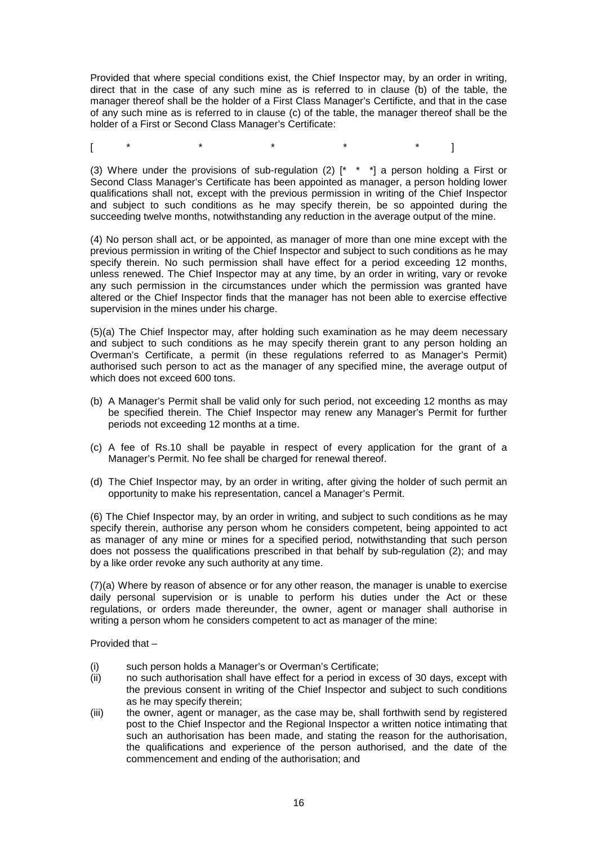Provided that where special conditions exist, the Chief Inspector may, by an order in writing, direct that in the case of any such mine as is referred to in clause (b) of the table, the manager thereof shall be the holder of a First Class Manager's Certificte, and that in the case of any such mine as is referred to in clause (c) of the table, the manager thereof shall be the holder of a First or Second Class Manager's Certificate:

[ \* \* \* \* \* ]

(3) Where under the provisions of sub-regulation (2)  $[$ <sup>\*</sup>  $^*$   $]$  a person holding a First or Second Class Manager's Certificate has been appointed as manager, a person holding lower qualifications shall not, except with the previous permission in writing of the Chief Inspector and subject to such conditions as he may specify therein, be so appointed during the succeeding twelve months, notwithstanding any reduction in the average output of the mine.

(4) No person shall act, or be appointed, as manager of more than one mine except with the previous permission in writing of the Chief Inspector and subject to such conditions as he may specify therein. No such permission shall have effect for a period exceeding 12 months, unless renewed. The Chief Inspector may at any time, by an order in writing, vary or revoke any such permission in the circumstances under which the permission was granted have altered or the Chief Inspector finds that the manager has not been able to exercise effective supervision in the mines under his charge.

(5)(a) The Chief Inspector may, after holding such examination as he may deem necessary and subject to such conditions as he may specify therein grant to any person holding an Overman's Certificate, a permit (in these regulations referred to as Manager's Permit) authorised such person to act as the manager of any specified mine, the average output of which does not exceed 600 tons.

- (b) A Manager's Permit shall be valid only for such period, not exceeding 12 months as may be specified therein. The Chief Inspector may renew any Manager's Permit for further periods not exceeding 12 months at a time.
- (c) A fee of Rs.10 shall be payable in respect of every application for the grant of a Manager's Permit. No fee shall be charged for renewal thereof.
- (d) The Chief Inspector may, by an order in writing, after giving the holder of such permit an opportunity to make his representation, cancel a Manager's Permit.

(6) The Chief Inspector may, by an order in writing, and subject to such conditions as he may specify therein, authorise any person whom he considers competent, being appointed to act as manager of any mine or mines for a specified period, notwithstanding that such person does not possess the qualifications prescribed in that behalf by sub-regulation (2); and may by a like order revoke any such authority at any time.

(7)(a) Where by reason of absence or for any other reason, the manager is unable to exercise daily personal supervision or is unable to perform his duties under the Act or these regulations, or orders made thereunder, the owner, agent or manager shall authorise in writing a person whom he considers competent to act as manager of the mine:

Provided that –

- (i) such person holds a Manager's or Overman's Certificate;
- (ii) no such authorisation shall have effect for a period in excess of 30 days, except with the previous consent in writing of the Chief Inspector and subject to such conditions as he may specify therein;
- (iii) the owner, agent or manager, as the case may be, shall forthwith send by registered post to the Chief Inspector and the Regional Inspector a written notice intimating that such an authorisation has been made, and stating the reason for the authorisation, the qualifications and experience of the person authorised, and the date of the commencement and ending of the authorisation; and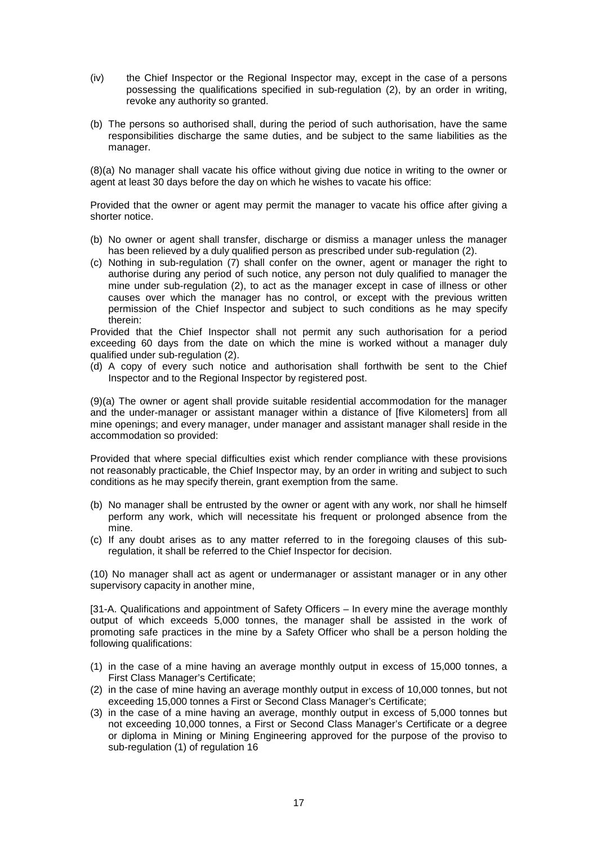- (iv) the Chief Inspector or the Regional Inspector may, except in the case of a persons possessing the qualifications specified in sub-regulation (2), by an order in writing, revoke any authority so granted.
- (b) The persons so authorised shall, during the period of such authorisation, have the same responsibilities discharge the same duties, and be subject to the same liabilities as the manager.

(8)(a) No manager shall vacate his office without giving due notice in writing to the owner or agent at least 30 days before the day on which he wishes to vacate his office:

Provided that the owner or agent may permit the manager to vacate his office after giving a shorter notice.

- (b) No owner or agent shall transfer, discharge or dismiss a manager unless the manager has been relieved by a duly qualified person as prescribed under sub-regulation (2).
- (c) Nothing in sub-regulation (7) shall confer on the owner, agent or manager the right to authorise during any period of such notice, any person not duly qualified to manager the mine under sub-regulation (2), to act as the manager except in case of illness or other causes over which the manager has no control, or except with the previous written permission of the Chief Inspector and subject to such conditions as he may specify therein:

Provided that the Chief Inspector shall not permit any such authorisation for a period exceeding 60 days from the date on which the mine is worked without a manager duly qualified under sub-regulation (2).

(d) A copy of every such notice and authorisation shall forthwith be sent to the Chief Inspector and to the Regional Inspector by registered post.

(9)(a) The owner or agent shall provide suitable residential accommodation for the manager and the under-manager or assistant manager within a distance of [five Kilometers] from all mine openings; and every manager, under manager and assistant manager shall reside in the accommodation so provided:

Provided that where special difficulties exist which render compliance with these provisions not reasonably practicable, the Chief Inspector may, by an order in writing and subject to such conditions as he may specify therein, grant exemption from the same.

- (b) No manager shall be entrusted by the owner or agent with any work, nor shall he himself perform any work, which will necessitate his frequent or prolonged absence from the mine.
- (c) If any doubt arises as to any matter referred to in the foregoing clauses of this subregulation, it shall be referred to the Chief Inspector for decision.

(10) No manager shall act as agent or undermanager or assistant manager or in any other supervisory capacity in another mine,

[31-A. Qualifications and appointment of Safety Officers – In every mine the average monthly output of which exceeds 5,000 tonnes, the manager shall be assisted in the work of promoting safe practices in the mine by a Safety Officer who shall be a person holding the following qualifications:

- (1) in the case of a mine having an average monthly output in excess of 15,000 tonnes, a First Class Manager's Certificate;
- (2) in the case of mine having an average monthly output in excess of 10,000 tonnes, but not exceeding 15,000 tonnes a First or Second Class Manager's Certificate;
- (3) in the case of a mine having an average, monthly output in excess of 5,000 tonnes but not exceeding 10,000 tonnes, a First or Second Class Manager's Certificate or a degree or diploma in Mining or Mining Engineering approved for the purpose of the proviso to sub-regulation (1) of regulation 16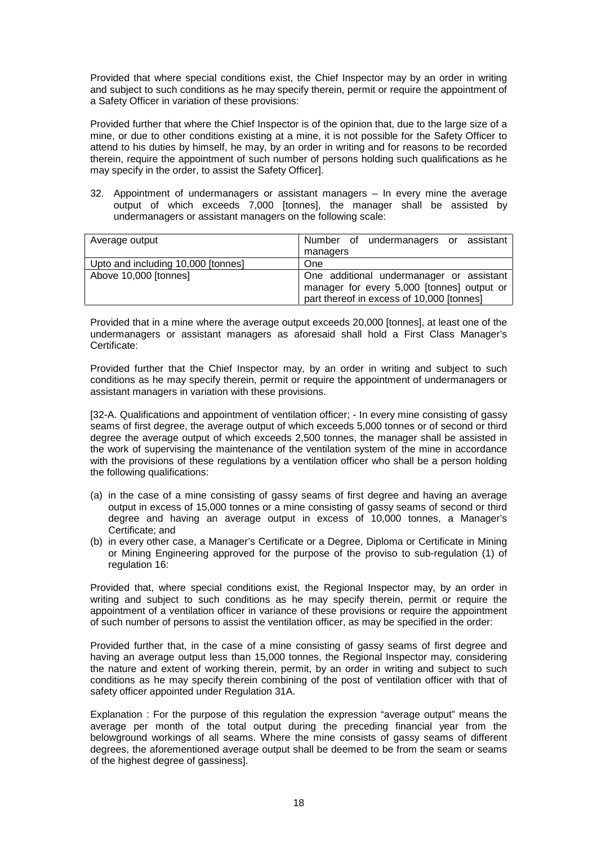Provided that where special conditions exist, the Chief Inspector may by an order in writing and subject to such conditions as he may specify therein, permit or require the appointment of a Safety Officer in variation of these provisions:

Provided further that where the Chief Inspector is of the opinion that, due to the large size of a mine, or due to other conditions existing at a mine, it is not possible for the Safety Officer to attend to his duties by himself, he may, by an order in writing and for reasons to be recorded therein, require the appointment of such number of persons holding such qualifications as he may specify in the order, to assist the Safety Officer].

32. Appointment of undermanagers or assistant managers – In every mine the average output of which exceeds 7,000 [tonnes], the manager shall be assisted by undermanagers or assistant managers on the following scale:

| Average output                     | Number of undermanagers or assistant                                                                                                |
|------------------------------------|-------------------------------------------------------------------------------------------------------------------------------------|
|                                    | managers                                                                                                                            |
| Upto and including 10,000 [tonnes] | One                                                                                                                                 |
| Above 10,000 [tonnes]              | One additional undermanager or assistant<br>manager for every 5,000 [tonnes] output or<br>part thereof in excess of 10,000 [tonnes] |

Provided that in a mine where the average output exceeds 20,000 [tonnes], at least one of the undermanagers or assistant managers as aforesaid shall hold a First Class Manager's Certificate:

Provided further that the Chief Inspector may, by an order in writing and subject to such conditions as he may specify therein, permit or require the appointment of undermanagers or assistant managers in variation with these provisions.

[32-A. Qualifications and appointment of ventilation officer; - In every mine consisting of gassy seams of first degree, the average output of which exceeds 5,000 tonnes or of second or third degree the average output of which exceeds 2,500 tonnes, the manager shall be assisted in the work of supervising the maintenance of the ventilation system of the mine in accordance with the provisions of these regulations by a ventilation officer who shall be a person holding the following qualifications:

- (a) in the case of a mine consisting of gassy seams of first degree and having an average output in excess of 15,000 tonnes or a mine consisting of gassy seams of second or third degree and having an average output in excess of 10,000 tonnes, a Manager's Certificate; and
- (b) in every other case, a Manager's Certificate or a Degree, Diploma or Certificate in Mining or Mining Engineering approved for the purpose of the proviso to sub-regulation (1) of regulation 16:

Provided that, where special conditions exist, the Regional Inspector may, by an order in writing and subject to such conditions as he may specify therein, permit or require the appointment of a ventilation officer in variance of these provisions or require the appointment of such number of persons to assist the ventilation officer, as may be specified in the order:

Provided further that, in the case of a mine consisting of gassy seams of first degree and having an average output less than 15,000 tonnes, the Regional Inspector may, considering the nature and extent of working therein, permit, by an order in writing and subject to such conditions as he may specify therein combining of the post of ventilation officer with that of safety officer appointed under Regulation 31A.

Explanation : For the purpose of this regulation the expression "average output" means the average per month of the total output during the preceding financial year from the belowground workings of all seams. Where the mine consists of gassy seams of different degrees, the aforementioned average output shall be deemed to be from the seam or seams of the highest degree of gassiness].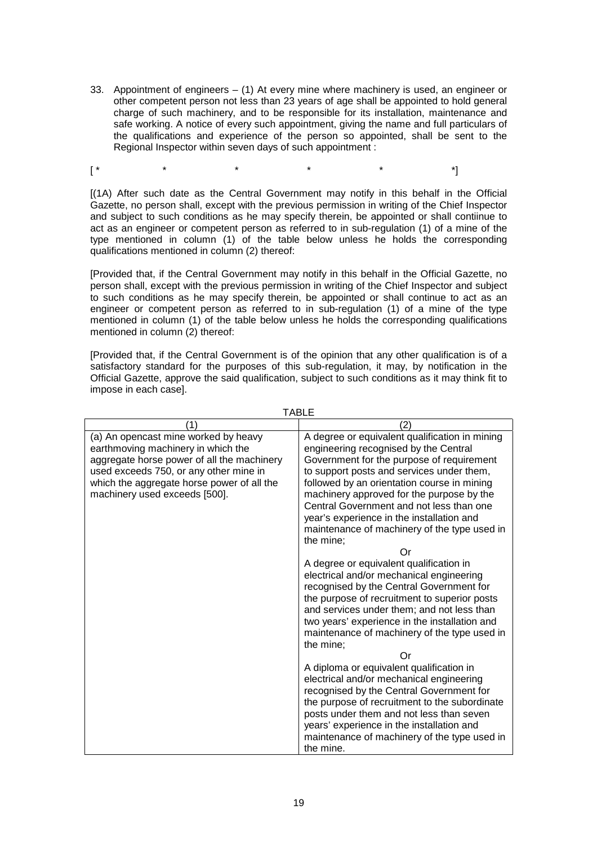33. Appointment of engineers – (1) At every mine where machinery is used, an engineer or other competent person not less than 23 years of age shall be appointed to hold general charge of such machinery, and to be responsible for its installation, maintenance and safe working. A notice of every such appointment, giving the name and full particulars of the qualifications and experience of the person so appointed, shall be sent to the Regional Inspector within seven days of such appointment :

[\* \* \* \* \* \* \* \* \*]

[(1A) After such date as the Central Government may notify in this behalf in the Official Gazette, no person shall, except with the previous permission in writing of the Chief Inspector and subject to such conditions as he may specify therein, be appointed or shall contiinue to act as an engineer or competent person as referred to in sub-regulation (1) of a mine of the type mentioned in column (1) of the table below unless he holds the corresponding qualifications mentioned in column (2) thereof:

[Provided that, if the Central Government may notify in this behalf in the Official Gazette, no person shall, except with the previous permission in writing of the Chief Inspector and subject to such conditions as he may specify therein, be appointed or shall continue to act as an engineer or competent person as referred to in sub-regulation (1) of a mine of the type mentioned in column (1) of the table below unless he holds the corresponding qualifications mentioned in column (2) thereof:

[Provided that, if the Central Government is of the opinion that any other qualification is of a satisfactory standard for the purposes of this sub-regulation, it may, by notification in the Official Gazette, approve the said qualification, subject to such conditions as it may think fit to impose in each case].

| (1)                                                                                                                                                                                                                                               | (2)                                                                                                                                                                                                                                                                                                                                                                                                                                                                                                                                                                                                                                                                                                                                                                                                                                                                                                                                                                                                                                                                                                                                       |
|---------------------------------------------------------------------------------------------------------------------------------------------------------------------------------------------------------------------------------------------------|-------------------------------------------------------------------------------------------------------------------------------------------------------------------------------------------------------------------------------------------------------------------------------------------------------------------------------------------------------------------------------------------------------------------------------------------------------------------------------------------------------------------------------------------------------------------------------------------------------------------------------------------------------------------------------------------------------------------------------------------------------------------------------------------------------------------------------------------------------------------------------------------------------------------------------------------------------------------------------------------------------------------------------------------------------------------------------------------------------------------------------------------|
| (a) An opencast mine worked by heavy<br>earthmoving machinery in which the<br>aggregate horse power of all the machinery<br>used exceeds 750, or any other mine in<br>which the aggregate horse power of all the<br>machinery used exceeds [500]. | A degree or equivalent qualification in mining<br>engineering recognised by the Central<br>Government for the purpose of requirement<br>to support posts and services under them,<br>followed by an orientation course in mining<br>machinery approved for the purpose by the<br>Central Government and not less than one<br>year's experience in the installation and<br>maintenance of machinery of the type used in<br>the mine:<br>Or<br>A degree or equivalent qualification in<br>electrical and/or mechanical engineering<br>recognised by the Central Government for<br>the purpose of recruitment to superior posts<br>and services under them; and not less than<br>two years' experience in the installation and<br>maintenance of machinery of the type used in<br>the mine:<br>Or<br>A diploma or equivalent qualification in<br>electrical and/or mechanical engineering<br>recognised by the Central Government for<br>the purpose of recruitment to the subordinate<br>posts under them and not less than seven<br>years' experience in the installation and<br>maintenance of machinery of the type used in<br>the mine. |

TABLE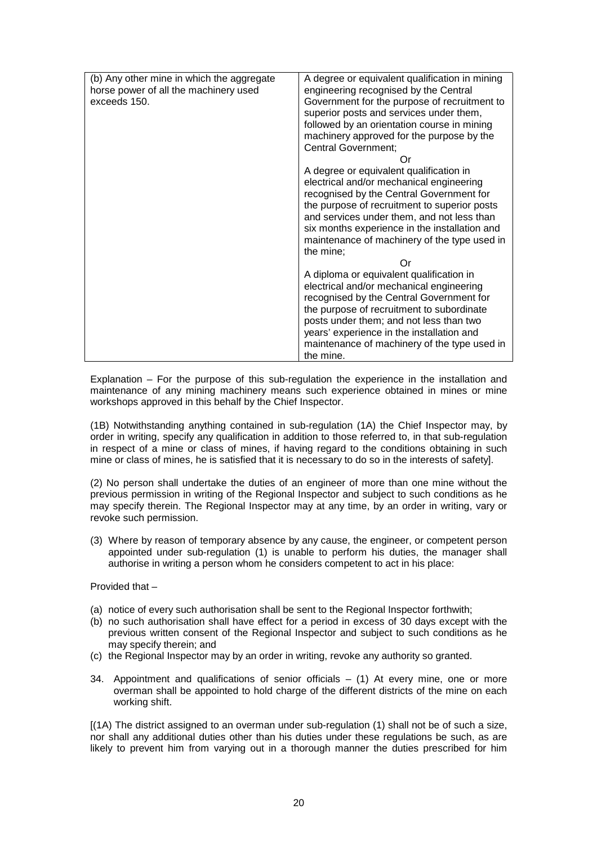| (b) Any other mine in which the aggregate | A degree or equivalent qualification in mining |
|-------------------------------------------|------------------------------------------------|
| horse power of all the machinery used     | engineering recognised by the Central          |
| exceeds 150.                              | Government for the purpose of recruitment to   |
|                                           | superior posts and services under them,        |
|                                           | followed by an orientation course in mining    |
|                                           | machinery approved for the purpose by the      |
|                                           | <b>Central Government;</b>                     |
|                                           | Οr                                             |
|                                           | A degree or equivalent qualification in        |
|                                           | electrical and/or mechanical engineering       |
|                                           | recognised by the Central Government for       |
|                                           | the purpose of recruitment to superior posts   |
|                                           | and services under them, and not less than     |
|                                           | six months experience in the installation and  |
|                                           | maintenance of machinery of the type used in   |
|                                           | the mine;                                      |
|                                           | Οr                                             |
|                                           | A diploma or equivalent qualification in       |
|                                           | electrical and/or mechanical engineering       |
|                                           | recognised by the Central Government for       |
|                                           | the purpose of recruitment to subordinate      |
|                                           | posts under them; and not less than two        |
|                                           | years' experience in the installation and      |
|                                           | maintenance of machinery of the type used in   |
|                                           | the mine.                                      |
|                                           |                                                |

Explanation – For the purpose of this sub-regulation the experience in the installation and maintenance of any mining machinery means such experience obtained in mines or mine workshops approved in this behalf by the Chief Inspector.

(1B) Notwithstanding anything contained in sub-regulation (1A) the Chief Inspector may, by order in writing, specify any qualification in addition to those referred to, in that sub-regulation in respect of a mine or class of mines, if having regard to the conditions obtaining in such mine or class of mines, he is satisfied that it is necessary to do so in the interests of safety].

(2) No person shall undertake the duties of an engineer of more than one mine without the previous permission in writing of the Regional Inspector and subject to such conditions as he may specify therein. The Regional Inspector may at any time, by an order in writing, vary or revoke such permission.

(3) Where by reason of temporary absence by any cause, the engineer, or competent person appointed under sub-regulation (1) is unable to perform his duties, the manager shall authorise in writing a person whom he considers competent to act in his place:

Provided that –

- (a) notice of every such authorisation shall be sent to the Regional Inspector forthwith;
- (b) no such authorisation shall have effect for a period in excess of 30 days except with the previous written consent of the Regional Inspector and subject to such conditions as he may specify therein; and
- (c) the Regional Inspector may by an order in writing, revoke any authority so granted.
- 34. Appointment and qualifications of senior officials  $-$  (1) At every mine, one or more overman shall be appointed to hold charge of the different districts of the mine on each working shift.

[(1A) The district assigned to an overman under sub-regulation (1) shall not be of such a size, nor shall any additional duties other than his duties under these regulations be such, as are likely to prevent him from varying out in a thorough manner the duties prescribed for him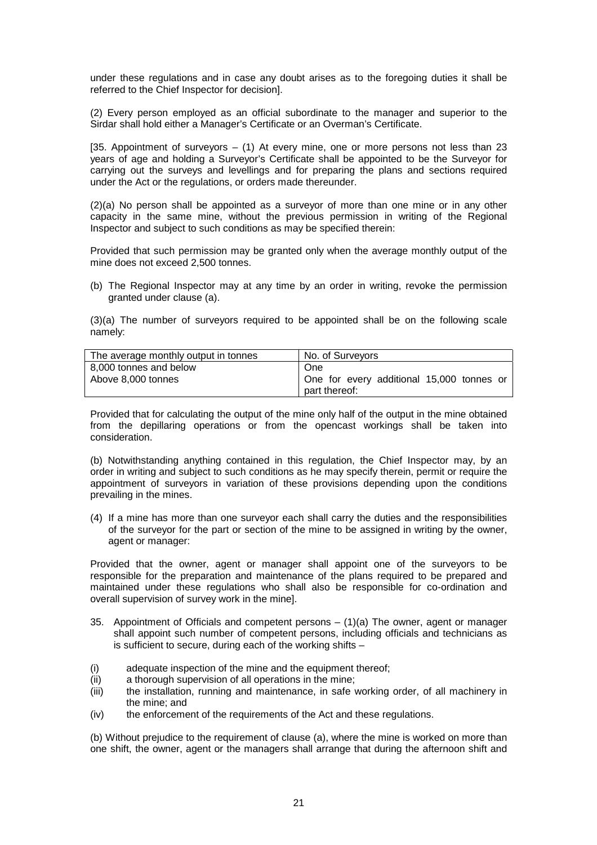under these regulations and in case any doubt arises as to the foregoing duties it shall be referred to the Chief Inspector for decision].

(2) Every person employed as an official subordinate to the manager and superior to the Sirdar shall hold either a Manager's Certificate or an Overman's Certificate.

[35. Appointment of surveyors  $-$  (1) At every mine, one or more persons not less than 23 years of age and holding a Surveyor's Certificate shall be appointed to be the Surveyor for carrying out the surveys and levellings and for preparing the plans and sections required under the Act or the regulations, or orders made thereunder.

(2)(a) No person shall be appointed as a surveyor of more than one mine or in any other capacity in the same mine, without the previous permission in writing of the Regional Inspector and subject to such conditions as may be specified therein:

Provided that such permission may be granted only when the average monthly output of the mine does not exceed 2,500 tonnes.

(b) The Regional Inspector may at any time by an order in writing, revoke the permission granted under clause (a).

(3)(a) The number of surveyors required to be appointed shall be on the following scale namely:

| The average monthly output in tonnes | No. of Surveyors                                           |
|--------------------------------------|------------------------------------------------------------|
| 8,000 tonnes and below               | One                                                        |
| Above 8.000 tonnes                   | One for every additional 15,000 tonnes or<br>part thereof: |
|                                      |                                                            |

Provided that for calculating the output of the mine only half of the output in the mine obtained from the depillaring operations or from the opencast workings shall be taken into consideration.

(b) Notwithstanding anything contained in this regulation, the Chief Inspector may, by an order in writing and subject to such conditions as he may specify therein, permit or require the appointment of surveyors in variation of these provisions depending upon the conditions prevailing in the mines.

(4) If a mine has more than one surveyor each shall carry the duties and the responsibilities of the surveyor for the part or section of the mine to be assigned in writing by the owner, agent or manager:

Provided that the owner, agent or manager shall appoint one of the surveyors to be responsible for the preparation and maintenance of the plans required to be prepared and maintained under these regulations who shall also be responsible for co-ordination and overall supervision of survey work in the mine].

- 35. Appointment of Officials and competent persons (1)(a) The owner, agent or manager shall appoint such number of competent persons, including officials and technicians as is sufficient to secure, during each of the working shifts –
- (i) adequate inspection of the mine and the equipment thereof;
- (ii) a thorough supervision of all operations in the mine;
- (iii) the installation, running and maintenance, in safe working order, of all machinery in the mine; and
- (iv) the enforcement of the requirements of the Act and these regulations.

(b) Without prejudice to the requirement of clause (a), where the mine is worked on more than one shift, the owner, agent or the managers shall arrange that during the afternoon shift and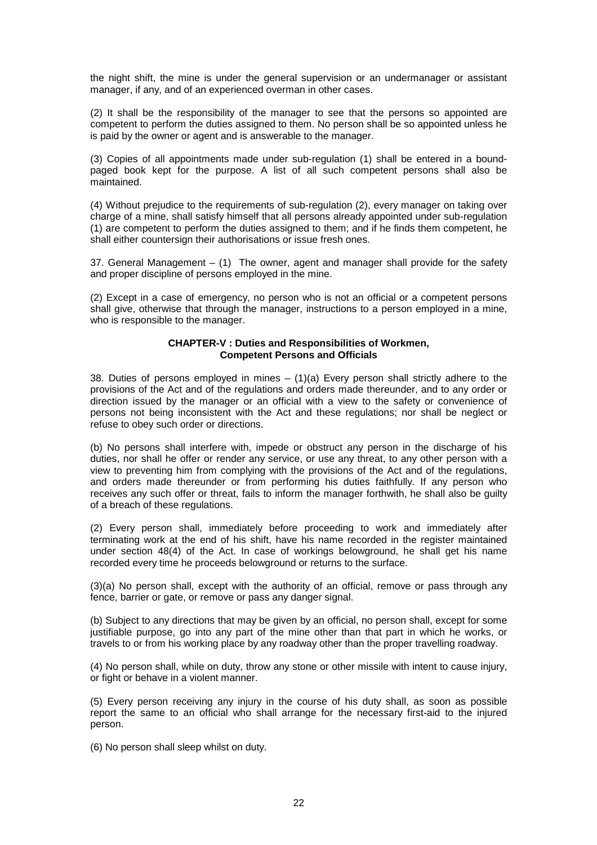the night shift, the mine is under the general supervision or an undermanager or assistant manager, if any, and of an experienced overman in other cases.

(2) It shall be the responsibility of the manager to see that the persons so appointed are competent to perform the duties assigned to them. No person shall be so appointed unless he is paid by the owner or agent and is answerable to the manager.

(3) Copies of all appointments made under sub-regulation (1) shall be entered in a boundpaged book kept for the purpose. A list of all such competent persons shall also be maintained.

(4) Without prejudice to the requirements of sub-regulation (2), every manager on taking over charge of a mine, shall satisfy himself that all persons already appointed under sub-regulation (1) are competent to perform the duties assigned to them; and if he finds them competent, he shall either countersign their authorisations or issue fresh ones.

37. General Management  $-$  (1) The owner, agent and manager shall provide for the safety and proper discipline of persons employed in the mine.

(2) Except in a case of emergency, no person who is not an official or a competent persons shall give, otherwise that through the manager, instructions to a person employed in a mine, who is responsible to the manager.

## **CHAPTER-V : Duties and Responsibilities of Workmen, Competent Persons and Officials**

38. Duties of persons employed in mines  $-$  (1)(a) Every person shall strictly adhere to the provisions of the Act and of the regulations and orders made thereunder, and to any order or direction issued by the manager or an official with a view to the safety or convenience of persons not being inconsistent with the Act and these regulations; nor shall be neglect or refuse to obey such order or directions.

(b) No persons shall interfere with, impede or obstruct any person in the discharge of his duties, nor shall he offer or render any service, or use any threat, to any other person with a view to preventing him from complying with the provisions of the Act and of the regulations, and orders made thereunder or from performing his duties faithfully. If any person who receives any such offer or threat, fails to inform the manager forthwith, he shall also be guilty of a breach of these regulations.

(2) Every person shall, immediately before proceeding to work and immediately after terminating work at the end of his shift, have his name recorded in the register maintained under section 48(4) of the Act. In case of workings belowground, he shall get his name recorded every time he proceeds belowground or returns to the surface.

(3)(a) No person shall, except with the authority of an official, remove or pass through any fence, barrier or gate, or remove or pass any danger signal.

(b) Subject to any directions that may be given by an official, no person shall, except for some justifiable purpose, go into any part of the mine other than that part in which he works, or travels to or from his working place by any roadway other than the proper travelling roadway.

(4) No person shall, while on duty, throw any stone or other missile with intent to cause injury, or fight or behave in a violent manner.

(5) Every person receiving any injury in the course of his duty shall, as soon as possible report the same to an official who shall arrange for the necessary first-aid to the injured person.

(6) No person shall sleep whilst on duty.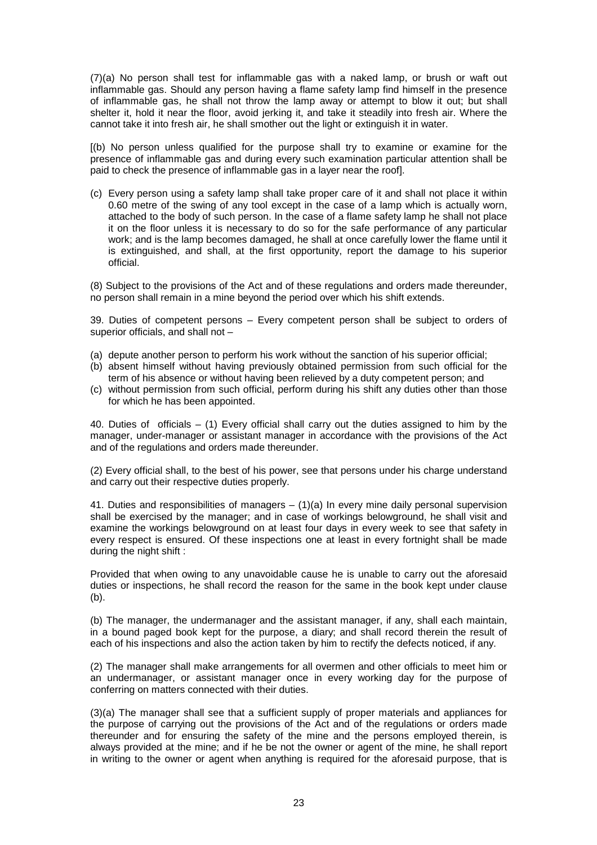(7)(a) No person shall test for inflammable gas with a naked lamp, or brush or waft out inflammable gas. Should any person having a flame safety lamp find himself in the presence of inflammable gas, he shall not throw the lamp away or attempt to blow it out; but shall shelter it, hold it near the floor, avoid jerking it, and take it steadily into fresh air. Where the cannot take it into fresh air, he shall smother out the light or extinguish it in water.

[(b) No person unless qualified for the purpose shall try to examine or examine for the presence of inflammable gas and during every such examination particular attention shall be paid to check the presence of inflammable gas in a layer near the roof].

(c) Every person using a safety lamp shall take proper care of it and shall not place it within 0.60 metre of the swing of any tool except in the case of a lamp which is actually worn, attached to the body of such person. In the case of a flame safety lamp he shall not place it on the floor unless it is necessary to do so for the safe performance of any particular work; and is the lamp becomes damaged, he shall at once carefully lower the flame until it is extinguished, and shall, at the first opportunity, report the damage to his superior official.

(8) Subject to the provisions of the Act and of these regulations and orders made thereunder, no person shall remain in a mine beyond the period over which his shift extends.

39. Duties of competent persons – Every competent person shall be subject to orders of superior officials, and shall not –

- (a) depute another person to perform his work without the sanction of his superior official;
- (b) absent himself without having previously obtained permission from such official for the term of his absence or without having been relieved by a duty competent person; and
- (c) without permission from such official, perform during his shift any duties other than those for which he has been appointed.

40. Duties of officials – (1) Every official shall carry out the duties assigned to him by the manager, under-manager or assistant manager in accordance with the provisions of the Act and of the regulations and orders made thereunder.

(2) Every official shall, to the best of his power, see that persons under his charge understand and carry out their respective duties properly.

41. Duties and responsibilities of managers  $- (1)(a)$  In every mine daily personal supervision shall be exercised by the manager; and in case of workings belowground, he shall visit and examine the workings belowground on at least four days in every week to see that safety in every respect is ensured. Of these inspections one at least in every fortnight shall be made during the night shift :

Provided that when owing to any unavoidable cause he is unable to carry out the aforesaid duties or inspections, he shall record the reason for the same in the book kept under clause (b).

(b) The manager, the undermanager and the assistant manager, if any, shall each maintain, in a bound paged book kept for the purpose, a diary; and shall record therein the result of each of his inspections and also the action taken by him to rectify the defects noticed, if any.

(2) The manager shall make arrangements for all overmen and other officials to meet him or an undermanager, or assistant manager once in every working day for the purpose of conferring on matters connected with their duties.

(3)(a) The manager shall see that a sufficient supply of proper materials and appliances for the purpose of carrying out the provisions of the Act and of the regulations or orders made thereunder and for ensuring the safety of the mine and the persons employed therein, is always provided at the mine; and if he be not the owner or agent of the mine, he shall report in writing to the owner or agent when anything is required for the aforesaid purpose, that is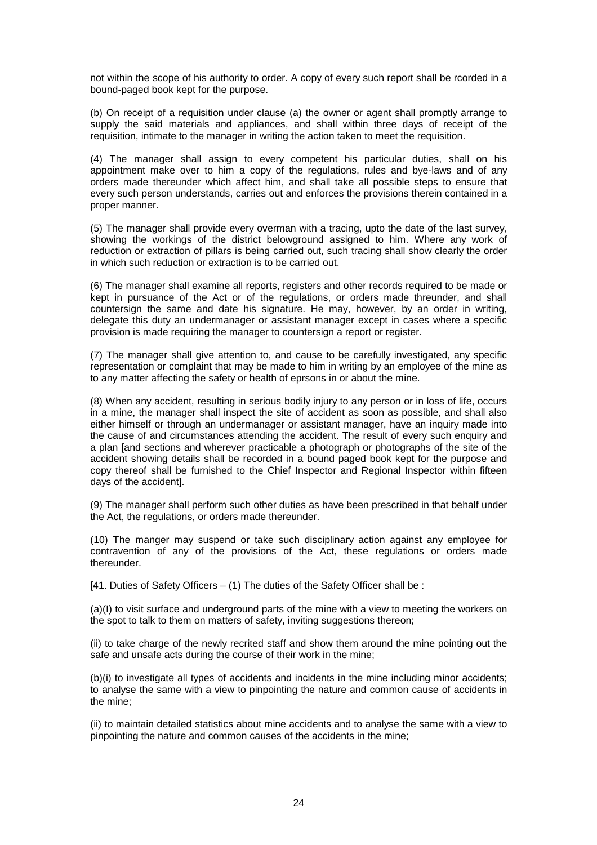not within the scope of his authority to order. A copy of every such report shall be rcorded in a bound-paged book kept for the purpose.

(b) On receipt of a requisition under clause (a) the owner or agent shall promptly arrange to supply the said materials and appliances, and shall within three days of receipt of the requisition, intimate to the manager in writing the action taken to meet the requisition.

(4) The manager shall assign to every competent his particular duties, shall on his appointment make over to him a copy of the regulations, rules and bye-laws and of any orders made thereunder which affect him, and shall take all possible steps to ensure that every such person understands, carries out and enforces the provisions therein contained in a proper manner.

(5) The manager shall provide every overman with a tracing, upto the date of the last survey, showing the workings of the district belowground assigned to him. Where any work of reduction or extraction of pillars is being carried out, such tracing shall show clearly the order in which such reduction or extraction is to be carried out.

(6) The manager shall examine all reports, registers and other records required to be made or kept in pursuance of the Act or of the regulations, or orders made threunder, and shall countersign the same and date his signature. He may, however, by an order in writing, delegate this duty an undermanager or assistant manager except in cases where a specific provision is made requiring the manager to countersign a report or register.

(7) The manager shall give attention to, and cause to be carefully investigated, any specific representation or complaint that may be made to him in writing by an employee of the mine as to any matter affecting the safety or health of eprsons in or about the mine.

(8) When any accident, resulting in serious bodily injury to any person or in loss of life, occurs in a mine, the manager shall inspect the site of accident as soon as possible, and shall also either himself or through an undermanager or assistant manager, have an inquiry made into the cause of and circumstances attending the accident. The result of every such enquiry and a plan [and sections and wherever practicable a photograph or photographs of the site of the accident showing details shall be recorded in a bound paged book kept for the purpose and copy thereof shall be furnished to the Chief Inspector and Regional Inspector within fifteen days of the accident].

(9) The manager shall perform such other duties as have been prescribed in that behalf under the Act, the regulations, or orders made thereunder.

(10) The manger may suspend or take such disciplinary action against any employee for contravention of any of the provisions of the Act, these regulations or orders made thereunder.

[41. Duties of Safety Officers – (1) The duties of the Safety Officer shall be :

(a)(I) to visit surface and underground parts of the mine with a view to meeting the workers on the spot to talk to them on matters of safety, inviting suggestions thereon;

(ii) to take charge of the newly recrited staff and show them around the mine pointing out the safe and unsafe acts during the course of their work in the mine;

(b)(i) to investigate all types of accidents and incidents in the mine including minor accidents; to analyse the same with a view to pinpointing the nature and common cause of accidents in the mine;

(ii) to maintain detailed statistics about mine accidents and to analyse the same with a view to pinpointing the nature and common causes of the accidents in the mine;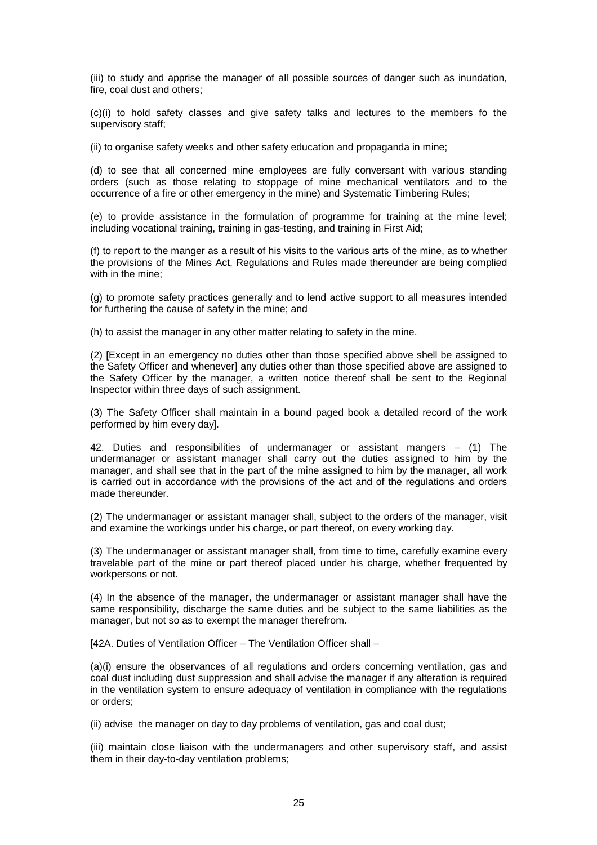(iii) to study and apprise the manager of all possible sources of danger such as inundation, fire, coal dust and others;

(c)(i) to hold safety classes and give safety talks and lectures to the members fo the supervisory staff;

(ii) to organise safety weeks and other safety education and propaganda in mine;

(d) to see that all concerned mine employees are fully conversant with various standing orders (such as those relating to stoppage of mine mechanical ventilators and to the occurrence of a fire or other emergency in the mine) and Systematic Timbering Rules;

(e) to provide assistance in the formulation of programme for training at the mine level; including vocational training, training in gas-testing, and training in First Aid;

(f) to report to the manger as a result of his visits to the various arts of the mine, as to whether the provisions of the Mines Act, Regulations and Rules made thereunder are being complied with in the mine;

(g) to promote safety practices generally and to lend active support to all measures intended for furthering the cause of safety in the mine; and

(h) to assist the manager in any other matter relating to safety in the mine.

(2) [Except in an emergency no duties other than those specified above shell be assigned to the Safety Officer and whenever] any duties other than those specified above are assigned to the Safety Officer by the manager, a written notice thereof shall be sent to the Regional Inspector within three days of such assignment.

(3) The Safety Officer shall maintain in a bound paged book a detailed record of the work performed by him every day].

42. Duties and responsibilities of undermanager or assistant mangers – (1) The undermanager or assistant manager shall carry out the duties assigned to him by the manager, and shall see that in the part of the mine assigned to him by the manager, all work is carried out in accordance with the provisions of the act and of the regulations and orders made thereunder.

(2) The undermanager or assistant manager shall, subject to the orders of the manager, visit and examine the workings under his charge, or part thereof, on every working day.

(3) The undermanager or assistant manager shall, from time to time, carefully examine every travelable part of the mine or part thereof placed under his charge, whether frequented by workpersons or not.

(4) In the absence of the manager, the undermanager or assistant manager shall have the same responsibility, discharge the same duties and be subject to the same liabilities as the manager, but not so as to exempt the manager therefrom.

[42A. Duties of Ventilation Officer – The Ventilation Officer shall –

(a)(i) ensure the observances of all regulations and orders concerning ventilation, gas and coal dust including dust suppression and shall advise the manager if any alteration is required in the ventilation system to ensure adequacy of ventilation in compliance with the regulations or orders;

(ii) advise the manager on day to day problems of ventilation, gas and coal dust;

(iii) maintain close liaison with the undermanagers and other supervisory staff, and assist them in their day-to-day ventilation problems;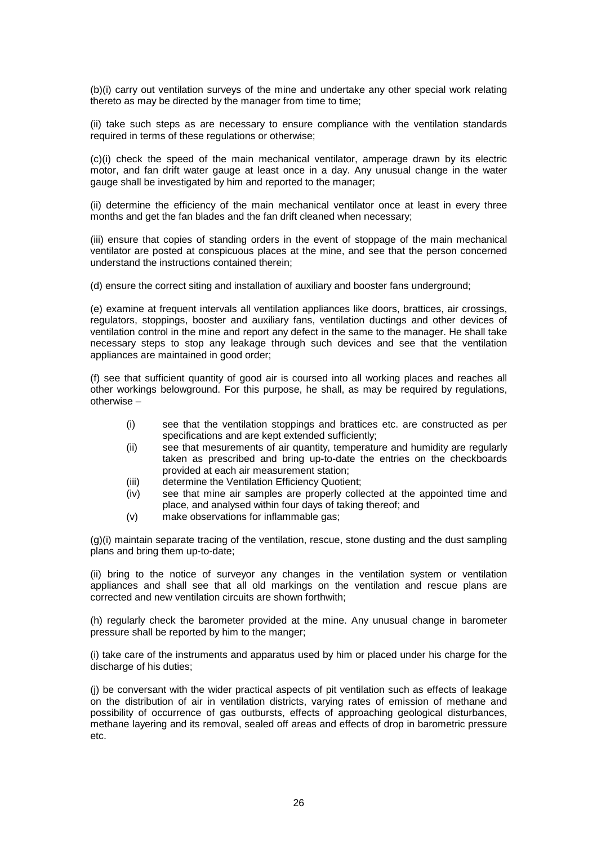(b)(i) carry out ventilation surveys of the mine and undertake any other special work relating thereto as may be directed by the manager from time to time;

(ii) take such steps as are necessary to ensure compliance with the ventilation standards required in terms of these regulations or otherwise;

(c)(i) check the speed of the main mechanical ventilator, amperage drawn by its electric motor, and fan drift water gauge at least once in a day. Any unusual change in the water gauge shall be investigated by him and reported to the manager;

(ii) determine the efficiency of the main mechanical ventilator once at least in every three months and get the fan blades and the fan drift cleaned when necessary;

(iii) ensure that copies of standing orders in the event of stoppage of the main mechanical ventilator are posted at conspicuous places at the mine, and see that the person concerned understand the instructions contained therein;

(d) ensure the correct siting and installation of auxiliary and booster fans underground;

(e) examine at frequent intervals all ventilation appliances like doors, brattices, air crossings, regulators, stoppings, booster and auxiliary fans, ventilation ductings and other devices of ventilation control in the mine and report any defect in the same to the manager. He shall take necessary steps to stop any leakage through such devices and see that the ventilation appliances are maintained in good order;

(f) see that sufficient quantity of good air is coursed into all working places and reaches all other workings belowground. For this purpose, he shall, as may be required by regulations, otherwise –

- (i) see that the ventilation stoppings and brattices etc. are constructed as per specifications and are kept extended sufficiently;
- (ii) see that mesurements of air quantity, temperature and humidity are regularly taken as prescribed and bring up-to-date the entries on the checkboards provided at each air measurement station;
- (iii) determine the Ventilation Efficiency Quotient;
- (iv) see that mine air samples are properly collected at the appointed time and place, and analysed within four days of taking thereof; and
- (v) make observations for inflammable gas;

(g)(i) maintain separate tracing of the ventilation, rescue, stone dusting and the dust sampling plans and bring them up-to-date;

(ii) bring to the notice of surveyor any changes in the ventilation system or ventilation appliances and shall see that all old markings on the ventilation and rescue plans are corrected and new ventilation circuits are shown forthwith;

(h) regularly check the barometer provided at the mine. Any unusual change in barometer pressure shall be reported by him to the manger;

(i) take care of the instruments and apparatus used by him or placed under his charge for the discharge of his duties:

(j) be conversant with the wider practical aspects of pit ventilation such as effects of leakage on the distribution of air in ventilation districts, varying rates of emission of methane and possibility of occurrence of gas outbursts, effects of approaching geological disturbances, methane layering and its removal, sealed off areas and effects of drop in barometric pressure etc.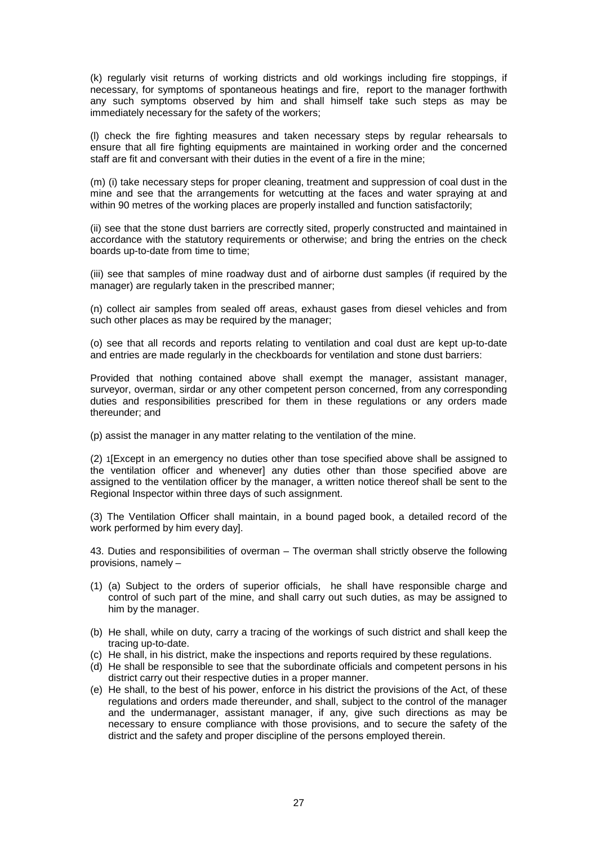(k) regularly visit returns of working districts and old workings including fire stoppings, if necessary, for symptoms of spontaneous heatings and fire, report to the manager forthwith any such symptoms observed by him and shall himself take such steps as may be immediately necessary for the safety of the workers;

(l) check the fire fighting measures and taken necessary steps by regular rehearsals to ensure that all fire fighting equipments are maintained in working order and the concerned staff are fit and conversant with their duties in the event of a fire in the mine;

(m) (i) take necessary steps for proper cleaning, treatment and suppression of coal dust in the mine and see that the arrangements for wetcutting at the faces and water spraying at and within 90 metres of the working places are properly installed and function satisfactorily;

(ii) see that the stone dust barriers are correctly sited, properly constructed and maintained in accordance with the statutory requirements or otherwise; and bring the entries on the check boards up-to-date from time to time;

(iii) see that samples of mine roadway dust and of airborne dust samples (if required by the manager) are regularly taken in the prescribed manner;

(n) collect air samples from sealed off areas, exhaust gases from diesel vehicles and from such other places as may be required by the manager:

(o) see that all records and reports relating to ventilation and coal dust are kept up-to-date and entries are made regularly in the checkboards for ventilation and stone dust barriers:

Provided that nothing contained above shall exempt the manager, assistant manager, surveyor, overman, sirdar or any other competent person concerned, from any corresponding duties and responsibilities prescribed for them in these regulations or any orders made thereunder; and

(p) assist the manager in any matter relating to the ventilation of the mine.

(2) 1[Except in an emergency no duties other than tose specified above shall be assigned to the ventilation officer and whenever] any duties other than those specified above are assigned to the ventilation officer by the manager, a written notice thereof shall be sent to the Regional Inspector within three days of such assignment.

(3) The Ventilation Officer shall maintain, in a bound paged book, a detailed record of the work performed by him every day].

43. Duties and responsibilities of overman – The overman shall strictly observe the following provisions, namely –

- (1) (a) Subject to the orders of superior officials, he shall have responsible charge and control of such part of the mine, and shall carry out such duties, as may be assigned to him by the manager.
- (b) He shall, while on duty, carry a tracing of the workings of such district and shall keep the tracing up-to-date.
- (c) He shall, in his district, make the inspections and reports required by these regulations.
- (d) He shall be responsible to see that the subordinate officials and competent persons in his district carry out their respective duties in a proper manner.
- (e) He shall, to the best of his power, enforce in his district the provisions of the Act, of these regulations and orders made thereunder, and shall, subject to the control of the manager and the undermanager, assistant manager, if any, give such directions as may be necessary to ensure compliance with those provisions, and to secure the safety of the district and the safety and proper discipline of the persons employed therein.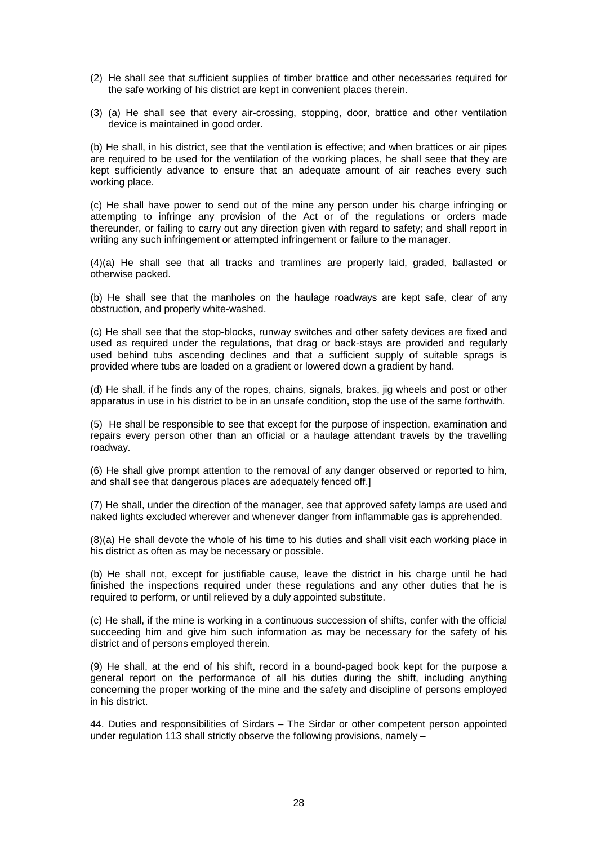- (2) He shall see that sufficient supplies of timber brattice and other necessaries required for the safe working of his district are kept in convenient places therein.
- (3) (a) He shall see that every air-crossing, stopping, door, brattice and other ventilation device is maintained in good order.

(b) He shall, in his district, see that the ventilation is effective; and when brattices or air pipes are required to be used for the ventilation of the working places, he shall seee that they are kept sufficiently advance to ensure that an adequate amount of air reaches every such working place.

(c) He shall have power to send out of the mine any person under his charge infringing or attempting to infringe any provision of the Act or of the regulations or orders made thereunder, or failing to carry out any direction given with regard to safety; and shall report in writing any such infringement or attempted infringement or failure to the manager.

(4)(a) He shall see that all tracks and tramlines are properly laid, graded, ballasted or otherwise packed.

(b) He shall see that the manholes on the haulage roadways are kept safe, clear of any obstruction, and properly white-washed.

(c) He shall see that the stop-blocks, runway switches and other safety devices are fixed and used as required under the regulations, that drag or back-stays are provided and regularly used behind tubs ascending declines and that a sufficient supply of suitable sprags is provided where tubs are loaded on a gradient or lowered down a gradient by hand.

(d) He shall, if he finds any of the ropes, chains, signals, brakes, jig wheels and post or other apparatus in use in his district to be in an unsafe condition, stop the use of the same forthwith.

(5) He shall be responsible to see that except for the purpose of inspection, examination and repairs every person other than an official or a haulage attendant travels by the travelling roadway.

(6) He shall give prompt attention to the removal of any danger observed or reported to him, and shall see that dangerous places are adequately fenced off.]

(7) He shall, under the direction of the manager, see that approved safety lamps are used and naked lights excluded wherever and whenever danger from inflammable gas is apprehended.

(8)(a) He shall devote the whole of his time to his duties and shall visit each working place in his district as often as may be necessary or possible.

(b) He shall not, except for justifiable cause, leave the district in his charge until he had finished the inspections required under these regulations and any other duties that he is required to perform, or until relieved by a duly appointed substitute.

(c) He shall, if the mine is working in a continuous succession of shifts, confer with the official succeeding him and give him such information as may be necessary for the safety of his district and of persons employed therein.

(9) He shall, at the end of his shift, record in a bound-paged book kept for the purpose a general report on the performance of all his duties during the shift, including anything concerning the proper working of the mine and the safety and discipline of persons employed in his district.

44. Duties and responsibilities of Sirdars – The Sirdar or other competent person appointed under regulation 113 shall strictly observe the following provisions, namely –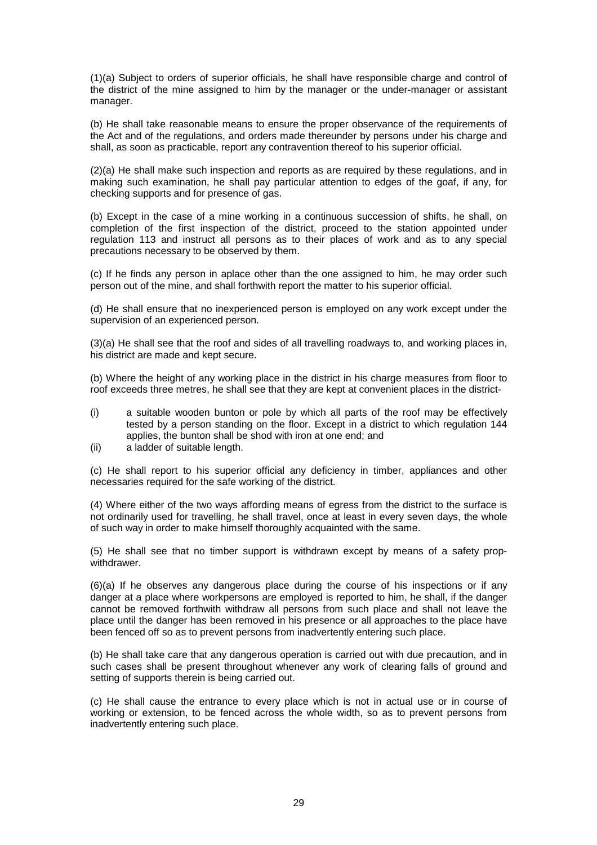(1)(a) Subject to orders of superior officials, he shall have responsible charge and control of the district of the mine assigned to him by the manager or the under-manager or assistant manager.

(b) He shall take reasonable means to ensure the proper observance of the requirements of the Act and of the regulations, and orders made thereunder by persons under his charge and shall, as soon as practicable, report any contravention thereof to his superior official.

(2)(a) He shall make such inspection and reports as are required by these regulations, and in making such examination, he shall pay particular attention to edges of the goaf, if any, for checking supports and for presence of gas.

(b) Except in the case of a mine working in a continuous succession of shifts, he shall, on completion of the first inspection of the district, proceed to the station appointed under regulation 113 and instruct all persons as to their places of work and as to any special precautions necessary to be observed by them.

(c) If he finds any person in aplace other than the one assigned to him, he may order such person out of the mine, and shall forthwith report the matter to his superior official.

(d) He shall ensure that no inexperienced person is employed on any work except under the supervision of an experienced person.

(3)(a) He shall see that the roof and sides of all travelling roadways to, and working places in, his district are made and kept secure.

(b) Where the height of any working place in the district in his charge measures from floor to roof exceeds three metres, he shall see that they are kept at convenient places in the district-

- (i) a suitable wooden bunton or pole by which all parts of the roof may be effectively tested by a person standing on the floor. Except in a district to which regulation 144 applies, the bunton shall be shod with iron at one end; and
- (ii) a ladder of suitable length.

(c) He shall report to his superior official any deficiency in timber, appliances and other necessaries required for the safe working of the district.

(4) Where either of the two ways affording means of egress from the district to the surface is not ordinarily used for travelling, he shall travel, once at least in every seven days, the whole of such way in order to make himself thoroughly acquainted with the same.

(5) He shall see that no timber support is withdrawn except by means of a safety propwithdrawer.

(6)(a) If he observes any dangerous place during the course of his inspections or if any danger at a place where workpersons are employed is reported to him, he shall, if the danger cannot be removed forthwith withdraw all persons from such place and shall not leave the place until the danger has been removed in his presence or all approaches to the place have been fenced off so as to prevent persons from inadvertently entering such place.

(b) He shall take care that any dangerous operation is carried out with due precaution, and in such cases shall be present throughout whenever any work of clearing falls of ground and setting of supports therein is being carried out.

(c) He shall cause the entrance to every place which is not in actual use or in course of working or extension, to be fenced across the whole width, so as to prevent persons from inadvertently entering such place.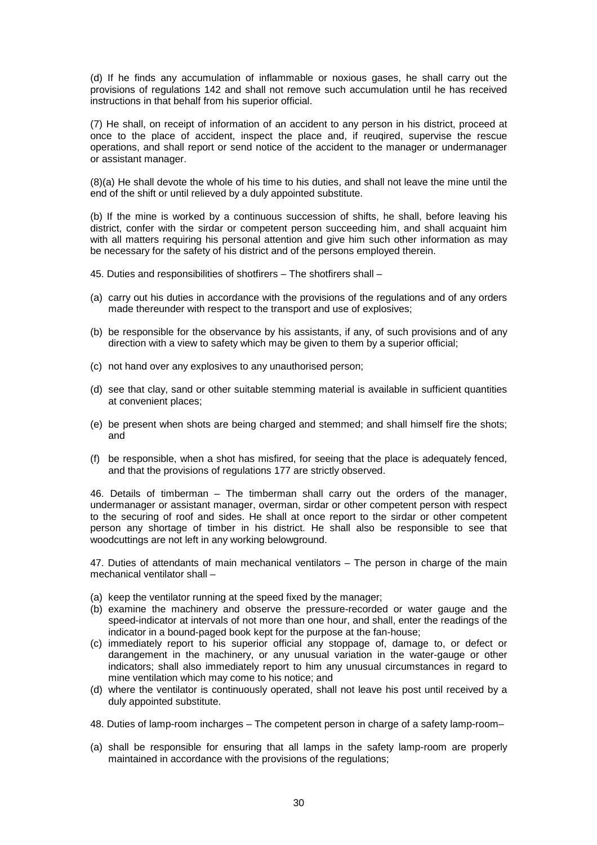(d) If he finds any accumulation of inflammable or noxious gases, he shall carry out the provisions of regulations 142 and shall not remove such accumulation until he has received instructions in that behalf from his superior official.

(7) He shall, on receipt of information of an accident to any person in his district, proceed at once to the place of accident, inspect the place and, if reuqired, supervise the rescue operations, and shall report or send notice of the accident to the manager or undermanager or assistant manager.

(8)(a) He shall devote the whole of his time to his duties, and shall not leave the mine until the end of the shift or until relieved by a duly appointed substitute.

(b) If the mine is worked by a continuous succession of shifts, he shall, before leaving his district, confer with the sirdar or competent person succeeding him, and shall acquaint him with all matters requiring his personal attention and give him such other information as may be necessary for the safety of his district and of the persons employed therein.

- 45. Duties and responsibilities of shotfirers The shotfirers shall –
- (a) carry out his duties in accordance with the provisions of the regulations and of any orders made thereunder with respect to the transport and use of explosives;
- (b) be responsible for the observance by his assistants, if any, of such provisions and of any direction with a view to safety which may be given to them by a superior official;
- (c) not hand over any explosives to any unauthorised person;
- (d) see that clay, sand or other suitable stemming material is available in sufficient quantities at convenient places;
- (e) be present when shots are being charged and stemmed; and shall himself fire the shots; and
- (f) be responsible, when a shot has misfired, for seeing that the place is adequately fenced, and that the provisions of regulations 177 are strictly observed.

46. Details of timberman – The timberman shall carry out the orders of the manager, undermanager or assistant manager, overman, sirdar or other competent person with respect to the securing of roof and sides. He shall at once report to the sirdar or other competent person any shortage of timber in his district. He shall also be responsible to see that woodcuttings are not left in any working belowground.

47. Duties of attendants of main mechanical ventilators – The person in charge of the main mechanical ventilator shall –

- (a) keep the ventilator running at the speed fixed by the manager;
- (b) examine the machinery and observe the pressure-recorded or water gauge and the speed-indicator at intervals of not more than one hour, and shall, enter the readings of the indicator in a bound-paged book kept for the purpose at the fan-house;
- (c) immediately report to his superior official any stoppage of, damage to, or defect or darangement in the machinery, or any unusual variation in the water-gauge or other indicators; shall also immediately report to him any unusual circumstances in regard to mine ventilation which may come to his notice; and
- (d) where the ventilator is continuously operated, shall not leave his post until received by a duly appointed substitute.
- 48. Duties of lamp-room incharges The competent person in charge of a safety lamp-room–
- (a) shall be responsible for ensuring that all lamps in the safety lamp-room are properly maintained in accordance with the provisions of the regulations;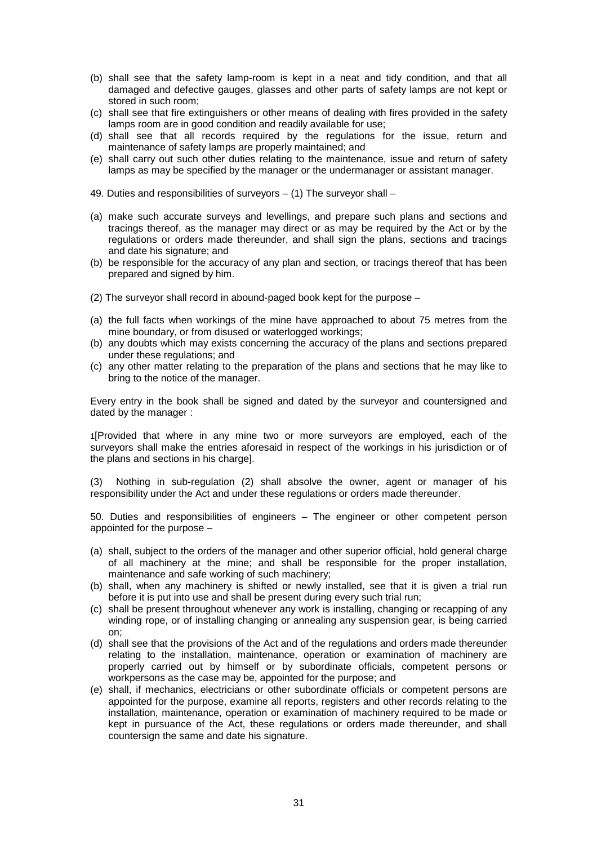- (b) shall see that the safety lamp-room is kept in a neat and tidy condition, and that all damaged and defective gauges, glasses and other parts of safety lamps are not kept or stored in such room;
- (c) shall see that fire extinguishers or other means of dealing with fires provided in the safety lamps room are in good condition and readily available for use;
- (d) shall see that all records required by the regulations for the issue, return and maintenance of safety lamps are properly maintained; and
- (e) shall carry out such other duties relating to the maintenance, issue and return of safety lamps as may be specified by the manager or the undermanager or assistant manager.
- 49. Duties and responsibilities of surveyors (1) The surveyor shall –
- (a) make such accurate surveys and levellings, and prepare such plans and sections and tracings thereof, as the manager may direct or as may be required by the Act or by the regulations or orders made thereunder, and shall sign the plans, sections and tracings and date his signature; and
- (b) be responsible for the accuracy of any plan and section, or tracings thereof that has been prepared and signed by him.
- (2) The surveyor shall record in abound-paged book kept for the purpose –
- (a) the full facts when workings of the mine have approached to about 75 metres from the mine boundary, or from disused or waterlogged workings;
- (b) any doubts which may exists concerning the accuracy of the plans and sections prepared under these regulations; and
- (c) any other matter relating to the preparation of the plans and sections that he may like to bring to the notice of the manager.

Every entry in the book shall be signed and dated by the surveyor and countersigned and dated by the manager :

1[Provided that where in any mine two or more surveyors are employed, each of the surveyors shall make the entries aforesaid in respect of the workings in his jurisdiction or of the plans and sections in his charge].

(3) Nothing in sub-regulation (2) shall absolve the owner, agent or manager of his responsibility under the Act and under these regulations or orders made thereunder.

50. Duties and responsibilities of engineers – The engineer or other competent person appointed for the purpose –

- (a) shall, subject to the orders of the manager and other superior official, hold general charge of all machinery at the mine; and shall be responsible for the proper installation, maintenance and safe working of such machinery;
- (b) shall, when any machinery is shifted or newly installed, see that it is given a trial run before it is put into use and shall be present during every such trial run;
- (c) shall be present throughout whenever any work is installing, changing or recapping of any winding rope, or of installing changing or annealing any suspension gear, is being carried on;
- (d) shall see that the provisions of the Act and of the regulations and orders made thereunder relating to the installation, maintenance, operation or examination of machinery are properly carried out by himself or by subordinate officials, competent persons or workpersons as the case may be, appointed for the purpose; and
- (e) shall, if mechanics, electricians or other subordinate officials or competent persons are appointed for the purpose, examine all reports, registers and other records relating to the installation, maintenance, operation or examination of machinery required to be made or kept in pursuance of the Act, these regulations or orders made thereunder, and shall countersign the same and date his signature.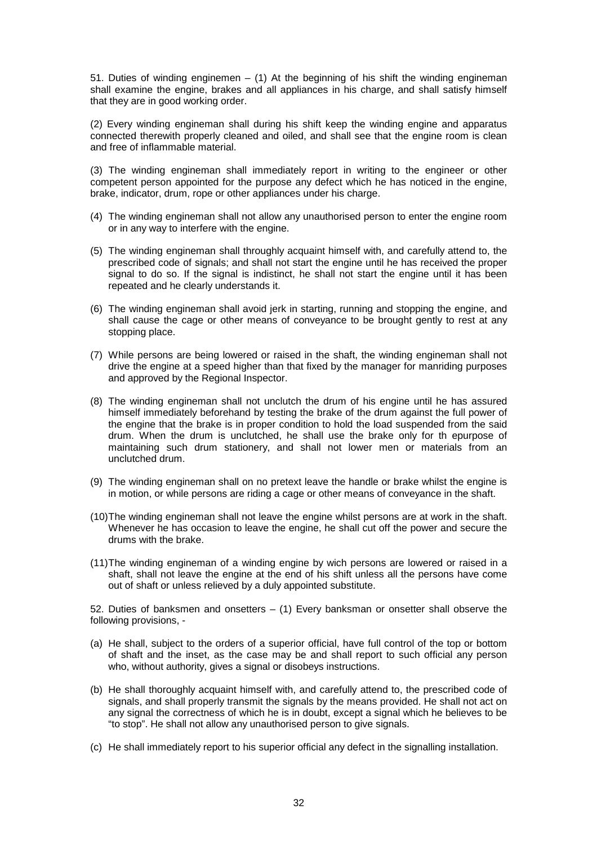51. Duties of winding enginemen  $-$  (1) At the beginning of his shift the winding engineman shall examine the engine, brakes and all appliances in his charge, and shall satisfy himself that they are in good working order.

(2) Every winding engineman shall during his shift keep the winding engine and apparatus connected therewith properly cleaned and oiled, and shall see that the engine room is clean and free of inflammable material.

(3) The winding engineman shall immediately report in writing to the engineer or other competent person appointed for the purpose any defect which he has noticed in the engine, brake, indicator, drum, rope or other appliances under his charge.

- (4) The winding engineman shall not allow any unauthorised person to enter the engine room or in any way to interfere with the engine.
- (5) The winding engineman shall throughly acquaint himself with, and carefully attend to, the prescribed code of signals; and shall not start the engine until he has received the proper signal to do so. If the signal is indistinct, he shall not start the engine until it has been repeated and he clearly understands it.
- (6) The winding engineman shall avoid jerk in starting, running and stopping the engine, and shall cause the cage or other means of conveyance to be brought gently to rest at any stopping place.
- (7) While persons are being lowered or raised in the shaft, the winding engineman shall not drive the engine at a speed higher than that fixed by the manager for manriding purposes and approved by the Regional Inspector.
- (8) The winding engineman shall not unclutch the drum of his engine until he has assured himself immediately beforehand by testing the brake of the drum against the full power of the engine that the brake is in proper condition to hold the load suspended from the said drum. When the drum is unclutched, he shall use the brake only for th epurpose of maintaining such drum stationery, and shall not lower men or materials from an unclutched drum.
- (9) The winding engineman shall on no pretext leave the handle or brake whilst the engine is in motion, or while persons are riding a cage or other means of conveyance in the shaft.
- (10) The winding engineman shall not leave the engine whilst persons are at work in the shaft. Whenever he has occasion to leave the engine, he shall cut off the power and secure the drums with the brake.
- (11) The winding engineman of a winding engine by wich persons are lowered or raised in a shaft, shall not leave the engine at the end of his shift unless all the persons have come out of shaft or unless relieved by a duly appointed substitute.

52. Duties of banksmen and onsetters  $-$  (1) Every banksman or onsetter shall observe the following provisions, -

- (a) He shall, subject to the orders of a superior official, have full control of the top or bottom of shaft and the inset, as the case may be and shall report to such official any person who, without authority, gives a signal or disobeys instructions.
- (b) He shall thoroughly acquaint himself with, and carefully attend to, the prescribed code of signals, and shall properly transmit the signals by the means provided. He shall not act on any signal the correctness of which he is in doubt, except a signal which he believes to be "to stop". He shall not allow any unauthorised person to give signals.
- (c) He shall immediately report to his superior official any defect in the signalling installation.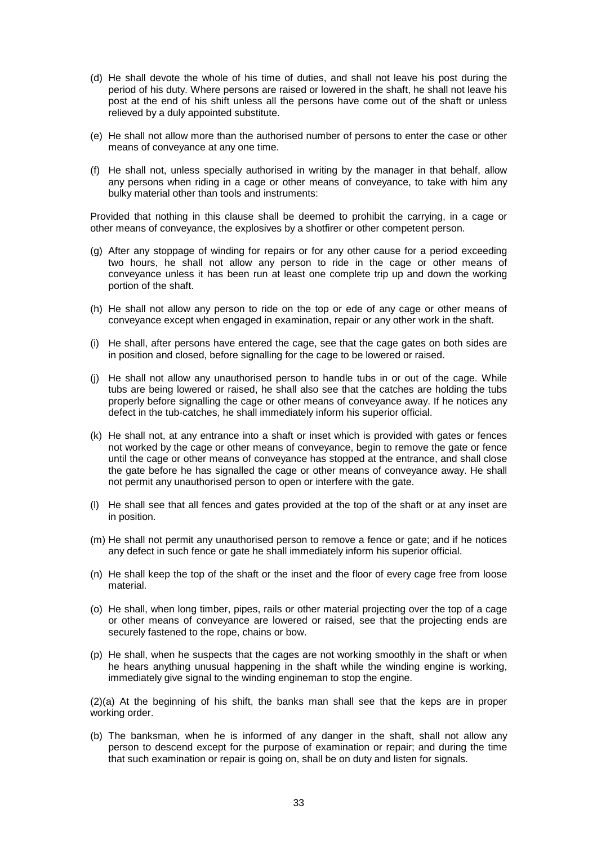- (d) He shall devote the whole of his time of duties, and shall not leave his post during the period of his duty. Where persons are raised or lowered in the shaft, he shall not leave his post at the end of his shift unless all the persons have come out of the shaft or unless relieved by a duly appointed substitute.
- (e) He shall not allow more than the authorised number of persons to enter the case or other means of conveyance at any one time.
- (f) He shall not, unless specially authorised in writing by the manager in that behalf, allow any persons when riding in a cage or other means of conveyance, to take with him any bulky material other than tools and instruments:

Provided that nothing in this clause shall be deemed to prohibit the carrying, in a cage or other means of conveyance, the explosives by a shotfirer or other competent person.

- (g) After any stoppage of winding for repairs or for any other cause for a period exceeding two hours, he shall not allow any person to ride in the cage or other means of conveyance unless it has been run at least one complete trip up and down the working portion of the shaft.
- (h) He shall not allow any person to ride on the top or ede of any cage or other means of conveyance except when engaged in examination, repair or any other work in the shaft.
- (i) He shall, after persons have entered the cage, see that the cage gates on both sides are in position and closed, before signalling for the cage to be lowered or raised.
- (j) He shall not allow any unauthorised person to handle tubs in or out of the cage. While tubs are being lowered or raised, he shall also see that the catches are holding the tubs properly before signalling the cage or other means of conveyance away. If he notices any defect in the tub-catches, he shall immediately inform his superior official.
- (k) He shall not, at any entrance into a shaft or inset which is provided with gates or fences not worked by the cage or other means of conveyance, begin to remove the gate or fence until the cage or other means of conveyance has stopped at the entrance, and shall close the gate before he has signalled the cage or other means of conveyance away. He shall not permit any unauthorised person to open or interfere with the gate.
- (l) He shall see that all fences and gates provided at the top of the shaft or at any inset are in position.
- (m) He shall not permit any unauthorised person to remove a fence or gate; and if he notices any defect in such fence or gate he shall immediately inform his superior official.
- (n) He shall keep the top of the shaft or the inset and the floor of every cage free from loose material.
- (o) He shall, when long timber, pipes, rails or other material projecting over the top of a cage or other means of conveyance are lowered or raised, see that the projecting ends are securely fastened to the rope, chains or bow.
- (p) He shall, when he suspects that the cages are not working smoothly in the shaft or when he hears anything unusual happening in the shaft while the winding engine is working, immediately give signal to the winding engineman to stop the engine.

(2)(a) At the beginning of his shift, the banks man shall see that the keps are in proper working order.

(b) The banksman, when he is informed of any danger in the shaft, shall not allow any person to descend except for the purpose of examination or repair; and during the time that such examination or repair is going on, shall be on duty and listen for signals.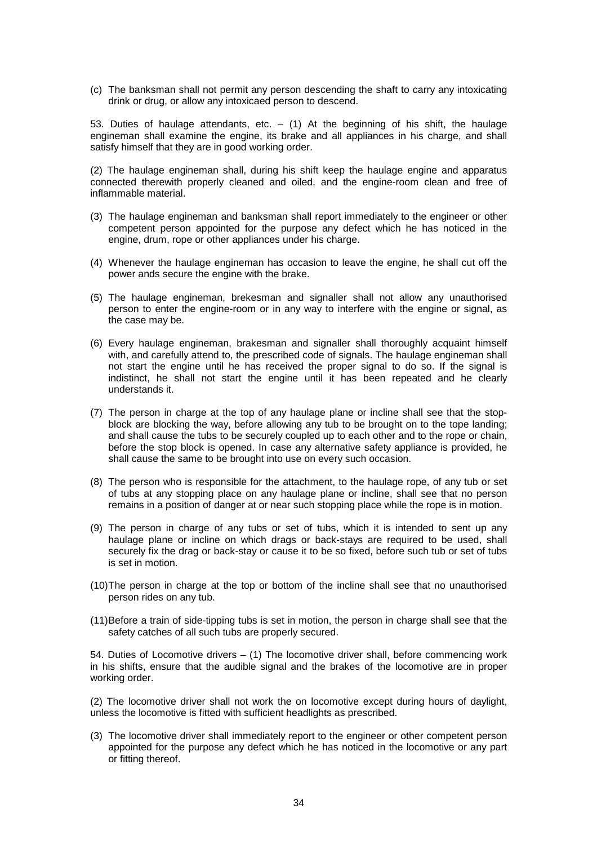(c) The banksman shall not permit any person descending the shaft to carry any intoxicating drink or drug, or allow any intoxicaed person to descend.

53. Duties of haulage attendants, etc.  $-$  (1) At the beginning of his shift, the haulage engineman shall examine the engine, its brake and all appliances in his charge, and shall satisfy himself that they are in good working order.

(2) The haulage engineman shall, during his shift keep the haulage engine and apparatus connected therewith properly cleaned and oiled, and the engine-room clean and free of inflammable material.

- (3) The haulage engineman and banksman shall report immediately to the engineer or other competent person appointed for the purpose any defect which he has noticed in the engine, drum, rope or other appliances under his charge.
- (4) Whenever the haulage engineman has occasion to leave the engine, he shall cut off the power ands secure the engine with the brake.
- (5) The haulage engineman, brekesman and signaller shall not allow any unauthorised person to enter the engine-room or in any way to interfere with the engine or signal, as the case may be.
- (6) Every haulage engineman, brakesman and signaller shall thoroughly acquaint himself with, and carefully attend to, the prescribed code of signals. The haulage engineman shall not start the engine until he has received the proper signal to do so. If the signal is indistinct, he shall not start the engine until it has been repeated and he clearly understands it.
- (7) The person in charge at the top of any haulage plane or incline shall see that the stopblock are blocking the way, before allowing any tub to be brought on to the tope landing; and shall cause the tubs to be securely coupled up to each other and to the rope or chain, before the stop block is opened. In case any alternative safety appliance is provided, he shall cause the same to be brought into use on every such occasion.
- (8) The person who is responsible for the attachment, to the haulage rope, of any tub or set of tubs at any stopping place on any haulage plane or incline, shall see that no person remains in a position of danger at or near such stopping place while the rope is in motion.
- (9) The person in charge of any tubs or set of tubs, which it is intended to sent up any haulage plane or incline on which drags or back-stays are required to be used, shall securely fix the drag or back-stay or cause it to be so fixed, before such tub or set of tubs is set in motion.
- (10) The person in charge at the top or bottom of the incline shall see that no unauthorised person rides on any tub.
- (11) Before a train of side-tipping tubs is set in motion, the person in charge shall see that the safety catches of all such tubs are properly secured.

54. Duties of Locomotive drivers – (1) The locomotive driver shall, before commencing work in his shifts, ensure that the audible signal and the brakes of the locomotive are in proper working order.

(2) The locomotive driver shall not work the on locomotive except during hours of daylight, unless the locomotive is fitted with sufficient headlights as prescribed.

(3) The locomotive driver shall immediately report to the engineer or other competent person appointed for the purpose any defect which he has noticed in the locomotive or any part or fitting thereof.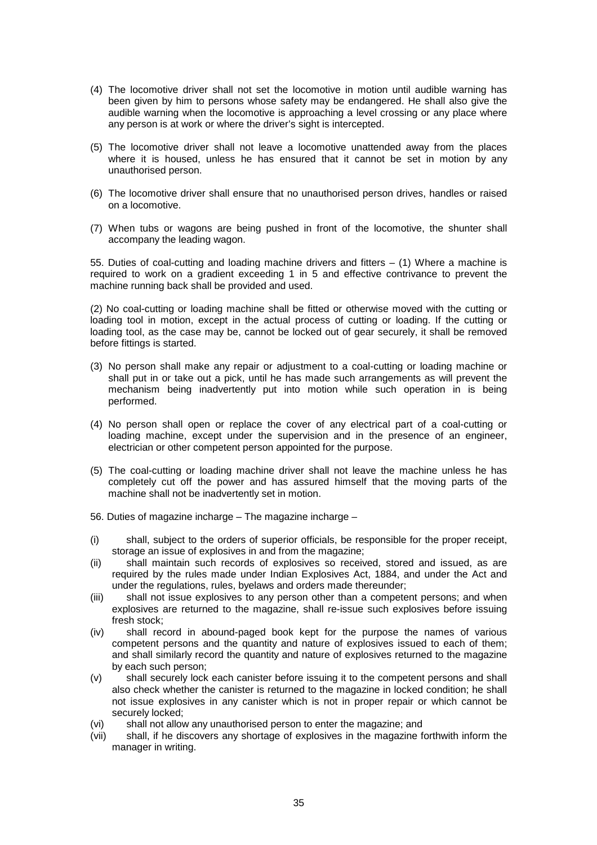- (4) The locomotive driver shall not set the locomotive in motion until audible warning has been given by him to persons whose safety may be endangered. He shall also give the audible warning when the locomotive is approaching a level crossing or any place where any person is at work or where the driver's sight is intercepted.
- (5) The locomotive driver shall not leave a locomotive unattended away from the places where it is housed, unless he has ensured that it cannot be set in motion by any unauthorised person.
- (6) The locomotive driver shall ensure that no unauthorised person drives, handles or raised on a locomotive.
- (7) When tubs or wagons are being pushed in front of the locomotive, the shunter shall accompany the leading wagon.

55. Duties of coal-cutting and loading machine drivers and fitters – (1) Where a machine is required to work on a gradient exceeding 1 in 5 and effective contrivance to prevent the machine running back shall be provided and used.

(2) No coal-cutting or loading machine shall be fitted or otherwise moved with the cutting or loading tool in motion, except in the actual process of cutting or loading. If the cutting or loading tool, as the case may be, cannot be locked out of gear securely, it shall be removed before fittings is started.

- (3) No person shall make any repair or adjustment to a coal-cutting or loading machine or shall put in or take out a pick, until he has made such arrangements as will prevent the mechanism being inadvertently put into motion while such operation in is being performed.
- (4) No person shall open or replace the cover of any electrical part of a coal-cutting or loading machine, except under the supervision and in the presence of an engineer, electrician or other competent person appointed for the purpose.
- (5) The coal-cutting or loading machine driver shall not leave the machine unless he has completely cut off the power and has assured himself that the moving parts of the machine shall not be inadvertently set in motion.
- 56. Duties of magazine incharge The magazine incharge –
- (i) shall, subject to the orders of superior officials, be responsible for the proper receipt, storage an issue of explosives in and from the magazine;
- (ii) shall maintain such records of explosives so received, stored and issued, as are required by the rules made under Indian Explosives Act, 1884, and under the Act and under the regulations, rules, byelaws and orders made thereunder;
- (iii) shall not issue explosives to any person other than a competent persons; and when explosives are returned to the magazine, shall re-issue such explosives before issuing fresh stock;
- (iv) shall record in abound-paged book kept for the purpose the names of various competent persons and the quantity and nature of explosives issued to each of them; and shall similarly record the quantity and nature of explosives returned to the magazine by each such person;
- (v) shall securely lock each canister before issuing it to the competent persons and shall also check whether the canister is returned to the magazine in locked condition; he shall not issue explosives in any canister which is not in proper repair or which cannot be securely locked;
- (vi) shall not allow any unauthorised person to enter the magazine; and
- (vii) shall, if he discovers any shortage of explosives in the magazine forthwith inform the manager in writing.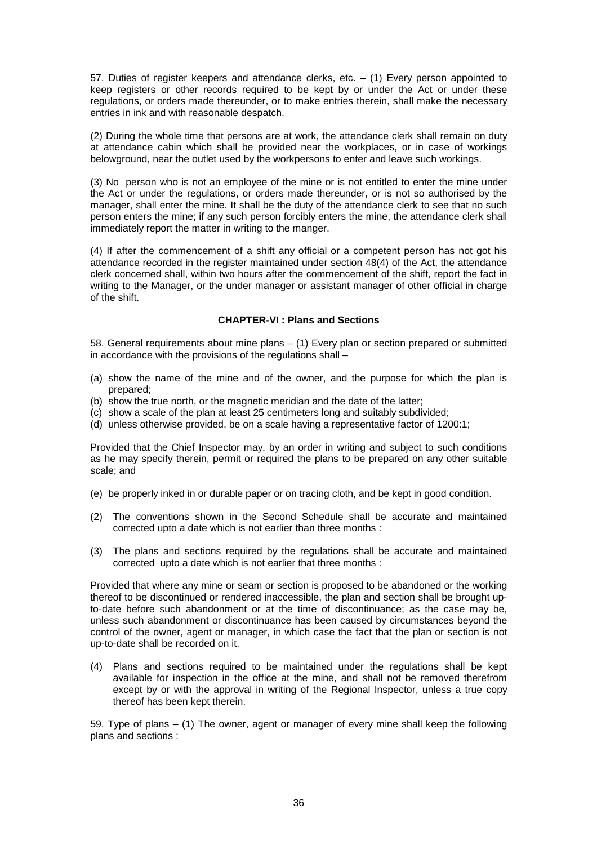57. Duties of register keepers and attendance clerks, etc.  $-$  (1) Every person appointed to keep registers or other records required to be kept by or under the Act or under these regulations, or orders made thereunder, or to make entries therein, shall make the necessary entries in ink and with reasonable despatch.

(2) During the whole time that persons are at work, the attendance clerk shall remain on duty at attendance cabin which shall be provided near the workplaces, or in case of workings belowground, near the outlet used by the workpersons to enter and leave such workings.

(3) No person who is not an employee of the mine or is not entitled to enter the mine under the Act or under the regulations, or orders made thereunder, or is not so authorised by the manager, shall enter the mine. It shall be the duty of the attendance clerk to see that no such person enters the mine; if any such person forcibly enters the mine, the attendance clerk shall immediately report the matter in writing to the manger.

(4) If after the commencement of a shift any official or a competent person has not got his attendance recorded in the register maintained under section 48(4) of the Act, the attendance clerk concerned shall, within two hours after the commencement of the shift, report the fact in writing to the Manager, or the under manager or assistant manager of other official in charge of the shift.

# **CHAPTER-VI : Plans and Sections**

58. General requirements about mine plans – (1) Every plan or section prepared or submitted in accordance with the provisions of the regulations shall –

- (a) show the name of the mine and of the owner, and the purpose for which the plan is prepared;
- (b) show the true north, or the magnetic meridian and the date of the latter;
- (c) show a scale of the plan at least 25 centimeters long and suitably subdivided;
- (d) unless otherwise provided, be on a scale having a representative factor of 1200:1;

Provided that the Chief Inspector may, by an order in writing and subject to such conditions as he may specify therein, permit or required the plans to be prepared on any other suitable scale; and

- (e) be properly inked in or durable paper or on tracing cloth, and be kept in good condition.
- (2) The conventions shown in the Second Schedule shall be accurate and maintained corrected upto a date which is not earlier than three months :
- (3) The plans and sections required by the regulations shall be accurate and maintained corrected upto a date which is not earlier that three months :

Provided that where any mine or seam or section is proposed to be abandoned or the working thereof to be discontinued or rendered inaccessible, the plan and section shall be brought upto-date before such abandonment or at the time of discontinuance; as the case may be, unless such abandonment or discontinuance has been caused by circumstances beyond the control of the owner, agent or manager, in which case the fact that the plan or section is not up-to-date shall be recorded on it.

(4) Plans and sections required to be maintained under the regulations shall be kept available for inspection in the office at the mine, and shall not be removed therefrom except by or with the approval in writing of the Regional Inspector, unless a true copy thereof has been kept therein.

59. Type of plans – (1) The owner, agent or manager of every mine shall keep the following plans and sections :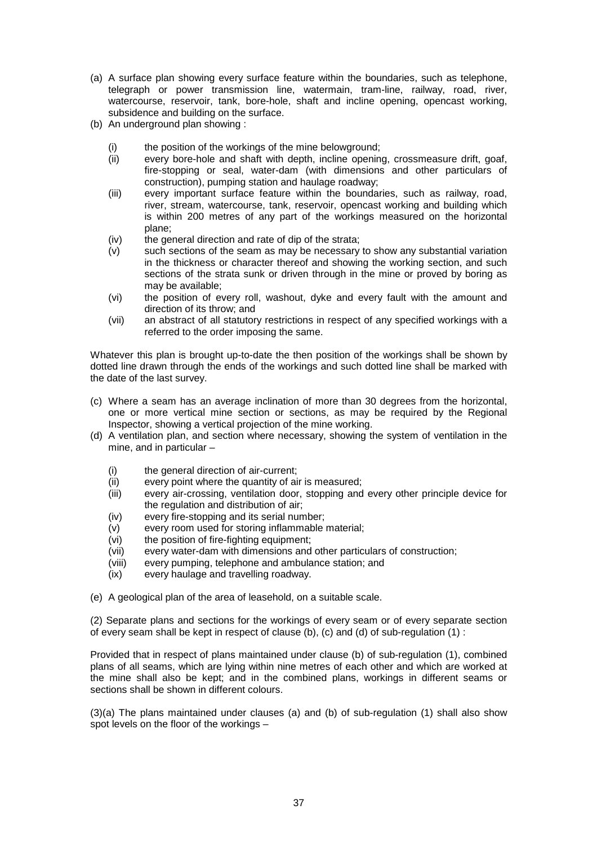- (a) A surface plan showing every surface feature within the boundaries, such as telephone, telegraph or power transmission line, watermain, tram-line, railway, road, river, watercourse, reservoir, tank, bore-hole, shaft and incline opening, opencast working, subsidence and building on the surface.
- (b) An underground plan showing :
	- (i) the position of the workings of the mine belowground;
	- (ii) every bore-hole and shaft with depth, incline opening, crossmeasure drift, goaf, fire-stopping or seal, water-dam (with dimensions and other particulars of construction), pumping station and haulage roadway;
	- (iii) every important surface feature within the boundaries, such as railway, road, river, stream, watercourse, tank, reservoir, opencast working and building which is within 200 metres of any part of the workings measured on the horizontal plane;
	- (iv) the general direction and rate of dip of the strata;
	- (v) such sections of the seam as may be necessary to show any substantial variation in the thickness or character thereof and showing the working section, and such sections of the strata sunk or driven through in the mine or proved by boring as may be available;
	- (vi) the position of every roll, washout, dyke and every fault with the amount and direction of its throw; and
	- (vii) an abstract of all statutory restrictions in respect of any specified workings with a referred to the order imposing the same.

Whatever this plan is brought up-to-date the then position of the workings shall be shown by dotted line drawn through the ends of the workings and such dotted line shall be marked with the date of the last survey.

- (c) Where a seam has an average inclination of more than 30 degrees from the horizontal, one or more vertical mine section or sections, as may be required by the Regional Inspector, showing a vertical projection of the mine working.
- (d) A ventilation plan, and section where necessary, showing the system of ventilation in the mine, and in particular –
	- (i) the general direction of air-current;
	- (ii) every point where the quantity of air is measured;
	- (iii) every air-crossing, ventilation door, stopping and every other principle device for the regulation and distribution of air;
	- (iv) every fire-stopping and its serial number;
	- (v) every room used for storing inflammable material;
	- (vi) the position of fire-fighting equipment;
	- (vii) every water-dam with dimensions and other particulars of construction;
	- (viii) every pumping, telephone and ambulance station; and
	- (ix) every haulage and travelling roadway.
- (e) A geological plan of the area of leasehold, on a suitable scale.

(2) Separate plans and sections for the workings of every seam or of every separate section of every seam shall be kept in respect of clause (b), (c) and (d) of sub-regulation (1) :

Provided that in respect of plans maintained under clause (b) of sub-regulation (1), combined plans of all seams, which are lying within nine metres of each other and which are worked at the mine shall also be kept; and in the combined plans, workings in different seams or sections shall be shown in different colours.

(3)(a) The plans maintained under clauses (a) and (b) of sub-regulation (1) shall also show spot levels on the floor of the workings –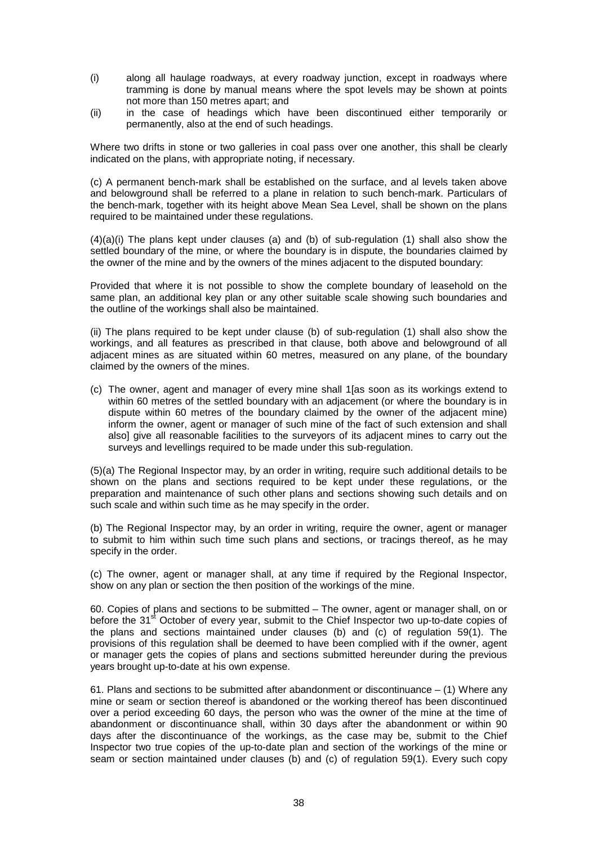- (i) along all haulage roadways, at every roadway junction, except in roadways where tramming is done by manual means where the spot levels may be shown at points not more than 150 metres apart; and
- (ii) in the case of headings which have been discontinued either temporarily or permanently, also at the end of such headings.

Where two drifts in stone or two galleries in coal pass over one another, this shall be clearly indicated on the plans, with appropriate noting, if necessary.

(c) A permanent bench-mark shall be established on the surface, and al levels taken above and belowground shall be referred to a plane in relation to such bench-mark. Particulars of the bench-mark, together with its height above Mean Sea Level, shall be shown on the plans required to be maintained under these regulations.

 $(4)(a)(i)$  The plans kept under clauses (a) and (b) of sub-regulation (1) shall also show the settled boundary of the mine, or where the boundary is in dispute, the boundaries claimed by the owner of the mine and by the owners of the mines adjacent to the disputed boundary:

Provided that where it is not possible to show the complete boundary of leasehold on the same plan, an additional key plan or any other suitable scale showing such boundaries and the outline of the workings shall also be maintained.

(ii) The plans required to be kept under clause (b) of sub-regulation (1) shall also show the workings, and all features as prescribed in that clause, both above and belowground of all adjacent mines as are situated within 60 metres, measured on any plane, of the boundary claimed by the owners of the mines.

(c) The owner, agent and manager of every mine shall 1[as soon as its workings extend to within 60 metres of the settled boundary with an adjacement (or where the boundary is in dispute within 60 metres of the boundary claimed by the owner of the adjacent mine) inform the owner, agent or manager of such mine of the fact of such extension and shall also] give all reasonable facilities to the surveyors of its adjacent mines to carry out the surveys and levellings required to be made under this sub-regulation.

(5)(a) The Regional Inspector may, by an order in writing, require such additional details to be shown on the plans and sections required to be kept under these regulations, or the preparation and maintenance of such other plans and sections showing such details and on such scale and within such time as he may specify in the order.

(b) The Regional Inspector may, by an order in writing, require the owner, agent or manager to submit to him within such time such plans and sections, or tracings thereof, as he may specify in the order.

(c) The owner, agent or manager shall, at any time if required by the Regional Inspector, show on any plan or section the then position of the workings of the mine.

60. Copies of plans and sections to be submitted – The owner, agent or manager shall, on or before the 31<sup>st</sup> October of every year, submit to the Chief Inspector two up-to-date copies of the plans and sections maintained under clauses (b) and (c) of regulation 59(1). The provisions of this regulation shall be deemed to have been complied with if the owner, agent or manager gets the copies of plans and sections submitted hereunder during the previous years brought up-to-date at his own expense.

61. Plans and sections to be submitted after abandonment or discontinuance  $-$  (1) Where any mine or seam or section thereof is abandoned or the working thereof has been discontinued over a period exceeding 60 days, the person who was the owner of the mine at the time of abandonment or discontinuance shall, within 30 days after the abandonment or within 90 days after the discontinuance of the workings, as the case may be, submit to the Chief Inspector two true copies of the up-to-date plan and section of the workings of the mine or seam or section maintained under clauses (b) and (c) of regulation 59(1). Every such copy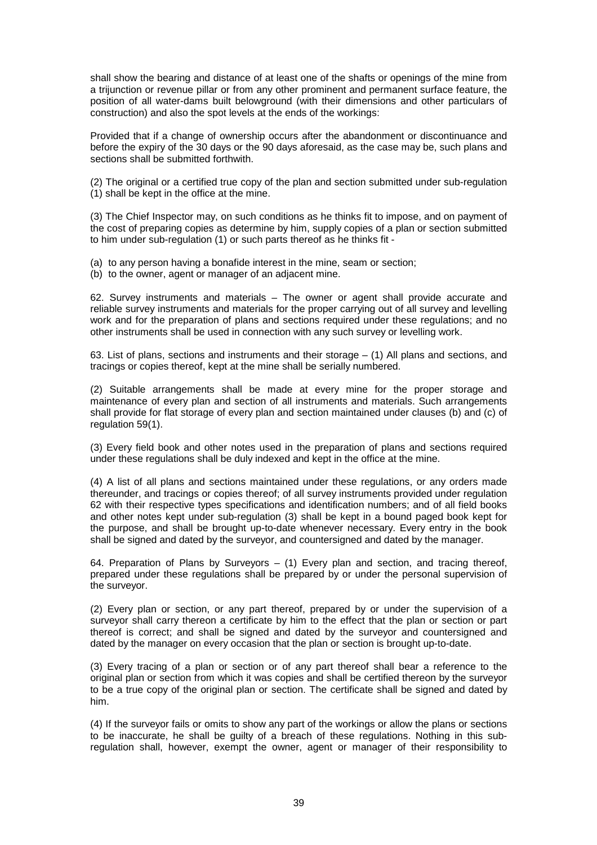shall show the bearing and distance of at least one of the shafts or openings of the mine from a trijunction or revenue pillar or from any other prominent and permanent surface feature, the position of all water-dams built belowground (with their dimensions and other particulars of construction) and also the spot levels at the ends of the workings:

Provided that if a change of ownership occurs after the abandonment or discontinuance and before the expiry of the 30 days or the 90 days aforesaid, as the case may be, such plans and sections shall be submitted forthwith.

(2) The original or a certified true copy of the plan and section submitted under sub-regulation (1) shall be kept in the office at the mine.

(3) The Chief Inspector may, on such conditions as he thinks fit to impose, and on payment of the cost of preparing copies as determine by him, supply copies of a plan or section submitted to him under sub-regulation (1) or such parts thereof as he thinks fit -

(a) to any person having a bonafide interest in the mine, seam or section;

(b) to the owner, agent or manager of an adjacent mine.

62. Survey instruments and materials – The owner or agent shall provide accurate and reliable survey instruments and materials for the proper carrying out of all survey and levelling work and for the preparation of plans and sections required under these regulations; and no other instruments shall be used in connection with any such survey or levelling work.

63. List of plans, sections and instruments and their storage  $-$  (1) All plans and sections, and tracings or copies thereof, kept at the mine shall be serially numbered.

(2) Suitable arrangements shall be made at every mine for the proper storage and maintenance of every plan and section of all instruments and materials. Such arrangements shall provide for flat storage of every plan and section maintained under clauses (b) and (c) of regulation 59(1).

(3) Every field book and other notes used in the preparation of plans and sections required under these regulations shall be duly indexed and kept in the office at the mine.

(4) A list of all plans and sections maintained under these regulations, or any orders made thereunder, and tracings or copies thereof; of all survey instruments provided under regulation 62 with their respective types specifications and identification numbers; and of all field books and other notes kept under sub-regulation (3) shall be kept in a bound paged book kept for the purpose, and shall be brought up-to-date whenever necessary. Every entry in the book shall be signed and dated by the surveyor, and countersigned and dated by the manager.

64. Preparation of Plans by Surveyors – (1) Every plan and section, and tracing thereof, prepared under these regulations shall be prepared by or under the personal supervision of the surveyor.

(2) Every plan or section, or any part thereof, prepared by or under the supervision of a surveyor shall carry thereon a certificate by him to the effect that the plan or section or part thereof is correct; and shall be signed and dated by the surveyor and countersigned and dated by the manager on every occasion that the plan or section is brought up-to-date.

(3) Every tracing of a plan or section or of any part thereof shall bear a reference to the original plan or section from which it was copies and shall be certified thereon by the surveyor to be a true copy of the original plan or section. The certificate shall be signed and dated by him.

(4) If the surveyor fails or omits to show any part of the workings or allow the plans or sections to be inaccurate, he shall be guilty of a breach of these regulations. Nothing in this subregulation shall, however, exempt the owner, agent or manager of their responsibility to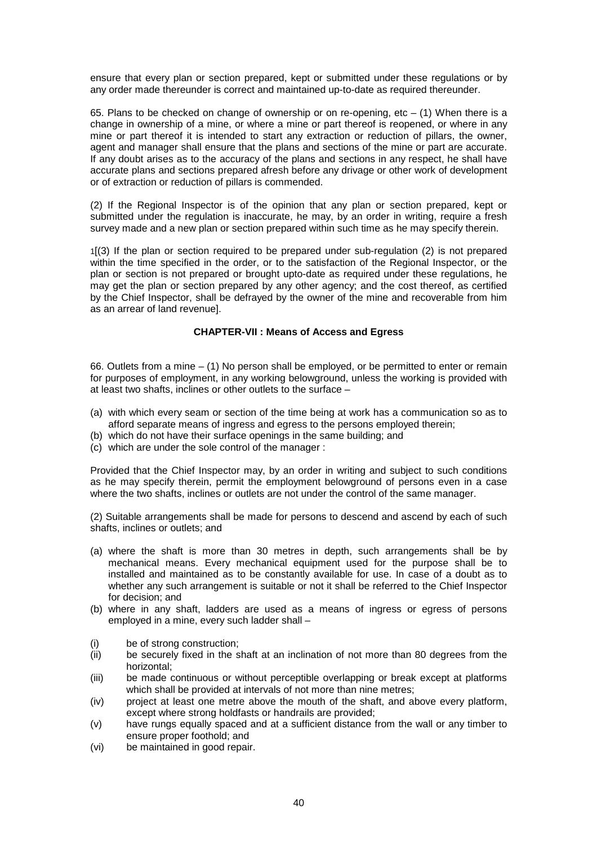ensure that every plan or section prepared, kept or submitted under these regulations or by any order made thereunder is correct and maintained up-to-date as required thereunder.

65. Plans to be checked on change of ownership or on re-opening, etc – (1) When there is a change in ownership of a mine, or where a mine or part thereof is reopened, or where in any mine or part thereof it is intended to start any extraction or reduction of pillars, the owner, agent and manager shall ensure that the plans and sections of the mine or part are accurate. If any doubt arises as to the accuracy of the plans and sections in any respect, he shall have accurate plans and sections prepared afresh before any drivage or other work of development or of extraction or reduction of pillars is commended.

(2) If the Regional Inspector is of the opinion that any plan or section prepared, kept or submitted under the regulation is inaccurate, he may, by an order in writing, require a fresh survey made and a new plan or section prepared within such time as he may specify therein.

1[(3) If the plan or section required to be prepared under sub-regulation (2) is not prepared within the time specified in the order, or to the satisfaction of the Regional Inspector, or the plan or section is not prepared or brought upto-date as required under these regulations, he may get the plan or section prepared by any other agency; and the cost thereof, as certified by the Chief Inspector, shall be defrayed by the owner of the mine and recoverable from him as an arrear of land revenue].

### **CHAPTER-VII : Means of Access and Egress**

66. Outlets from a mine – (1) No person shall be employed, or be permitted to enter or remain for purposes of employment, in any working belowground, unless the working is provided with at least two shafts, inclines or other outlets to the surface –

- (a) with which every seam or section of the time being at work has a communication so as to afford separate means of ingress and egress to the persons employed therein;
- (b) which do not have their surface openings in the same building; and
- (c) which are under the sole control of the manager :

Provided that the Chief Inspector may, by an order in writing and subject to such conditions as he may specify therein, permit the employment belowground of persons even in a case where the two shafts, inclines or outlets are not under the control of the same manager.

(2) Suitable arrangements shall be made for persons to descend and ascend by each of such shafts, inclines or outlets; and

- (a) where the shaft is more than 30 metres in depth, such arrangements shall be by mechanical means. Every mechanical equipment used for the purpose shall be to installed and maintained as to be constantly available for use. In case of a doubt as to whether any such arrangement is suitable or not it shall be referred to the Chief Inspector for decision; and
- (b) where in any shaft, ladders are used as a means of ingress or egress of persons employed in a mine, every such ladder shall –
- (i) be of strong construction;
- (ii) be securely fixed in the shaft at an inclination of not more than 80 degrees from the horizontal;
- (iii) be made continuous or without perceptible overlapping or break except at platforms which shall be provided at intervals of not more than nine metres;
- (iv) project at least one metre above the mouth of the shaft, and above every platform, except where strong holdfasts or handrails are provided;
- (v) have rungs equally spaced and at a sufficient distance from the wall or any timber to ensure proper foothold; and
- (vi) be maintained in good repair.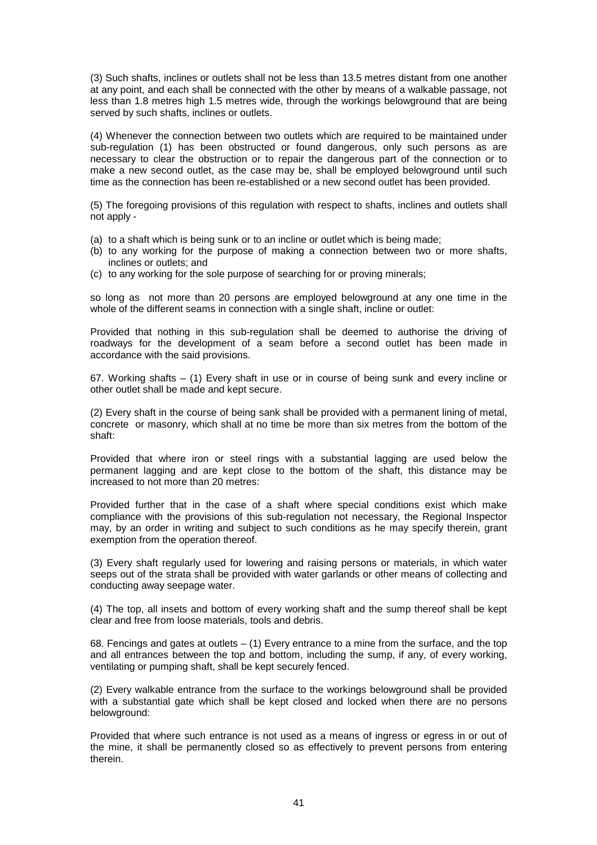(3) Such shafts, inclines or outlets shall not be less than 13.5 metres distant from one another at any point, and each shall be connected with the other by means of a walkable passage, not less than 1.8 metres high 1.5 metres wide, through the workings belowground that are being served by such shafts, inclines or outlets.

(4) Whenever the connection between two outlets which are required to be maintained under sub-regulation (1) has been obstructed or found dangerous, only such persons as are necessary to clear the obstruction or to repair the dangerous part of the connection or to make a new second outlet, as the case may be, shall be employed belowground until such time as the connection has been re-established or a new second outlet has been provided.

(5) The foregoing provisions of this regulation with respect to shafts, inclines and outlets shall not apply -

- (a) to a shaft which is being sunk or to an incline or outlet which is being made;
- (b) to any working for the purpose of making a connection between two or more shafts, inclines or outlets; and
- (c) to any working for the sole purpose of searching for or proving minerals;

so long as not more than 20 persons are employed belowground at any one time in the whole of the different seams in connection with a single shaft, incline or outlet:

Provided that nothing in this sub-regulation shall be deemed to authorise the driving of roadways for the development of a seam before a second outlet has been made in accordance with the said provisions.

67. Working shafts – (1) Every shaft in use or in course of being sunk and every incline or other outlet shall be made and kept secure.

(2) Every shaft in the course of being sank shall be provided with a permanent lining of metal, concrete or masonry, which shall at no time be more than six metres from the bottom of the shaft:

Provided that where iron or steel rings with a substantial lagging are used below the permanent lagging and are kept close to the bottom of the shaft, this distance may be increased to not more than 20 metres:

Provided further that in the case of a shaft where special conditions exist which make compliance with the provisions of this sub-regulation not necessary, the Regional Inspector may, by an order in writing and subject to such conditions as he may specify therein, grant exemption from the operation thereof.

(3) Every shaft regularly used for lowering and raising persons or materials, in which water seeps out of the strata shall be provided with water garlands or other means of collecting and conducting away seepage water.

(4) The top, all insets and bottom of every working shaft and the sump thereof shall be kept clear and free from loose materials, tools and debris.

68. Fencings and gates at outlets – (1) Every entrance to a mine from the surface, and the top and all entrances between the top and bottom, including the sump, if any, of every working, ventilating or pumping shaft, shall be kept securely fenced.

(2) Every walkable entrance from the surface to the workings belowground shall be provided with a substantial gate which shall be kept closed and locked when there are no persons belowground:

Provided that where such entrance is not used as a means of ingress or egress in or out of the mine, it shall be permanently closed so as effectively to prevent persons from entering therein.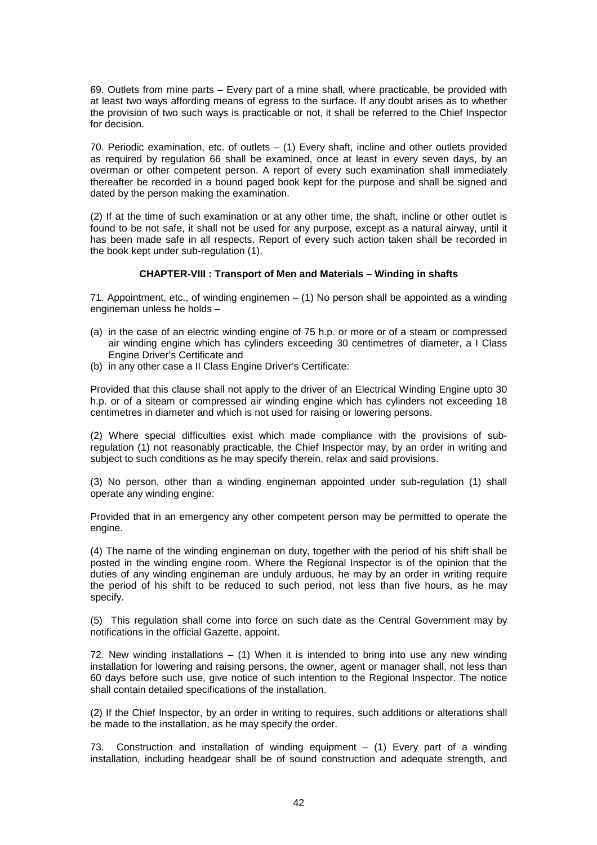69. Outlets from mine parts – Every part of a mine shall, where practicable, be provided with at least two ways affording means of egress to the surface. If any doubt arises as to whether the provision of two such ways is practicable or not, it shall be referred to the Chief Inspector for decision.

70. Periodic examination, etc. of outlets  $-$  (1) Every shaft, incline and other outlets provided as required by regulation 66 shall be examined, once at least in every seven days, by an overman or other competent person. A report of every such examination shall immediately thereafter be recorded in a bound paged book kept for the purpose and shall be signed and dated by the person making the examination.

(2) If at the time of such examination or at any other time, the shaft, incline or other outlet is found to be not safe, it shall not be used for any purpose, except as a natural airway, until it has been made safe in all respects. Report of every such action taken shall be recorded in the book kept under sub-regulation (1).

### **CHAPTER-VIII : Transport of Men and Materials – Winding in shafts**

71. Appointment, etc., of winding enginemen – (1) No person shall be appointed as a winding engineman unless he holds –

- (a) in the case of an electric winding engine of 75 h.p. or more or of a steam or compressed air winding engine which has cylinders exceeding 30 centimetres of diameter, a I Class Engine Driver's Certificate and
- (b) in any other case a II Class Engine Driver's Certificate:

Provided that this clause shall not apply to the driver of an Electrical Winding Engine upto 30 h.p. or of a siteam or compressed air winding engine which has cylinders not exceeding 18 centimetres in diameter and which is not used for raising or lowering persons.

(2) Where special difficulties exist which made compliance with the provisions of subregulation (1) not reasonably practicable, the Chief Inspector may, by an order in writing and subject to such conditions as he may specify therein, relax and said provisions.

(3) No person, other than a winding engineman appointed under sub-regulation (1) shall operate any winding engine:

Provided that in an emergency any other competent person may be permitted to operate the engine.

(4) The name of the winding engineman on duty, together with the period of his shift shall be posted in the winding engine room. Where the Regional Inspector is of the opinion that the duties of any winding engineman are unduly arduous, he may by an order in writing require the period of his shift to be reduced to such period, not less than five hours, as he may specify.

(5) This regulation shall come into force on such date as the Central Government may by notifications in the official Gazette, appoint.

72. New winding installations  $-$  (1) When it is intended to bring into use any new winding installation for lowering and raising persons, the owner, agent or manager shall, not less than 60 days before such use, give notice of such intention to the Regional Inspector. The notice shall contain detailed specifications of the installation.

(2) If the Chief Inspector, by an order in writing to requires, such additions or alterations shall be made to the installation, as he may specify the order.

73. Construction and installation of winding equipment – (1) Every part of a winding installation, including headgear shall be of sound construction and adequate strength, and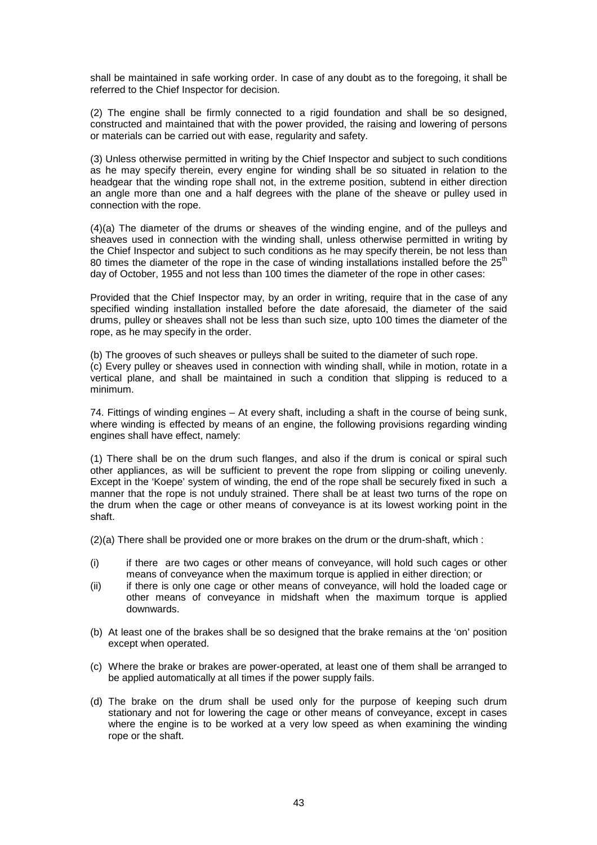shall be maintained in safe working order. In case of any doubt as to the foregoing, it shall be referred to the Chief Inspector for decision.

(2) The engine shall be firmly connected to a rigid foundation and shall be so designed, constructed and maintained that with the power provided, the raising and lowering of persons or materials can be carried out with ease, regularity and safety.

(3) Unless otherwise permitted in writing by the Chief Inspector and subject to such conditions as he may specify therein, every engine for winding shall be so situated in relation to the headgear that the winding rope shall not, in the extreme position, subtend in either direction an angle more than one and a half degrees with the plane of the sheave or pulley used in connection with the rope.

(4)(a) The diameter of the drums or sheaves of the winding engine, and of the pulleys and sheaves used in connection with the winding shall, unless otherwise permitted in writing by the Chief Inspector and subject to such conditions as he may specify therein, be not less than 80 times the diameter of the rope in the case of winding installations installed before the  $25<sup>th</sup>$ day of October, 1955 and not less than 100 times the diameter of the rope in other cases:

Provided that the Chief Inspector may, by an order in writing, require that in the case of any specified winding installation installed before the date aforesaid, the diameter of the said drums, pulley or sheaves shall not be less than such size, upto 100 times the diameter of the rope, as he may specify in the order.

(b) The grooves of such sheaves or pulleys shall be suited to the diameter of such rope.

(c) Every pulley or sheaves used in connection with winding shall, while in motion, rotate in a vertical plane, and shall be maintained in such a condition that slipping is reduced to a minimum.

74. Fittings of winding engines – At every shaft, including a shaft in the course of being sunk, where winding is effected by means of an engine, the following provisions regarding winding engines shall have effect, namely:

(1) There shall be on the drum such flanges, and also if the drum is conical or spiral such other appliances, as will be sufficient to prevent the rope from slipping or coiling unevenly. Except in the 'Koepe' system of winding, the end of the rope shall be securely fixed in such a manner that the rope is not unduly strained. There shall be at least two turns of the rope on the drum when the cage or other means of conveyance is at its lowest working point in the shaft.

(2)(a) There shall be provided one or more brakes on the drum or the drum-shaft, which :

- (i) if there are two cages or other means of conveyance, will hold such cages or other means of conveyance when the maximum torque is applied in either direction; or
- (ii) if there is only one cage or other means of conveyance, will hold the loaded cage or other means of conveyance in midshaft when the maximum torque is applied downwards.
- (b) At least one of the brakes shall be so designed that the brake remains at the 'on' position except when operated.
- (c) Where the brake or brakes are power-operated, at least one of them shall be arranged to be applied automatically at all times if the power supply fails.
- (d) The brake on the drum shall be used only for the purpose of keeping such drum stationary and not for lowering the cage or other means of conveyance, except in cases where the engine is to be worked at a very low speed as when examining the winding rope or the shaft.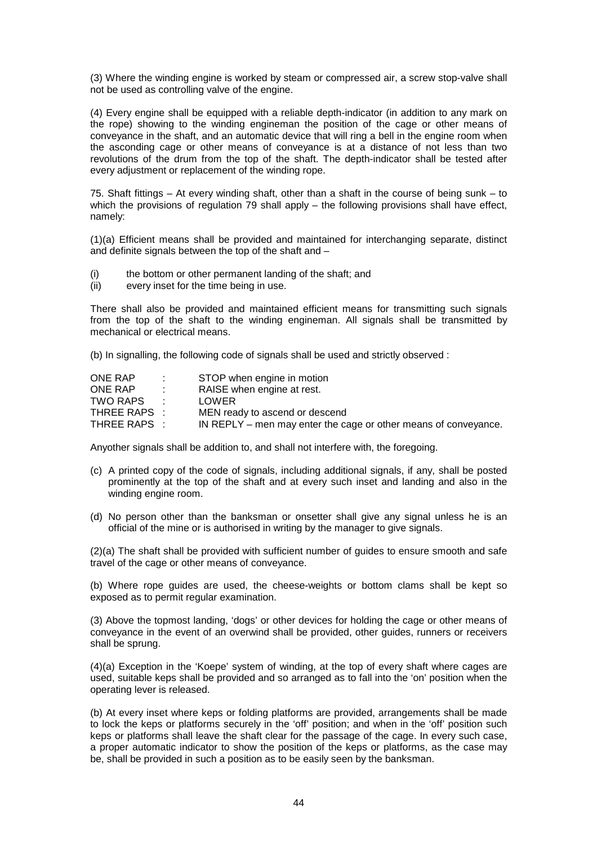(3) Where the winding engine is worked by steam or compressed air, a screw stop-valve shall not be used as controlling valve of the engine.

(4) Every engine shall be equipped with a reliable depth-indicator (in addition to any mark on the rope) showing to the winding engineman the position of the cage or other means of conveyance in the shaft, and an automatic device that will ring a bell in the engine room when the asconding cage or other means of conveyance is at a distance of not less than two revolutions of the drum from the top of the shaft. The depth-indicator shall be tested after every adjustment or replacement of the winding rope.

75. Shaft fittings – At every winding shaft, other than a shaft in the course of being sunk – to which the provisions of regulation 79 shall apply – the following provisions shall have effect, namely:

(1)(a) Efficient means shall be provided and maintained for interchanging separate, distinct and definite signals between the top of the shaft and  $-$ 

- (i) the bottom or other permanent landing of the shaft; and
- (ii) every inset for the time being in use.

There shall also be provided and maintained efficient means for transmitting such signals from the top of the shaft to the winding engineman. All signals shall be transmitted by mechanical or electrical means.

(b) In signalling, the following code of signals shall be used and strictly observed :

| ONE RAP      | $\sim$ 100 $\sim$        | STOP when engine in motion                                      |
|--------------|--------------------------|-----------------------------------------------------------------|
| ONE RAP      |                          | RAISE when engine at rest.                                      |
| TWO RAPS     | <b>Contract Contract</b> | LOWER                                                           |
| THREE RAPS : |                          | MEN ready to ascend or descend                                  |
| THREE RAPS : |                          | IN REPLY – men may enter the cage or other means of conveyance. |

Anyother signals shall be addition to, and shall not interfere with, the foregoing.

- (c) A printed copy of the code of signals, including additional signals, if any, shall be posted prominently at the top of the shaft and at every such inset and landing and also in the winding engine room.
- (d) No person other than the banksman or onsetter shall give any signal unless he is an official of the mine or is authorised in writing by the manager to give signals.

(2)(a) The shaft shall be provided with sufficient number of guides to ensure smooth and safe travel of the cage or other means of conveyance.

(b) Where rope guides are used, the cheese-weights or bottom clams shall be kept so exposed as to permit regular examination.

(3) Above the topmost landing, 'dogs' or other devices for holding the cage or other means of conveyance in the event of an overwind shall be provided, other guides, runners or receivers shall be sprung.

(4)(a) Exception in the 'Koepe' system of winding, at the top of every shaft where cages are used, suitable keps shall be provided and so arranged as to fall into the 'on' position when the operating lever is released.

(b) At every inset where keps or folding platforms are provided, arrangements shall be made to lock the keps or platforms securely in the 'off' position; and when in the 'off' position such keps or platforms shall leave the shaft clear for the passage of the cage. In every such case, a proper automatic indicator to show the position of the keps or platforms, as the case may be, shall be provided in such a position as to be easily seen by the banksman.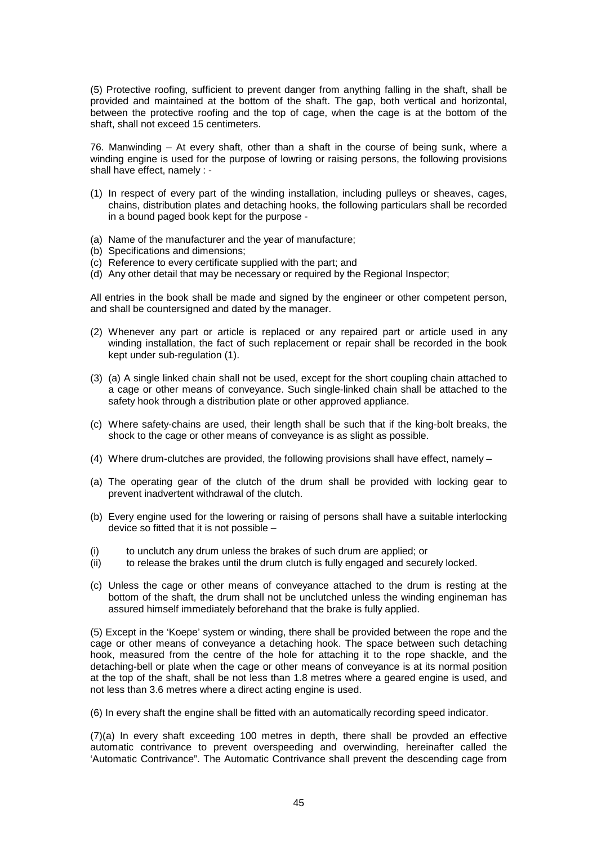(5) Protective roofing, sufficient to prevent danger from anything falling in the shaft, shall be provided and maintained at the bottom of the shaft. The gap, both vertical and horizontal, between the protective roofing and the top of cage, when the cage is at the bottom of the shaft, shall not exceed 15 centimeters.

76. Manwinding – At every shaft, other than a shaft in the course of being sunk, where a winding engine is used for the purpose of lowring or raising persons, the following provisions shall have effect, namely : -

- (1) In respect of every part of the winding installation, including pulleys or sheaves, cages, chains, distribution plates and detaching hooks, the following particulars shall be recorded in a bound paged book kept for the purpose -
- (a) Name of the manufacturer and the year of manufacture;
- (b) Specifications and dimensions;
- (c) Reference to every certificate supplied with the part; and
- (d) Any other detail that may be necessary or required by the Regional Inspector;

All entries in the book shall be made and signed by the engineer or other competent person, and shall be countersigned and dated by the manager.

- (2) Whenever any part or article is replaced or any repaired part or article used in any winding installation, the fact of such replacement or repair shall be recorded in the book kept under sub-regulation (1).
- (3) (a) A single linked chain shall not be used, except for the short coupling chain attached to a cage or other means of conveyance. Such single-linked chain shall be attached to the safety hook through a distribution plate or other approved appliance.
- (c) Where safety-chains are used, their length shall be such that if the king-bolt breaks, the shock to the cage or other means of conveyance is as slight as possible.
- (4) Where drum-clutches are provided, the following provisions shall have effect, namely –
- (a) The operating gear of the clutch of the drum shall be provided with locking gear to prevent inadvertent withdrawal of the clutch.
- (b) Every engine used for the lowering or raising of persons shall have a suitable interlocking device so fitted that it is not possible –
- (i) to unclutch any drum unless the brakes of such drum are applied; or
- (ii) to release the brakes until the drum clutch is fully engaged and securely locked.
- (c) Unless the cage or other means of conveyance attached to the drum is resting at the bottom of the shaft, the drum shall not be unclutched unless the winding engineman has assured himself immediately beforehand that the brake is fully applied.

(5) Except in the 'Koepe' system or winding, there shall be provided between the rope and the cage or other means of conveyance a detaching hook. The space between such detaching hook, measured from the centre of the hole for attaching it to the rope shackle, and the detaching-bell or plate when the cage or other means of conveyance is at its normal position at the top of the shaft, shall be not less than 1.8 metres where a geared engine is used, and not less than 3.6 metres where a direct acting engine is used.

(6) In every shaft the engine shall be fitted with an automatically recording speed indicator.

(7)(a) In every shaft exceeding 100 metres in depth, there shall be provded an effective automatic contrivance to prevent overspeeding and overwinding, hereinafter called the 'Automatic Contrivance". The Automatic Contrivance shall prevent the descending cage from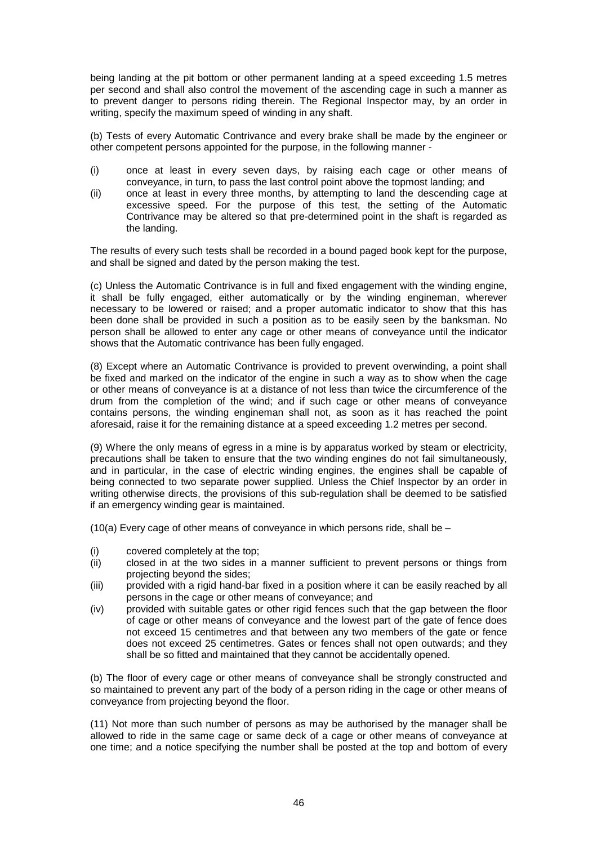being landing at the pit bottom or other permanent landing at a speed exceeding 1.5 metres per second and shall also control the movement of the ascending cage in such a manner as to prevent danger to persons riding therein. The Regional Inspector may, by an order in writing, specify the maximum speed of winding in any shaft.

(b) Tests of every Automatic Contrivance and every brake shall be made by the engineer or other competent persons appointed for the purpose, in the following manner -

- (i) once at least in every seven days, by raising each cage or other means of conveyance, in turn, to pass the last control point above the topmost landing; and
- (ii) once at least in every three months, by attempting to land the descending cage at excessive speed. For the purpose of this test, the setting of the Automatic Contrivance may be altered so that pre-determined point in the shaft is regarded as the landing.

The results of every such tests shall be recorded in a bound paged book kept for the purpose, and shall be signed and dated by the person making the test.

(c) Unless the Automatic Contrivance is in full and fixed engagement with the winding engine, it shall be fully engaged, either automatically or by the winding engineman, wherever necessary to be lowered or raised; and a proper automatic indicator to show that this has been done shall be provided in such a position as to be easily seen by the banksman. No person shall be allowed to enter any cage or other means of conveyance until the indicator shows that the Automatic contrivance has been fully engaged.

(8) Except where an Automatic Contrivance is provided to prevent overwinding, a point shall be fixed and marked on the indicator of the engine in such a way as to show when the cage or other means of conveyance is at a distance of not less than twice the circumference of the drum from the completion of the wind; and if such cage or other means of conveyance contains persons, the winding engineman shall not, as soon as it has reached the point aforesaid, raise it for the remaining distance at a speed exceeding 1.2 metres per second.

(9) Where the only means of egress in a mine is by apparatus worked by steam or electricity, precautions shall be taken to ensure that the two winding engines do not fail simultaneously, and in particular, in the case of electric winding engines, the engines shall be capable of being connected to two separate power supplied. Unless the Chief Inspector by an order in writing otherwise directs, the provisions of this sub-regulation shall be deemed to be satisfied if an emergency winding gear is maintained.

(10(a) Every cage of other means of conveyance in which persons ride, shall be –

- (i) covered completely at the top;
- (ii) closed in at the two sides in a manner sufficient to prevent persons or things from projecting beyond the sides;
- (iii) provided with a rigid hand-bar fixed in a position where it can be easily reached by all persons in the cage or other means of conveyance; and
- (iv) provided with suitable gates or other rigid fences such that the gap between the floor of cage or other means of conveyance and the lowest part of the gate of fence does not exceed 15 centimetres and that between any two members of the gate or fence does not exceed 25 centimetres. Gates or fences shall not open outwards; and they shall be so fitted and maintained that they cannot be accidentally opened.

(b) The floor of every cage or other means of conveyance shall be strongly constructed and so maintained to prevent any part of the body of a person riding in the cage or other means of conveyance from projecting beyond the floor.

(11) Not more than such number of persons as may be authorised by the manager shall be allowed to ride in the same cage or same deck of a cage or other means of conveyance at one time; and a notice specifying the number shall be posted at the top and bottom of every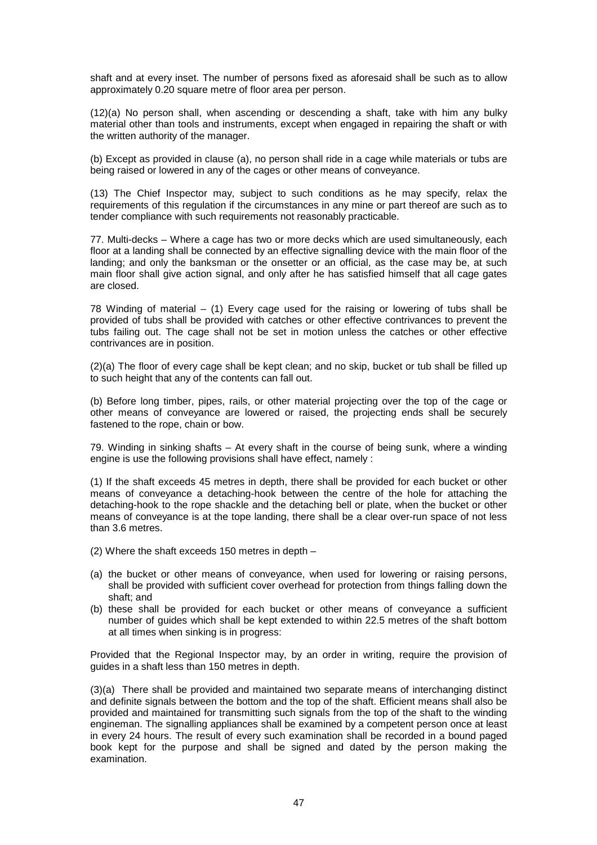shaft and at every inset. The number of persons fixed as aforesaid shall be such as to allow approximately 0.20 square metre of floor area per person.

(12)(a) No person shall, when ascending or descending a shaft, take with him any bulky material other than tools and instruments, except when engaged in repairing the shaft or with the written authority of the manager.

(b) Except as provided in clause (a), no person shall ride in a cage while materials or tubs are being raised or lowered in any of the cages or other means of conveyance.

(13) The Chief Inspector may, subject to such conditions as he may specify, relax the requirements of this regulation if the circumstances in any mine or part thereof are such as to tender compliance with such requirements not reasonably practicable.

77. Multi-decks – Where a cage has two or more decks which are used simultaneously, each floor at a landing shall be connected by an effective signalling device with the main floor of the landing; and only the banksman or the onsetter or an official, as the case may be, at such main floor shall give action signal, and only after he has satisfied himself that all cage gates are closed.

78 Winding of material  $-$  (1) Every cage used for the raising or lowering of tubs shall be provided of tubs shall be provided with catches or other effective contrivances to prevent the tubs failing out. The cage shall not be set in motion unless the catches or other effective contrivances are in position.

(2)(a) The floor of every cage shall be kept clean; and no skip, bucket or tub shall be filled up to such height that any of the contents can fall out.

(b) Before long timber, pipes, rails, or other material projecting over the top of the cage or other means of conveyance are lowered or raised, the projecting ends shall be securely fastened to the rope, chain or bow.

79. Winding in sinking shafts – At every shaft in the course of being sunk, where a winding engine is use the following provisions shall have effect, namely :

(1) If the shaft exceeds 45 metres in depth, there shall be provided for each bucket or other means of conveyance a detaching-hook between the centre of the hole for attaching the detaching-hook to the rope shackle and the detaching bell or plate, when the bucket or other means of conveyance is at the tope landing, there shall be a clear over-run space of not less than 3.6 metres.

- (2) Where the shaft exceeds 150 metres in depth –
- (a) the bucket or other means of conveyance, when used for lowering or raising persons, shall be provided with sufficient cover overhead for protection from things falling down the shaft; and
- (b) these shall be provided for each bucket or other means of conveyance a sufficient number of guides which shall be kept extended to within 22.5 metres of the shaft bottom at all times when sinking is in progress:

Provided that the Regional Inspector may, by an order in writing, require the provision of guides in a shaft less than 150 metres in depth.

(3)(a) There shall be provided and maintained two separate means of interchanging distinct and definite signals between the bottom and the top of the shaft. Efficient means shall also be provided and maintained for transmitting such signals from the top of the shaft to the winding engineman. The signalling appliances shall be examined by a competent person once at least in every 24 hours. The result of every such examination shall be recorded in a bound paged book kept for the purpose and shall be signed and dated by the person making the examination.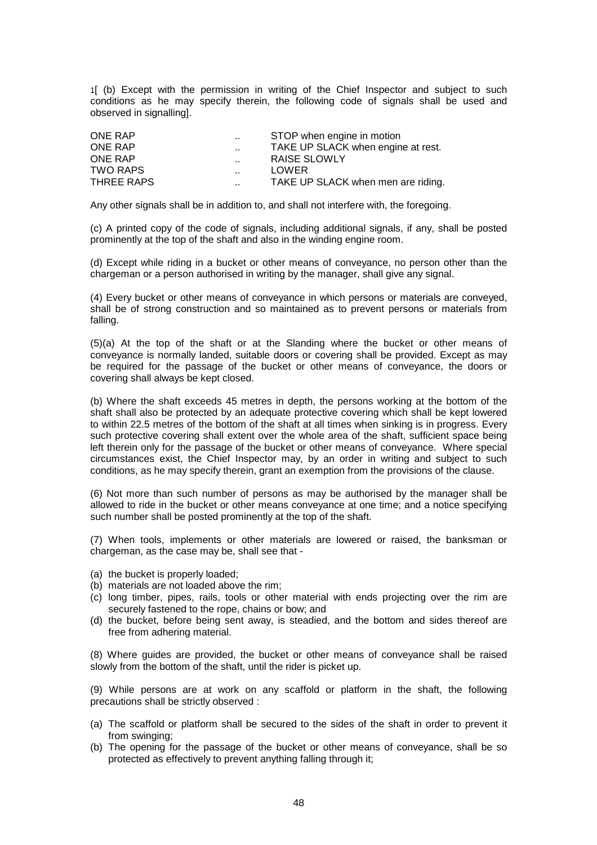1[ (b) Except with the permission in writing of the Chief Inspector and subject to such conditions as he may specify therein, the following code of signals shall be used and observed in signalling].

| ONE RAP    | $\sim$               | STOP when engine in motion         |
|------------|----------------------|------------------------------------|
| ONE RAP    | $\sim$               | TAKE UP SLACK when engine at rest. |
| ONE RAP    | $\ddot{\phantom{a}}$ | RAISE SLOWLY                       |
| TWO RAPS   | $\ddot{\phantom{a}}$ | LOWER                              |
| THREE RAPS | $\ddotsc$            | TAKE UP SLACK when men are riding. |

Any other signals shall be in addition to, and shall not interfere with, the foregoing.

(c) A printed copy of the code of signals, including additional signals, if any, shall be posted prominently at the top of the shaft and also in the winding engine room.

(d) Except while riding in a bucket or other means of conveyance, no person other than the chargeman or a person authorised in writing by the manager, shall give any signal.

(4) Every bucket or other means of conveyance in which persons or materials are conveyed, shall be of strong construction and so maintained as to prevent persons or materials from falling.

(5)(a) At the top of the shaft or at the Slanding where the bucket or other means of conveyance is normally landed, suitable doors or covering shall be provided. Except as may be required for the passage of the bucket or other means of conveyance, the doors or covering shall always be kept closed.

(b) Where the shaft exceeds 45 metres in depth, the persons working at the bottom of the shaft shall also be protected by an adequate protective covering which shall be kept lowered to within 22.5 metres of the bottom of the shaft at all times when sinking is in progress. Every such protective covering shall extent over the whole area of the shaft, sufficient space being left therein only for the passage of the bucket or other means of conveyance. Where special circumstances exist, the Chief Inspector may, by an order in writing and subject to such conditions, as he may specify therein, grant an exemption from the provisions of the clause.

(6) Not more than such number of persons as may be authorised by the manager shall be allowed to ride in the bucket or other means conveyance at one time; and a notice specifying such number shall be posted prominently at the top of the shaft.

(7) When tools, implements or other materials are lowered or raised, the banksman or chargeman, as the case may be, shall see that -

- (a) the bucket is properly loaded;
- (b) materials are not loaded above the rim;
- (c) long timber, pipes, rails, tools or other material with ends projecting over the rim are securely fastened to the rope, chains or bow; and
- (d) the bucket, before being sent away, is steadied, and the bottom and sides thereof are free from adhering material.

(8) Where guides are provided, the bucket or other means of conveyance shall be raised slowly from the bottom of the shaft, until the rider is picket up.

(9) While persons are at work on any scaffold or platform in the shaft, the following precautions shall be strictly observed :

- (a) The scaffold or platform shall be secured to the sides of the shaft in order to prevent it from swinging:
- (b) The opening for the passage of the bucket or other means of conveyance, shall be so protected as effectively to prevent anything falling through it;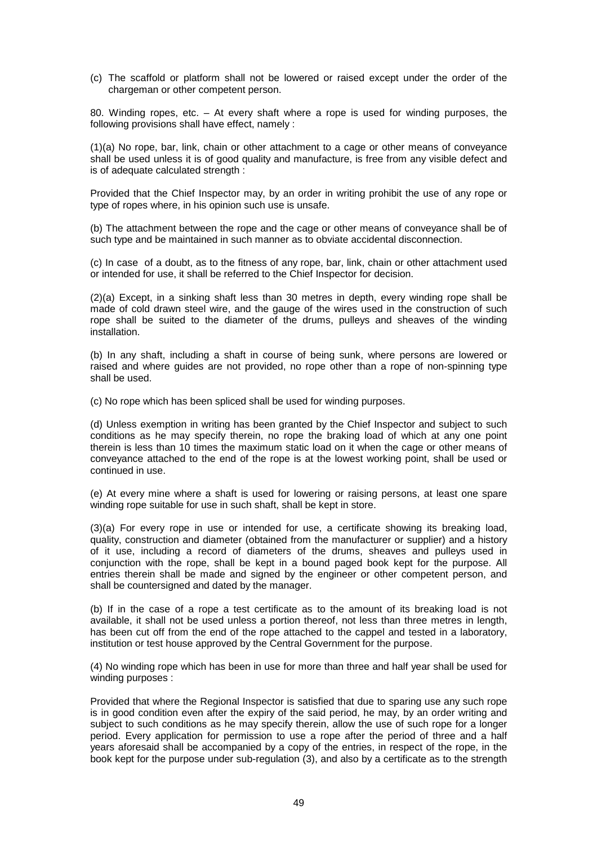(c) The scaffold or platform shall not be lowered or raised except under the order of the chargeman or other competent person.

80. Winding ropes, etc. – At every shaft where a rope is used for winding purposes, the following provisions shall have effect, namely :

(1)(a) No rope, bar, link, chain or other attachment to a cage or other means of conveyance shall be used unless it is of good quality and manufacture, is free from any visible defect and is of adequate calculated strength :

Provided that the Chief Inspector may, by an order in writing prohibit the use of any rope or type of ropes where, in his opinion such use is unsafe.

(b) The attachment between the rope and the cage or other means of conveyance shall be of such type and be maintained in such manner as to obviate accidental disconnection.

(c) In case of a doubt, as to the fitness of any rope, bar, link, chain or other attachment used or intended for use, it shall be referred to the Chief Inspector for decision.

(2)(a) Except, in a sinking shaft less than 30 metres in depth, every winding rope shall be made of cold drawn steel wire, and the gauge of the wires used in the construction of such rope shall be suited to the diameter of the drums, pulleys and sheaves of the winding installation.

(b) In any shaft, including a shaft in course of being sunk, where persons are lowered or raised and where guides are not provided, no rope other than a rope of non-spinning type shall be used.

(c) No rope which has been spliced shall be used for winding purposes.

(d) Unless exemption in writing has been granted by the Chief Inspector and subject to such conditions as he may specify therein, no rope the braking load of which at any one point therein is less than 10 times the maximum static load on it when the cage or other means of conveyance attached to the end of the rope is at the lowest working point, shall be used or continued in use.

(e) At every mine where a shaft is used for lowering or raising persons, at least one spare winding rope suitable for use in such shaft, shall be kept in store.

(3)(a) For every rope in use or intended for use, a certificate showing its breaking load, quality, construction and diameter (obtained from the manufacturer or supplier) and a history of it use, including a record of diameters of the drums, sheaves and pulleys used in conjunction with the rope, shall be kept in a bound paged book kept for the purpose. All entries therein shall be made and signed by the engineer or other competent person, and shall be countersigned and dated by the manager.

(b) If in the case of a rope a test certificate as to the amount of its breaking load is not available, it shall not be used unless a portion thereof, not less than three metres in length, has been cut off from the end of the rope attached to the cappel and tested in a laboratory, institution or test house approved by the Central Government for the purpose.

(4) No winding rope which has been in use for more than three and half year shall be used for winding purposes :

Provided that where the Regional Inspector is satisfied that due to sparing use any such rope is in good condition even after the expiry of the said period, he may, by an order writing and subject to such conditions as he may specify therein, allow the use of such rope for a longer period. Every application for permission to use a rope after the period of three and a half years aforesaid shall be accompanied by a copy of the entries, in respect of the rope, in the book kept for the purpose under sub-regulation (3), and also by a certificate as to the strength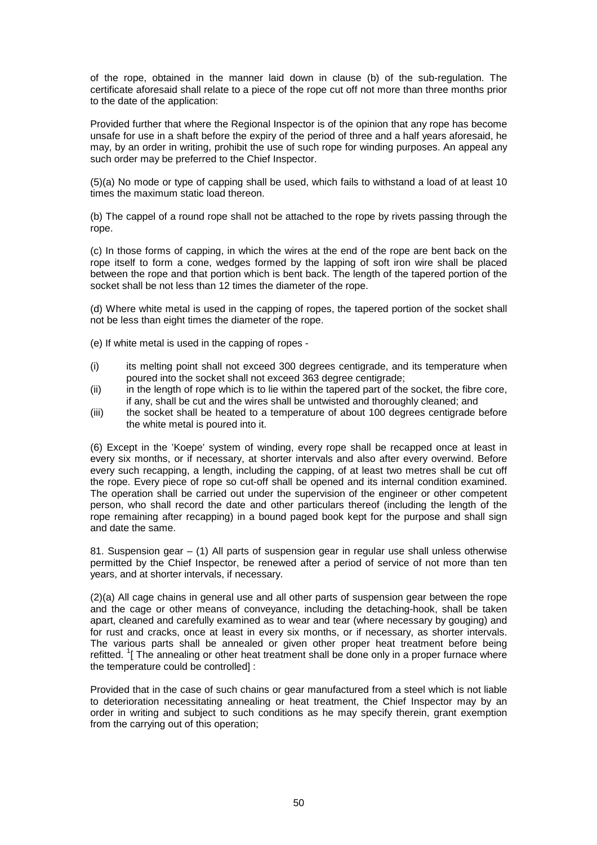of the rope, obtained in the manner laid down in clause (b) of the sub-regulation. The certificate aforesaid shall relate to a piece of the rope cut off not more than three months prior to the date of the application:

Provided further that where the Regional Inspector is of the opinion that any rope has become unsafe for use in a shaft before the expiry of the period of three and a half years aforesaid, he may, by an order in writing, prohibit the use of such rope for winding purposes. An appeal any such order may be preferred to the Chief Inspector.

(5)(a) No mode or type of capping shall be used, which fails to withstand a load of at least 10 times the maximum static load thereon.

(b) The cappel of a round rope shall not be attached to the rope by rivets passing through the rope.

(c) In those forms of capping, in which the wires at the end of the rope are bent back on the rope itself to form a cone, wedges formed by the lapping of soft iron wire shall be placed between the rope and that portion which is bent back. The length of the tapered portion of the socket shall be not less than 12 times the diameter of the rope.

(d) Where white metal is used in the capping of ropes, the tapered portion of the socket shall not be less than eight times the diameter of the rope.

(e) If white metal is used in the capping of ropes -

- (i) its melting point shall not exceed 300 degrees centigrade, and its temperature when poured into the socket shall not exceed 363 degree centigrade;
- (ii) in the length of rope which is to lie within the tapered part of the socket, the fibre core, if any, shall be cut and the wires shall be untwisted and thoroughly cleaned; and
- (iii) the socket shall be heated to a temperature of about 100 degrees centigrade before the white metal is poured into it.

(6) Except in the 'Koepe' system of winding, every rope shall be recapped once at least in every six months, or if necessary, at shorter intervals and also after every overwind. Before every such recapping, a length, including the capping, of at least two metres shall be cut off the rope. Every piece of rope so cut-off shall be opened and its internal condition examined. The operation shall be carried out under the supervision of the engineer or other competent person, who shall record the date and other particulars thereof (including the length of the rope remaining after recapping) in a bound paged book kept for the purpose and shall sign and date the same.

81. Suspension gear – (1) All parts of suspension gear in regular use shall unless otherwise permitted by the Chief Inspector, be renewed after a period of service of not more than ten years, and at shorter intervals, if necessary.

(2)(a) All cage chains in general use and all other parts of suspension gear between the rope and the cage or other means of conveyance, including the detaching-hook, shall be taken apart, cleaned and carefully examined as to wear and tear (where necessary by gouging) and for rust and cracks, once at least in every six months, or if necessary, as shorter intervals. The various parts shall be annealed or given other proper heat treatment before being refitted. <sup>1</sup>[ The annealing or other heat treatment shall be done only in a proper furnace where the temperature could be controlled] :

Provided that in the case of such chains or gear manufactured from a steel which is not liable to deterioration necessitating annealing or heat treatment, the Chief Inspector may by an order in writing and subject to such conditions as he may specify therein, grant exemption from the carrying out of this operation;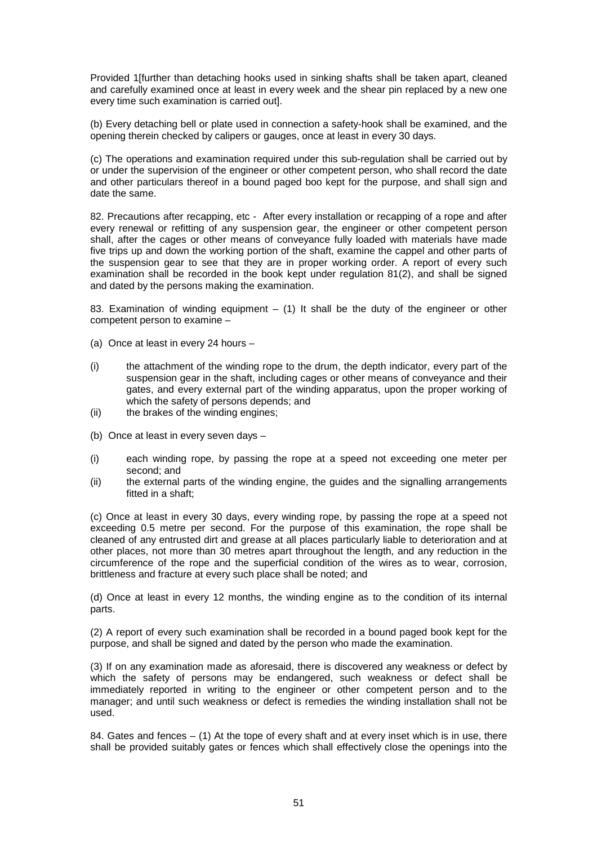Provided 1[further than detaching hooks used in sinking shafts shall be taken apart, cleaned and carefully examined once at least in every week and the shear pin replaced by a new one every time such examination is carried out].

(b) Every detaching bell or plate used in connection a safety-hook shall be examined, and the opening therein checked by calipers or gauges, once at least in every 30 days.

(c) The operations and examination required under this sub-regulation shall be carried out by or under the supervision of the engineer or other competent person, who shall record the date and other particulars thereof in a bound paged boo kept for the purpose, and shall sign and date the same.

82. Precautions after recapping, etc - After every installation or recapping of a rope and after every renewal or refitting of any suspension gear, the engineer or other competent person shall, after the cages or other means of conveyance fully loaded with materials have made five trips up and down the working portion of the shaft, examine the cappel and other parts of the suspension gear to see that they are in proper working order. A report of every such examination shall be recorded in the book kept under regulation 81(2), and shall be signed and dated by the persons making the examination.

83. Examination of winding equipment  $-$  (1) It shall be the duty of the engineer or other competent person to examine –

- (a) Once at least in every 24 hours –
- (i) the attachment of the winding rope to the drum, the depth indicator, every part of the suspension gear in the shaft, including cages or other means of conveyance and their gates, and every external part of the winding apparatus, upon the proper working of which the safety of persons depends; and
- (ii) the brakes of the winding engines;
- (b) Once at least in every seven days –
- (i) each winding rope, by passing the rope at a speed not exceeding one meter per second; and
- (ii) the external parts of the winding engine, the guides and the signalling arrangements fitted in a shaft;

(c) Once at least in every 30 days, every winding rope, by passing the rope at a speed not exceeding 0.5 metre per second. For the purpose of this examination, the rope shall be cleaned of any entrusted dirt and grease at all places particularly liable to deterioration and at other places, not more than 30 metres apart throughout the length, and any reduction in the circumference of the rope and the superficial condition of the wires as to wear, corrosion, brittleness and fracture at every such place shall be noted; and

(d) Once at least in every 12 months, the winding engine as to the condition of its internal parts.

(2) A report of every such examination shall be recorded in a bound paged book kept for the purpose, and shall be signed and dated by the person who made the examination.

(3) If on any examination made as aforesaid, there is discovered any weakness or defect by which the safety of persons may be endangered, such weakness or defect shall be immediately reported in writing to the engineer or other competent person and to the manager; and until such weakness or defect is remedies the winding installation shall not be used.

84. Gates and fences – (1) At the tope of every shaft and at every inset which is in use, there shall be provided suitably gates or fences which shall effectively close the openings into the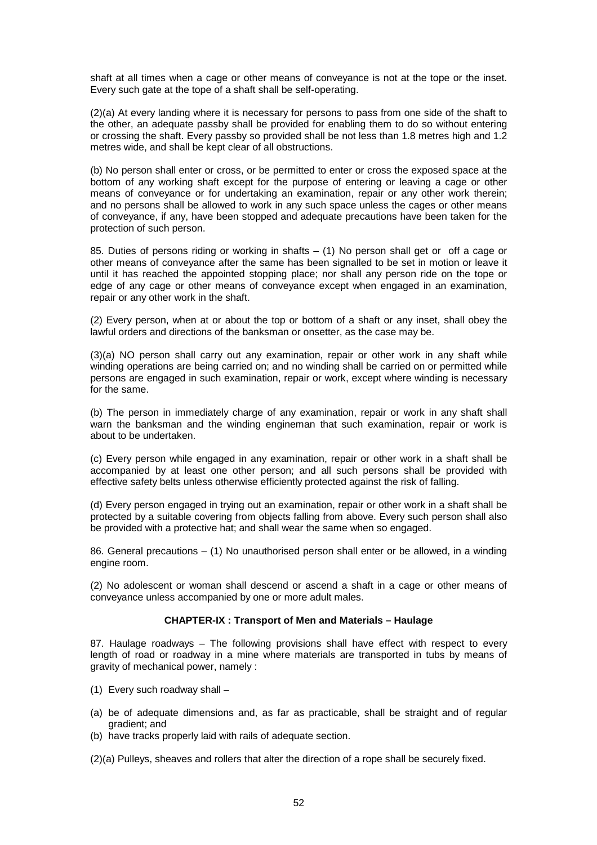shaft at all times when a cage or other means of conveyance is not at the tope or the inset. Every such gate at the tope of a shaft shall be self-operating.

(2)(a) At every landing where it is necessary for persons to pass from one side of the shaft to the other, an adequate passby shall be provided for enabling them to do so without entering or crossing the shaft. Every passby so provided shall be not less than 1.8 metres high and 1.2 metres wide, and shall be kept clear of all obstructions.

(b) No person shall enter or cross, or be permitted to enter or cross the exposed space at the bottom of any working shaft except for the purpose of entering or leaving a cage or other means of conveyance or for undertaking an examination, repair or any other work therein; and no persons shall be allowed to work in any such space unless the cages or other means of conveyance, if any, have been stopped and adequate precautions have been taken for the protection of such person.

85. Duties of persons riding or working in shafts – (1) No person shall get or off a cage or other means of conveyance after the same has been signalled to be set in motion or leave it until it has reached the appointed stopping place; nor shall any person ride on the tope or edge of any cage or other means of conveyance except when engaged in an examination, repair or any other work in the shaft.

(2) Every person, when at or about the top or bottom of a shaft or any inset, shall obey the lawful orders and directions of the banksman or onsetter, as the case may be.

(3)(a) NO person shall carry out any examination, repair or other work in any shaft while winding operations are being carried on; and no winding shall be carried on or permitted while persons are engaged in such examination, repair or work, except where winding is necessary for the same.

(b) The person in immediately charge of any examination, repair or work in any shaft shall warn the banksman and the winding engineman that such examination, repair or work is about to be undertaken.

(c) Every person while engaged in any examination, repair or other work in a shaft shall be accompanied by at least one other person; and all such persons shall be provided with effective safety belts unless otherwise efficiently protected against the risk of falling.

(d) Every person engaged in trying out an examination, repair or other work in a shaft shall be protected by a suitable covering from objects falling from above. Every such person shall also be provided with a protective hat; and shall wear the same when so engaged.

86. General precautions – (1) No unauthorised person shall enter or be allowed, in a winding engine room.

(2) No adolescent or woman shall descend or ascend a shaft in a cage or other means of conveyance unless accompanied by one or more adult males.

# **CHAPTER-IX : Transport of Men and Materials – Haulage**

87. Haulage roadways – The following provisions shall have effect with respect to every length of road or roadway in a mine where materials are transported in tubs by means of gravity of mechanical power, namely :

- (1) Every such roadway shall –
- (a) be of adequate dimensions and, as far as practicable, shall be straight and of regular gradient; and
- (b) have tracks properly laid with rails of adequate section.
- (2)(a) Pulleys, sheaves and rollers that alter the direction of a rope shall be securely fixed.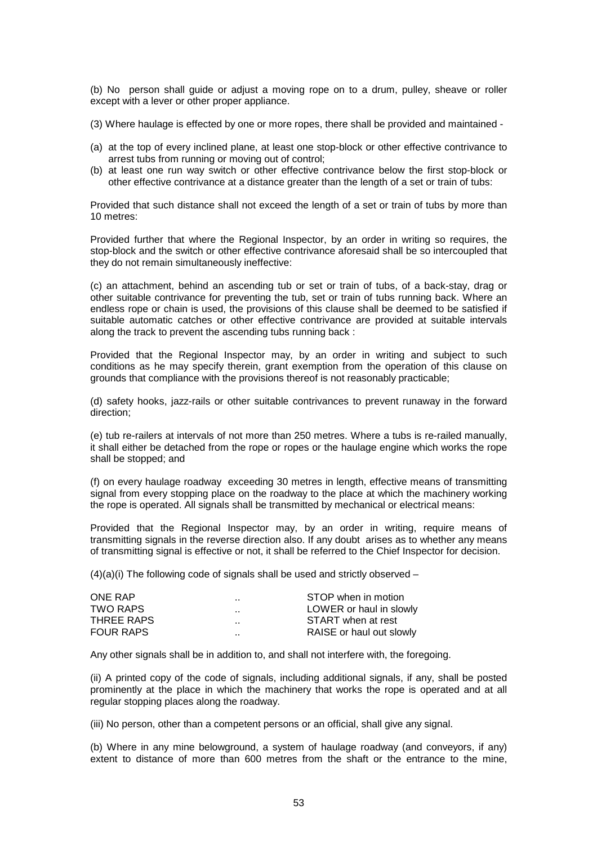(b) No person shall guide or adjust a moving rope on to a drum, pulley, sheave or roller except with a lever or other proper appliance.

- (3) Where haulage is effected by one or more ropes, there shall be provided and maintained -
- (a) at the top of every inclined plane, at least one stop-block or other effective contrivance to arrest tubs from running or moving out of control;
- (b) at least one run way switch or other effective contrivance below the first stop-block or other effective contrivance at a distance greater than the length of a set or train of tubs:

Provided that such distance shall not exceed the length of a set or train of tubs by more than 10 metres:

Provided further that where the Regional Inspector, by an order in writing so requires, the stop-block and the switch or other effective contrivance aforesaid shall be so intercoupled that they do not remain simultaneously ineffective:

(c) an attachment, behind an ascending tub or set or train of tubs, of a back-stay, drag or other suitable contrivance for preventing the tub, set or train of tubs running back. Where an endless rope or chain is used, the provisions of this clause shall be deemed to be satisfied if suitable automatic catches or other effective contrivance are provided at suitable intervals along the track to prevent the ascending tubs running back :

Provided that the Regional Inspector may, by an order in writing and subject to such conditions as he may specify therein, grant exemption from the operation of this clause on grounds that compliance with the provisions thereof is not reasonably practicable;

(d) safety hooks, jazz-rails or other suitable contrivances to prevent runaway in the forward direction;

(e) tub re-railers at intervals of not more than 250 metres. Where a tubs is re-railed manually, it shall either be detached from the rope or ropes or the haulage engine which works the rope shall be stopped; and

(f) on every haulage roadway exceeding 30 metres in length, effective means of transmitting signal from every stopping place on the roadway to the place at which the machinery working the rope is operated. All signals shall be transmitted by mechanical or electrical means:

Provided that the Regional Inspector may, by an order in writing, require means of transmitting signals in the reverse direction also. If any doubt arises as to whether any means of transmitting signal is effective or not, it shall be referred to the Chief Inspector for decision.

 $(4)(a)(i)$  The following code of signals shall be used and strictly observed –

| $\sim$ $\sim$        | STOP when in motion      |
|----------------------|--------------------------|
| $\ddot{\phantom{0}}$ | LOWER or haul in slowly  |
| $\ddot{\phantom{0}}$ | START when at rest       |
| $\ddot{\phantom{0}}$ | RAISE or haul out slowly |
|                      |                          |

Any other signals shall be in addition to, and shall not interfere with, the foregoing.

(ii) A printed copy of the code of signals, including additional signals, if any, shall be posted prominently at the place in which the machinery that works the rope is operated and at all regular stopping places along the roadway.

(iii) No person, other than a competent persons or an official, shall give any signal.

(b) Where in any mine belowground, a system of haulage roadway (and conveyors, if any) extent to distance of more than 600 metres from the shaft or the entrance to the mine,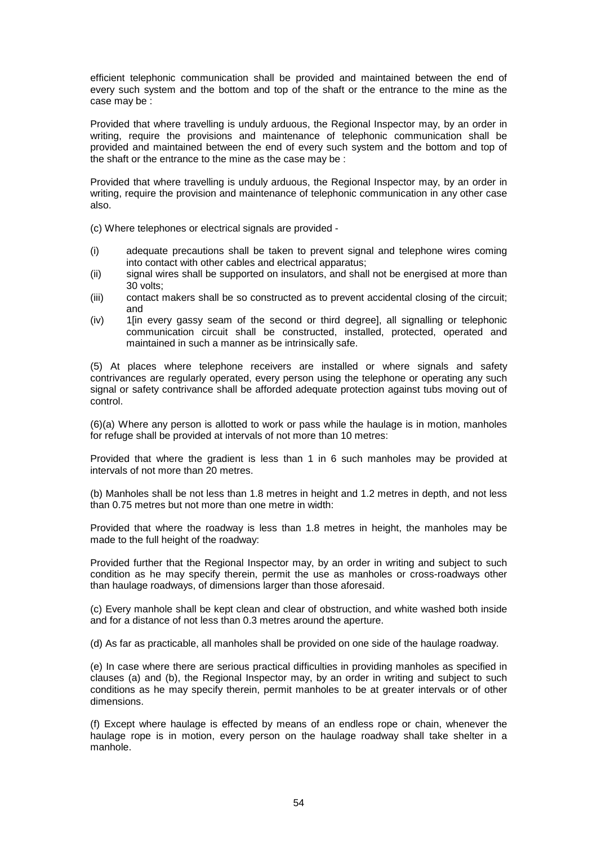efficient telephonic communication shall be provided and maintained between the end of every such system and the bottom and top of the shaft or the entrance to the mine as the case may be :

Provided that where travelling is unduly arduous, the Regional Inspector may, by an order in writing, require the provisions and maintenance of telephonic communication shall be provided and maintained between the end of every such system and the bottom and top of the shaft or the entrance to the mine as the case may be :

Provided that where travelling is unduly arduous, the Regional Inspector may, by an order in writing, require the provision and maintenance of telephonic communication in any other case also.

(c) Where telephones or electrical signals are provided -

- (i) adequate precautions shall be taken to prevent signal and telephone wires coming into contact with other cables and electrical apparatus;
- (ii) signal wires shall be supported on insulators, and shall not be energised at more than 30 volts;
- (iii) contact makers shall be so constructed as to prevent accidental closing of the circuit; and
- (iv) 1[in every gassy seam of the second or third degree], all signalling or telephonic communication circuit shall be constructed, installed, protected, operated and maintained in such a manner as be intrinsically safe.

(5) At places where telephone receivers are installed or where signals and safety contrivances are regularly operated, every person using the telephone or operating any such signal or safety contrivance shall be afforded adequate protection against tubs moving out of control.

(6)(a) Where any person is allotted to work or pass while the haulage is in motion, manholes for refuge shall be provided at intervals of not more than 10 metres:

Provided that where the gradient is less than 1 in 6 such manholes may be provided at intervals of not more than 20 metres.

(b) Manholes shall be not less than 1.8 metres in height and 1.2 metres in depth, and not less than 0.75 metres but not more than one metre in width:

Provided that where the roadway is less than 1.8 metres in height, the manholes may be made to the full height of the roadway:

Provided further that the Regional Inspector may, by an order in writing and subject to such condition as he may specify therein, permit the use as manholes or cross-roadways other than haulage roadways, of dimensions larger than those aforesaid.

(c) Every manhole shall be kept clean and clear of obstruction, and white washed both inside and for a distance of not less than 0.3 metres around the aperture.

(d) As far as practicable, all manholes shall be provided on one side of the haulage roadway.

(e) In case where there are serious practical difficulties in providing manholes as specified in clauses (a) and (b), the Regional Inspector may, by an order in writing and subject to such conditions as he may specify therein, permit manholes to be at greater intervals or of other dimensions.

(f) Except where haulage is effected by means of an endless rope or chain, whenever the haulage rope is in motion, every person on the haulage roadway shall take shelter in a manhole.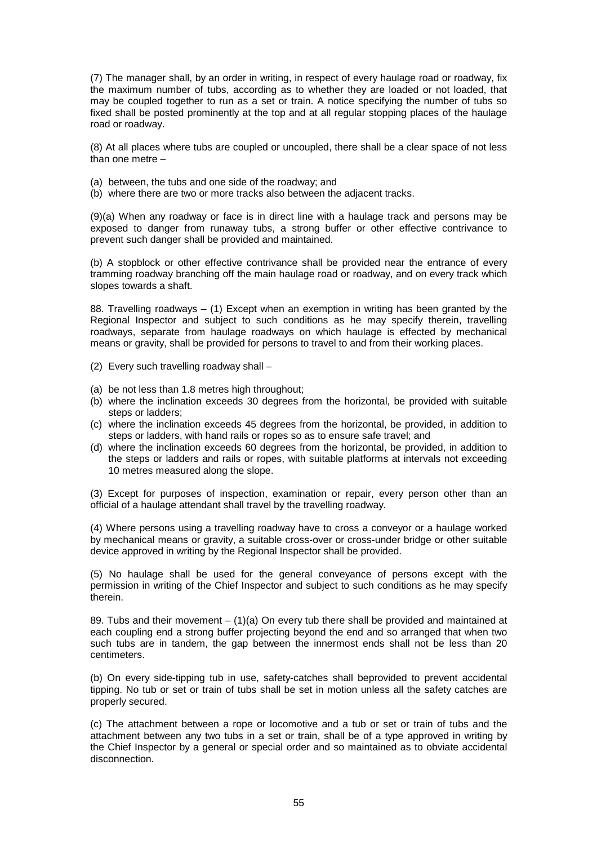(7) The manager shall, by an order in writing, in respect of every haulage road or roadway, fix the maximum number of tubs, according as to whether they are loaded or not loaded, that may be coupled together to run as a set or train. A notice specifying the number of tubs so fixed shall be posted prominently at the top and at all regular stopping places of the haulage road or roadway.

(8) At all places where tubs are coupled or uncoupled, there shall be a clear space of not less than one metre –

- (a) between, the tubs and one side of the roadway; and
- (b) where there are two or more tracks also between the adjacent tracks.

(9)(a) When any roadway or face is in direct line with a haulage track and persons may be exposed to danger from runaway tubs, a strong buffer or other effective contrivance to prevent such danger shall be provided and maintained.

(b) A stopblock or other effective contrivance shall be provided near the entrance of every tramming roadway branching off the main haulage road or roadway, and on every track which slopes towards a shaft.

88. Travelling roadways – (1) Except when an exemption in writing has been granted by the Regional Inspector and subject to such conditions as he may specify therein, travelling roadways, separate from haulage roadways on which haulage is effected by mechanical means or gravity, shall be provided for persons to travel to and from their working places.

- (2) Every such travelling roadway shall –
- (a) be not less than 1.8 metres high throughout;
- (b) where the inclination exceeds 30 degrees from the horizontal, be provided with suitable steps or ladders;
- (c) where the inclination exceeds 45 degrees from the horizontal, be provided, in addition to steps or ladders, with hand rails or ropes so as to ensure safe travel; and
- (d) where the inclination exceeds 60 degrees from the horizontal, be provided, in addition to the steps or ladders and rails or ropes, with suitable platforms at intervals not exceeding 10 metres measured along the slope.

(3) Except for purposes of inspection, examination or repair, every person other than an official of a haulage attendant shall travel by the travelling roadway.

(4) Where persons using a travelling roadway have to cross a conveyor or a haulage worked by mechanical means or gravity, a suitable cross-over or cross-under bridge or other suitable device approved in writing by the Regional Inspector shall be provided.

(5) No haulage shall be used for the general conveyance of persons except with the permission in writing of the Chief Inspector and subject to such conditions as he may specify therein.

89. Tubs and their movement  $- (1)(a)$  On every tub there shall be provided and maintained at each coupling end a strong buffer projecting beyond the end and so arranged that when two such tubs are in tandem, the gap between the innermost ends shall not be less than 20 centimeters.

(b) On every side-tipping tub in use, safety-catches shall beprovided to prevent accidental tipping. No tub or set or train of tubs shall be set in motion unless all the safety catches are properly secured.

(c) The attachment between a rope or locomotive and a tub or set or train of tubs and the attachment between any two tubs in a set or train, shall be of a type approved in writing by the Chief Inspector by a general or special order and so maintained as to obviate accidental disconnection.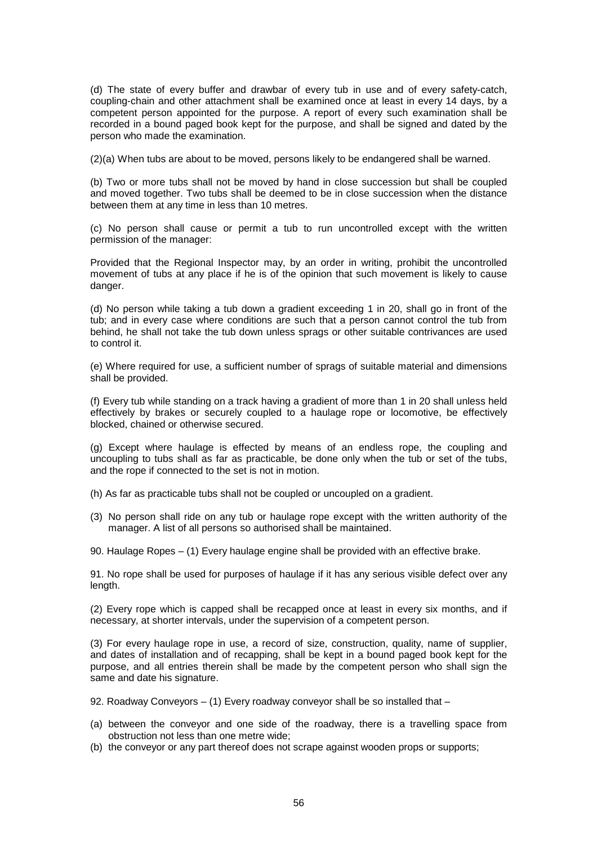(d) The state of every buffer and drawbar of every tub in use and of every safety-catch, coupling-chain and other attachment shall be examined once at least in every 14 days, by a competent person appointed for the purpose. A report of every such examination shall be recorded in a bound paged book kept for the purpose, and shall be signed and dated by the person who made the examination.

(2)(a) When tubs are about to be moved, persons likely to be endangered shall be warned.

(b) Two or more tubs shall not be moved by hand in close succession but shall be coupled and moved together. Two tubs shall be deemed to be in close succession when the distance between them at any time in less than 10 metres.

(c) No person shall cause or permit a tub to run uncontrolled except with the written permission of the manager:

Provided that the Regional Inspector may, by an order in writing, prohibit the uncontrolled movement of tubs at any place if he is of the opinion that such movement is likely to cause danger.

(d) No person while taking a tub down a gradient exceeding 1 in 20, shall go in front of the tub; and in every case where conditions are such that a person cannot control the tub from behind, he shall not take the tub down unless sprags or other suitable contrivances are used to control it.

(e) Where required for use, a sufficient number of sprags of suitable material and dimensions shall be provided.

(f) Every tub while standing on a track having a gradient of more than 1 in 20 shall unless held effectively by brakes or securely coupled to a haulage rope or locomotive, be effectively blocked, chained or otherwise secured.

(g) Except where haulage is effected by means of an endless rope, the coupling and uncoupling to tubs shall as far as practicable, be done only when the tub or set of the tubs, and the rope if connected to the set is not in motion.

- (h) As far as practicable tubs shall not be coupled or uncoupled on a gradient.
- (3) No person shall ride on any tub or haulage rope except with the written authority of the manager. A list of all persons so authorised shall be maintained.

90. Haulage Ropes – (1) Every haulage engine shall be provided with an effective brake.

91. No rope shall be used for purposes of haulage if it has any serious visible defect over any length.

(2) Every rope which is capped shall be recapped once at least in every six months, and if necessary, at shorter intervals, under the supervision of a competent person.

(3) For every haulage rope in use, a record of size, construction, quality, name of supplier, and dates of installation and of recapping, shall be kept in a bound paged book kept for the purpose, and all entries therein shall be made by the competent person who shall sign the same and date his signature.

- 92. Roadway Conveyors (1) Every roadway conveyor shall be so installed that –
- (a) between the conveyor and one side of the roadway, there is a travelling space from obstruction not less than one metre wide;
- (b) the conveyor or any part thereof does not scrape against wooden props or supports;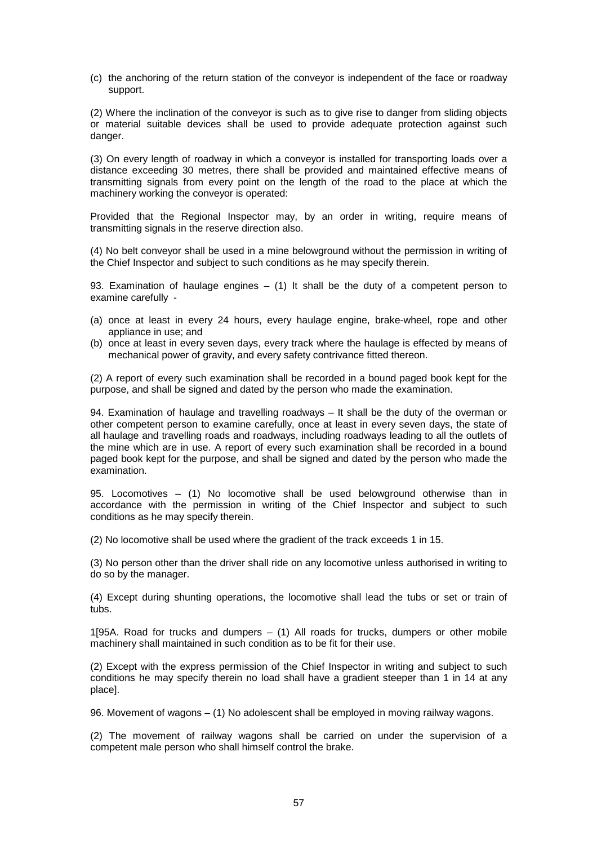(c) the anchoring of the return station of the conveyor is independent of the face or roadway support.

(2) Where the inclination of the conveyor is such as to give rise to danger from sliding objects or material suitable devices shall be used to provide adequate protection against such danger.

(3) On every length of roadway in which a conveyor is installed for transporting loads over a distance exceeding 30 metres, there shall be provided and maintained effective means of transmitting signals from every point on the length of the road to the place at which the machinery working the conveyor is operated:

Provided that the Regional Inspector may, by an order in writing, require means of transmitting signals in the reserve direction also.

(4) No belt conveyor shall be used in a mine belowground without the permission in writing of the Chief Inspector and subject to such conditions as he may specify therein.

93. Examination of haulage engines  $-$  (1) It shall be the duty of a competent person to examine carefully -

- (a) once at least in every 24 hours, every haulage engine, brake-wheel, rope and other appliance in use; and
- (b) once at least in every seven days, every track where the haulage is effected by means of mechanical power of gravity, and every safety contrivance fitted thereon.

(2) A report of every such examination shall be recorded in a bound paged book kept for the purpose, and shall be signed and dated by the person who made the examination.

94. Examination of haulage and travelling roadways – It shall be the duty of the overman or other competent person to examine carefully, once at least in every seven days, the state of all haulage and travelling roads and roadways, including roadways leading to all the outlets of the mine which are in use. A report of every such examination shall be recorded in a bound paged book kept for the purpose, and shall be signed and dated by the person who made the examination.

95. Locomotives – (1) No locomotive shall be used belowground otherwise than in accordance with the permission in writing of the Chief Inspector and subject to such conditions as he may specify therein.

(2) No locomotive shall be used where the gradient of the track exceeds 1 in 15.

(3) No person other than the driver shall ride on any locomotive unless authorised in writing to do so by the manager.

(4) Except during shunting operations, the locomotive shall lead the tubs or set or train of tubs.

1[95A. Road for trucks and dumpers – (1) All roads for trucks, dumpers or other mobile machinery shall maintained in such condition as to be fit for their use.

(2) Except with the express permission of the Chief Inspector in writing and subject to such conditions he may specify therein no load shall have a gradient steeper than 1 in 14 at any place].

96. Movement of wagons – (1) No adolescent shall be employed in moving railway wagons.

(2) The movement of railway wagons shall be carried on under the supervision of a competent male person who shall himself control the brake.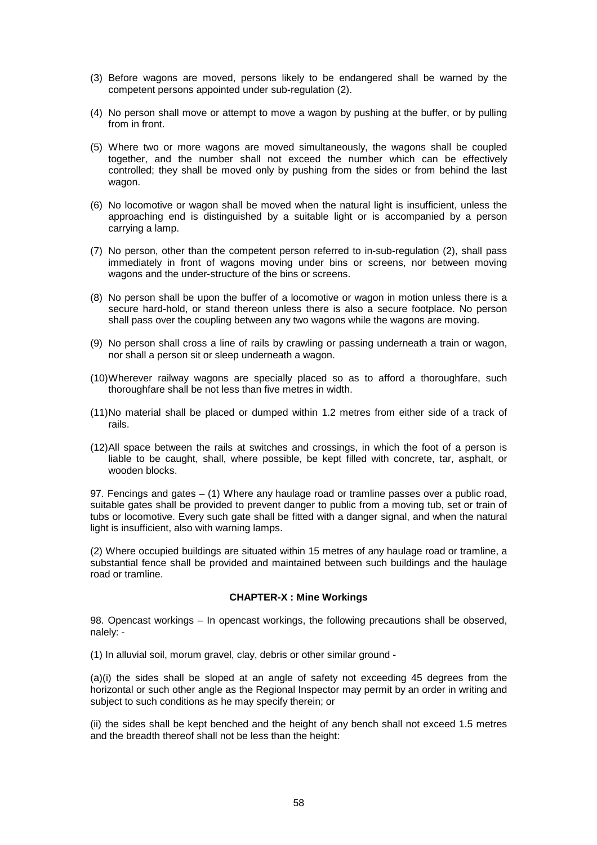- (3) Before wagons are moved, persons likely to be endangered shall be warned by the competent persons appointed under sub-regulation (2).
- (4) No person shall move or attempt to move a wagon by pushing at the buffer, or by pulling from in front.
- (5) Where two or more wagons are moved simultaneously, the wagons shall be coupled together, and the number shall not exceed the number which can be effectively controlled; they shall be moved only by pushing from the sides or from behind the last wagon.
- (6) No locomotive or wagon shall be moved when the natural light is insufficient, unless the approaching end is distinguished by a suitable light or is accompanied by a person carrying a lamp.
- (7) No person, other than the competent person referred to in-sub-regulation (2), shall pass immediately in front of wagons moving under bins or screens, nor between moving wagons and the under-structure of the bins or screens.
- (8) No person shall be upon the buffer of a locomotive or wagon in motion unless there is a secure hard-hold, or stand thereon unless there is also a secure footplace. No person shall pass over the coupling between any two wagons while the wagons are moving.
- (9) No person shall cross a line of rails by crawling or passing underneath a train or wagon, nor shall a person sit or sleep underneath a wagon.
- (10) Wherever railway wagons are specially placed so as to afford a thoroughfare, such thoroughfare shall be not less than five metres in width.
- (11) No material shall be placed or dumped within 1.2 metres from either side of a track of rails.
- (12) All space between the rails at switches and crossings, in which the foot of a person is liable to be caught, shall, where possible, be kept filled with concrete, tar, asphalt, or wooden blocks.

97. Fencings and gates – (1) Where any haulage road or tramline passes over a public road, suitable gates shall be provided to prevent danger to public from a moving tub, set or train of tubs or locomotive. Every such gate shall be fitted with a danger signal, and when the natural light is insufficient, also with warning lamps.

(2) Where occupied buildings are situated within 15 metres of any haulage road or tramline, a substantial fence shall be provided and maintained between such buildings and the haulage road or tramline.

### **CHAPTER-X : Mine Workings**

98. Opencast workings – In opencast workings, the following precautions shall be observed, nalely: -

(1) In alluvial soil, morum gravel, clay, debris or other similar ground -

(a)(i) the sides shall be sloped at an angle of safety not exceeding 45 degrees from the horizontal or such other angle as the Regional Inspector may permit by an order in writing and subject to such conditions as he may specify therein; or

(ii) the sides shall be kept benched and the height of any bench shall not exceed 1.5 metres and the breadth thereof shall not be less than the height: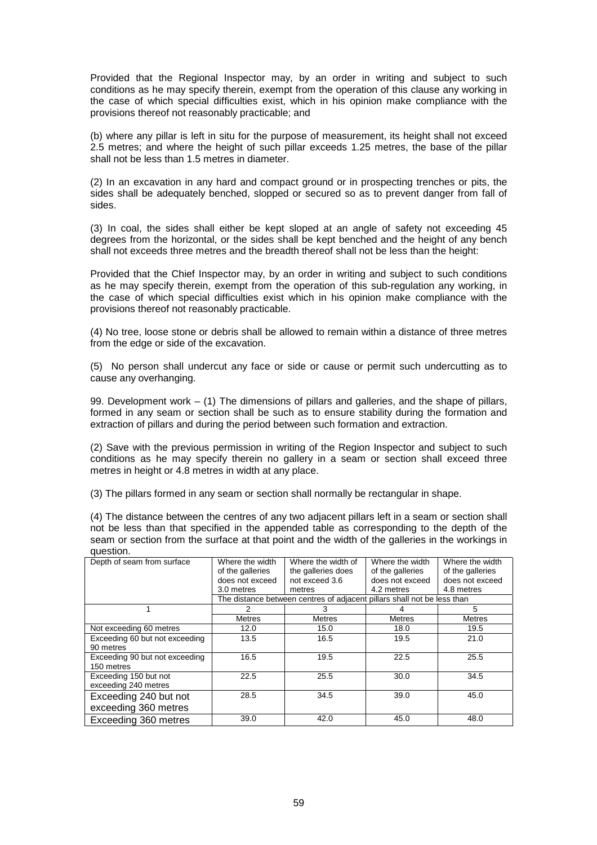Provided that the Regional Inspector may, by an order in writing and subject to such conditions as he may specify therein, exempt from the operation of this clause any working in the case of which special difficulties exist, which in his opinion make compliance with the provisions thereof not reasonably practicable; and

(b) where any pillar is left in situ for the purpose of measurement, its height shall not exceed 2.5 metres; and where the height of such pillar exceeds 1.25 metres, the base of the pillar shall not be less than 1.5 metres in diameter.

(2) In an excavation in any hard and compact ground or in prospecting trenches or pits, the sides shall be adequately benched, slopped or secured so as to prevent danger from fall of sides.

(3) In coal, the sides shall either be kept sloped at an angle of safety not exceeding 45 degrees from the horizontal, or the sides shall be kept benched and the height of any bench shall not exceeds three metres and the breadth thereof shall not be less than the height:

Provided that the Chief Inspector may, by an order in writing and subject to such conditions as he may specify therein, exempt from the operation of this sub-regulation any working, in the case of which special difficulties exist which in his opinion make compliance with the provisions thereof not reasonably practicable.

(4) No tree, loose stone or debris shall be allowed to remain within a distance of three metres from the edge or side of the excavation.

(5) No person shall undercut any face or side or cause or permit such undercutting as to cause any overhanging.

99. Development work – (1) The dimensions of pillars and galleries, and the shape of pillars, formed in any seam or section shall be such as to ensure stability during the formation and extraction of pillars and during the period between such formation and extraction.

(2) Save with the previous permission in writing of the Region Inspector and subject to such conditions as he may specify therein no gallery in a seam or section shall exceed three metres in height or 4.8 metres in width at any place.

(3) The pillars formed in any seam or section shall normally be rectangular in shape.

(4) The distance between the centres of any two adjacent pillars left in a seam or section shall not be less than that specified in the appended table as corresponding to the depth of the seam or section from the surface at that point and the width of the galleries in the workings in question.

| Depth of seam from surface                    | Where the width<br>of the galleries<br>does not exceed<br>3.0 metres    | Where the width of<br>the galleries does<br>not exceed 3.6<br>metres | Where the width<br>of the galleries<br>does not exceed<br>4.2 metres | Where the width<br>of the galleries<br>does not exceed<br>4.8 metres |  |  |
|-----------------------------------------------|-------------------------------------------------------------------------|----------------------------------------------------------------------|----------------------------------------------------------------------|----------------------------------------------------------------------|--|--|
|                                               | The distance between centres of adjacent pillars shall not be less than |                                                                      |                                                                      |                                                                      |  |  |
|                                               |                                                                         | З                                                                    |                                                                      | 5                                                                    |  |  |
|                                               | <b>Metres</b>                                                           | <b>Metres</b>                                                        | <b>Metres</b>                                                        | <b>Metres</b>                                                        |  |  |
| Not exceeding 60 metres                       | 12.0                                                                    | 15.0                                                                 | 18.0                                                                 | 19.5                                                                 |  |  |
| Exceeding 60 but not exceeding<br>90 metres   | 13.5                                                                    | 16.5                                                                 | 19.5                                                                 | 21.0                                                                 |  |  |
| Exceeding 90 but not exceeding<br>150 metres  | 16.5                                                                    | 19.5                                                                 | 22.5                                                                 | 25.5                                                                 |  |  |
| Exceeding 150 but not<br>exceeding 240 metres | 22.5                                                                    | 25.5                                                                 | 30.0                                                                 | 34.5                                                                 |  |  |
| Exceeding 240 but not<br>exceeding 360 metres | 28.5                                                                    | 34.5                                                                 | 39.0                                                                 | 45.0                                                                 |  |  |
| Exceeding 360 metres                          | 39.0                                                                    | 42.0                                                                 | 45.0                                                                 | 48.0                                                                 |  |  |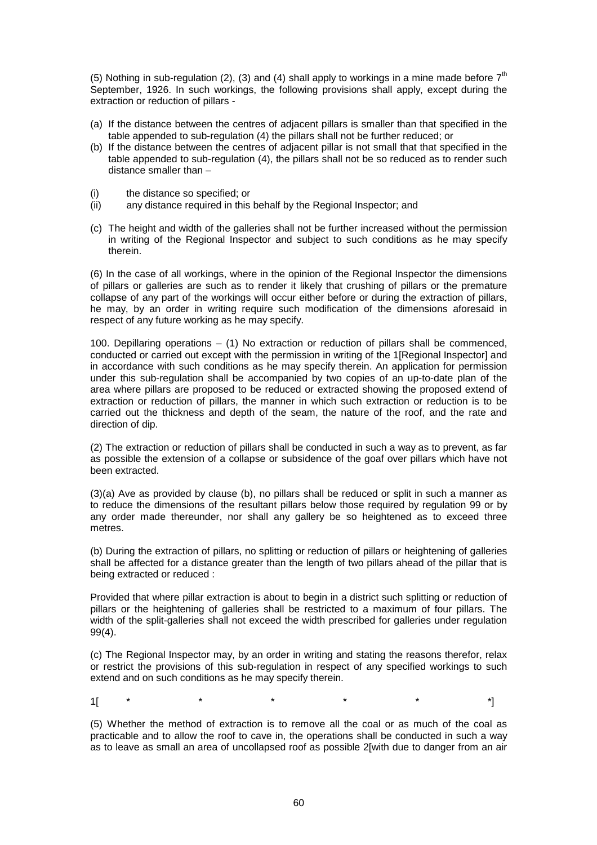(5) Nothing in sub-regulation (2), (3) and (4) shall apply to workings in a mine made before  $7<sup>th</sup>$ September, 1926. In such workings, the following provisions shall apply, except during the extraction or reduction of pillars -

- (a) If the distance between the centres of adjacent pillars is smaller than that specified in the table appended to sub-regulation (4) the pillars shall not be further reduced; or
- (b) If the distance between the centres of adjacent pillar is not small that that specified in the table appended to sub-regulation (4), the pillars shall not be so reduced as to render such distance smaller than –
- (i) the distance so specified; or
- (ii) any distance required in this behalf by the Regional Inspector; and
- (c) The height and width of the galleries shall not be further increased without the permission in writing of the Regional Inspector and subject to such conditions as he may specify therein.

(6) In the case of all workings, where in the opinion of the Regional Inspector the dimensions of pillars or galleries are such as to render it likely that crushing of pillars or the premature collapse of any part of the workings will occur either before or during the extraction of pillars, he may, by an order in writing require such modification of the dimensions aforesaid in respect of any future working as he may specify.

100. Depillaring operations – (1) No extraction or reduction of pillars shall be commenced, conducted or carried out except with the permission in writing of the 1[Regional Inspector] and in accordance with such conditions as he may specify therein. An application for permission under this sub-regulation shall be accompanied by two copies of an up-to-date plan of the area where pillars are proposed to be reduced or extracted showing the proposed extend of extraction or reduction of pillars, the manner in which such extraction or reduction is to be carried out the thickness and depth of the seam, the nature of the roof, and the rate and direction of dip.

(2) The extraction or reduction of pillars shall be conducted in such a way as to prevent, as far as possible the extension of a collapse or subsidence of the goaf over pillars which have not been extracted.

(3)(a) Ave as provided by clause (b), no pillars shall be reduced or split in such a manner as to reduce the dimensions of the resultant pillars below those required by regulation 99 or by any order made thereunder, nor shall any gallery be so heightened as to exceed three metres.

(b) During the extraction of pillars, no splitting or reduction of pillars or heightening of galleries shall be affected for a distance greater than the length of two pillars ahead of the pillar that is being extracted or reduced :

Provided that where pillar extraction is about to begin in a district such splitting or reduction of pillars or the heightening of galleries shall be restricted to a maximum of four pillars. The width of the split-galleries shall not exceed the width prescribed for galleries under regulation 99(4).

(c) The Regional Inspector may, by an order in writing and stating the reasons therefor, relax or restrict the provisions of this sub-regulation in respect of any specified workings to such extend and on such conditions as he may specify therein.

1[ \* \* \* \* \* \* \* \*]

(5) Whether the method of extraction is to remove all the coal or as much of the coal as practicable and to allow the roof to cave in, the operations shall be conducted in such a way as to leave as small an area of uncollapsed roof as possible 2[with due to danger from an air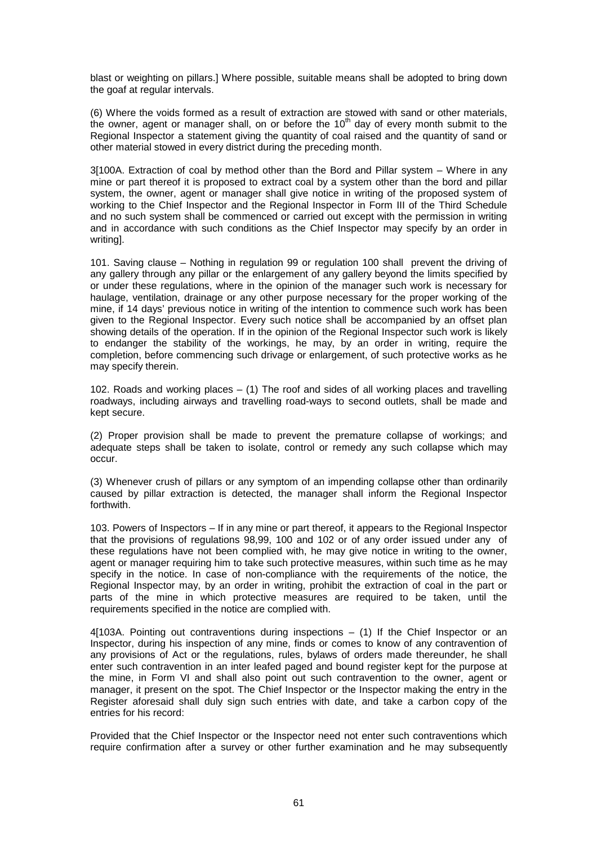blast or weighting on pillars.] Where possible, suitable means shall be adopted to bring down the goaf at regular intervals.

(6) Where the voids formed as a result of extraction are stowed with sand or other materials, the owner, agent or manager shall, on or before the  $10<sup>th</sup>$  day of every month submit to the Regional Inspector a statement giving the quantity of coal raised and the quantity of sand or other material stowed in every district during the preceding month.

3[100A. Extraction of coal by method other than the Bord and Pillar system – Where in any mine or part thereof it is proposed to extract coal by a system other than the bord and pillar system, the owner, agent or manager shall give notice in writing of the proposed system of working to the Chief Inspector and the Regional Inspector in Form III of the Third Schedule and no such system shall be commenced or carried out except with the permission in writing and in accordance with such conditions as the Chief Inspector may specify by an order in writing].

101. Saving clause – Nothing in regulation 99 or regulation 100 shall prevent the driving of any gallery through any pillar or the enlargement of any gallery beyond the limits specified by or under these regulations, where in the opinion of the manager such work is necessary for haulage, ventilation, drainage or any other purpose necessary for the proper working of the mine, if 14 days' previous notice in writing of the intention to commence such work has been given to the Regional Inspector. Every such notice shall be accompanied by an offset plan showing details of the operation. If in the opinion of the Regional Inspector such work is likely to endanger the stability of the workings, he may, by an order in writing, require the completion, before commencing such drivage or enlargement, of such protective works as he may specify therein.

102. Roads and working places – (1) The roof and sides of all working places and travelling roadways, including airways and travelling road-ways to second outlets, shall be made and kept secure.

(2) Proper provision shall be made to prevent the premature collapse of workings; and adequate steps shall be taken to isolate, control or remedy any such collapse which may occur.

(3) Whenever crush of pillars or any symptom of an impending collapse other than ordinarily caused by pillar extraction is detected, the manager shall inform the Regional Inspector forthwith.

103. Powers of Inspectors – If in any mine or part thereof, it appears to the Regional Inspector that the provisions of regulations 98,99, 100 and 102 or of any order issued under any of these regulations have not been complied with, he may give notice in writing to the owner, agent or manager requiring him to take such protective measures, within such time as he may specify in the notice. In case of non-compliance with the requirements of the notice, the Regional Inspector may, by an order in writing, prohibit the extraction of coal in the part or parts of the mine in which protective measures are required to be taken, until the requirements specified in the notice are complied with.

4[103A. Pointing out contraventions during inspections – (1) If the Chief Inspector or an Inspector, during his inspection of any mine, finds or comes to know of any contravention of any provisions of Act or the regulations, rules, bylaws of orders made thereunder, he shall enter such contravention in an inter leafed paged and bound register kept for the purpose at the mine, in Form VI and shall also point out such contravention to the owner, agent or manager, it present on the spot. The Chief Inspector or the Inspector making the entry in the Register aforesaid shall duly sign such entries with date, and take a carbon copy of the entries for his record:

Provided that the Chief Inspector or the Inspector need not enter such contraventions which require confirmation after a survey or other further examination and he may subsequently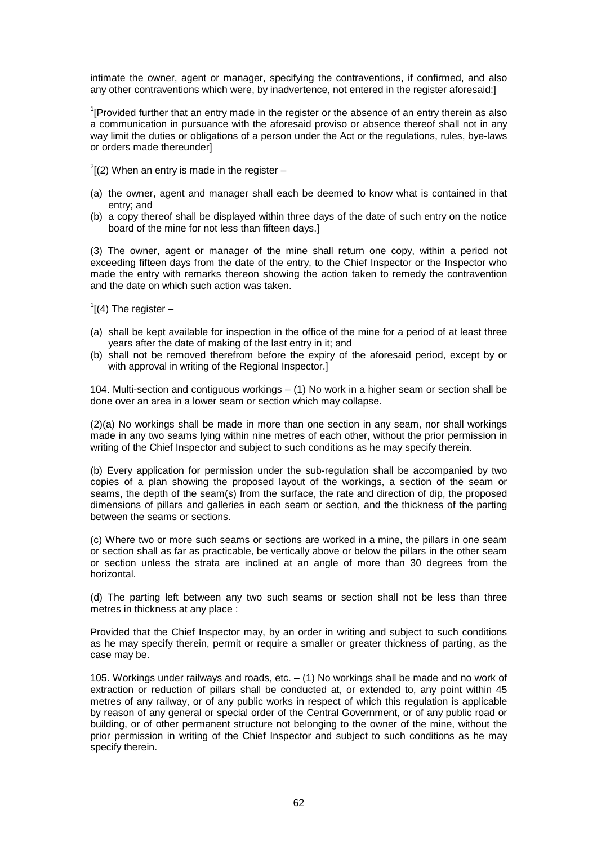intimate the owner, agent or manager, specifying the contraventions, if confirmed, and also any other contraventions which were, by inadvertence, not entered in the register aforesaid:]

 $1$ <sup>1</sup>[Provided further that an entry made in the register or the absence of an entry therein as also a communication in pursuance with the aforesaid proviso or absence thereof shall not in any way limit the duties or obligations of a person under the Act or the regulations, rules, bye-laws or orders made thereunder]

- $^{2}$ [(2) When an entry is made in the register –
- (a) the owner, agent and manager shall each be deemed to know what is contained in that entry; and
- (b) a copy thereof shall be displayed within three days of the date of such entry on the notice board of the mine for not less than fifteen days.]

(3) The owner, agent or manager of the mine shall return one copy, within a period not exceeding fifteen days from the date of the entry, to the Chief Inspector or the Inspector who made the entry with remarks thereon showing the action taken to remedy the contravention and the date on which such action was taken.

 $\int$ <sup>1</sup>[(4) The register –

- (a) shall be kept available for inspection in the office of the mine for a period of at least three years after the date of making of the last entry in it; and
- (b) shall not be removed therefrom before the expiry of the aforesaid period, except by or with approval in writing of the Regional Inspector.]

104. Multi-section and contiguous workings – (1) No work in a higher seam or section shall be done over an area in a lower seam or section which may collapse.

(2)(a) No workings shall be made in more than one section in any seam, nor shall workings made in any two seams lying within nine metres of each other, without the prior permission in writing of the Chief Inspector and subject to such conditions as he may specify therein.

(b) Every application for permission under the sub-regulation shall be accompanied by two copies of a plan showing the proposed layout of the workings, a section of the seam or seams, the depth of the seam(s) from the surface, the rate and direction of dip, the proposed dimensions of pillars and galleries in each seam or section, and the thickness of the parting between the seams or sections.

(c) Where two or more such seams or sections are worked in a mine, the pillars in one seam or section shall as far as practicable, be vertically above or below the pillars in the other seam or section unless the strata are inclined at an angle of more than 30 degrees from the horizontal.

(d) The parting left between any two such seams or section shall not be less than three metres in thickness at any place :

Provided that the Chief Inspector may, by an order in writing and subject to such conditions as he may specify therein, permit or require a smaller or greater thickness of parting, as the case may be.

105. Workings under railways and roads, etc. – (1) No workings shall be made and no work of extraction or reduction of pillars shall be conducted at, or extended to, any point within 45 metres of any railway, or of any public works in respect of which this regulation is applicable by reason of any general or special order of the Central Government, or of any public road or building, or of other permanent structure not belonging to the owner of the mine, without the prior permission in writing of the Chief Inspector and subject to such conditions as he may specify therein.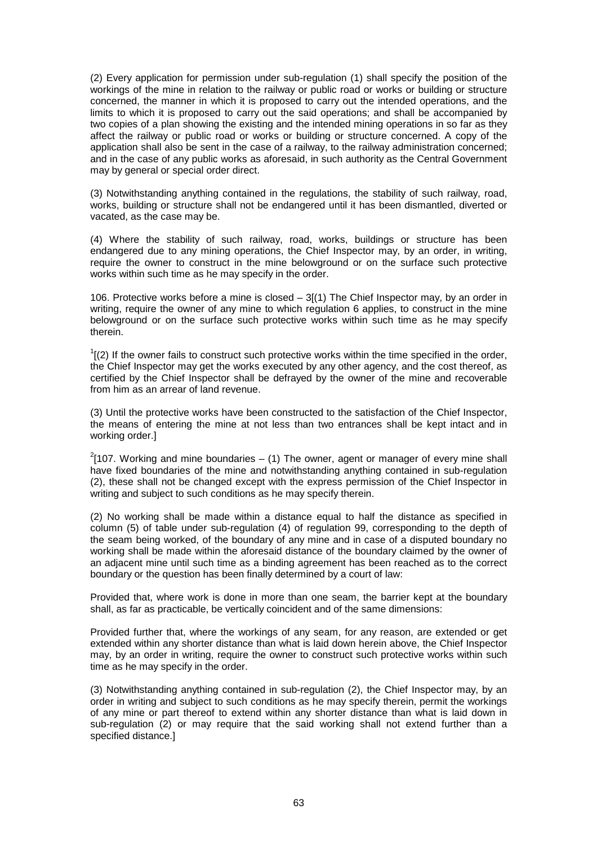(2) Every application for permission under sub-regulation (1) shall specify the position of the workings of the mine in relation to the railway or public road or works or building or structure concerned, the manner in which it is proposed to carry out the intended operations, and the limits to which it is proposed to carry out the said operations; and shall be accompanied by two copies of a plan showing the existing and the intended mining operations in so far as they affect the railway or public road or works or building or structure concerned. A copy of the application shall also be sent in the case of a railway, to the railway administration concerned; and in the case of any public works as aforesaid, in such authority as the Central Government may by general or special order direct.

(3) Notwithstanding anything contained in the regulations, the stability of such railway, road, works, building or structure shall not be endangered until it has been dismantled, diverted or vacated, as the case may be.

(4) Where the stability of such railway, road, works, buildings or structure has been endangered due to any mining operations, the Chief Inspector may, by an order, in writing, require the owner to construct in the mine belowground or on the surface such protective works within such time as he may specify in the order.

106. Protective works before a mine is closed  $-3(1)$  The Chief Inspector may, by an order in writing, require the owner of any mine to which regulation 6 applies, to construct in the mine belowground or on the surface such protective works within such time as he may specify therein.

 $1$ <sup>1</sup>[(2) If the owner fails to construct such protective works within the time specified in the order, the Chief Inspector may get the works executed by any other agency, and the cost thereof, as certified by the Chief Inspector shall be defrayed by the owner of the mine and recoverable from him as an arrear of land revenue.

(3) Until the protective works have been constructed to the satisfaction of the Chief Inspector, the means of entering the mine at not less than two entrances shall be kept intact and in working order.]

 $2$ [107. Working and mine boundaries – (1) The owner, agent or manager of every mine shall have fixed boundaries of the mine and notwithstanding anything contained in sub-regulation (2), these shall not be changed except with the express permission of the Chief Inspector in writing and subject to such conditions as he may specify therein.

(2) No working shall be made within a distance equal to half the distance as specified in column (5) of table under sub-regulation (4) of regulation 99, corresponding to the depth of the seam being worked, of the boundary of any mine and in case of a disputed boundary no working shall be made within the aforesaid distance of the boundary claimed by the owner of an adjacent mine until such time as a binding agreement has been reached as to the correct boundary or the question has been finally determined by a court of law:

Provided that, where work is done in more than one seam, the barrier kept at the boundary shall, as far as practicable, be vertically coincident and of the same dimensions:

Provided further that, where the workings of any seam, for any reason, are extended or get extended within any shorter distance than what is laid down herein above, the Chief Inspector may, by an order in writing, require the owner to construct such protective works within such time as he may specify in the order.

(3) Notwithstanding anything contained in sub-regulation (2), the Chief Inspector may, by an order in writing and subject to such conditions as he may specify therein, permit the workings of any mine or part thereof to extend within any shorter distance than what is laid down in sub-regulation (2) or may require that the said working shall not extend further than a specified distance.]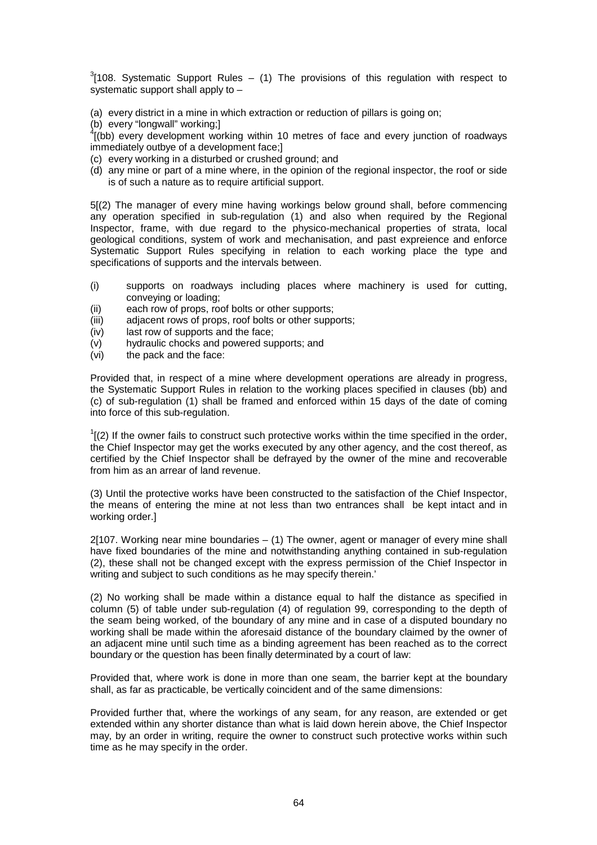$3$ [108. Systematic Support Rules – (1) The provisions of this regulation with respect to systematic support shall apply to –

(a) every district in a mine in which extraction or reduction of pillars is going on;

(b) every "longwall" working;]

 $^{4}$ [(bb) every development working within 10 metres of face and every junction of roadways immediately outbye of a development face;]

- (c) every working in a disturbed or crushed ground; and
- (d) any mine or part of a mine where, in the opinion of the regional inspector, the roof or side is of such a nature as to require artificial support.

5[(2) The manager of every mine having workings below ground shall, before commencing any operation specified in sub-regulation (1) and also when required by the Regional Inspector, frame, with due regard to the physico-mechanical properties of strata, local geological conditions, system of work and mechanisation, and past expreience and enforce Systematic Support Rules specifying in relation to each working place the type and specifications of supports and the intervals between.

- (i) supports on roadways including places where machinery is used for cutting, conveying or loading;
- (ii) each row of props, roof bolts or other supports;
- (iii) adjacent rows of props, roof bolts or other supports;
- (iv) last row of supports and the face;
- (v) hydraulic chocks and powered supports; and
- (vi) the pack and the face:

Provided that, in respect of a mine where development operations are already in progress, the Systematic Support Rules in relation to the working places specified in clauses (bb) and (c) of sub-regulation (1) shall be framed and enforced within 15 days of the date of coming into force of this sub-regulation.

 $1$ <sup>1</sup>[(2) If the owner fails to construct such protective works within the time specified in the order, the Chief Inspector may get the works executed by any other agency, and the cost thereof, as certified by the Chief Inspector shall be defrayed by the owner of the mine and recoverable from him as an arrear of land revenue.

(3) Until the protective works have been constructed to the satisfaction of the Chief Inspector, the means of entering the mine at not less than two entrances shall be kept intact and in working order.]

2[107. Working near mine boundaries – (1) The owner, agent or manager of every mine shall have fixed boundaries of the mine and notwithstanding anything contained in sub-regulation (2), these shall not be changed except with the express permission of the Chief Inspector in writing and subject to such conditions as he may specify therein.'

(2) No working shall be made within a distance equal to half the distance as specified in column (5) of table under sub-regulation (4) of regulation 99, corresponding to the depth of the seam being worked, of the boundary of any mine and in case of a disputed boundary no working shall be made within the aforesaid distance of the boundary claimed by the owner of an adjacent mine until such time as a binding agreement has been reached as to the correct boundary or the question has been finally determinated by a court of law:

Provided that, where work is done in more than one seam, the barrier kept at the boundary shall, as far as practicable, be vertically coincident and of the same dimensions:

Provided further that, where the workings of any seam, for any reason, are extended or get extended within any shorter distance than what is laid down herein above, the Chief Inspector may, by an order in writing, require the owner to construct such protective works within such time as he may specify in the order.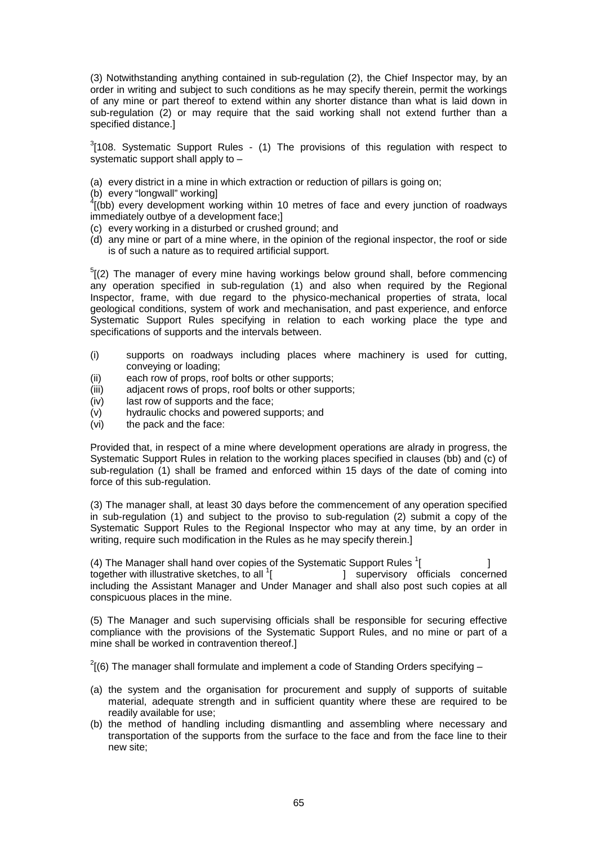(3) Notwithstanding anything contained in sub-regulation (2), the Chief Inspector may, by an order in writing and subject to such conditions as he may specify therein, permit the workings of any mine or part thereof to extend within any shorter distance than what is laid down in sub-regulation (2) or may require that the said working shall not extend further than a specified distance.]

 $3$ [108. Systematic Support Rules - (1) The provisions of this regulation with respect to systematic support shall apply to –

(a) every district in a mine in which extraction or reduction of pillars is going on;

(b) every "longwall" working]

 $^{4}$ [(bb) every development working within 10 metres of face and every junction of roadways immediately outbye of a development face;]

- (c) every working in a disturbed or crushed ground; and
- (d) any mine or part of a mine where, in the opinion of the regional inspector, the roof or side is of such a nature as to required artificial support.

 $5$ [(2) The manager of every mine having workings below ground shall, before commencing any operation specified in sub-regulation (1) and also when required by the Regional Inspector, frame, with due regard to the physico-mechanical properties of strata, local geological conditions, system of work and mechanisation, and past experience, and enforce Systematic Support Rules specifying in relation to each working place the type and specifications of supports and the intervals between.

- (i) supports on roadways including places where machinery is used for cutting, conveying or loading;
- (ii) each row of props, roof bolts or other supports;
- (iii) adjacent rows of props, roof bolts or other supports;
- (iv) last row of supports and the face;
- (v) hydraulic chocks and powered supports; and
- (vi) the pack and the face:

Provided that, in respect of a mine where development operations are alrady in progress, the Systematic Support Rules in relation to the working places specified in clauses (bb) and (c) of sub-regulation (1) shall be framed and enforced within 15 days of the date of coming into force of this sub-regulation.

(3) The manager shall, at least 30 days before the commencement of any operation specified in sub-regulation (1) and subject to the proviso to sub-regulation (2) submit a copy of the Systematic Support Rules to the Regional Inspector who may at any time, by an order in writing, require such modification in the Rules as he may specify therein.]

(4) The Manager shall hand over copies of the Systematic Support Rules  $\frac{1}{1}$  $[$   $]$ together with illustrative sketches, to all  $\frac{1}{2}$ [ ] supervisory officials concerned including the Assistant Manager and Under Manager and shall also post such copies at all conspicuous places in the mine.

(5) The Manager and such supervising officials shall be responsible for securing effective compliance with the provisions of the Systematic Support Rules, and no mine or part of a mine shall be worked in contravention thereof.]

 $2(6)$  The manager shall formulate and implement a code of Standing Orders specifying  $-$ 

- (a) the system and the organisation for procurement and supply of supports of suitable material, adequate strength and in sufficient quantity where these are required to be readily available for use;
- (b) the method of handling including dismantling and assembling where necessary and transportation of the supports from the surface to the face and from the face line to their new site;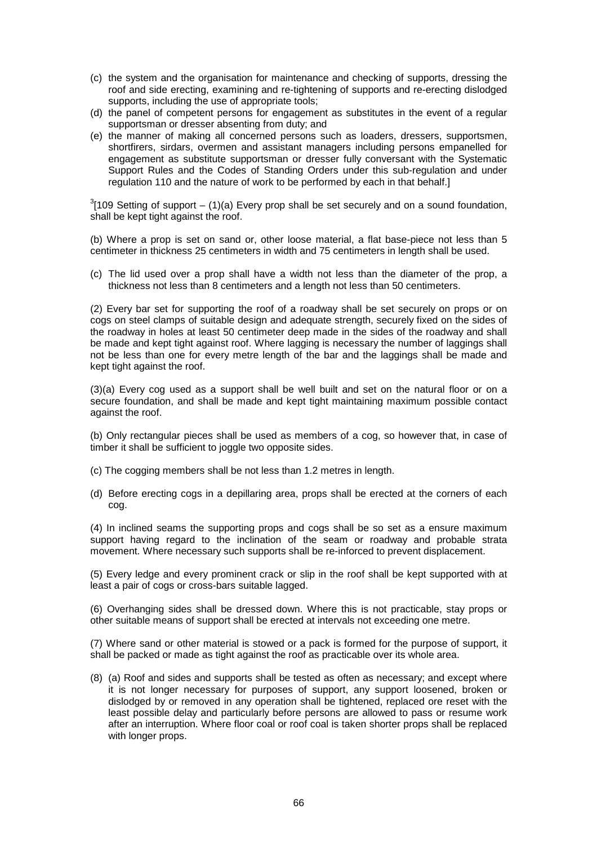- (c) the system and the organisation for maintenance and checking of supports, dressing the roof and side erecting, examining and re-tightening of supports and re-erecting dislodged supports, including the use of appropriate tools;
- (d) the panel of competent persons for engagement as substitutes in the event of a regular supportsman or dresser absenting from duty; and
- (e) the manner of making all concerned persons such as loaders, dressers, supportsmen, shortfirers, sirdars, overmen and assistant managers including persons empanelled for engagement as substitute supportsman or dresser fully conversant with the Systematic Support Rules and the Codes of Standing Orders under this sub-regulation and under regulation 110 and the nature of work to be performed by each in that behalf.

 $3$ [109 Setting of support – (1)(a) Every prop shall be set securely and on a sound foundation, shall be kept tight against the roof.

(b) Where a prop is set on sand or, other loose material, a flat base-piece not less than 5 centimeter in thickness 25 centimeters in width and 75 centimeters in length shall be used.

(c) The lid used over a prop shall have a width not less than the diameter of the prop, a thickness not less than 8 centimeters and a length not less than 50 centimeters.

(2) Every bar set for supporting the roof of a roadway shall be set securely on props or on cogs on steel clamps of suitable design and adequate strength, securely fixed on the sides of the roadway in holes at least 50 centimeter deep made in the sides of the roadway and shall be made and kept tight against roof. Where lagging is necessary the number of laggings shall not be less than one for every metre length of the bar and the laggings shall be made and kept tight against the roof.

(3)(a) Every cog used as a support shall be well built and set on the natural floor or on a secure foundation, and shall be made and kept tight maintaining maximum possible contact against the roof.

(b) Only rectangular pieces shall be used as members of a cog, so however that, in case of timber it shall be sufficient to joggle two opposite sides.

- (c) The cogging members shall be not less than 1.2 metres in length.
- (d) Before erecting cogs in a depillaring area, props shall be erected at the corners of each cog.

(4) In inclined seams the supporting props and cogs shall be so set as a ensure maximum support having regard to the inclination of the seam or roadway and probable strata movement. Where necessary such supports shall be re-inforced to prevent displacement.

(5) Every ledge and every prominent crack or slip in the roof shall be kept supported with at least a pair of cogs or cross-bars suitable lagged.

(6) Overhanging sides shall be dressed down. Where this is not practicable, stay props or other suitable means of support shall be erected at intervals not exceeding one metre.

(7) Where sand or other material is stowed or a pack is formed for the purpose of support, it shall be packed or made as tight against the roof as practicable over its whole area.

(8) (a) Roof and sides and supports shall be tested as often as necessary; and except where it is not longer necessary for purposes of support, any support loosened, broken or dislodged by or removed in any operation shall be tightened, replaced ore reset with the least possible delay and particularly before persons are allowed to pass or resume work after an interruption. Where floor coal or roof coal is taken shorter props shall be replaced with longer props.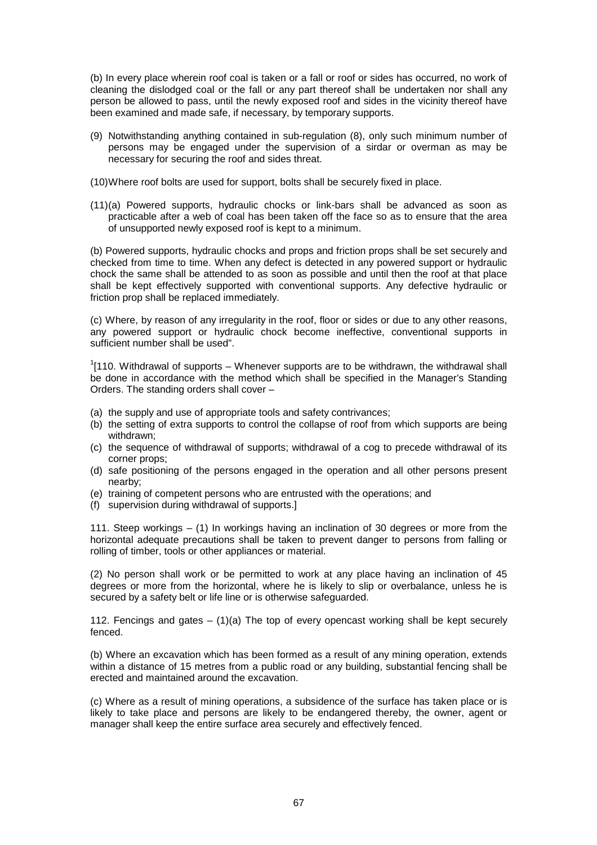(b) In every place wherein roof coal is taken or a fall or roof or sides has occurred, no work of cleaning the dislodged coal or the fall or any part thereof shall be undertaken nor shall any person be allowed to pass, until the newly exposed roof and sides in the vicinity thereof have been examined and made safe, if necessary, by temporary supports.

- (9) Notwithstanding anything contained in sub-regulation (8), only such minimum number of persons may be engaged under the supervision of a sirdar or overman as may be necessary for securing the roof and sides threat.
- (10) Where roof bolts are used for support, bolts shall be securely fixed in place.
- (11) (a) Powered supports, hydraulic chocks or link-bars shall be advanced as soon as practicable after a web of coal has been taken off the face so as to ensure that the area of unsupported newly exposed roof is kept to a minimum.

(b) Powered supports, hydraulic chocks and props and friction props shall be set securely and checked from time to time. When any defect is detected in any powered support or hydraulic chock the same shall be attended to as soon as possible and until then the roof at that place shall be kept effectively supported with conventional supports. Any defective hydraulic or friction prop shall be replaced immediately.

(c) Where, by reason of any irregularity in the roof, floor or sides or due to any other reasons, any powered support or hydraulic chock become ineffective, conventional supports in sufficient number shall be used".

 $1$ [110. Withdrawal of supports – Whenever supports are to be withdrawn, the withdrawal shall be done in accordance with the method which shall be specified in the Manager's Standing Orders. The standing orders shall cover –

- (a) the supply and use of appropriate tools and safety contrivances;
- (b) the setting of extra supports to control the collapse of roof from which supports are being withdrawn;
- (c) the sequence of withdrawal of supports; withdrawal of a cog to precede withdrawal of its corner props;
- (d) safe positioning of the persons engaged in the operation and all other persons present nearby;
- (e) training of competent persons who are entrusted with the operations; and
- (f) supervision during withdrawal of supports.]

111. Steep workings – (1) In workings having an inclination of 30 degrees or more from the horizontal adequate precautions shall be taken to prevent danger to persons from falling or rolling of timber, tools or other appliances or material.

(2) No person shall work or be permitted to work at any place having an inclination of 45 degrees or more from the horizontal, where he is likely to slip or overbalance, unless he is secured by a safety belt or life line or is otherwise safeguarded.

112. Fencings and gates  $-$  (1)(a) The top of every opencast working shall be kept securely fenced.

(b) Where an excavation which has been formed as a result of any mining operation, extends within a distance of 15 metres from a public road or any building, substantial fencing shall be erected and maintained around the excavation.

(c) Where as a result of mining operations, a subsidence of the surface has taken place or is likely to take place and persons are likely to be endangered thereby, the owner, agent or manager shall keep the entire surface area securely and effectively fenced.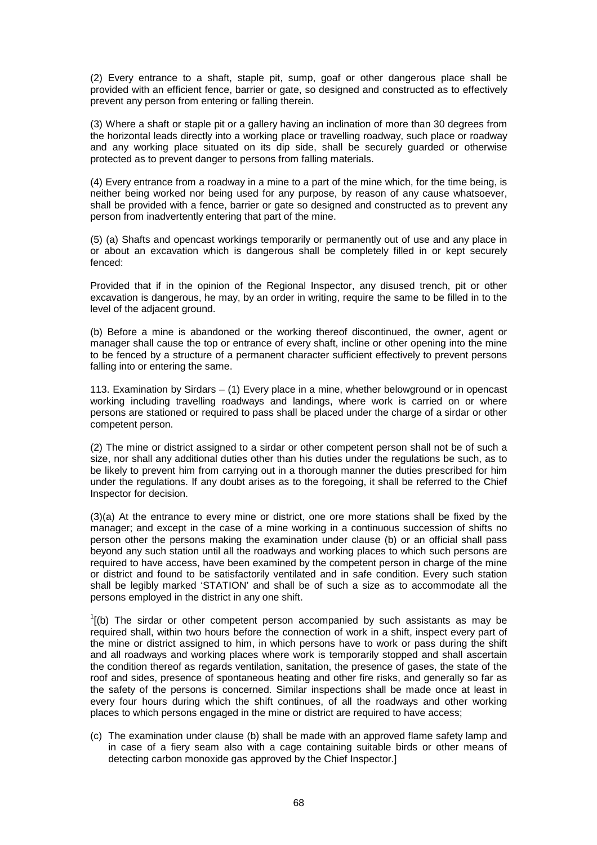(2) Every entrance to a shaft, staple pit, sump, goaf or other dangerous place shall be provided with an efficient fence, barrier or gate, so designed and constructed as to effectively prevent any person from entering or falling therein.

(3) Where a shaft or staple pit or a gallery having an inclination of more than 30 degrees from the horizontal leads directly into a working place or travelling roadway, such place or roadway and any working place situated on its dip side, shall be securely guarded or otherwise protected as to prevent danger to persons from falling materials.

(4) Every entrance from a roadway in a mine to a part of the mine which, for the time being, is neither being worked nor being used for any purpose, by reason of any cause whatsoever, shall be provided with a fence, barrier or gate so designed and constructed as to prevent any person from inadvertently entering that part of the mine.

(5) (a) Shafts and opencast workings temporarily or permanently out of use and any place in or about an excavation which is dangerous shall be completely filled in or kept securely fenced:

Provided that if in the opinion of the Regional Inspector, any disused trench, pit or other excavation is dangerous, he may, by an order in writing, require the same to be filled in to the level of the adjacent ground.

(b) Before a mine is abandoned or the working thereof discontinued, the owner, agent or manager shall cause the top or entrance of every shaft, incline or other opening into the mine to be fenced by a structure of a permanent character sufficient effectively to prevent persons falling into or entering the same.

113. Examination by Sirdars – (1) Every place in a mine, whether belowground or in opencast working including travelling roadways and landings, where work is carried on or where persons are stationed or required to pass shall be placed under the charge of a sirdar or other competent person.

(2) The mine or district assigned to a sirdar or other competent person shall not be of such a size, nor shall any additional duties other than his duties under the regulations be such, as to be likely to prevent him from carrying out in a thorough manner the duties prescribed for him under the regulations. If any doubt arises as to the foregoing, it shall be referred to the Chief Inspector for decision.

(3)(a) At the entrance to every mine or district, one ore more stations shall be fixed by the manager; and except in the case of a mine working in a continuous succession of shifts no person other the persons making the examination under clause (b) or an official shall pass beyond any such station until all the roadways and working places to which such persons are required to have access, have been examined by the competent person in charge of the mine or district and found to be satisfactorily ventilated and in safe condition. Every such station shall be legibly marked 'STATION' and shall be of such a size as to accommodate all the persons employed in the district in any one shift.

 $I$ [(b) The sirdar or other competent person accompanied by such assistants as may be required shall, within two hours before the connection of work in a shift, inspect every part of the mine or district assigned to him, in which persons have to work or pass during the shift and all roadways and working places where work is temporarily stopped and shall ascertain the condition thereof as regards ventilation, sanitation, the presence of gases, the state of the roof and sides, presence of spontaneous heating and other fire risks, and generally so far as the safety of the persons is concerned. Similar inspections shall be made once at least in every four hours during which the shift continues, of all the roadways and other working places to which persons engaged in the mine or district are required to have access;

(c) The examination under clause (b) shall be made with an approved flame safety lamp and in case of a fiery seam also with a cage containing suitable birds or other means of detecting carbon monoxide gas approved by the Chief Inspector.]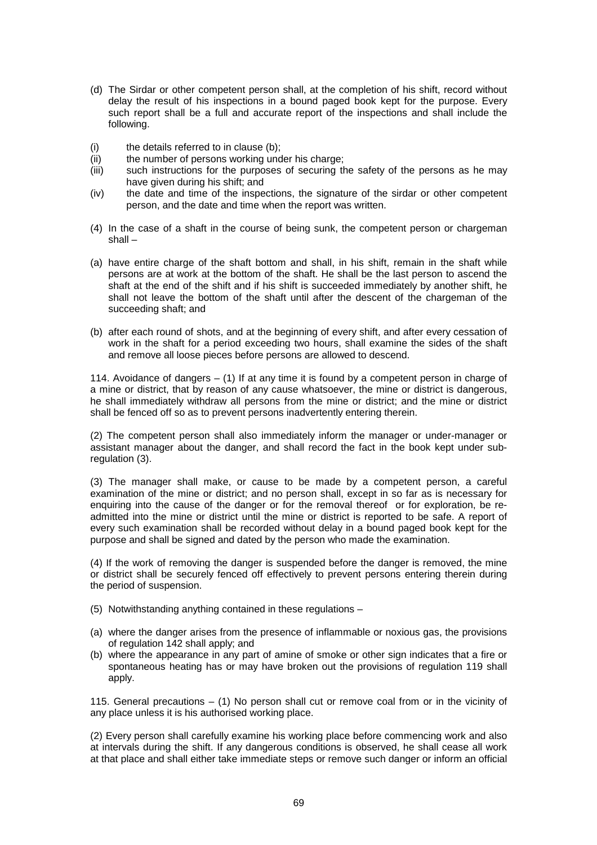- (d) The Sirdar or other competent person shall, at the completion of his shift, record without delay the result of his inspections in a bound paged book kept for the purpose. Every such report shall be a full and accurate report of the inspections and shall include the following.
- (i) the details referred to in clause (b);
- (ii) the number of persons working under his charge;
- (iii) such instructions for the purposes of securing the safety of the persons as he may have given during his shift; and
- (iv) the date and time of the inspections, the signature of the sirdar or other competent person, and the date and time when the report was written.
- (4) In the case of a shaft in the course of being sunk, the competent person or chargeman shall –
- (a) have entire charge of the shaft bottom and shall, in his shift, remain in the shaft while persons are at work at the bottom of the shaft. He shall be the last person to ascend the shaft at the end of the shift and if his shift is succeeded immediately by another shift, he shall not leave the bottom of the shaft until after the descent of the chargeman of the succeeding shaft; and
- (b) after each round of shots, and at the beginning of every shift, and after every cessation of work in the shaft for a period exceeding two hours, shall examine the sides of the shaft and remove all loose pieces before persons are allowed to descend.

114. Avoidance of dangers  $-$  (1) If at any time it is found by a competent person in charge of a mine or district, that by reason of any cause whatsoever, the mine or district is dangerous, he shall immediately withdraw all persons from the mine or district; and the mine or district shall be fenced off so as to prevent persons inadvertently entering therein.

(2) The competent person shall also immediately inform the manager or under-manager or assistant manager about the danger, and shall record the fact in the book kept under subregulation (3).

(3) The manager shall make, or cause to be made by a competent person, a careful examination of the mine or district; and no person shall, except in so far as is necessary for enquiring into the cause of the danger or for the removal thereof or for exploration, be readmitted into the mine or district until the mine or district is reported to be safe. A report of every such examination shall be recorded without delay in a bound paged book kept for the purpose and shall be signed and dated by the person who made the examination.

(4) If the work of removing the danger is suspended before the danger is removed, the mine or district shall be securely fenced off effectively to prevent persons entering therein during the period of suspension.

- (5) Notwithstanding anything contained in these regulations –
- (a) where the danger arises from the presence of inflammable or noxious gas, the provisions of regulation 142 shall apply; and
- (b) where the appearance in any part of amine of smoke or other sign indicates that a fire or spontaneous heating has or may have broken out the provisions of regulation 119 shall apply.

115. General precautions – (1) No person shall cut or remove coal from or in the vicinity of any place unless it is his authorised working place.

(2) Every person shall carefully examine his working place before commencing work and also at intervals during the shift. If any dangerous conditions is observed, he shall cease all work at that place and shall either take immediate steps or remove such danger or inform an official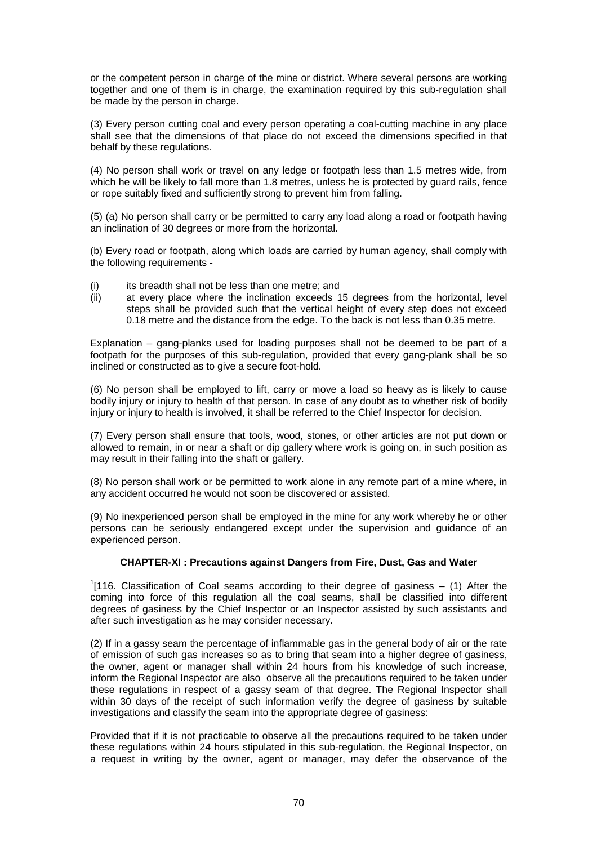or the competent person in charge of the mine or district. Where several persons are working together and one of them is in charge, the examination required by this sub-regulation shall be made by the person in charge.

(3) Every person cutting coal and every person operating a coal-cutting machine in any place shall see that the dimensions of that place do not exceed the dimensions specified in that behalf by these regulations.

(4) No person shall work or travel on any ledge or footpath less than 1.5 metres wide, from which he will be likely to fall more than 1.8 metres, unless he is protected by quard rails, fence or rope suitably fixed and sufficiently strong to prevent him from falling.

(5) (a) No person shall carry or be permitted to carry any load along a road or footpath having an inclination of 30 degrees or more from the horizontal.

(b) Every road or footpath, along which loads are carried by human agency, shall comply with the following requirements -

- (i) its breadth shall not be less than one metre; and
- (ii) at every place where the inclination exceeds 15 degrees from the horizontal, level steps shall be provided such that the vertical height of every step does not exceed 0.18 metre and the distance from the edge. To the back is not less than 0.35 metre.

Explanation – gang-planks used for loading purposes shall not be deemed to be part of a footpath for the purposes of this sub-regulation, provided that every gang-plank shall be so inclined or constructed as to give a secure foot-hold.

(6) No person shall be employed to lift, carry or move a load so heavy as is likely to cause bodily injury or injury to health of that person. In case of any doubt as to whether risk of bodily injury or injury to health is involved, it shall be referred to the Chief Inspector for decision.

(7) Every person shall ensure that tools, wood, stones, or other articles are not put down or allowed to remain, in or near a shaft or dip gallery where work is going on, in such position as may result in their falling into the shaft or gallery.

(8) No person shall work or be permitted to work alone in any remote part of a mine where, in any accident occurred he would not soon be discovered or assisted.

(9) No inexperienced person shall be employed in the mine for any work whereby he or other persons can be seriously endangered except under the supervision and guidance of an experienced person.

## **CHAPTER-XI : Precautions against Dangers from Fire, Dust, Gas and Water**

 $1$ [116. Classification of Coal seams according to their degree of gasiness  $-$  (1) After the coming into force of this regulation all the coal seams, shall be classified into different degrees of gasiness by the Chief Inspector or an Inspector assisted by such assistants and after such investigation as he may consider necessary.

(2) If in a gassy seam the percentage of inflammable gas in the general body of air or the rate of emission of such gas increases so as to bring that seam into a higher degree of gasiness, the owner, agent or manager shall within 24 hours from his knowledge of such increase, inform the Regional Inspector are also observe all the precautions required to be taken under these regulations in respect of a gassy seam of that degree. The Regional Inspector shall within 30 days of the receipt of such information verify the degree of gasiness by suitable investigations and classify the seam into the appropriate degree of gasiness:

Provided that if it is not practicable to observe all the precautions required to be taken under these regulations within 24 hours stipulated in this sub-regulation, the Regional Inspector, on a request in writing by the owner, agent or manager, may defer the observance of the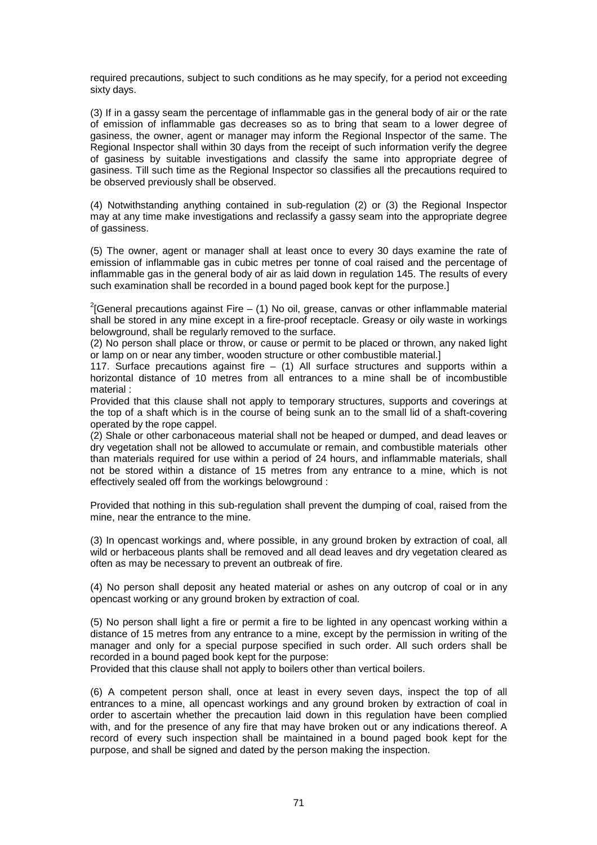required precautions, subject to such conditions as he may specify, for a period not exceeding sixty days.

(3) If in a gassy seam the percentage of inflammable gas in the general body of air or the rate of emission of inflammable gas decreases so as to bring that seam to a lower degree of gasiness, the owner, agent or manager may inform the Regional Inspector of the same. The Regional Inspector shall within 30 days from the receipt of such information verify the degree of gasiness by suitable investigations and classify the same into appropriate degree of gasiness. Till such time as the Regional Inspector so classifies all the precautions required to be observed previously shall be observed.

(4) Notwithstanding anything contained in sub-regulation (2) or (3) the Regional Inspector may at any time make investigations and reclassify a gassy seam into the appropriate degree of gassiness.

(5) The owner, agent or manager shall at least once to every 30 days examine the rate of emission of inflammable gas in cubic metres per tonne of coal raised and the percentage of inflammable gas in the general body of air as laid down in regulation 145. The results of every such examination shall be recorded in a bound paged book kept for the purpose.]

 $2$ [General precautions against Fire – (1) No oil, grease, canvas or other inflammable material shall be stored in any mine except in a fire-proof receptacle. Greasy or oily waste in workings belowground, shall be regularly removed to the surface.

(2) No person shall place or throw, or cause or permit to be placed or thrown, any naked light or lamp on or near any timber, wooden structure or other combustible material.]

117. Surface precautions against fire  $-$  (1) All surface structures and supports within a horizontal distance of 10 metres from all entrances to a mine shall be of incombustible material :

Provided that this clause shall not apply to temporary structures, supports and coverings at the top of a shaft which is in the course of being sunk an to the small lid of a shaft-covering operated by the rope cappel.

(2) Shale or other carbonaceous material shall not be heaped or dumped, and dead leaves or dry vegetation shall not be allowed to accumulate or remain, and combustible materials other than materials required for use within a period of 24 hours, and inflammable materials, shall not be stored within a distance of 15 metres from any entrance to a mine, which is not effectively sealed off from the workings belowground :

Provided that nothing in this sub-regulation shall prevent the dumping of coal, raised from the mine, near the entrance to the mine.

(3) In opencast workings and, where possible, in any ground broken by extraction of coal, all wild or herbaceous plants shall be removed and all dead leaves and dry vegetation cleared as often as may be necessary to prevent an outbreak of fire.

(4) No person shall deposit any heated material or ashes on any outcrop of coal or in any opencast working or any ground broken by extraction of coal.

(5) No person shall light a fire or permit a fire to be lighted in any opencast working within a distance of 15 metres from any entrance to a mine, except by the permission in writing of the manager and only for a special purpose specified in such order. All such orders shall be recorded in a bound paged book kept for the purpose:

Provided that this clause shall not apply to boilers other than vertical boilers.

(6) A competent person shall, once at least in every seven days, inspect the top of all entrances to a mine, all opencast workings and any ground broken by extraction of coal in order to ascertain whether the precaution laid down in this regulation have been complied with, and for the presence of any fire that may have broken out or any indications thereof. A record of every such inspection shall be maintained in a bound paged book kept for the purpose, and shall be signed and dated by the person making the inspection.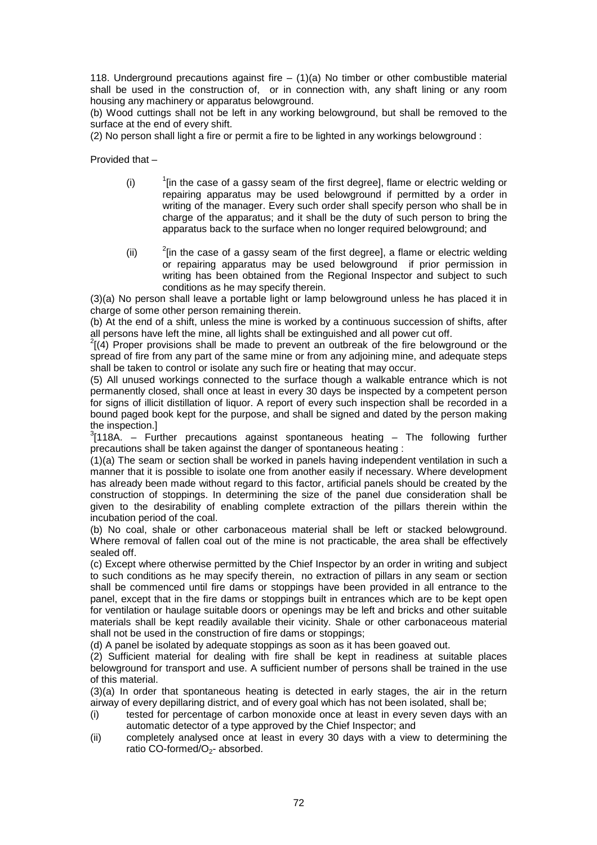118. Underground precautions against fire  $- (1)(a)$  No timber or other combustible material shall be used in the construction of, or in connection with, any shaft lining or any room housing any machinery or apparatus belowground.

(b) Wood cuttings shall not be left in any working belowground, but shall be removed to the surface at the end of every shift.

(2) No person shall light a fire or permit a fire to be lighted in any workings belowground :

Provided that –

- $(i)$  $<sup>1</sup>$  lin the case of a gassy seam of the first degreel, flame or electric welding or</sup> repairing apparatus may be used belowground if permitted by a order in writing of the manager. Every such order shall specify person who shall be in charge of the apparatus; and it shall be the duty of such person to bring the apparatus back to the surface when no longer required belowground; and
- $(i)$  $2$ [in the case of a gassy seam of the first degree], a flame or electric welding or repairing apparatus may be used belowground if prior permission in writing has been obtained from the Regional Inspector and subject to such conditions as he may specify therein.

(3)(a) No person shall leave a portable light or lamp belowground unless he has placed it in charge of some other person remaining therein.

(b) At the end of a shift, unless the mine is worked by a continuous succession of shifts, after all persons have left the mine, all lights shall be extinguished and all power cut off.

 $^{2}$ [(4) Proper provisions shall be made to prevent an outbreak of the fire belowground or the spread of fire from any part of the same mine or from any adjoining mine, and adequate steps shall be taken to control or isolate any such fire or heating that may occur.

(5) All unused workings connected to the surface though a walkable entrance which is not permanently closed, shall once at least in every 30 days be inspected by a competent person for signs of illicit distillation of liquor. A report of every such inspection shall be recorded in a bound paged book kept for the purpose, and shall be signed and dated by the person making the inspection.]

 $3$ [118A. – Further precautions against spontaneous heating – The following further precautions shall be taken against the danger of spontaneous heating :

(1)(a) The seam or section shall be worked in panels having independent ventilation in such a manner that it is possible to isolate one from another easily if necessary. Where development has already been made without regard to this factor, artificial panels should be created by the construction of stoppings. In determining the size of the panel due consideration shall be given to the desirability of enabling complete extraction of the pillars therein within the incubation period of the coal.

(b) No coal, shale or other carbonaceous material shall be left or stacked belowground. Where removal of fallen coal out of the mine is not practicable, the area shall be effectively sealed off.

(c) Except where otherwise permitted by the Chief Inspector by an order in writing and subject to such conditions as he may specify therein, no extraction of pillars in any seam or section shall be commenced until fire dams or stoppings have been provided in all entrance to the panel, except that in the fire dams or stoppings built in entrances which are to be kept open for ventilation or haulage suitable doors or openings may be left and bricks and other suitable materials shall be kept readily available their vicinity. Shale or other carbonaceous material shall not be used in the construction of fire dams or stoppings;

(d) A panel be isolated by adequate stoppings as soon as it has been goaved out.

(2) Sufficient material for dealing with fire shall be kept in readiness at suitable places belowground for transport and use. A sufficient number of persons shall be trained in the use of this material.

(3)(a) In order that spontaneous heating is detected in early stages, the air in the return airway of every depillaring district, and of every goal which has not been isolated, shall be;

- (i) tested for percentage of carbon monoxide once at least in every seven days with an automatic detector of a type approved by the Chief Inspector; and
- (ii) completely analysed once at least in every 30 days with a view to determining the ratio CO-formed/O<sub>2</sub>- absorbed.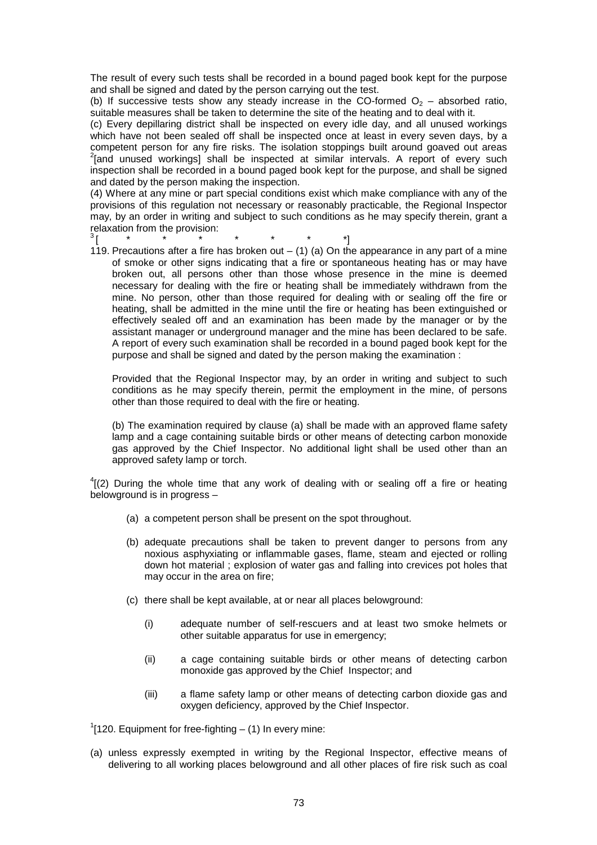The result of every such tests shall be recorded in a bound paged book kept for the purpose and shall be signed and dated by the person carrying out the test.

(b) If successive tests show any steady increase in the CO-formed  $O<sub>2</sub>$  – absorbed ratio, suitable measures shall be taken to determine the site of the heating and to deal with it.

(c) Every depillaring district shall be inspected on every idle day, and all unused workings which have not been sealed off shall be inspected once at least in every seven days, by a competent person for any fire risks. The isolation stoppings built around goaved out areas  $2$ [and unused workings] shall be inspected at similar intervals. A report of every such inspection shall be recorded in a bound paged book kept for the purpose, and shall be signed and dated by the person making the inspection.

(4) Where at any mine or part special conditions exist which make compliance with any of the provisions of this regulation not necessary or reasonably practicable, the Regional Inspector may, by an order in writing and subject to such conditions as he may specify therein, grant a relaxation from the provision:<br> $\frac{3}{1}$ 

- $^{3}$ [ \* \* \* \* \* \* \* \*]<sup>3</sup>
- 119. Precautions after a fire has broken out  $-$  (1) (a) On the appearance in any part of a mine of smoke or other signs indicating that a fire or spontaneous heating has or may have broken out, all persons other than those whose presence in the mine is deemed necessary for dealing with the fire or heating shall be immediately withdrawn from the mine. No person, other than those required for dealing with or sealing off the fire or heating, shall be admitted in the mine until the fire or heating has been extinguished or effectively sealed off and an examination has been made by the manager or by the assistant manager or underground manager and the mine has been declared to be safe. A report of every such examination shall be recorded in a bound paged book kept for the purpose and shall be signed and dated by the person making the examination :

Provided that the Regional Inspector may, by an order in writing and subject to such conditions as he may specify therein, permit the employment in the mine, of persons other than those required to deal with the fire or heating.

(b) The examination required by clause (a) shall be made with an approved flame safety lamp and a cage containing suitable birds or other means of detecting carbon monoxide gas approved by the Chief Inspector. No additional light shall be used other than an approved safety lamp or torch.

 $^{4}$ [(2) During the whole time that any work of dealing with or sealing off a fire or heating belowground is in progress –

- (a) a competent person shall be present on the spot throughout.
- (b) adequate precautions shall be taken to prevent danger to persons from any noxious asphyxiating or inflammable gases, flame, steam and ejected or rolling down hot material ; explosion of water gas and falling into crevices pot holes that may occur in the area on fire;
- (c) there shall be kept available, at or near all places belowground:
	- (i) adequate number of self-rescuers and at least two smoke helmets or other suitable apparatus for use in emergency;
	- (ii) a cage containing suitable birds or other means of detecting carbon monoxide gas approved by the Chief Inspector; and
	- (iii) a flame safety lamp or other means of detecting carbon dioxide gas and oxygen deficiency, approved by the Chief Inspector.

 $1$ [120. Equipment for free-fighting  $-$  (1) In every mine:

(a) unless expressly exempted in writing by the Regional Inspector, effective means of delivering to all working places belowground and all other places of fire risk such as coal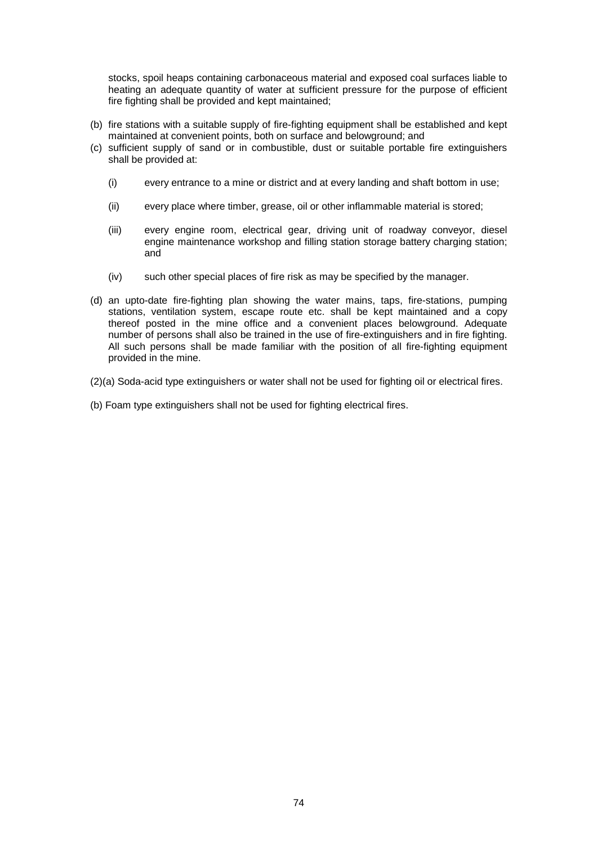stocks, spoil heaps containing carbonaceous material and exposed coal surfaces liable to heating an adequate quantity of water at sufficient pressure for the purpose of efficient fire fighting shall be provided and kept maintained;

- (b) fire stations with a suitable supply of fire-fighting equipment shall be established and kept maintained at convenient points, both on surface and belowground; and
- (c) sufficient supply of sand or in combustible, dust or suitable portable fire extinguishers shall be provided at:
	- (i) every entrance to a mine or district and at every landing and shaft bottom in use;
	- (ii) every place where timber, grease, oil or other inflammable material is stored;
	- (iii) every engine room, electrical gear, driving unit of roadway conveyor, diesel engine maintenance workshop and filling station storage battery charging station; and
	- (iv) such other special places of fire risk as may be specified by the manager.
- (d) an upto-date fire-fighting plan showing the water mains, taps, fire-stations, pumping stations, ventilation system, escape route etc. shall be kept maintained and a copy thereof posted in the mine office and a convenient places belowground. Adequate number of persons shall also be trained in the use of fire-extinguishers and in fire fighting. All such persons shall be made familiar with the position of all fire-fighting equipment provided in the mine.
- (2)(a) Soda-acid type extinguishers or water shall not be used for fighting oil or electrical fires.
- (b) Foam type extinguishers shall not be used for fighting electrical fires.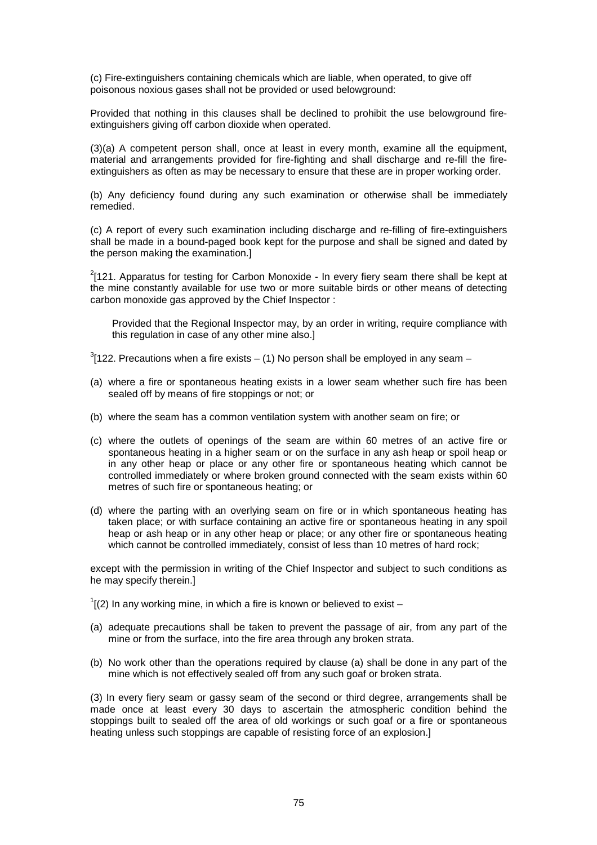(c) Fire-extinguishers containing chemicals which are liable, when operated, to give off poisonous noxious gases shall not be provided or used belowground:

Provided that nothing in this clauses shall be declined to prohibit the use belowground fireextinguishers giving off carbon dioxide when operated.

(3)(a) A competent person shall, once at least in every month, examine all the equipment, material and arrangements provided for fire-fighting and shall discharge and re-fill the fireextinguishers as often as may be necessary to ensure that these are in proper working order.

(b) Any deficiency found during any such examination or otherwise shall be immediately remedied.

(c) A report of every such examination including discharge and re-filling of fire-extinguishers shall be made in a bound-paged book kept for the purpose and shall be signed and dated by the person making the examination.]

 $2$ [121. Apparatus for testing for Carbon Monoxide - In every fiery seam there shall be kept at the mine constantly available for use two or more suitable birds or other means of detecting carbon monoxide gas approved by the Chief Inspector :

Provided that the Regional Inspector may, by an order in writing, require compliance with this regulation in case of any other mine also.]

 $3$ [122. Precautions when a fire exists – (1) No person shall be employed in any seam –

- (a) where a fire or spontaneous heating exists in a lower seam whether such fire has been sealed off by means of fire stoppings or not; or
- (b) where the seam has a common ventilation system with another seam on fire; or
- (c) where the outlets of openings of the seam are within 60 metres of an active fire or spontaneous heating in a higher seam or on the surface in any ash heap or spoil heap or in any other heap or place or any other fire or spontaneous heating which cannot be controlled immediately or where broken ground connected with the seam exists within 60 metres of such fire or spontaneous heating; or
- (d) where the parting with an overlying seam on fire or in which spontaneous heating has taken place; or with surface containing an active fire or spontaneous heating in any spoil heap or ash heap or in any other heap or place; or any other fire or spontaneous heating which cannot be controlled immediately, consist of less than 10 metres of hard rock;

except with the permission in writing of the Chief Inspector and subject to such conditions as he may specify therein.]

 $1$ [(2) In any working mine, in which a fire is known or believed to exist  $-$ 

- (a) adequate precautions shall be taken to prevent the passage of air, from any part of the mine or from the surface, into the fire area through any broken strata.
- (b) No work other than the operations required by clause (a) shall be done in any part of the mine which is not effectively sealed off from any such goaf or broken strata.

(3) In every fiery seam or gassy seam of the second or third degree, arrangements shall be made once at least every 30 days to ascertain the atmospheric condition behind the stoppings built to sealed off the area of old workings or such goaf or a fire or spontaneous heating unless such stoppings are capable of resisting force of an explosion.]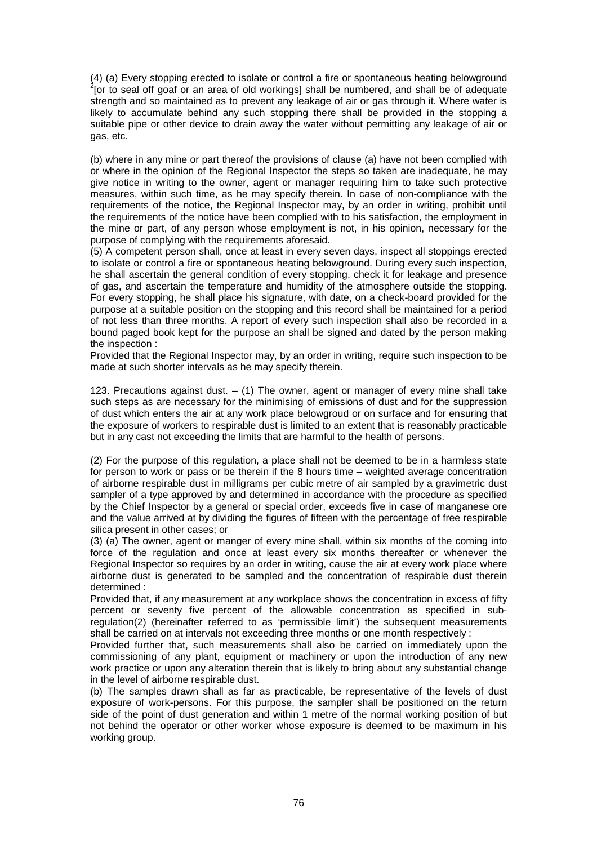(4) (a) Every stopping erected to isolate or control a fire or spontaneous heating belowground 2 [or to seal off goaf or an area of old workings] shall be numbered, and shall be of adequate strength and so maintained as to prevent any leakage of air or gas through it. Where water is likely to accumulate behind any such stopping there shall be provided in the stopping a suitable pipe or other device to drain away the water without permitting any leakage of air or gas, etc.

(b) where in any mine or part thereof the provisions of clause (a) have not been complied with or where in the opinion of the Regional Inspector the steps so taken are inadequate, he may give notice in writing to the owner, agent or manager requiring him to take such protective measures, within such time, as he may specify therein. In case of non-compliance with the requirements of the notice, the Regional Inspector may, by an order in writing, prohibit until the requirements of the notice have been complied with to his satisfaction, the employment in the mine or part, of any person whose employment is not, in his opinion, necessary for the purpose of complying with the requirements aforesaid.

(5) A competent person shall, once at least in every seven days, inspect all stoppings erected to isolate or control a fire or spontaneous heating belowground. During every such inspection, he shall ascertain the general condition of every stopping, check it for leakage and presence of gas, and ascertain the temperature and humidity of the atmosphere outside the stopping. For every stopping, he shall place his signature, with date, on a check-board provided for the purpose at a suitable position on the stopping and this record shall be maintained for a period of not less than three months. A report of every such inspection shall also be recorded in a bound paged book kept for the purpose an shall be signed and dated by the person making the inspection :

Provided that the Regional Inspector may, by an order in writing, require such inspection to be made at such shorter intervals as he may specify therein.

123. Precautions against dust. – (1) The owner, agent or manager of every mine shall take such steps as are necessary for the minimising of emissions of dust and for the suppression of dust which enters the air at any work place belowgroud or on surface and for ensuring that the exposure of workers to respirable dust is limited to an extent that is reasonably practicable but in any cast not exceeding the limits that are harmful to the health of persons.

(2) For the purpose of this regulation, a place shall not be deemed to be in a harmless state for person to work or pass or be therein if the 8 hours time – weighted average concentration of airborne respirable dust in milligrams per cubic metre of air sampled by a gravimetric dust sampler of a type approved by and determined in accordance with the procedure as specified by the Chief Inspector by a general or special order, exceeds five in case of manganese ore and the value arrived at by dividing the figures of fifteen with the percentage of free respirable silica present in other cases; or

(3) (a) The owner, agent or manger of every mine shall, within six months of the coming into force of the regulation and once at least every six months thereafter or whenever the Regional Inspector so requires by an order in writing, cause the air at every work place where airborne dust is generated to be sampled and the concentration of respirable dust therein determined :

Provided that, if any measurement at any workplace shows the concentration in excess of fifty percent or seventy five percent of the allowable concentration as specified in subregulation(2) (hereinafter referred to as 'permissible limit') the subsequent measurements shall be carried on at intervals not exceeding three months or one month respectively :

Provided further that, such measurements shall also be carried on immediately upon the commissioning of any plant, equipment or machinery or upon the introduction of any new work practice or upon any alteration therein that is likely to bring about any substantial change in the level of airborne respirable dust.

(b) The samples drawn shall as far as practicable, be representative of the levels of dust exposure of work-persons. For this purpose, the sampler shall be positioned on the return side of the point of dust generation and within 1 metre of the normal working position of but not behind the operator or other worker whose exposure is deemed to be maximum in his working group.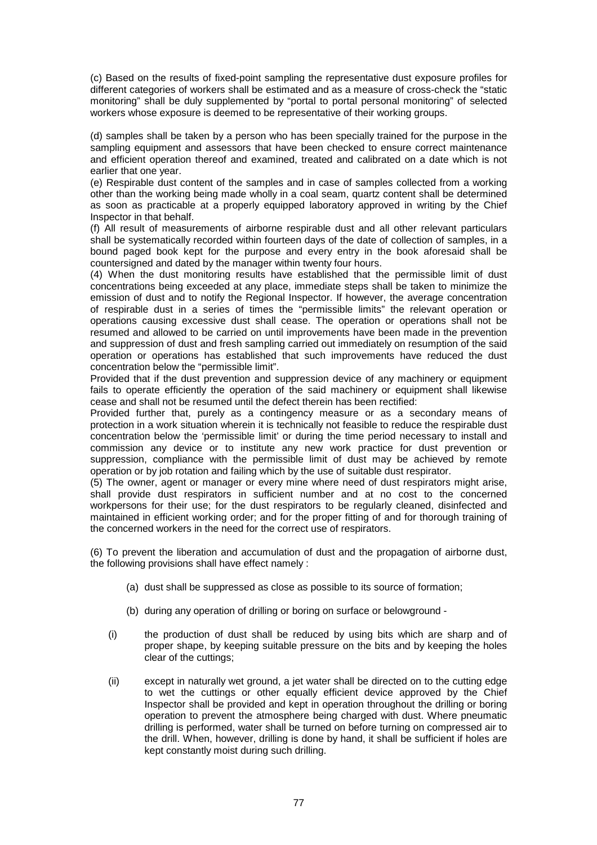(c) Based on the results of fixed-point sampling the representative dust exposure profiles for different categories of workers shall be estimated and as a measure of cross-check the "static monitoring" shall be duly supplemented by "portal to portal personal monitoring" of selected workers whose exposure is deemed to be representative of their working groups.

(d) samples shall be taken by a person who has been specially trained for the purpose in the sampling equipment and assessors that have been checked to ensure correct maintenance and efficient operation thereof and examined, treated and calibrated on a date which is not earlier that one year.

(e) Respirable dust content of the samples and in case of samples collected from a working other than the working being made wholly in a coal seam, quartz content shall be determined as soon as practicable at a properly equipped laboratory approved in writing by the Chief Inspector in that behalf.

(f) All result of measurements of airborne respirable dust and all other relevant particulars shall be systematically recorded within fourteen days of the date of collection of samples, in a bound paged book kept for the purpose and every entry in the book aforesaid shall be countersigned and dated by the manager within twenty four hours.

(4) When the dust monitoring results have established that the permissible limit of dust concentrations being exceeded at any place, immediate steps shall be taken to minimize the emission of dust and to notify the Regional Inspector. If however, the average concentration of respirable dust in a series of times the "permissible limits" the relevant operation or operations causing excessive dust shall cease. The operation or operations shall not be resumed and allowed to be carried on until improvements have been made in the prevention and suppression of dust and fresh sampling carried out immediately on resumption of the said operation or operations has established that such improvements have reduced the dust concentration below the "permissible limit".

Provided that if the dust prevention and suppression device of any machinery or equipment fails to operate efficiently the operation of the said machinery or equipment shall likewise cease and shall not be resumed until the defect therein has been rectified:

Provided further that, purely as a contingency measure or as a secondary means of protection in a work situation wherein it is technically not feasible to reduce the respirable dust concentration below the 'permissible limit' or during the time period necessary to install and commission any device or to institute any new work practice for dust prevention or suppression, compliance with the permissible limit of dust may be achieved by remote operation or by job rotation and failing which by the use of suitable dust respirator.

(5) The owner, agent or manager or every mine where need of dust respirators might arise, shall provide dust respirators in sufficient number and at no cost to the concerned workpersons for their use; for the dust respirators to be regularly cleaned, disinfected and maintained in efficient working order; and for the proper fitting of and for thorough training of the concerned workers in the need for the correct use of respirators.

(6) To prevent the liberation and accumulation of dust and the propagation of airborne dust, the following provisions shall have effect namely :

- (a) dust shall be suppressed as close as possible to its source of formation;
- (b) during any operation of drilling or boring on surface or belowground -
- (i) the production of dust shall be reduced by using bits which are sharp and of proper shape, by keeping suitable pressure on the bits and by keeping the holes clear of the cuttings;
- (ii) except in naturally wet ground, a jet water shall be directed on to the cutting edge to wet the cuttings or other equally efficient device approved by the Chief Inspector shall be provided and kept in operation throughout the drilling or boring operation to prevent the atmosphere being charged with dust. Where pneumatic drilling is performed, water shall be turned on before turning on compressed air to the drill. When, however, drilling is done by hand, it shall be sufficient if holes are kept constantly moist during such drilling.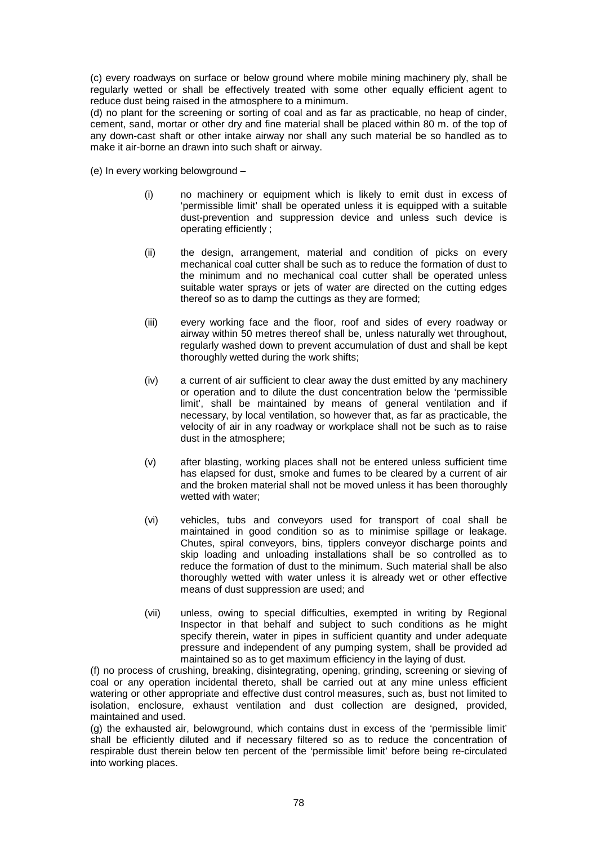(c) every roadways on surface or below ground where mobile mining machinery ply, shall be regularly wetted or shall be effectively treated with some other equally efficient agent to reduce dust being raised in the atmosphere to a minimum.

(d) no plant for the screening or sorting of coal and as far as practicable, no heap of cinder, cement, sand, mortar or other dry and fine material shall be placed within 80 m. of the top of any down-cast shaft or other intake airway nor shall any such material be so handled as to make it air-borne an drawn into such shaft or airway.

- (e) In every working belowground
	- (i) no machinery or equipment which is likely to emit dust in excess of 'permissible limit' shall be operated unless it is equipped with a suitable dust-prevention and suppression device and unless such device is operating efficiently ;
	- (ii) the design, arrangement, material and condition of picks on every mechanical coal cutter shall be such as to reduce the formation of dust to the minimum and no mechanical coal cutter shall be operated unless suitable water sprays or jets of water are directed on the cutting edges thereof so as to damp the cuttings as they are formed;
	- (iii) every working face and the floor, roof and sides of every roadway or airway within 50 metres thereof shall be, unless naturally wet throughout, regularly washed down to prevent accumulation of dust and shall be kept thoroughly wetted during the work shifts;
	- (iv) a current of air sufficient to clear away the dust emitted by any machinery or operation and to dilute the dust concentration below the 'permissible limit', shall be maintained by means of general ventilation and if necessary, by local ventilation, so however that, as far as practicable, the velocity of air in any roadway or workplace shall not be such as to raise dust in the atmosphere;
	- (v) after blasting, working places shall not be entered unless sufficient time has elapsed for dust, smoke and fumes to be cleared by a current of air and the broken material shall not be moved unless it has been thoroughly wetted with water;
	- (vi) vehicles, tubs and conveyors used for transport of coal shall be maintained in good condition so as to minimise spillage or leakage. Chutes, spiral conveyors, bins, tipplers conveyor discharge points and skip loading and unloading installations shall be so controlled as to reduce the formation of dust to the minimum. Such material shall be also thoroughly wetted with water unless it is already wet or other effective means of dust suppression are used; and
	- (vii) unless, owing to special difficulties, exempted in writing by Regional Inspector in that behalf and subject to such conditions as he might specify therein, water in pipes in sufficient quantity and under adequate pressure and independent of any pumping system, shall be provided ad maintained so as to get maximum efficiency in the laying of dust.

(f) no process of crushing, breaking, disintegrating, opening, grinding, screening or sieving of coal or any operation incidental thereto, shall be carried out at any mine unless efficient watering or other appropriate and effective dust control measures, such as, bust not limited to isolation, enclosure, exhaust ventilation and dust collection are designed, provided, maintained and used.

(g) the exhausted air, belowground, which contains dust in excess of the 'permissible limit' shall be efficiently diluted and if necessary filtered so as to reduce the concentration of respirable dust therein below ten percent of the 'permissible limit' before being re-circulated into working places.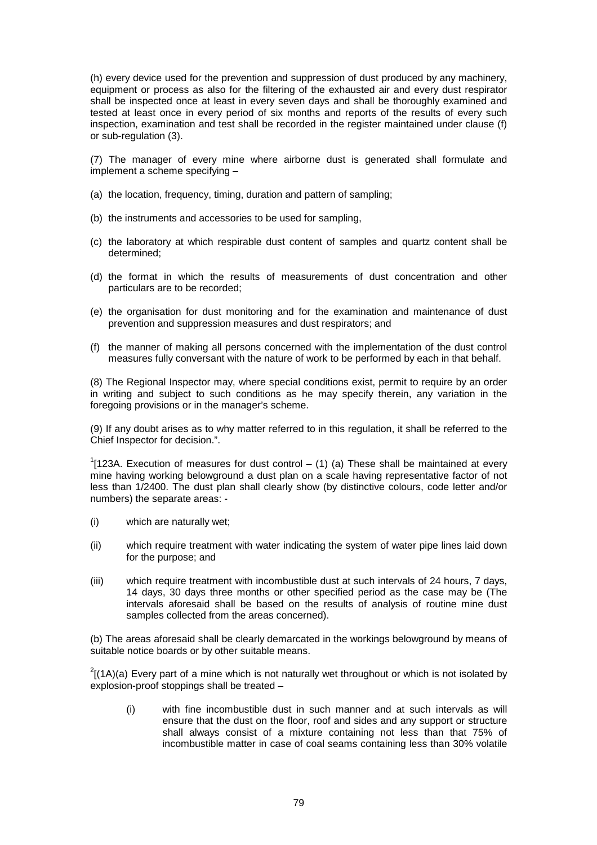(h) every device used for the prevention and suppression of dust produced by any machinery, equipment or process as also for the filtering of the exhausted air and every dust respirator shall be inspected once at least in every seven days and shall be thoroughly examined and tested at least once in every period of six months and reports of the results of every such inspection, examination and test shall be recorded in the register maintained under clause (f) or sub-regulation (3).

(7) The manager of every mine where airborne dust is generated shall formulate and implement a scheme specifying –

- (a) the location, frequency, timing, duration and pattern of sampling;
- (b) the instruments and accessories to be used for sampling,
- (c) the laboratory at which respirable dust content of samples and quartz content shall be determined;
- (d) the format in which the results of measurements of dust concentration and other particulars are to be recorded;
- (e) the organisation for dust monitoring and for the examination and maintenance of dust prevention and suppression measures and dust respirators; and
- (f) the manner of making all persons concerned with the implementation of the dust control measures fully conversant with the nature of work to be performed by each in that behalf.

(8) The Regional Inspector may, where special conditions exist, permit to require by an order in writing and subject to such conditions as he may specify therein, any variation in the foregoing provisions or in the manager's scheme.

(9) If any doubt arises as to why matter referred to in this regulation, it shall be referred to the Chief Inspector for decision.".

 $1$ [123A. Execution of measures for dust control – (1) (a) These shall be maintained at every mine having working belowground a dust plan on a scale having representative factor of not less than 1/2400. The dust plan shall clearly show (by distinctive colours, code letter and/or numbers) the separate areas: -

- (i) which are naturally wet;
- (ii) which require treatment with water indicating the system of water pipe lines laid down for the purpose; and
- (iii) which require treatment with incombustible dust at such intervals of 24 hours, 7 days, 14 days, 30 days three months or other specified period as the case may be (The intervals aforesaid shall be based on the results of analysis of routine mine dust samples collected from the areas concerned).

(b) The areas aforesaid shall be clearly demarcated in the workings belowground by means of suitable notice boards or by other suitable means.

 $2$ [(1A)(a) Every part of a mine which is not naturally wet throughout or which is not isolated by explosion-proof stoppings shall be treated –

(i) with fine incombustible dust in such manner and at such intervals as will ensure that the dust on the floor, roof and sides and any support or structure shall always consist of a mixture containing not less than that 75% of incombustible matter in case of coal seams containing less than 30% volatile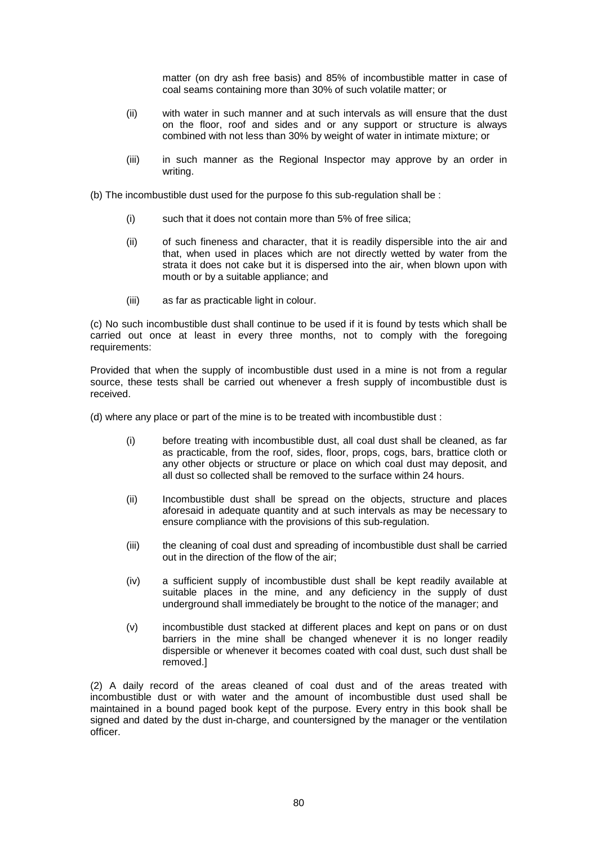matter (on dry ash free basis) and 85% of incombustible matter in case of coal seams containing more than 30% of such volatile matter; or

- (ii) with water in such manner and at such intervals as will ensure that the dust on the floor, roof and sides and or any support or structure is always combined with not less than 30% by weight of water in intimate mixture; or
- (iii) in such manner as the Regional Inspector may approve by an order in writing.
- (b) The incombustible dust used for the purpose fo this sub-regulation shall be :
	- (i) such that it does not contain more than 5% of free silica;
	- (ii) of such fineness and character, that it is readily dispersible into the air and that, when used in places which are not directly wetted by water from the strata it does not cake but it is dispersed into the air, when blown upon with mouth or by a suitable appliance; and
	- (iii) as far as practicable light in colour.

(c) No such incombustible dust shall continue to be used if it is found by tests which shall be carried out once at least in every three months, not to comply with the foregoing requirements:

Provided that when the supply of incombustible dust used in a mine is not from a regular source, these tests shall be carried out whenever a fresh supply of incombustible dust is received.

- (d) where any place or part of the mine is to be treated with incombustible dust :
	- (i) before treating with incombustible dust, all coal dust shall be cleaned, as far as practicable, from the roof, sides, floor, props, cogs, bars, brattice cloth or any other objects or structure or place on which coal dust may deposit, and all dust so collected shall be removed to the surface within 24 hours.
	- (ii) Incombustible dust shall be spread on the objects, structure and places aforesaid in adequate quantity and at such intervals as may be necessary to ensure compliance with the provisions of this sub-regulation.
	- (iii) the cleaning of coal dust and spreading of incombustible dust shall be carried out in the direction of the flow of the air;
	- (iv) a sufficient supply of incombustible dust shall be kept readily available at suitable places in the mine, and any deficiency in the supply of dust underground shall immediately be brought to the notice of the manager; and
	- (v) incombustible dust stacked at different places and kept on pans or on dust barriers in the mine shall be changed whenever it is no longer readily dispersible or whenever it becomes coated with coal dust, such dust shall be removed.]

(2) A daily record of the areas cleaned of coal dust and of the areas treated with incombustible dust or with water and the amount of incombustible dust used shall be maintained in a bound paged book kept of the purpose. Every entry in this book shall be signed and dated by the dust in-charge, and countersigned by the manager or the ventilation officer.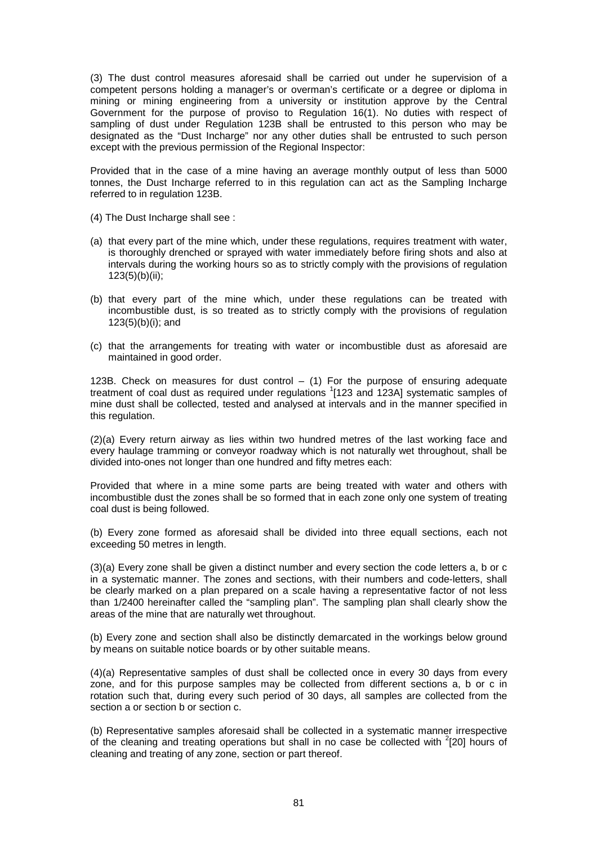(3) The dust control measures aforesaid shall be carried out under he supervision of a competent persons holding a manager's or overman's certificate or a degree or diploma in mining or mining engineering from a university or institution approve by the Central Government for the purpose of proviso to Regulation 16(1). No duties with respect of sampling of dust under Regulation 123B shall be entrusted to this person who may be designated as the "Dust Incharge" nor any other duties shall be entrusted to such person except with the previous permission of the Regional Inspector:

Provided that in the case of a mine having an average monthly output of less than 5000 tonnes, the Dust Incharge referred to in this regulation can act as the Sampling Incharge referred to in regulation 123B.

- (4) The Dust Incharge shall see :
- (a) that every part of the mine which, under these regulations, requires treatment with water, is thoroughly drenched or sprayed with water immediately before firing shots and also at intervals during the working hours so as to strictly comply with the provisions of regulation  $123(5)(b)(ii)$ ;
- (b) that every part of the mine which, under these regulations can be treated with incombustible dust, is so treated as to strictly comply with the provisions of regulation 123(5)(b)(i); and
- (c) that the arrangements for treating with water or incombustible dust as aforesaid are maintained in good order.

123B. Check on measures for dust control  $-$  (1) For the purpose of ensuring adequate treatment of coal dust as required under regulations 1123 and 123A] systematic samples of mine dust shall be collected, tested and analysed at intervals and in the manner specified in this regulation.

(2)(a) Every return airway as lies within two hundred metres of the last working face and every haulage tramming or conveyor roadway which is not naturally wet throughout, shall be divided into-ones not longer than one hundred and fifty metres each:

Provided that where in a mine some parts are being treated with water and others with incombustible dust the zones shall be so formed that in each zone only one system of treating coal dust is being followed.

(b) Every zone formed as aforesaid shall be divided into three equall sections, each not exceeding 50 metres in length.

(3)(a) Every zone shall be given a distinct number and every section the code letters a, b or c in a systematic manner. The zones and sections, with their numbers and code-letters, shall be clearly marked on a plan prepared on a scale having a representative factor of not less than 1/2400 hereinafter called the "sampling plan". The sampling plan shall clearly show the areas of the mine that are naturally wet throughout.

(b) Every zone and section shall also be distinctly demarcated in the workings below ground by means on suitable notice boards or by other suitable means.

(4)(a) Representative samples of dust shall be collected once in every 30 days from every zone, and for this purpose samples may be collected from different sections a, b or c in rotation such that, during every such period of 30 days, all samples are collected from the section a or section b or section c.

(b) Representative samples aforesaid shall be collected in a systematic manner irrespective of the cleaning and treating operations but shall in no case be collected with  $2$ [20] hours of cleaning and treating of any zone, section or part thereof.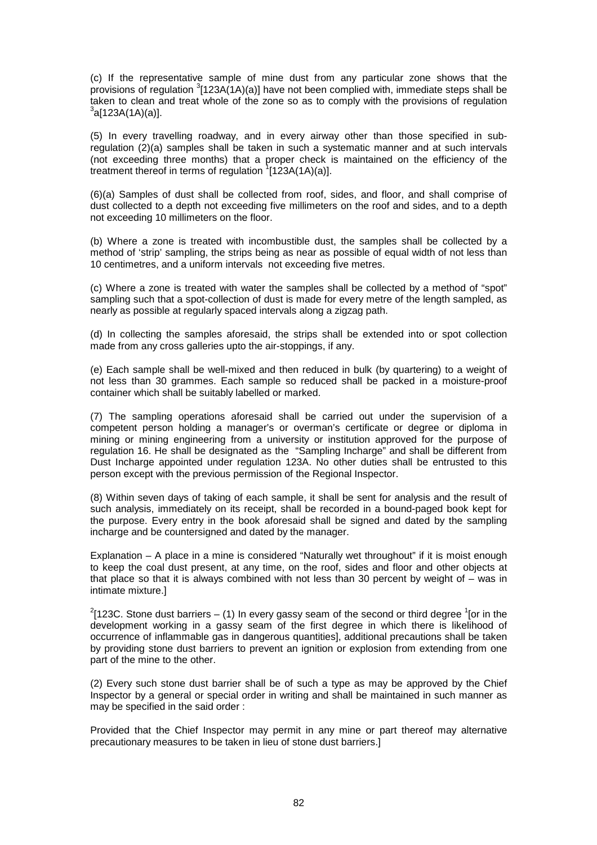(c) If the representative sample of mine dust from any particular zone shows that the provisions of regulation  ${}^{3}$ [123A(1A)(a)] have not been complied with, immediate steps shall be taken to clean and treat whole of the zone so as to comply with the provisions of regulation  $3a[123A(1A)(a)].$ 

(5) In every travelling roadway, and in every airway other than those specified in subregulation (2)(a) samples shall be taken in such a systematic manner and at such intervals (not exceeding three months) that a proper check is maintained on the efficiency of the treatment thereof in terms of regulation  $1/123A(1A)(a)$ ].

(6)(a) Samples of dust shall be collected from roof, sides, and floor, and shall comprise of dust collected to a depth not exceeding five millimeters on the roof and sides, and to a depth not exceeding 10 millimeters on the floor.

(b) Where a zone is treated with incombustible dust, the samples shall be collected by a method of 'strip' sampling, the strips being as near as possible of equal width of not less than 10 centimetres, and a uniform intervals not exceeding five metres.

(c) Where a zone is treated with water the samples shall be collected by a method of "spot" sampling such that a spot-collection of dust is made for every metre of the length sampled, as nearly as possible at regularly spaced intervals along a zigzag path.

(d) In collecting the samples aforesaid, the strips shall be extended into or spot collection made from any cross galleries upto the air-stoppings, if any.

(e) Each sample shall be well-mixed and then reduced in bulk (by quartering) to a weight of not less than 30 grammes. Each sample so reduced shall be packed in a moisture-proof container which shall be suitably labelled or marked.

(7) The sampling operations aforesaid shall be carried out under the supervision of a competent person holding a manager's or overman's certificate or degree or diploma in mining or mining engineering from a university or institution approved for the purpose of regulation 16. He shall be designated as the "Sampling Incharge" and shall be different from Dust Incharge appointed under regulation 123A. No other duties shall be entrusted to this person except with the previous permission of the Regional Inspector.

(8) Within seven days of taking of each sample, it shall be sent for analysis and the result of such analysis, immediately on its receipt, shall be recorded in a bound-paged book kept for the purpose. Every entry in the book aforesaid shall be signed and dated by the sampling incharge and be countersigned and dated by the manager.

Explanation – A place in a mine is considered "Naturally wet throughout" if it is moist enough to keep the coal dust present, at any time, on the roof, sides and floor and other objects at that place so that it is always combined with not less than 30 percent by weight of – was in intimate mixture.]

 $^{2}$ [123C. Stone dust barriers – (1) In every gassy seam of the second or third degree  $^{1}$ [or in the development working in a gassy seam of the first degree in which there is likelihood of occurrence of inflammable gas in dangerous quantities], additional precautions shall be taken by providing stone dust barriers to prevent an ignition or explosion from extending from one part of the mine to the other.

(2) Every such stone dust barrier shall be of such a type as may be approved by the Chief Inspector by a general or special order in writing and shall be maintained in such manner as may be specified in the said order :

Provided that the Chief Inspector may permit in any mine or part thereof may alternative precautionary measures to be taken in lieu of stone dust barriers.]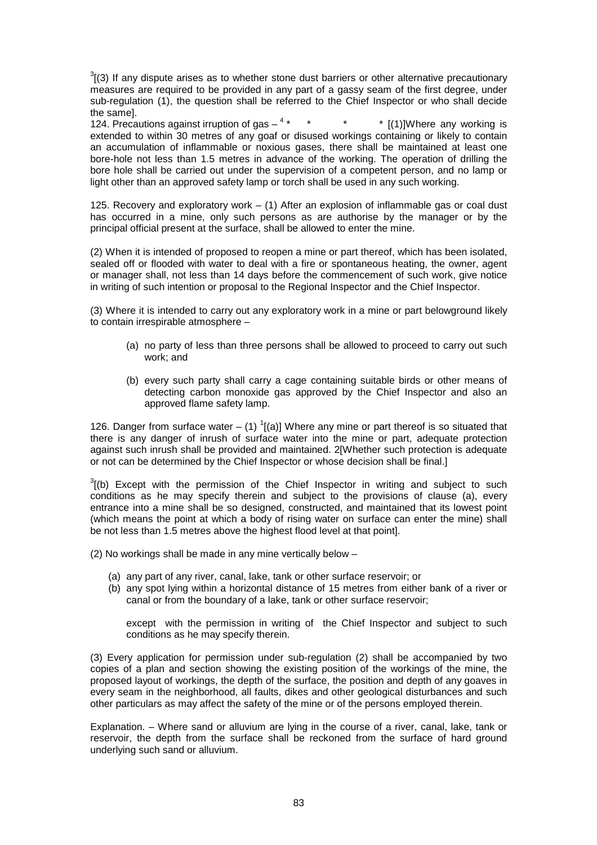$3$ [(3) If any dispute arises as to whether stone dust barriers or other alternative precautionary measures are required to be provided in any part of a gassy seam of the first degree, under sub-regulation (1), the question shall be referred to the Chief Inspector or who shall decide the same].

124. Precautions against irruption of gas  $4 *$   $*$ \* \* [(1)]Where any working is extended to within 30 metres of any goaf or disused workings containing or likely to contain an accumulation of inflammable or noxious gases, there shall be maintained at least one bore-hole not less than 1.5 metres in advance of the working. The operation of drilling the bore hole shall be carried out under the supervision of a competent person, and no lamp or light other than an approved safety lamp or torch shall be used in any such working.

125. Recovery and exploratory work – (1) After an explosion of inflammable gas or coal dust has occurred in a mine, only such persons as are authorise by the manager or by the principal official present at the surface, shall be allowed to enter the mine.

(2) When it is intended of proposed to reopen a mine or part thereof, which has been isolated, sealed off or flooded with water to deal with a fire or spontaneous heating, the owner, agent or manager shall, not less than 14 days before the commencement of such work, give notice in writing of such intention or proposal to the Regional Inspector and the Chief Inspector.

(3) Where it is intended to carry out any exploratory work in a mine or part belowground likely to contain irrespirable atmosphere –

- (a) no party of less than three persons shall be allowed to proceed to carry out such work; and
- (b) every such party shall carry a cage containing suitable birds or other means of detecting carbon monoxide gas approved by the Chief Inspector and also an approved flame safety lamp.

126. Danger from surface water  $-$  (1)  $\frac{1}{2}$ [(a)] Where any mine or part thereof is so situated that there is any danger of inrush of surface water into the mine or part, adequate protection against such inrush shall be provided and maintained. 2[Whether such protection is adequate or not can be determined by the Chief Inspector or whose decision shall be final.]

 $3$ [(b) Except with the permission of the Chief Inspector in writing and subject to such conditions as he may specify therein and subject to the provisions of clause (a), every entrance into a mine shall be so designed, constructed, and maintained that its lowest point (which means the point at which a body of rising water on surface can enter the mine) shall be not less than 1.5 metres above the highest flood level at that point].

(2) No workings shall be made in any mine vertically below –

- (a) any part of any river, canal, lake, tank or other surface reservoir; or
- (b) any spot lying within a horizontal distance of 15 metres from either bank of a river or canal or from the boundary of a lake, tank or other surface reservoir;

except with the permission in writing of the Chief Inspector and subject to such conditions as he may specify therein.

(3) Every application for permission under sub-regulation (2) shall be accompanied by two copies of a plan and section showing the existing position of the workings of the mine, the proposed layout of workings, the depth of the surface, the position and depth of any goaves in every seam in the neighborhood, all faults, dikes and other geological disturbances and such other particulars as may affect the safety of the mine or of the persons employed therein.

Explanation. – Where sand or alluvium are lying in the course of a river, canal, lake, tank or reservoir, the depth from the surface shall be reckoned from the surface of hard ground underlying such sand or alluvium.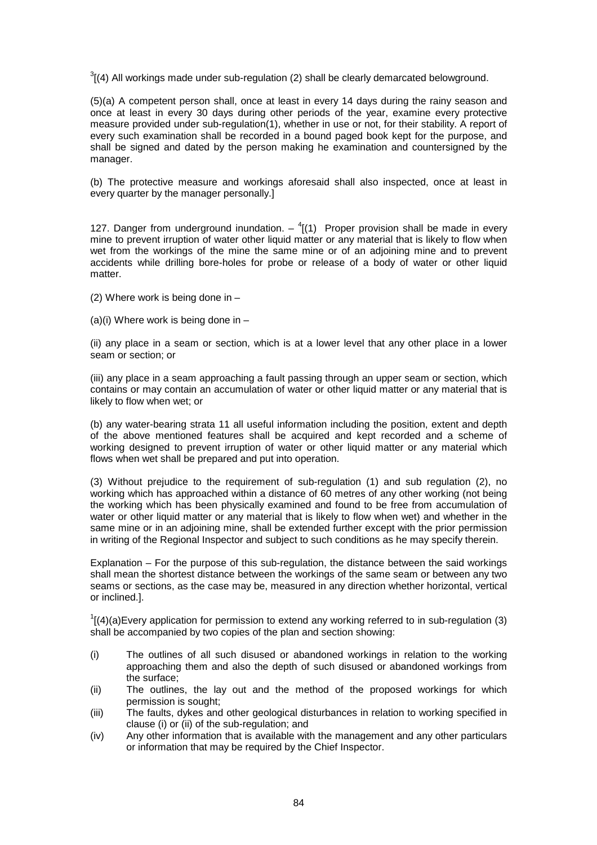$3$ [(4) All workings made under sub-regulation (2) shall be clearly demarcated belowground.

(5)(a) A competent person shall, once at least in every 14 days during the rainy season and once at least in every 30 days during other periods of the year, examine every protective measure provided under sub-regulation(1), whether in use or not, for their stability. A report of every such examination shall be recorded in a bound paged book kept for the purpose, and shall be signed and dated by the person making he examination and countersigned by the manager.

(b) The protective measure and workings aforesaid shall also inspected, once at least in every quarter by the manager personally.]

127. Danger from underground inundation.  $^{4}$ [(1) Proper provision shall be made in every mine to prevent irruption of water other liquid matter or any material that is likely to flow when wet from the workings of the mine the same mine or of an adjoining mine and to prevent accidents while drilling bore-holes for probe or release of a body of water or other liquid matter

- (2) Where work is being done in –
- (a)(i) Where work is being done in  $-$

(ii) any place in a seam or section, which is at a lower level that any other place in a lower seam or section; or

(iii) any place in a seam approaching a fault passing through an upper seam or section, which contains or may contain an accumulation of water or other liquid matter or any material that is likely to flow when wet; or

(b) any water-bearing strata 11 all useful information including the position, extent and depth of the above mentioned features shall be acquired and kept recorded and a scheme of working designed to prevent irruption of water or other liquid matter or any material which flows when wet shall be prepared and put into operation.

(3) Without prejudice to the requirement of sub-regulation (1) and sub regulation (2), no working which has approached within a distance of 60 metres of any other working (not being the working which has been physically examined and found to be free from accumulation of water or other liquid matter or any material that is likely to flow when wet) and whether in the same mine or in an adjoining mine, shall be extended further except with the prior permission in writing of the Regional Inspector and subject to such conditions as he may specify therein.

Explanation – For the purpose of this sub-regulation, the distance between the said workings shall mean the shortest distance between the workings of the same seam or between any two seams or sections, as the case may be, measured in any direction whether horizontal, vertical or inclined.].

 $I[(4)(a)$ Every application for permission to extend any working referred to in sub-regulation (3) shall be accompanied by two copies of the plan and section showing:

- (i) The outlines of all such disused or abandoned workings in relation to the working approaching them and also the depth of such disused or abandoned workings from the surface;
- (ii) The outlines, the lay out and the method of the proposed workings for which permission is sought;
- (iii) The faults, dykes and other geological disturbances in relation to working specified in clause (i) or (ii) of the sub-regulation; and
- (iv) Any other information that is available with the management and any other particulars or information that may be required by the Chief Inspector.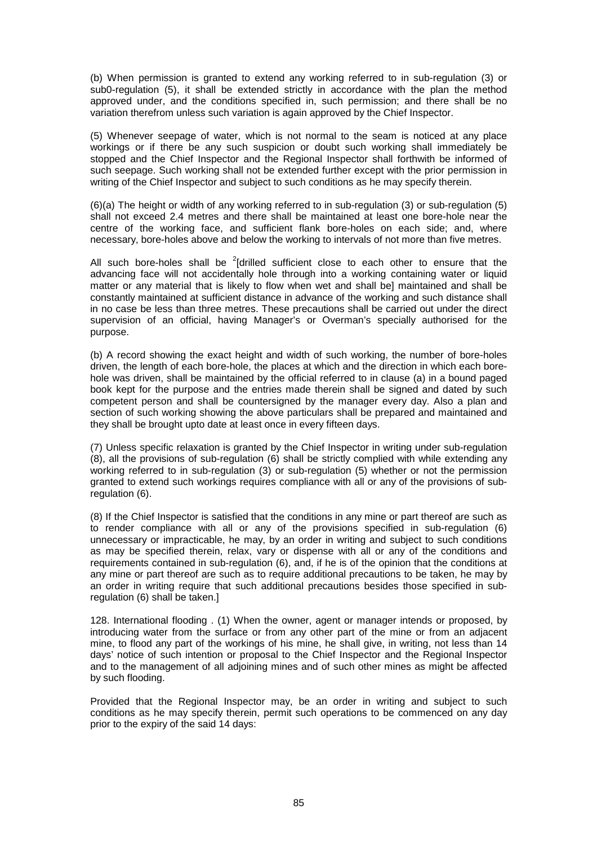(b) When permission is granted to extend any working referred to in sub-regulation (3) or sub0-regulation (5), it shall be extended strictly in accordance with the plan the method approved under, and the conditions specified in, such permission; and there shall be no variation therefrom unless such variation is again approved by the Chief Inspector.

(5) Whenever seepage of water, which is not normal to the seam is noticed at any place workings or if there be any such suspicion or doubt such working shall immediately be stopped and the Chief Inspector and the Regional Inspector shall forthwith be informed of such seepage. Such working shall not be extended further except with the prior permission in writing of the Chief Inspector and subject to such conditions as he may specify therein.

(6)(a) The height or width of any working referred to in sub-regulation (3) or sub-regulation (5) shall not exceed 2.4 metres and there shall be maintained at least one bore-hole near the centre of the working face, and sufficient flank bore-holes on each side; and, where necessary, bore-holes above and below the working to intervals of not more than five metres.

All such bore-holes shall be  $2$ [drilled sufficient close to each other to ensure that the advancing face will not accidentally hole through into a working containing water or liquid matter or any material that is likely to flow when wet and shall be] maintained and shall be constantly maintained at sufficient distance in advance of the working and such distance shall in no case be less than three metres. These precautions shall be carried out under the direct supervision of an official, having Manager's or Overman's specially authorised for the purpose.

(b) A record showing the exact height and width of such working, the number of bore-holes driven, the length of each bore-hole, the places at which and the direction in which each borehole was driven, shall be maintained by the official referred to in clause (a) in a bound paged book kept for the purpose and the entries made therein shall be signed and dated by such competent person and shall be countersigned by the manager every day. Also a plan and section of such working showing the above particulars shall be prepared and maintained and they shall be brought upto date at least once in every fifteen days.

(7) Unless specific relaxation is granted by the Chief Inspector in writing under sub-regulation (8), all the provisions of sub-regulation (6) shall be strictly complied with while extending any working referred to in sub-regulation (3) or sub-regulation (5) whether or not the permission granted to extend such workings requires compliance with all or any of the provisions of subregulation (6).

(8) If the Chief Inspector is satisfied that the conditions in any mine or part thereof are such as to render compliance with all or any of the provisions specified in sub-regulation (6) unnecessary or impracticable, he may, by an order in writing and subject to such conditions as may be specified therein, relax, vary or dispense with all or any of the conditions and requirements contained in sub-regulation (6), and, if he is of the opinion that the conditions at any mine or part thereof are such as to require additional precautions to be taken, he may by an order in writing require that such additional precautions besides those specified in subregulation (6) shall be taken.]

128. International flooding . (1) When the owner, agent or manager intends or proposed, by introducing water from the surface or from any other part of the mine or from an adjacent mine, to flood any part of the workings of his mine, he shall give, in writing, not less than 14 days' notice of such intention or proposal to the Chief Inspector and the Regional Inspector and to the management of all adjoining mines and of such other mines as might be affected by such flooding.

Provided that the Regional Inspector may, be an order in writing and subject to such conditions as he may specify therein, permit such operations to be commenced on any day prior to the expiry of the said 14 days: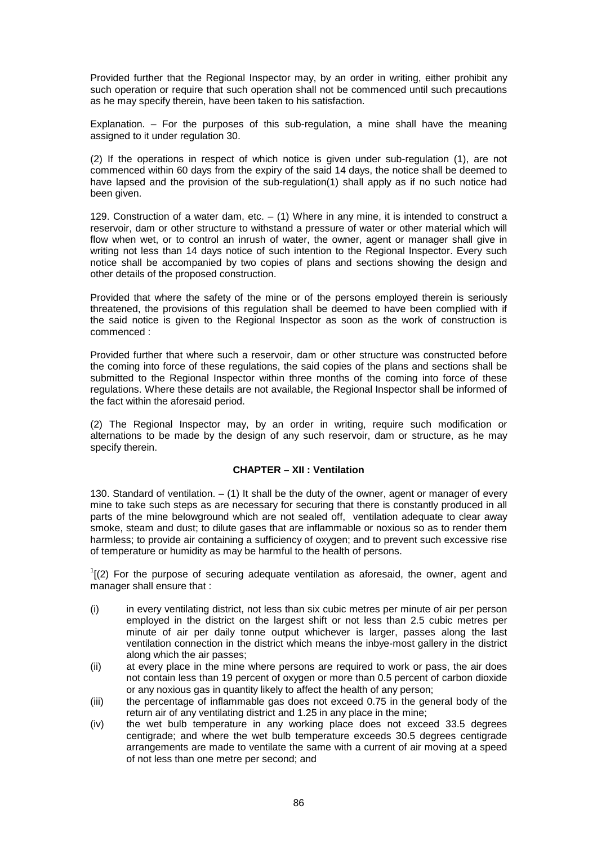Provided further that the Regional Inspector may, by an order in writing, either prohibit any such operation or require that such operation shall not be commenced until such precautions as he may specify therein, have been taken to his satisfaction.

Explanation. – For the purposes of this sub-regulation, a mine shall have the meaning assigned to it under regulation 30.

(2) If the operations in respect of which notice is given under sub-regulation (1), are not commenced within 60 days from the expiry of the said 14 days, the notice shall be deemed to have lapsed and the provision of the sub-regulation(1) shall apply as if no such notice had been given.

129. Construction of a water dam, etc.  $-$  (1) Where in any mine, it is intended to construct a reservoir, dam or other structure to withstand a pressure of water or other material which will flow when wet, or to control an inrush of water, the owner, agent or manager shall give in writing not less than 14 days notice of such intention to the Regional Inspector. Every such notice shall be accompanied by two copies of plans and sections showing the design and other details of the proposed construction.

Provided that where the safety of the mine or of the persons employed therein is seriously threatened, the provisions of this regulation shall be deemed to have been complied with if the said notice is given to the Regional Inspector as soon as the work of construction is commenced :

Provided further that where such a reservoir, dam or other structure was constructed before the coming into force of these regulations, the said copies of the plans and sections shall be submitted to the Regional Inspector within three months of the coming into force of these regulations. Where these details are not available, the Regional Inspector shall be informed of the fact within the aforesaid period.

(2) The Regional Inspector may, by an order in writing, require such modification or alternations to be made by the design of any such reservoir, dam or structure, as he may specify therein.

## **CHAPTER – XII : Ventilation**

130. Standard of ventilation.  $-$  (1) It shall be the duty of the owner, agent or manager of every mine to take such steps as are necessary for securing that there is constantly produced in all parts of the mine belowground which are not sealed off, ventilation adequate to clear away smoke, steam and dust; to dilute gases that are inflammable or noxious so as to render them harmless; to provide air containing a sufficiency of oxygen; and to prevent such excessive rise of temperature or humidity as may be harmful to the health of persons.

 $I(2)$  For the purpose of securing adequate ventilation as aforesaid, the owner, agent and manager shall ensure that :

- (i) in every ventilating district, not less than six cubic metres per minute of air per person employed in the district on the largest shift or not less than 2.5 cubic metres per minute of air per daily tonne output whichever is larger, passes along the last ventilation connection in the district which means the inbye-most gallery in the district along which the air passes;
- (ii) at every place in the mine where persons are required to work or pass, the air does not contain less than 19 percent of oxygen or more than 0.5 percent of carbon dioxide or any noxious gas in quantity likely to affect the health of any person;
- (iii) the percentage of inflammable gas does not exceed 0.75 in the general body of the return air of any ventilating district and 1.25 in any place in the mine;
- (iv) the wet bulb temperature in any working place does not exceed 33.5 degrees centigrade; and where the wet bulb temperature exceeds 30.5 degrees centigrade arrangements are made to ventilate the same with a current of air moving at a speed of not less than one metre per second; and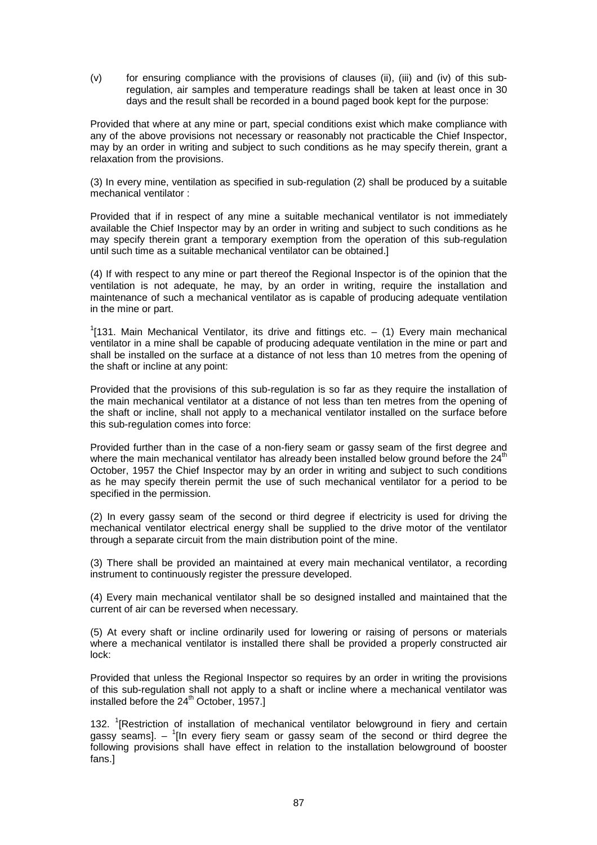(v) for ensuring compliance with the provisions of clauses (ii), (iii) and (iv) of this subregulation, air samples and temperature readings shall be taken at least once in 30 days and the result shall be recorded in a bound paged book kept for the purpose:

Provided that where at any mine or part, special conditions exist which make compliance with any of the above provisions not necessary or reasonably not practicable the Chief Inspector, may by an order in writing and subject to such conditions as he may specify therein, grant a relaxation from the provisions.

(3) In every mine, ventilation as specified in sub-regulation (2) shall be produced by a suitable mechanical ventilator :

Provided that if in respect of any mine a suitable mechanical ventilator is not immediately available the Chief Inspector may by an order in writing and subject to such conditions as he may specify therein grant a temporary exemption from the operation of this sub-regulation until such time as a suitable mechanical ventilator can be obtained.]

(4) If with respect to any mine or part thereof the Regional Inspector is of the opinion that the ventilation is not adequate, he may, by an order in writing, require the installation and maintenance of such a mechanical ventilator as is capable of producing adequate ventilation in the mine or part.

 $1$ [131. Main Mechanical Ventilator, its drive and fittings etc.  $-$  (1) Every main mechanical ventilator in a mine shall be capable of producing adequate ventilation in the mine or part and shall be installed on the surface at a distance of not less than 10 metres from the opening of the shaft or incline at any point:

Provided that the provisions of this sub-regulation is so far as they require the installation of the main mechanical ventilator at a distance of not less than ten metres from the opening of the shaft or incline, shall not apply to a mechanical ventilator installed on the surface before this sub-regulation comes into force:

Provided further than in the case of a non-fiery seam or gassy seam of the first degree and where the main mechanical ventilator has already been installed below ground before the 24<sup>th</sup> October, 1957 the Chief Inspector may by an order in writing and subject to such conditions as he may specify therein permit the use of such mechanical ventilator for a period to be specified in the permission.

(2) In every gassy seam of the second or third degree if electricity is used for driving the mechanical ventilator electrical energy shall be supplied to the drive motor of the ventilator through a separate circuit from the main distribution point of the mine.

(3) There shall be provided an maintained at every main mechanical ventilator, a recording instrument to continuously register the pressure developed.

(4) Every main mechanical ventilator shall be so designed installed and maintained that the current of air can be reversed when necessary.

(5) At every shaft or incline ordinarily used for lowering or raising of persons or materials where a mechanical ventilator is installed there shall be provided a properly constructed air lock:

Provided that unless the Regional Inspector so requires by an order in writing the provisions of this sub-regulation shall not apply to a shaft or incline where a mechanical ventilator was installed before the 24<sup>th</sup> October, 1957.1

132. <sup>1</sup>[Restriction of installation of mechanical ventilator belowground in fiery and certain gassy seams]. - <sup>1</sup>[In every fiery seam or gassy seam of the second or third degree the following provisions shall have effect in relation to the installation belowground of booster fans.]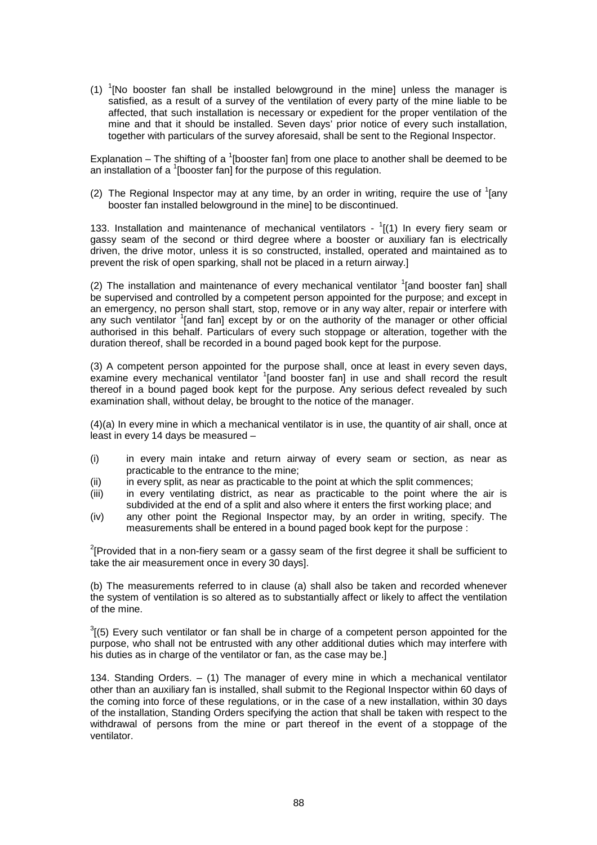(1)  ${}^{1}$ [No booster fan shall be installed belowground in the mine] unless the manager is satisfied, as a result of a survey of the ventilation of every party of the mine liable to be affected, that such installation is necessary or expedient for the proper ventilation of the mine and that it should be installed. Seven days' prior notice of every such installation, together with particulars of the survey aforesaid, shall be sent to the Regional Inspector.

Explanation – The shifting of a  $\textsuperscript{1}$  [booster fan] from one place to another shall be deemed to be an installation of a  $\frac{1}{2}$  [booster fan] for the purpose of this regulation.

(2) The Regional Inspector may at any time, by an order in writing, require the use of  $1$ [any booster fan installed belowground in the mine] to be discontinued.

133. Installation and maintenance of mechanical ventilators  $-1$ [(1) In every fiery seam or gassy seam of the second or third degree where a booster or auxiliary fan is electrically driven, the drive motor, unless it is so constructed, installed, operated and maintained as to prevent the risk of open sparking, shall not be placed in a return airway.]

(2) The installation and maintenance of every mechanical ventilator  $1$  [and booster fan] shall be supervised and controlled by a competent person appointed for the purpose; and except in an emergency, no person shall start, stop, remove or in any way alter, repair or interfere with any such ventilator <sup>1</sup>[and fan] except by or on the authority of the manager or other official authorised in this behalf. Particulars of every such stoppage or alteration, together with the duration thereof, shall be recorded in a bound paged book kept for the purpose.

(3) A competent person appointed for the purpose shall, once at least in every seven days, examine every mechanical ventilator <sup>1</sup>[and booster fan] in use and shall record the result thereof in a bound paged book kept for the purpose. Any serious defect revealed by such examination shall, without delay, be brought to the notice of the manager.

(4)(a) In every mine in which a mechanical ventilator is in use, the quantity of air shall, once at least in every 14 days be measured –

- (i) in every main intake and return airway of every seam or section, as near as practicable to the entrance to the mine;
- (ii) in every split, as near as practicable to the point at which the split commences;
- (iii) in every ventilating district, as near as practicable to the point where the air is subdivided at the end of a split and also where it enters the first working place; and
- (iv) any other point the Regional Inspector may, by an order in writing, specify. The measurements shall be entered in a bound paged book kept for the purpose :

 $2$ <sup>2</sup>[Provided that in a non-fiery seam or a gassy seam of the first degree it shall be sufficient to take the air measurement once in every 30 days].

(b) The measurements referred to in clause (a) shall also be taken and recorded whenever the system of ventilation is so altered as to substantially affect or likely to affect the ventilation of the mine.

 $3(5)$  Every such ventilator or fan shall be in charge of a competent person appointed for the purpose, who shall not be entrusted with any other additional duties which may interfere with his duties as in charge of the ventilator or fan, as the case may be.]

134. Standing Orders. – (1) The manager of every mine in which a mechanical ventilator other than an auxiliary fan is installed, shall submit to the Regional Inspector within 60 days of the coming into force of these regulations, or in the case of a new installation, within 30 days of the installation, Standing Orders specifying the action that shall be taken with respect to the withdrawal of persons from the mine or part thereof in the event of a stoppage of the ventilator.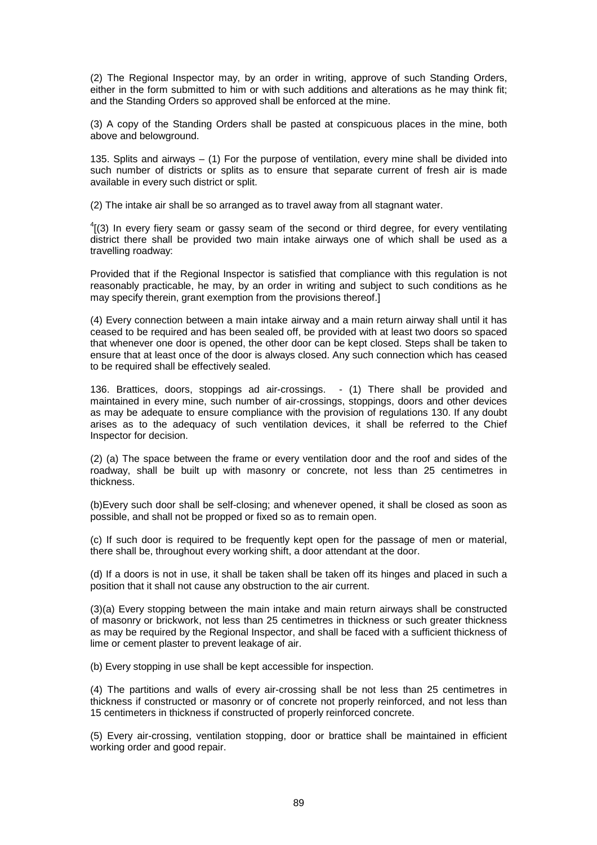(2) The Regional Inspector may, by an order in writing, approve of such Standing Orders, either in the form submitted to him or with such additions and alterations as he may think fit; and the Standing Orders so approved shall be enforced at the mine.

(3) A copy of the Standing Orders shall be pasted at conspicuous places in the mine, both above and belowground.

135. Splits and airways – (1) For the purpose of ventilation, every mine shall be divided into such number of districts or splits as to ensure that separate current of fresh air is made available in every such district or split.

(2) The intake air shall be so arranged as to travel away from all stagnant water.

 $^{4}$ [(3) In every fiery seam or gassy seam of the second or third degree, for every ventilating district there shall be provided two main intake airways one of which shall be used as a travelling roadway:

Provided that if the Regional Inspector is satisfied that compliance with this regulation is not reasonably practicable, he may, by an order in writing and subject to such conditions as he may specify therein, grant exemption from the provisions thereof.]

(4) Every connection between a main intake airway and a main return airway shall until it has ceased to be required and has been sealed off, be provided with at least two doors so spaced that whenever one door is opened, the other door can be kept closed. Steps shall be taken to ensure that at least once of the door is always closed. Any such connection which has ceased to be required shall be effectively sealed.

136. Brattices, doors, stoppings ad air-crossings. - (1) There shall be provided and maintained in every mine, such number of air-crossings, stoppings, doors and other devices as may be adequate to ensure compliance with the provision of regulations 130. If any doubt arises as to the adequacy of such ventilation devices, it shall be referred to the Chief Inspector for decision.

(2) (a) The space between the frame or every ventilation door and the roof and sides of the roadway, shall be built up with masonry or concrete, not less than 25 centimetres in thickness.

(b)Every such door shall be self-closing; and whenever opened, it shall be closed as soon as possible, and shall not be propped or fixed so as to remain open.

(c) If such door is required to be frequently kept open for the passage of men or material, there shall be, throughout every working shift, a door attendant at the door.

(d) If a doors is not in use, it shall be taken shall be taken off its hinges and placed in such a position that it shall not cause any obstruction to the air current.

(3)(a) Every stopping between the main intake and main return airways shall be constructed of masonry or brickwork, not less than 25 centimetres in thickness or such greater thickness as may be required by the Regional Inspector, and shall be faced with a sufficient thickness of lime or cement plaster to prevent leakage of air.

(b) Every stopping in use shall be kept accessible for inspection.

(4) The partitions and walls of every air-crossing shall be not less than 25 centimetres in thickness if constructed or masonry or of concrete not properly reinforced, and not less than 15 centimeters in thickness if constructed of properly reinforced concrete.

(5) Every air-crossing, ventilation stopping, door or brattice shall be maintained in efficient working order and good repair.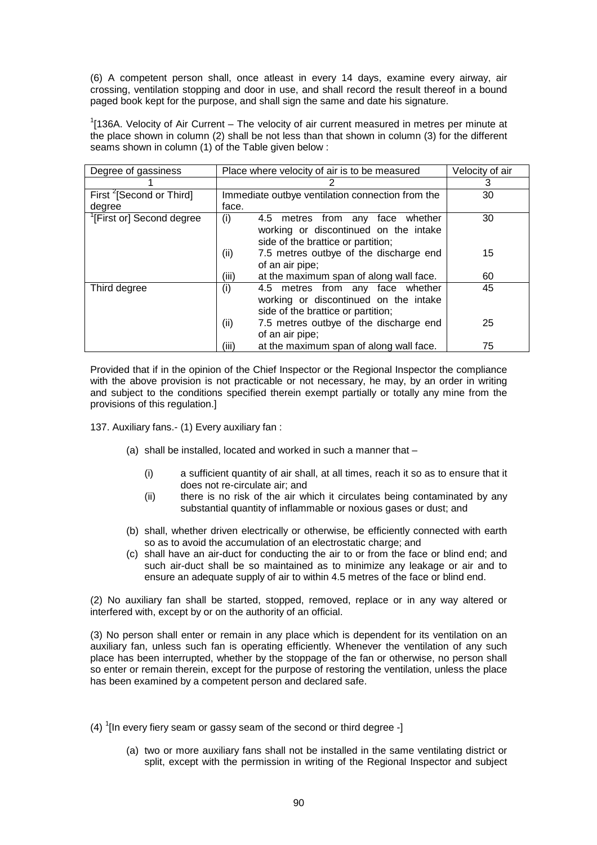(6) A competent person shall, once atleast in every 14 days, examine every airway, air crossing, ventilation stopping and door in use, and shall record the result thereof in a bound paged book kept for the purpose, and shall sign the same and date his signature.

 $1$ [136A. Velocity of Air Current – The velocity of air current measured in metres per minute at the place shown in column (2) shall be not less than that shown in column (3) for the different seams shown in column (1) of the Table given below :

| Degree of gassiness                  | Place where velocity of air is to be measured                                    | Velocity of air |
|--------------------------------------|----------------------------------------------------------------------------------|-----------------|
|                                      |                                                                                  | 3               |
| First <sup>2</sup> [Second or Third] | Immediate outbye ventilation connection from the                                 | 30              |
| degree                               | face.                                                                            |                 |
| [First or] Second degree             | (i)<br>4.5 metres from any face<br>whether                                       | 30              |
|                                      | working or discontinued on the intake<br>side of the brattice or partition;      |                 |
|                                      | (ii)<br>7.5 metres outbye of the discharge end                                   | 15              |
|                                      | of an air pipe;                                                                  |                 |
|                                      | (iii)<br>at the maximum span of along wall face.                                 | 60              |
| Third degree                         | (i)<br>4.5 metres from any face whether<br>working or discontinued on the intake | 45              |
|                                      | side of the brattice or partition;                                               |                 |
|                                      | (ii)<br>7.5 metres outbye of the discharge end                                   | 25              |
|                                      | of an air pipe;                                                                  |                 |
|                                      | (iii)<br>at the maximum span of along wall face.                                 | 75              |

Provided that if in the opinion of the Chief Inspector or the Regional Inspector the compliance with the above provision is not practicable or not necessary, he may, by an order in writing and subject to the conditions specified therein exempt partially or totally any mine from the provisions of this regulation.]

137. Auxiliary fans.- (1) Every auxiliary fan :

- (a) shall be installed, located and worked in such a manner that
	- (i) a sufficient quantity of air shall, at all times, reach it so as to ensure that it does not re-circulate air; and
	- (ii) there is no risk of the air which it circulates being contaminated by any substantial quantity of inflammable or noxious gases or dust; and
- (b) shall, whether driven electrically or otherwise, be efficiently connected with earth so as to avoid the accumulation of an electrostatic charge; and
- (c) shall have an air-duct for conducting the air to or from the face or blind end; and such air-duct shall be so maintained as to minimize any leakage or air and to ensure an adequate supply of air to within 4.5 metres of the face or blind end.

(2) No auxiliary fan shall be started, stopped, removed, replace or in any way altered or interfered with, except by or on the authority of an official.

(3) No person shall enter or remain in any place which is dependent for its ventilation on an auxiliary fan, unless such fan is operating efficiently. Whenever the ventilation of any such place has been interrupted, whether by the stoppage of the fan or otherwise, no person shall so enter or remain therein, except for the purpose of restoring the ventilation, unless the place has been examined by a competent person and declared safe.

- (4)  $\frac{1}{1}$ [In every fiery seam or gassy seam of the second or third degree -]
	- (a) two or more auxiliary fans shall not be installed in the same ventilating district or split, except with the permission in writing of the Regional Inspector and subject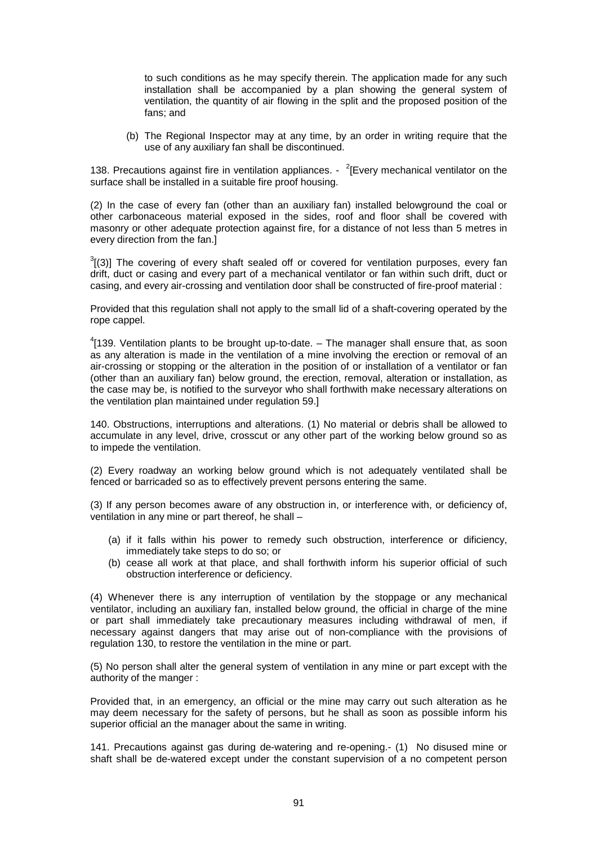to such conditions as he may specify therein. The application made for any such installation shall be accompanied by a plan showing the general system of ventilation, the quantity of air flowing in the split and the proposed position of the fans; and

(b) The Regional Inspector may at any time, by an order in writing require that the use of any auxiliary fan shall be discontinued.

138. Precautions against fire in ventilation appliances. -  $2$ [Every mechanical ventilator on the surface shall be installed in a suitable fire proof housing.

(2) In the case of every fan (other than an auxiliary fan) installed belowground the coal or other carbonaceous material exposed in the sides, roof and floor shall be covered with masonry or other adequate protection against fire, for a distance of not less than 5 metres in every direction from the fan.]

 $3$ [(3)] The covering of every shaft sealed off or covered for ventilation purposes, every fan drift, duct or casing and every part of a mechanical ventilator or fan within such drift, duct or casing, and every air-crossing and ventilation door shall be constructed of fire-proof material :

Provided that this regulation shall not apply to the small lid of a shaft-covering operated by the rope cappel.

 $^{4}$ [139. Ventilation plants to be brought up-to-date.  $-$  The manager shall ensure that, as soon as any alteration is made in the ventilation of a mine involving the erection or removal of an air-crossing or stopping or the alteration in the position of or installation of a ventilator or fan (other than an auxiliary fan) below ground, the erection, removal, alteration or installation, as the case may be, is notified to the surveyor who shall forthwith make necessary alterations on the ventilation plan maintained under regulation 59.]

140. Obstructions, interruptions and alterations. (1) No material or debris shall be allowed to accumulate in any level, drive, crosscut or any other part of the working below ground so as to impede the ventilation.

(2) Every roadway an working below ground which is not adequately ventilated shall be fenced or barricaded so as to effectively prevent persons entering the same.

(3) If any person becomes aware of any obstruction in, or interference with, or deficiency of, ventilation in any mine or part thereof, he shall –

- (a) if it falls within his power to remedy such obstruction, interference or dificiency, immediately take steps to do so; or
- (b) cease all work at that place, and shall forthwith inform his superior official of such obstruction interference or deficiency.

(4) Whenever there is any interruption of ventilation by the stoppage or any mechanical ventilator, including an auxiliary fan, installed below ground, the official in charge of the mine or part shall immediately take precautionary measures including withdrawal of men, if necessary against dangers that may arise out of non-compliance with the provisions of regulation 130, to restore the ventilation in the mine or part.

(5) No person shall alter the general system of ventilation in any mine or part except with the authority of the manger :

Provided that, in an emergency, an official or the mine may carry out such alteration as he may deem necessary for the safety of persons, but he shall as soon as possible inform his superior official an the manager about the same in writing.

141. Precautions against gas during de-watering and re-opening.- (1) No disused mine or shaft shall be de-watered except under the constant supervision of a no competent person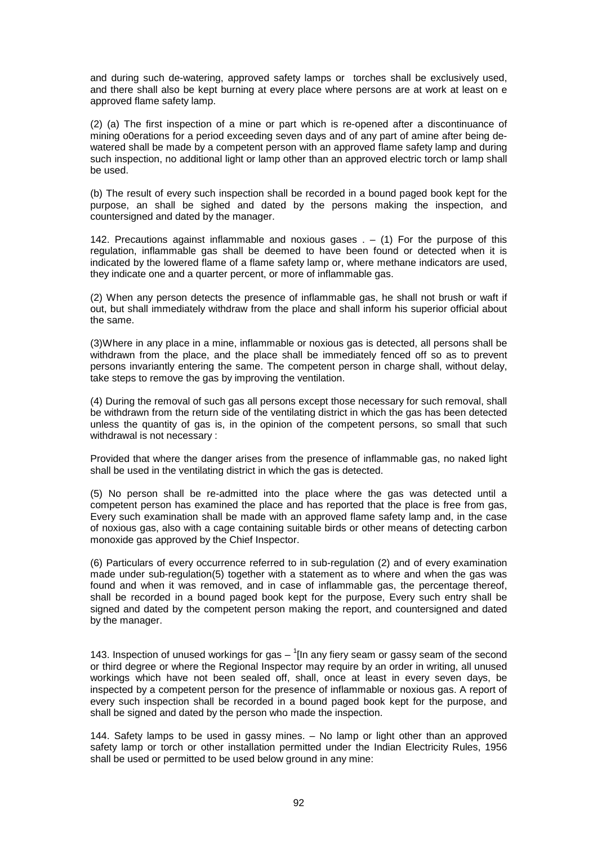and during such de-watering, approved safety lamps or torches shall be exclusively used, and there shall also be kept burning at every place where persons are at work at least on e approved flame safety lamp.

(2) (a) The first inspection of a mine or part which is re-opened after a discontinuance of mining o0erations for a period exceeding seven days and of any part of amine after being dewatered shall be made by a competent person with an approved flame safety lamp and during such inspection, no additional light or lamp other than an approved electric torch or lamp shall be used.

(b) The result of every such inspection shall be recorded in a bound paged book kept for the purpose, an shall be sighed and dated by the persons making the inspection, and countersigned and dated by the manager.

142. Precautions against inflammable and noxious gases . – (1) For the purpose of this regulation, inflammable gas shall be deemed to have been found or detected when it is indicated by the lowered flame of a flame safety lamp or, where methane indicators are used, they indicate one and a quarter percent, or more of inflammable gas.

(2) When any person detects the presence of inflammable gas, he shall not brush or waft if out, but shall immediately withdraw from the place and shall inform his superior official about the same.

(3)Where in any place in a mine, inflammable or noxious gas is detected, all persons shall be withdrawn from the place, and the place shall be immediately fenced off so as to prevent persons invariantly entering the same. The competent person in charge shall, without delay, take steps to remove the gas by improving the ventilation.

(4) During the removal of such gas all persons except those necessary for such removal, shall be withdrawn from the return side of the ventilating district in which the gas has been detected unless the quantity of gas is, in the opinion of the competent persons, so small that such withdrawal is not necessary :

Provided that where the danger arises from the presence of inflammable gas, no naked light shall be used in the ventilating district in which the gas is detected.

(5) No person shall be re-admitted into the place where the gas was detected until a competent person has examined the place and has reported that the place is free from gas, Every such examination shall be made with an approved flame safety lamp and, in the case of noxious gas, also with a cage containing suitable birds or other means of detecting carbon monoxide gas approved by the Chief Inspector.

(6) Particulars of every occurrence referred to in sub-regulation (2) and of every examination made under sub-regulation(5) together with a statement as to where and when the gas was found and when it was removed, and in case of inflammable gas, the percentage thereof, shall be recorded in a bound paged book kept for the purpose, Every such entry shall be signed and dated by the competent person making the report, and countersigned and dated by the manager.

143. Inspection of unused workings for gas  $\frac{1}{1}$ [In any fiery seam or gassy seam of the second or third degree or where the Regional Inspector may require by an order in writing, all unused workings which have not been sealed off, shall, once at least in every seven days, be inspected by a competent person for the presence of inflammable or noxious gas. A report of every such inspection shall be recorded in a bound paged book kept for the purpose, and shall be signed and dated by the person who made the inspection.

144. Safety lamps to be used in gassy mines. – No lamp or light other than an approved safety lamp or torch or other installation permitted under the Indian Electricity Rules, 1956 shall be used or permitted to be used below ground in any mine: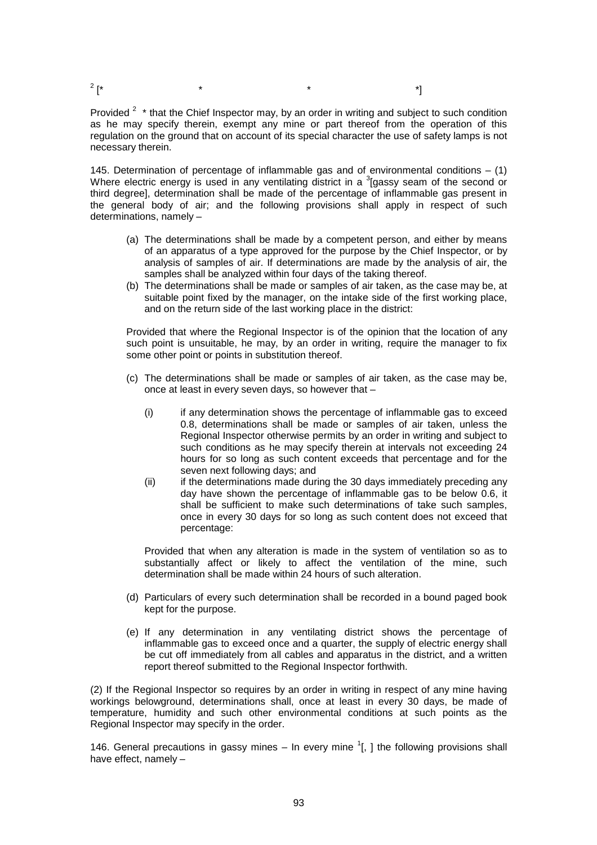$2^{2}$ 

Provided  $2$  \* that the Chief Inspector may, by an order in writing and subject to such condition as he may specify therein, exempt any mine or part thereof from the operation of this regulation on the ground that on account of its special character the use of safety lamps is not necessary therein.

145. Determination of percentage of inflammable gas and of environmental conditions  $-$  (1) Where electric energy is used in any ventilating district in a  $3$  gassy seam of the second or third degree], determination shall be made of the percentage of inflammable gas present in the general body of air; and the following provisions shall apply in respect of such determinations, namely –

- (a) The determinations shall be made by a competent person, and either by means of an apparatus of a type approved for the purpose by the Chief Inspector, or by analysis of samples of air. If determinations are made by the analysis of air, the samples shall be analyzed within four days of the taking thereof.
- (b) The determinations shall be made or samples of air taken, as the case may be, at suitable point fixed by the manager, on the intake side of the first working place, and on the return side of the last working place in the district:

Provided that where the Regional Inspector is of the opinion that the location of any such point is unsuitable, he may, by an order in writing, require the manager to fix some other point or points in substitution thereof.

- (c) The determinations shall be made or samples of air taken, as the case may be, once at least in every seven days, so however that –
	- (i) if any determination shows the percentage of inflammable gas to exceed 0.8, determinations shall be made or samples of air taken, unless the Regional Inspector otherwise permits by an order in writing and subject to such conditions as he may specify therein at intervals not exceeding 24 hours for so long as such content exceeds that percentage and for the seven next following days; and
	- (ii) if the determinations made during the 30 days immediately preceding any day have shown the percentage of inflammable gas to be below 0.6, it shall be sufficient to make such determinations of take such samples, once in every 30 days for so long as such content does not exceed that percentage:

Provided that when any alteration is made in the system of ventilation so as to substantially affect or likely to affect the ventilation of the mine, such determination shall be made within 24 hours of such alteration.

- (d) Particulars of every such determination shall be recorded in a bound paged book kept for the purpose.
- (e) If any determination in any ventilating district shows the percentage of inflammable gas to exceed once and a quarter, the supply of electric energy shall be cut off immediately from all cables and apparatus in the district, and a written report thereof submitted to the Regional Inspector forthwith.

(2) If the Regional Inspector so requires by an order in writing in respect of any mine having workings belowground, determinations shall, once at least in every 30 days, be made of temperature, humidity and such other environmental conditions at such points as the Regional Inspector may specify in the order.

146. General precautions in gassy mines  $-$  In every mine  $1$ , 1 the following provisions shall have effect, namely –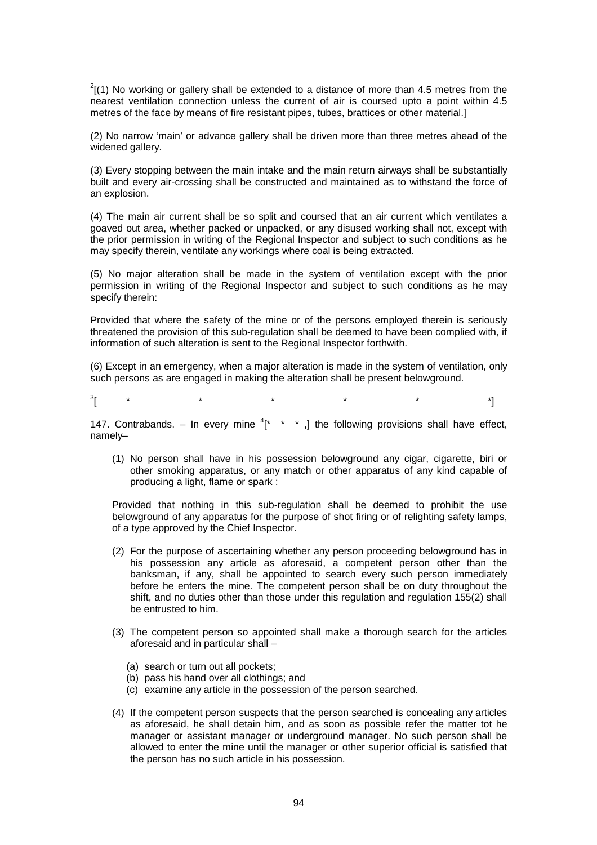$^{2}$ [(1) No working or gallery shall be extended to a distance of more than 4.5 metres from the nearest ventilation connection unless the current of air is coursed upto a point within 4.5 metres of the face by means of fire resistant pipes, tubes, brattices or other material.]

(2) No narrow 'main' or advance gallery shall be driven more than three metres ahead of the widened gallery.

(3) Every stopping between the main intake and the main return airways shall be substantially built and every air-crossing shall be constructed and maintained as to withstand the force of an explosion.

(4) The main air current shall be so split and coursed that an air current which ventilates a goaved out area, whether packed or unpacked, or any disused working shall not, except with the prior permission in writing of the Regional Inspector and subject to such conditions as he may specify therein, ventilate any workings where coal is being extracted.

(5) No major alteration shall be made in the system of ventilation except with the prior permission in writing of the Regional Inspector and subject to such conditions as he may specify therein:

Provided that where the safety of the mine or of the persons employed therein is seriously threatened the provision of this sub-regulation shall be deemed to have been complied with, if information of such alteration is sent to the Regional Inspector forthwith.

(6) Except in an emergency, when a major alteration is made in the system of ventilation, only such persons as are engaged in making the alteration shall be present belowground.

 $\frac{3}{1}$ 

[ \* \* \* \* \* \*]

147. Contrabands. – In every mine  $i^*$  \* \*, the following provisions shall have effect, namely–

(1) No person shall have in his possession belowground any cigar, cigarette, biri or other smoking apparatus, or any match or other apparatus of any kind capable of producing a light, flame or spark :

Provided that nothing in this sub-regulation shall be deemed to prohibit the use belowground of any apparatus for the purpose of shot firing or of relighting safety lamps, of a type approved by the Chief Inspector.

- (2) For the purpose of ascertaining whether any person proceeding belowground has in his possession any article as aforesaid, a competent person other than the banksman, if any, shall be appointed to search every such person immediately before he enters the mine. The competent person shall be on duty throughout the shift, and no duties other than those under this regulation and regulation 155(2) shall be entrusted to him.
- (3) The competent person so appointed shall make a thorough search for the articles aforesaid and in particular shall –
	- (a) search or turn out all pockets;
	- (b) pass his hand over all clothings; and
	- (c) examine any article in the possession of the person searched.
- (4) If the competent person suspects that the person searched is concealing any articles as aforesaid, he shall detain him, and as soon as possible refer the matter tot he manager or assistant manager or underground manager. No such person shall be allowed to enter the mine until the manager or other superior official is satisfied that the person has no such article in his possession.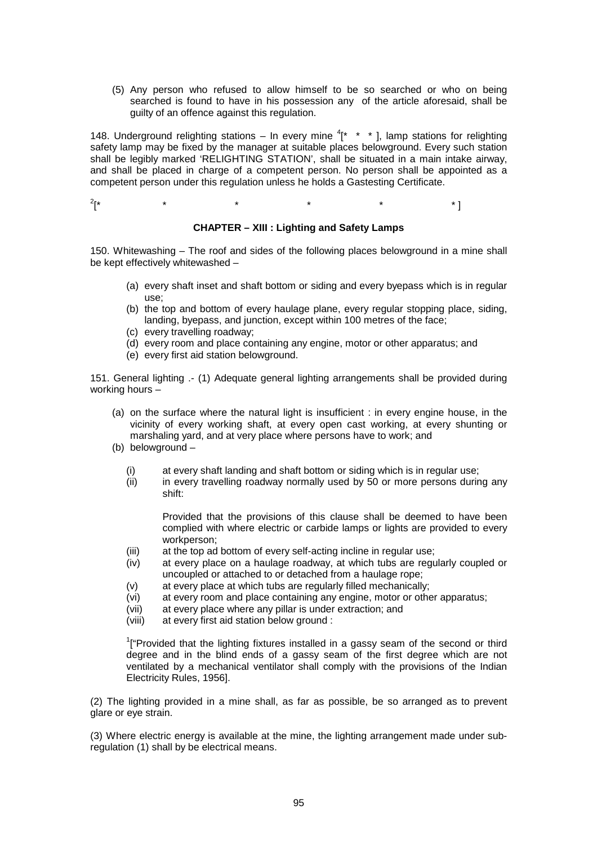(5) Any person who refused to allow himself to be so searched or who on being searched is found to have in his possession any of the article aforesaid, shall be guilty of an offence against this regulation.

148. Underground relighting stations – In every mine  $4$ <sup>\*</sup> \* \*  $\cdot$  , lamp stations for relighting safety lamp may be fixed by the manager at suitable places belowground. Every such station shall be legibly marked 'RELIGHTING STATION', shall be situated in a main intake airway, and shall be placed in charge of a competent person. No person shall be appointed as a competent person under this regulation unless he holds a Gastesting Certificate.

 $2r^*$ [\* \* \* \* \* \* ]

## **CHAPTER – XIII : Lighting and Safety Lamps**

150. Whitewashing – The roof and sides of the following places belowground in a mine shall be kept effectively whitewashed –

- (a) every shaft inset and shaft bottom or siding and every byepass which is in regular use;
- (b) the top and bottom of every haulage plane, every regular stopping place, siding, landing, byepass, and junction, except within 100 metres of the face;
- (c) every travelling roadway;
- (d) every room and place containing any engine, motor or other apparatus; and
- (e) every first aid station belowground.

151. General lighting .- (1) Adequate general lighting arrangements shall be provided during working hours –

- (a) on the surface where the natural light is insufficient : in every engine house, in the vicinity of every working shaft, at every open cast working, at every shunting or marshaling yard, and at very place where persons have to work; and
- (b) belowground
	- (i) at every shaft landing and shaft bottom or siding which is in regular use;
	- (ii) in every travelling roadway normally used by 50 or more persons during any shift:

Provided that the provisions of this clause shall be deemed to have been complied with where electric or carbide lamps or lights are provided to every workperson;

- (iii) at the top ad bottom of every self-acting incline in regular use;
- (iv) at every place on a haulage roadway, at which tubs are regularly coupled or uncoupled or attached to or detached from a haulage rope;
- (v) at every place at which tubs are regularly filled mechanically;
- (vi) at every room and place containing any engine, motor or other apparatus;
- (vii) at every place where any pillar is under extraction; and
- (viii) at every first aid station below ground :

<sup>1</sup>["Provided that the lighting fixtures installed in a gassy seam of the second or third degree and in the blind ends of a gassy seam of the first degree which are not ventilated by a mechanical ventilator shall comply with the provisions of the Indian Electricity Rules, 1956].

(2) The lighting provided in a mine shall, as far as possible, be so arranged as to prevent glare or eye strain.

(3) Where electric energy is available at the mine, the lighting arrangement made under subregulation (1) shall by be electrical means.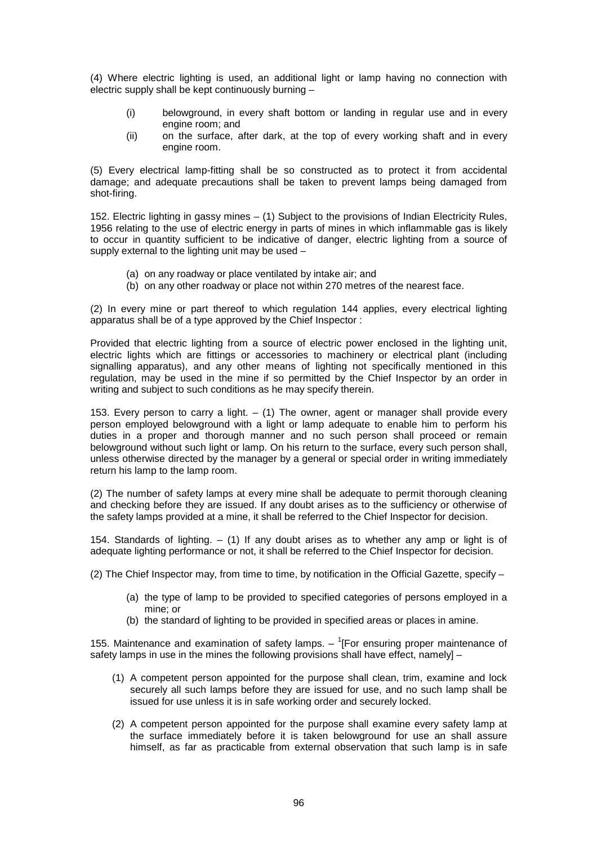(4) Where electric lighting is used, an additional light or lamp having no connection with electric supply shall be kept continuously burning –

- (i) belowground, in every shaft bottom or landing in regular use and in every engine room; and
- (ii) on the surface, after dark, at the top of every working shaft and in every engine room.

(5) Every electrical lamp-fitting shall be so constructed as to protect it from accidental damage; and adequate precautions shall be taken to prevent lamps being damaged from shot-firing.

152. Electric lighting in gassy mines – (1) Subject to the provisions of Indian Electricity Rules, 1956 relating to the use of electric energy in parts of mines in which inflammable gas is likely to occur in quantity sufficient to be indicative of danger, electric lighting from a source of supply external to the lighting unit may be used -

- (a) on any roadway or place ventilated by intake air; and
- (b) on any other roadway or place not within 270 metres of the nearest face.

(2) In every mine or part thereof to which regulation 144 applies, every electrical lighting apparatus shall be of a type approved by the Chief Inspector :

Provided that electric lighting from a source of electric power enclosed in the lighting unit, electric lights which are fittings or accessories to machinery or electrical plant (including signalling apparatus), and any other means of lighting not specifically mentioned in this regulation, may be used in the mine if so permitted by the Chief Inspector by an order in writing and subject to such conditions as he may specify therein.

153. Every person to carry a light.  $-$  (1) The owner, agent or manager shall provide every person employed belowground with a light or lamp adequate to enable him to perform his duties in a proper and thorough manner and no such person shall proceed or remain belowground without such light or lamp. On his return to the surface, every such person shall, unless otherwise directed by the manager by a general or special order in writing immediately return his lamp to the lamp room.

(2) The number of safety lamps at every mine shall be adequate to permit thorough cleaning and checking before they are issued. If any doubt arises as to the sufficiency or otherwise of the safety lamps provided at a mine, it shall be referred to the Chief Inspector for decision.

154. Standards of lighting. – (1) If any doubt arises as to whether any amp or light is of adequate lighting performance or not, it shall be referred to the Chief Inspector for decision.

(2) The Chief Inspector may, from time to time, by notification in the Official Gazette, specify –

- (a) the type of lamp to be provided to specified categories of persons employed in a mine; or
- (b) the standard of lighting to be provided in specified areas or places in amine.

155. Maintenance and examination of safety lamps.  $\left($  For ensuring proper maintenance of safety lamps in use in the mines the following provisions shall have effect, namely] –

- (1) A competent person appointed for the purpose shall clean, trim, examine and lock securely all such lamps before they are issued for use, and no such lamp shall be issued for use unless it is in safe working order and securely locked.
- (2) A competent person appointed for the purpose shall examine every safety lamp at the surface immediately before it is taken belowground for use an shall assure himself, as far as practicable from external observation that such lamp is in safe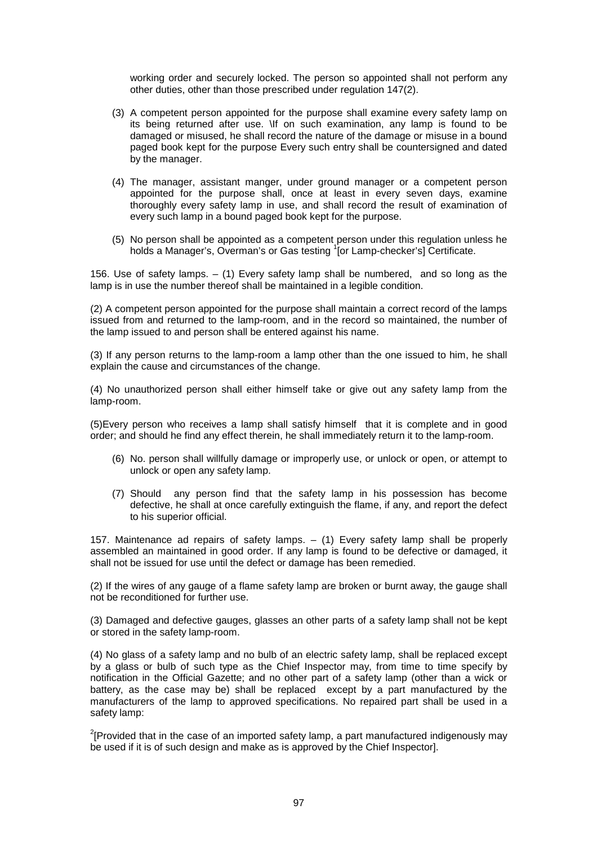working order and securely locked. The person so appointed shall not perform any other duties, other than those prescribed under regulation 147(2).

- (3) A competent person appointed for the purpose shall examine every safety lamp on its being returned after use. \If on such examination, any lamp is found to be damaged or misused, he shall record the nature of the damage or misuse in a bound paged book kept for the purpose Every such entry shall be countersigned and dated by the manager.
- (4) The manager, assistant manger, under ground manager or a competent person appointed for the purpose shall, once at least in every seven days, examine thoroughly every safety lamp in use, and shall record the result of examination of every such lamp in a bound paged book kept for the purpose.
- (5) No person shall be appointed as a competent person under this regulation unless he holds a Manager's, Overman's or Gas testing <sup>1</sup>[or Lamp-checker's] Certificate.

156. Use of safety lamps. – (1) Every safety lamp shall be numbered, and so long as the lamp is in use the number thereof shall be maintained in a legible condition.

(2) A competent person appointed for the purpose shall maintain a correct record of the lamps issued from and returned to the lamp-room, and in the record so maintained, the number of the lamp issued to and person shall be entered against his name.

(3) If any person returns to the lamp-room a lamp other than the one issued to him, he shall explain the cause and circumstances of the change.

(4) No unauthorized person shall either himself take or give out any safety lamp from the lamp-room.

(5)Every person who receives a lamp shall satisfy himself that it is complete and in good order; and should he find any effect therein, he shall immediately return it to the lamp-room.

- (6) No. person shall willfully damage or improperly use, or unlock or open, or attempt to unlock or open any safety lamp.
- (7) Should any person find that the safety lamp in his possession has become defective, he shall at once carefully extinguish the flame, if any, and report the defect to his superior official.

157. Maintenance ad repairs of safety lamps. – (1) Every safety lamp shall be properly assembled an maintained in good order. If any lamp is found to be defective or damaged, it shall not be issued for use until the defect or damage has been remedied.

(2) If the wires of any gauge of a flame safety lamp are broken or burnt away, the gauge shall not be reconditioned for further use.

(3) Damaged and defective gauges, glasses an other parts of a safety lamp shall not be kept or stored in the safety lamp-room.

(4) No glass of a safety lamp and no bulb of an electric safety lamp, shall be replaced except by a glass or bulb of such type as the Chief Inspector may, from time to time specify by notification in the Official Gazette; and no other part of a safety lamp (other than a wick or battery, as the case may be) shall be replaced except by a part manufactured by the manufacturers of the lamp to approved specifications. No repaired part shall be used in a safety lamp:

 $2$ [Provided that in the case of an imported safety lamp, a part manufactured indigenously may be used if it is of such design and make as is approved by the Chief Inspector].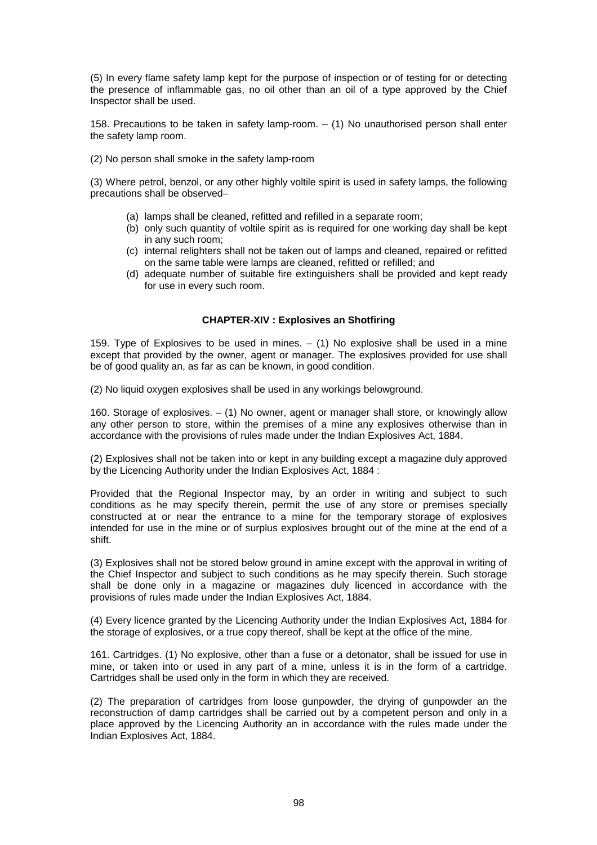(5) In every flame safety lamp kept for the purpose of inspection or of testing for or detecting the presence of inflammable gas, no oil other than an oil of a type approved by the Chief Inspector shall be used.

158. Precautions to be taken in safety lamp-room. – (1) No unauthorised person shall enter the safety lamp room.

(2) No person shall smoke in the safety lamp-room

(3) Where petrol, benzol, or any other highly voltile spirit is used in safety lamps, the following precautions shall be observed–

- (a) lamps shall be cleaned, refitted and refilled in a separate room;
- (b) only such quantity of voltile spirit as is required for one working day shall be kept in any such room;
- (c) internal relighters shall not be taken out of lamps and cleaned, repaired or refitted on the same table were lamps are cleaned, refitted or refilled; and
- (d) adequate number of suitable fire extinguishers shall be provided and kept ready for use in every such room.

## **CHAPTER-XIV : Explosives an Shotfiring**

159. Type of Explosives to be used in mines.  $-$  (1) No explosive shall be used in a mine except that provided by the owner, agent or manager. The explosives provided for use shall be of good quality an, as far as can be known, in good condition.

(2) No liquid oxygen explosives shall be used in any workings belowground.

160. Storage of explosives. – (1) No owner, agent or manager shall store, or knowingly allow any other person to store, within the premises of a mine any explosives otherwise than in accordance with the provisions of rules made under the Indian Explosives Act, 1884.

(2) Explosives shall not be taken into or kept in any building except a magazine duly approved by the Licencing Authority under the Indian Explosives Act, 1884 :

Provided that the Regional Inspector may, by an order in writing and subject to such conditions as he may specify therein, permit the use of any store or premises specially constructed at or near the entrance to a mine for the temporary storage of explosives intended for use in the mine or of surplus explosives brought out of the mine at the end of a shift.

(3) Explosives shall not be stored below ground in amine except with the approval in writing of the Chief Inspector and subject to such conditions as he may specify therein. Such storage shall be done only in a magazine or magazines duly licenced in accordance with the provisions of rules made under the Indian Explosives Act, 1884.

(4) Every licence granted by the Licencing Authority under the Indian Explosives Act, 1884 for the storage of explosives, or a true copy thereof, shall be kept at the office of the mine.

161. Cartridges. (1) No explosive, other than a fuse or a detonator, shall be issued for use in mine, or taken into or used in any part of a mine, unless it is in the form of a cartridge. Cartridges shall be used only in the form in which they are received.

(2) The preparation of cartridges from loose gunpowder, the drying of gunpowder an the reconstruction of damp cartridges shall be carried out by a competent person and only in a place approved by the Licencing Authority an in accordance with the rules made under the Indian Explosives Act, 1884.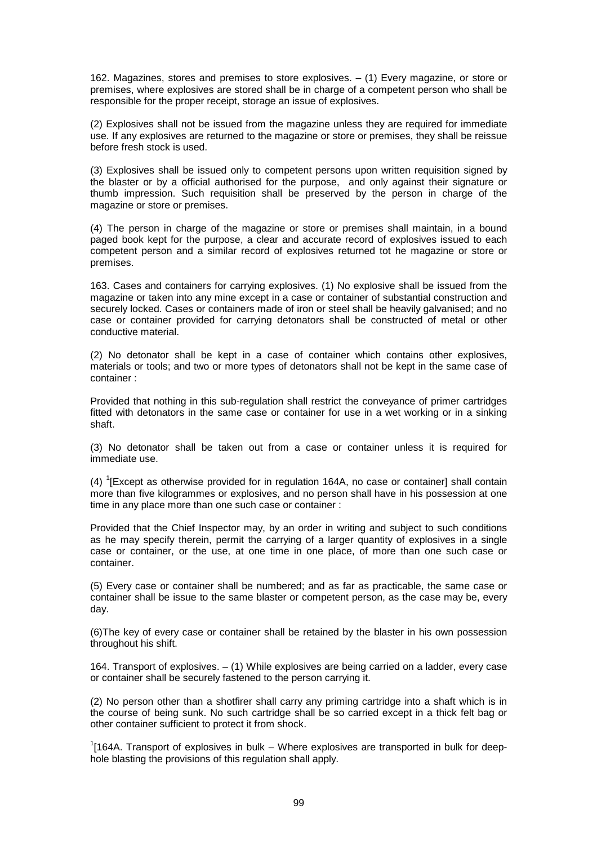162. Magazines, stores and premises to store explosives. – (1) Every magazine, or store or premises, where explosives are stored shall be in charge of a competent person who shall be responsible for the proper receipt, storage an issue of explosives.

(2) Explosives shall not be issued from the magazine unless they are required for immediate use. If any explosives are returned to the magazine or store or premises, they shall be reissue before fresh stock is used.

(3) Explosives shall be issued only to competent persons upon written requisition signed by the blaster or by a official authorised for the purpose, and only against their signature or thumb impression. Such requisition shall be preserved by the person in charge of the magazine or store or premises.

(4) The person in charge of the magazine or store or premises shall maintain, in a bound paged book kept for the purpose, a clear and accurate record of explosives issued to each competent person and a similar record of explosives returned tot he magazine or store or premises.

163. Cases and containers for carrying explosives. (1) No explosive shall be issued from the magazine or taken into any mine except in a case or container of substantial construction and securely locked. Cases or containers made of iron or steel shall be heavily galvanised; and no case or container provided for carrying detonators shall be constructed of metal or other conductive material.

(2) No detonator shall be kept in a case of container which contains other explosives, materials or tools; and two or more types of detonators shall not be kept in the same case of container :

Provided that nothing in this sub-regulation shall restrict the conveyance of primer cartridges fitted with detonators in the same case or container for use in a wet working or in a sinking shaft.

(3) No detonator shall be taken out from a case or container unless it is required for immediate use.

(4)  $\rm ^1$ [Except as otherwise provided for in regulation 164A, no case or container] shall contain more than five kilogrammes or explosives, and no person shall have in his possession at one time in any place more than one such case or container :

Provided that the Chief Inspector may, by an order in writing and subject to such conditions as he may specify therein, permit the carrying of a larger quantity of explosives in a single case or container, or the use, at one time in one place, of more than one such case or container.

(5) Every case or container shall be numbered; and as far as practicable, the same case or container shall be issue to the same blaster or competent person, as the case may be, every day.

(6)The key of every case or container shall be retained by the blaster in his own possession throughout his shift.

164. Transport of explosives. – (1) While explosives are being carried on a ladder, every case or container shall be securely fastened to the person carrying it.

(2) No person other than a shotfirer shall carry any priming cartridge into a shaft which is in the course of being sunk. No such cartridge shall be so carried except in a thick felt bag or other container sufficient to protect it from shock.

 $1$ [164A. Transport of explosives in bulk – Where explosives are transported in bulk for deephole blasting the provisions of this regulation shall apply.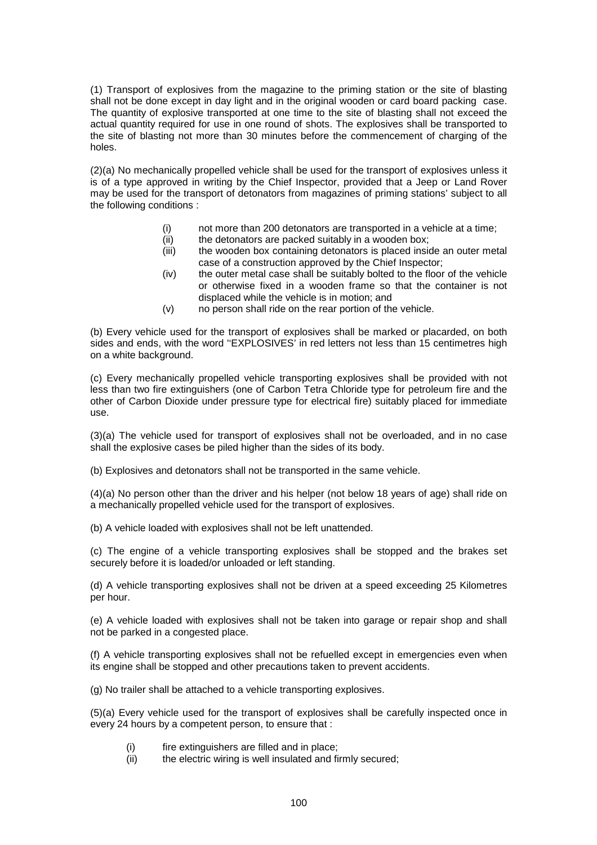(1) Transport of explosives from the magazine to the priming station or the site of blasting shall not be done except in day light and in the original wooden or card board packing case. The quantity of explosive transported at one time to the site of blasting shall not exceed the actual quantity required for use in one round of shots. The explosives shall be transported to the site of blasting not more than 30 minutes before the commencement of charging of the holes.

(2)(a) No mechanically propelled vehicle shall be used for the transport of explosives unless it is of a type approved in writing by the Chief Inspector, provided that a Jeep or Land Rover may be used for the transport of detonators from magazines of priming stations' subject to all the following conditions :

- (i) not more than 200 detonators are transported in a vehicle at a time;
- (ii) the detonators are packed suitably in a wooden box:
- (iii) the wooden box containing detonators is placed inside an outer metal case of a construction approved by the Chief Inspector;
- (iv) the outer metal case shall be suitably bolted to the floor of the vehicle or otherwise fixed in a wooden frame so that the container is not displaced while the vehicle is in motion; and
- (v) no person shall ride on the rear portion of the vehicle.

(b) Every vehicle used for the transport of explosives shall be marked or placarded, on both sides and ends, with the word ''EXPLOSIVES' in red letters not less than 15 centimetres high on a white background.

(c) Every mechanically propelled vehicle transporting explosives shall be provided with not less than two fire extinguishers (one of Carbon Tetra Chloride type for petroleum fire and the other of Carbon Dioxide under pressure type for electrical fire) suitably placed for immediate use.

(3)(a) The vehicle used for transport of explosives shall not be overloaded, and in no case shall the explosive cases be piled higher than the sides of its body.

(b) Explosives and detonators shall not be transported in the same vehicle.

(4)(a) No person other than the driver and his helper (not below 18 years of age) shall ride on a mechanically propelled vehicle used for the transport of explosives.

(b) A vehicle loaded with explosives shall not be left unattended.

(c) The engine of a vehicle transporting explosives shall be stopped and the brakes set securely before it is loaded/or unloaded or left standing.

(d) A vehicle transporting explosives shall not be driven at a speed exceeding 25 Kilometres per hour.

(e) A vehicle loaded with explosives shall not be taken into garage or repair shop and shall not be parked in a congested place.

(f) A vehicle transporting explosives shall not be refuelled except in emergencies even when its engine shall be stopped and other precautions taken to prevent accidents.

(g) No trailer shall be attached to a vehicle transporting explosives.

(5)(a) Every vehicle used for the transport of explosives shall be carefully inspected once in every 24 hours by a competent person, to ensure that :

- (i) fire extinguishers are filled and in place;
- (ii) the electric wiring is well insulated and firmly secured;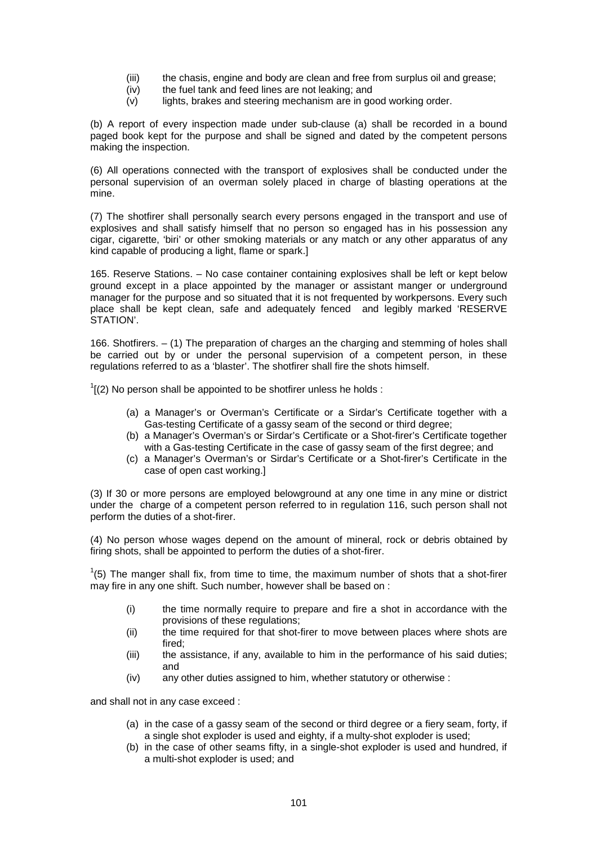- (iii) the chasis, engine and body are clean and free from surplus oil and grease;
- (iv) the fuel tank and feed lines are not leaking; and
- (v) lights, brakes and steering mechanism are in good working order.

(b) A report of every inspection made under sub-clause (a) shall be recorded in a bound paged book kept for the purpose and shall be signed and dated by the competent persons making the inspection.

(6) All operations connected with the transport of explosives shall be conducted under the personal supervision of an overman solely placed in charge of blasting operations at the mine.

(7) The shotfirer shall personally search every persons engaged in the transport and use of explosives and shall satisfy himself that no person so engaged has in his possession any cigar, cigarette, 'biri' or other smoking materials or any match or any other apparatus of any kind capable of producing a light, flame or spark.]

165. Reserve Stations. – No case container containing explosives shall be left or kept below ground except in a place appointed by the manager or assistant manger or underground manager for the purpose and so situated that it is not frequented by workpersons. Every such place shall be kept clean, safe and adequately fenced and legibly marked 'RESERVE STATION'.

166. Shotfirers. – (1) The preparation of charges an the charging and stemming of holes shall be carried out by or under the personal supervision of a competent person, in these regulations referred to as a 'blaster'. The shotfirer shall fire the shots himself.

 $1$ [(2) No person shall be appointed to be shotfirer unless he holds :

- (a) a Manager's or Overman's Certificate or a Sirdar's Certificate together with a Gas-testing Certificate of a gassy seam of the second or third degree;
- (b) a Manager's Overman's or Sirdar's Certificate or a Shot-firer's Certificate together with a Gas-testing Certificate in the case of gassy seam of the first degree; and
- (c) a Manager's Overman's or Sirdar's Certificate or a Shot-firer's Certificate in the case of open cast working.]

(3) If 30 or more persons are employed belowground at any one time in any mine or district under the charge of a competent person referred to in regulation 116, such person shall not perform the duties of a shot-firer.

(4) No person whose wages depend on the amount of mineral, rock or debris obtained by firing shots, shall be appointed to perform the duties of a shot-firer.

 $1(5)$  The manger shall fix, from time to time, the maximum number of shots that a shot-firer may fire in any one shift. Such number, however shall be based on :

- (i) the time normally require to prepare and fire a shot in accordance with the provisions of these regulations;
- (ii) the time required for that shot-firer to move between places where shots are fired;
- (iii) the assistance, if any, available to him in the performance of his said duties; and
- (iv) any other duties assigned to him, whether statutory or otherwise :

and shall not in any case exceed :

- (a) in the case of a gassy seam of the second or third degree or a fiery seam, forty, if a single shot exploder is used and eighty, if a multy-shot exploder is used;
- (b) in the case of other seams fifty, in a single-shot exploder is used and hundred, if a multi-shot exploder is used; and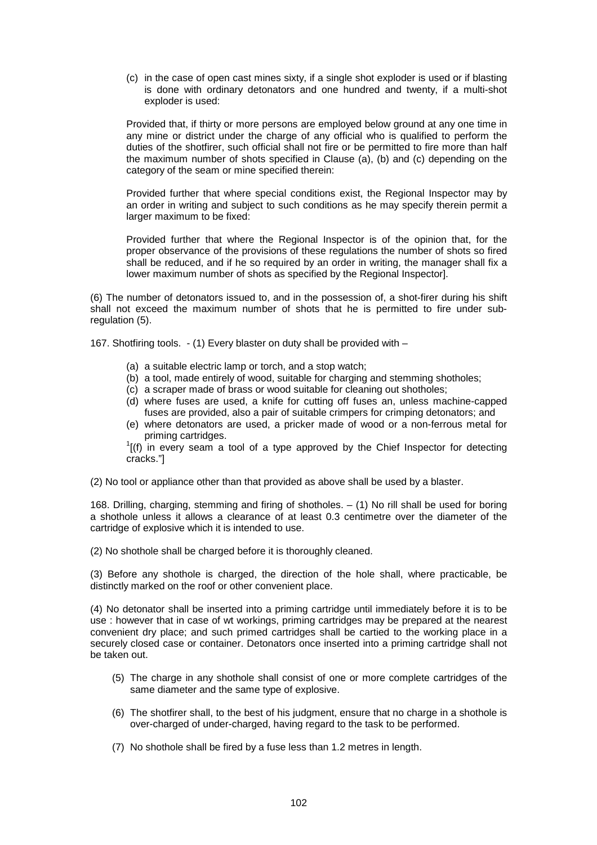(c) in the case of open cast mines sixty, if a single shot exploder is used or if blasting is done with ordinary detonators and one hundred and twenty, if a multi-shot exploder is used:

Provided that, if thirty or more persons are employed below ground at any one time in any mine or district under the charge of any official who is qualified to perform the duties of the shotfirer, such official shall not fire or be permitted to fire more than half the maximum number of shots specified in Clause (a), (b) and (c) depending on the category of the seam or mine specified therein:

Provided further that where special conditions exist, the Regional Inspector may by an order in writing and subject to such conditions as he may specify therein permit a larger maximum to be fixed:

Provided further that where the Regional Inspector is of the opinion that, for the proper observance of the provisions of these regulations the number of shots so fired shall be reduced, and if he so required by an order in writing, the manager shall fix a lower maximum number of shots as specified by the Regional Inspector].

(6) The number of detonators issued to, and in the possession of, a shot-firer during his shift shall not exceed the maximum number of shots that he is permitted to fire under subregulation (5).

167. Shotfiring tools. - (1) Every blaster on duty shall be provided with –

- (a) a suitable electric lamp or torch, and a stop watch;
- (b) a tool, made entirely of wood, suitable for charging and stemming shotholes;
- (c) a scraper made of brass or wood suitable for cleaning out shotholes;
- (d) where fuses are used, a knife for cutting off fuses an, unless machine-capped fuses are provided, also a pair of suitable crimpers for crimping detonators; and
- (e) where detonators are used, a pricker made of wood or a non-ferrous metal for priming cartridges. 1

 $I(f)$  in every seam a tool of a type approved by the Chief Inspector for detecting cracks."]

(2) No tool or appliance other than that provided as above shall be used by a blaster.

168. Drilling, charging, stemming and firing of shotholes. – (1) No rill shall be used for boring a shothole unless it allows a clearance of at least 0.3 centimetre over the diameter of the cartridge of explosive which it is intended to use.

(2) No shothole shall be charged before it is thoroughly cleaned.

(3) Before any shothole is charged, the direction of the hole shall, where practicable, be distinctly marked on the roof or other convenient place.

(4) No detonator shall be inserted into a priming cartridge until immediately before it is to be use : however that in case of wt workings, priming cartridges may be prepared at the nearest convenient dry place; and such primed cartridges shall be cartied to the working place in a securely closed case or container. Detonators once inserted into a priming cartridge shall not be taken out.

- (5) The charge in any shothole shall consist of one or more complete cartridges of the same diameter and the same type of explosive.
- (6) The shotfirer shall, to the best of his judgment, ensure that no charge in a shothole is over-charged of under-charged, having regard to the task to be performed.
- (7) No shothole shall be fired by a fuse less than 1.2 metres in length.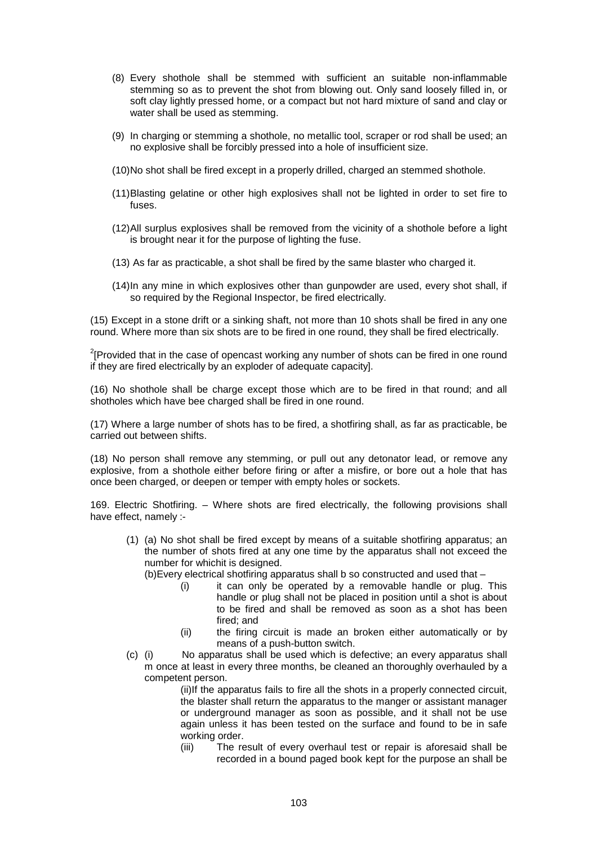- (8) Every shothole shall be stemmed with sufficient an suitable non-inflammable stemming so as to prevent the shot from blowing out. Only sand loosely filled in, or soft clay lightly pressed home, or a compact but not hard mixture of sand and clay or water shall be used as stemming.
- (9) In charging or stemming a shothole, no metallic tool, scraper or rod shall be used; an no explosive shall be forcibly pressed into a hole of insufficient size.
- (10) No shot shall be fired except in a properly drilled, charged an stemmed shothole.
- (11) Blasting gelatine or other high explosives shall not be lighted in order to set fire to fuses.
- (12) All surplus explosives shall be removed from the vicinity of a shothole before a light is brought near it for the purpose of lighting the fuse.
- (13)As far as practicable, a shot shall be fired by the same blaster who charged it.
- (14) In any mine in which explosives other than gunpowder are used, every shot shall, if so required by the Regional Inspector, be fired electrically.

(15) Except in a stone drift or a sinking shaft, not more than 10 shots shall be fired in any one round. Where more than six shots are to be fired in one round, they shall be fired electrically.

 $2$ [Provided that in the case of opencast working any number of shots can be fired in one round if they are fired electrically by an exploder of adequate capacity].

(16) No shothole shall be charge except those which are to be fired in that round; and all shotholes which have bee charged shall be fired in one round.

(17) Where a large number of shots has to be fired, a shotfiring shall, as far as practicable, be carried out between shifts.

(18) No person shall remove any stemming, or pull out any detonator lead, or remove any explosive, from a shothole either before firing or after a misfire, or bore out a hole that has once been charged, or deepen or temper with empty holes or sockets.

169. Electric Shotfiring. – Where shots are fired electrically, the following provisions shall have effect, namely :-

(1) (a) No shot shall be fired except by means of a suitable shotfiring apparatus; an the number of shots fired at any one time by the apparatus shall not exceed the number for whichit is designed.

(b)Every electrical shotfiring apparatus shall b so constructed and used that –

- (i) it can only be operated by a removable handle or plug. This handle or plug shall not be placed in position until a shot is about to be fired and shall be removed as soon as a shot has been fired; and
- (ii) the firing circuit is made an broken either automatically or by means of a push-button switch.
- (c) (i) No apparatus shall be used which is defective; an every apparatus shall m once at least in every three months, be cleaned an thoroughly overhauled by a competent person.

(ii)If the apparatus fails to fire all the shots in a properly connected circuit, the blaster shall return the apparatus to the manger or assistant manager or underground manager as soon as possible, and it shall not be use again unless it has been tested on the surface and found to be in safe working order.

(iii) The result of every overhaul test or repair is aforesaid shall be recorded in a bound paged book kept for the purpose an shall be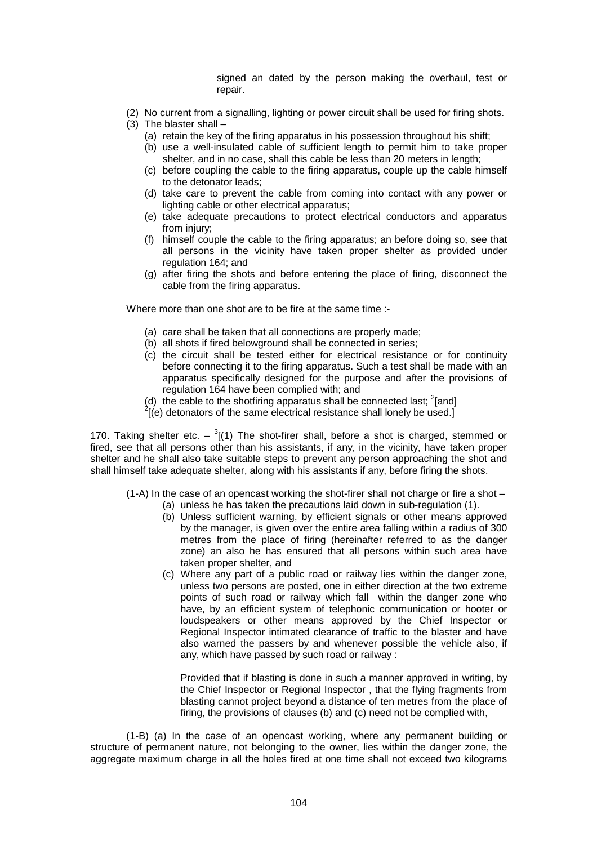signed an dated by the person making the overhaul, test or repair.

- (2) No current from a signalling, lighting or power circuit shall be used for firing shots.
- (3) The blaster shall
	- (a) retain the key of the firing apparatus in his possession throughout his shift;
		- (b) use a well-insulated cable of sufficient length to permit him to take proper shelter, and in no case, shall this cable be less than 20 meters in length;
		- (c) before coupling the cable to the firing apparatus, couple up the cable himself to the detonator leads;
		- (d) take care to prevent the cable from coming into contact with any power or lighting cable or other electrical apparatus;
		- (e) take adequate precautions to protect electrical conductors and apparatus from injury:
		- (f) himself couple the cable to the firing apparatus; an before doing so, see that all persons in the vicinity have taken proper shelter as provided under regulation 164; and
		- (g) after firing the shots and before entering the place of firing, disconnect the cable from the firing apparatus.

Where more than one shot are to be fire at the same time :-

- (a) care shall be taken that all connections are properly made;
- (b) all shots if fired belowground shall be connected in series;
- (c) the circuit shall be tested either for electrical resistance or for continuity before connecting it to the firing apparatus. Such a test shall be made with an apparatus specifically designed for the purpose and after the provisions of regulation 164 have been complied with; and
- (d) the cable to the shotfiring apparatus shall be connected last; <sup>2</sup>[and]  $\frac{2}{2}$ [(e) determines of the same algebraic resistance shall langly be used 1
- $\frac{1}{2}$ [(e) detonators of the same electrical resistance shall lonely be used.]

170. Taking shelter etc.  $^{3}$ [(1) The shot-firer shall, before a shot is charged, stemmed or fired, see that all persons other than his assistants, if any, in the vicinity, have taken proper shelter and he shall also take suitable steps to prevent any person approaching the shot and shall himself take adequate shelter, along with his assistants if any, before firing the shots.

- $(1-A)$  In the case of an opencast working the shot-firer shall not charge or fire a shot
	- (a) unless he has taken the precautions laid down in sub-regulation (1).
		- (b) Unless sufficient warning, by efficient signals or other means approved by the manager, is given over the entire area falling within a radius of 300 metres from the place of firing (hereinafter referred to as the danger zone) an also he has ensured that all persons within such area have taken proper shelter, and
		- (c) Where any part of a public road or railway lies within the danger zone, unless two persons are posted, one in either direction at the two extreme points of such road or railway which fall within the danger zone who have, by an efficient system of telephonic communication or hooter or loudspeakers or other means approved by the Chief Inspector or Regional Inspector intimated clearance of traffic to the blaster and have also warned the passers by and whenever possible the vehicle also, if any, which have passed by such road or railway :

Provided that if blasting is done in such a manner approved in writing, by the Chief Inspector or Regional Inspector , that the flying fragments from blasting cannot project beyond a distance of ten metres from the place of firing, the provisions of clauses (b) and (c) need not be complied with,

 (1-B) (a) In the case of an opencast working, where any permanent building or structure of permanent nature, not belonging to the owner, lies within the danger zone, the aggregate maximum charge in all the holes fired at one time shall not exceed two kilograms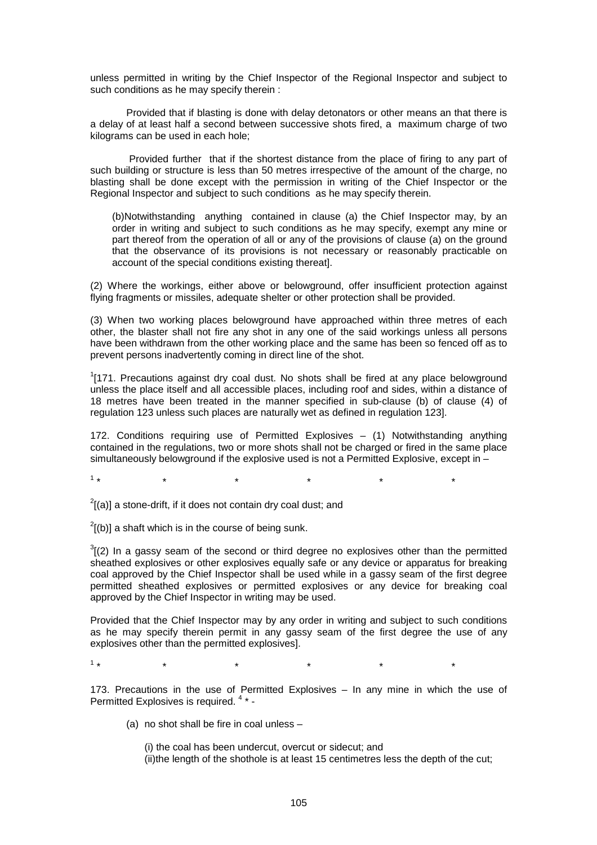unless permitted in writing by the Chief Inspector of the Regional Inspector and subject to such conditions as he may specify therein :

 Provided that if blasting is done with delay detonators or other means an that there is a delay of at least half a second between successive shots fired, a maximum charge of two kilograms can be used in each hole;

 Provided further that if the shortest distance from the place of firing to any part of such building or structure is less than 50 metres irrespective of the amount of the charge, no blasting shall be done except with the permission in writing of the Chief Inspector or the Regional Inspector and subject to such conditions as he may specify therein.

(b)Notwithstanding anything contained in clause (a) the Chief Inspector may, by an order in writing and subject to such conditions as he may specify, exempt any mine or part thereof from the operation of all or any of the provisions of clause (a) on the ground that the observance of its provisions is not necessary or reasonably practicable on account of the special conditions existing thereat].

(2) Where the workings, either above or belowground, offer insufficient protection against flying fragments or missiles, adequate shelter or other protection shall be provided.

(3) When two working places belowground have approached within three metres of each other, the blaster shall not fire any shot in any one of the said workings unless all persons have been withdrawn from the other working place and the same has been so fenced off as to prevent persons inadvertently coming in direct line of the shot.

 $1$ [171. Precautions against dry coal dust. No shots shall be fired at any place belowground unless the place itself and all accessible places, including roof and sides, within a distance of 18 metres have been treated in the manner specified in sub-clause (b) of clause (4) of regulation 123 unless such places are naturally wet as defined in regulation 123].

172. Conditions requiring use of Permitted Explosives – (1) Notwithstanding anything contained in the regulations, two or more shots shall not be charged or fired in the same place simultaneously belowground if the explosive used is not a Permitted Explosive, except in –

 $1<sub>+</sub>$ \* \* \* \* \* \*

 $2^2$ [(a)] a stone-drift, if it does not contain dry coal dust; and

 $^{2}$ [(b)] a shaft which is in the course of being sunk.

 $3(2)$  In a gassy seam of the second or third degree no explosives other than the permitted sheathed explosives or other explosives equally safe or any device or apparatus for breaking coal approved by the Chief Inspector shall be used while in a gassy seam of the first degree permitted sheathed explosives or permitted explosives or any device for breaking coal approved by the Chief Inspector in writing may be used.

Provided that the Chief Inspector may by any order in writing and subject to such conditions as he may specify therein permit in any gassy seam of the first degree the use of any explosives other than the permitted explosives].

 $1*$ \* \* \* \* \* \*

173. Precautions in the use of Permitted Explosives – In any mine in which the use of Permitted Explosives is required. 4 \* -

(a) no shot shall be fire in coal unless –

(i) the coal has been undercut, overcut or sidecut; and

(ii)the length of the shothole is at least 15 centimetres less the depth of the cut;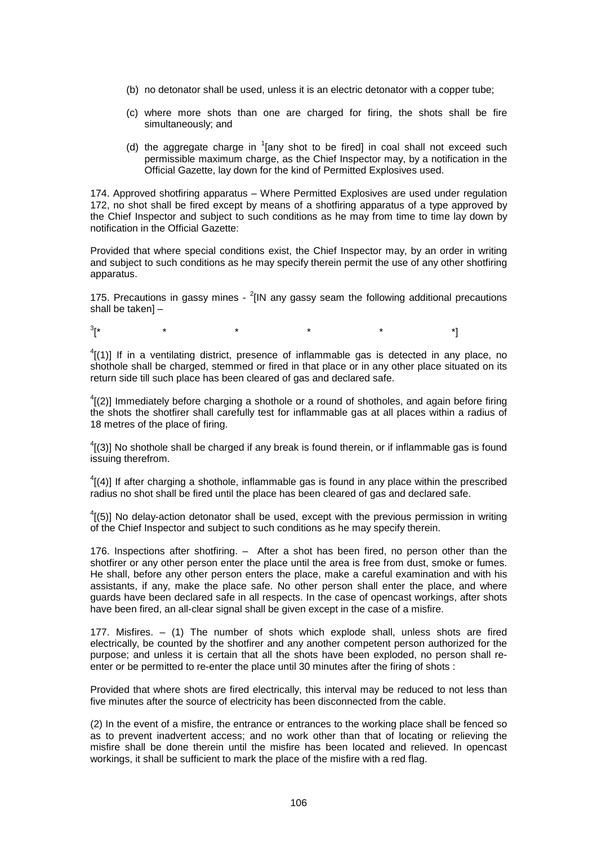- (b) no detonator shall be used, unless it is an electric detonator with a copper tube;
- (c) where more shots than one are charged for firing, the shots shall be fire simultaneously; and
- (d) the aggregate charge in  $1$ [any shot to be fired] in coal shall not exceed such permissible maximum charge, as the Chief Inspector may, by a notification in the Official Gazette, lay down for the kind of Permitted Explosives used.

174. Approved shotfiring apparatus – Where Permitted Explosives are used under regulation 172, no shot shall be fired except by means of a shotfiring apparatus of a type approved by the Chief Inspector and subject to such conditions as he may from time to time lay down by notification in the Official Gazette:

Provided that where special conditions exist, the Chief Inspector may, by an order in writing and subject to such conditions as he may specify therein permit the use of any other shotfiring apparatus.

175. Precautions in gassy mines -  $^{2}$ [IN any gassy seam the following additional precautions shall be taken] –

 $3<sub>f</sub>$ [\* \* \* \* \* \*]

 $^{4}$ [(1)] If in a ventilating district, presence of inflammable gas is detected in any place, no shothole shall be charged, stemmed or fired in that place or in any other place situated on its return side till such place has been cleared of gas and declared safe.

 $^{4}$ [(2)] Immediately before charging a shothole or a round of shotholes, and again before firing the shots the shotfirer shall carefully test for inflammable gas at all places within a radius of 18 metres of the place of firing.

 $^{4}$ [(3)] No shothole shall be charged if any break is found therein, or if inflammable gas is found issuing therefrom.

 ${}^{4}$ [(4)] If after charging a shothole, inflammable gas is found in any place within the prescribed radius no shot shall be fired until the place has been cleared of gas and declared safe.

 $^{4}$ [(5)] No delay-action detonator shall be used, except with the previous permission in writing of the Chief Inspector and subject to such conditions as he may specify therein.

176. Inspections after shotfiring. – After a shot has been fired, no person other than the shotfirer or any other person enter the place until the area is free from dust, smoke or fumes. He shall, before any other person enters the place, make a careful examination and with his assistants, if any, make the place safe. No other person shall enter the place, and where guards have been declared safe in all respects. In the case of opencast workings, after shots have been fired, an all-clear signal shall be given except in the case of a misfire.

177. Misfires. – (1) The number of shots which explode shall, unless shots are fired electrically, be counted by the shotfirer and any another competent person authorized for the purpose; and unless it is certain that all the shots have been exploded, no person shall reenter or be permitted to re-enter the place until 30 minutes after the firing of shots :

Provided that where shots are fired electrically, this interval may be reduced to not less than five minutes after the source of electricity has been disconnected from the cable.

(2) In the event of a misfire, the entrance or entrances to the working place shall be fenced so as to prevent inadvertent access; and no work other than that of locating or relieving the misfire shall be done therein until the misfire has been located and relieved. In opencast workings, it shall be sufficient to mark the place of the misfire with a red flag.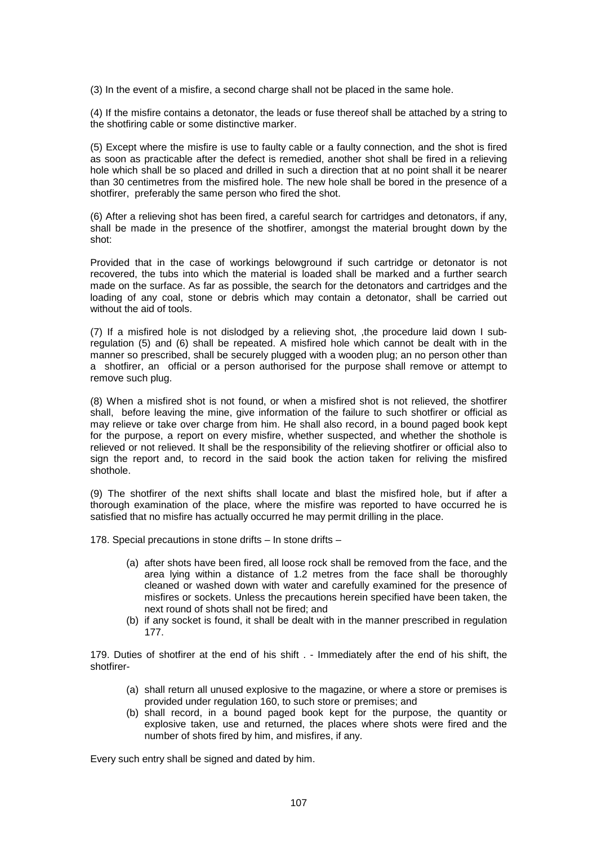(3) In the event of a misfire, a second charge shall not be placed in the same hole.

(4) If the misfire contains a detonator, the leads or fuse thereof shall be attached by a string to the shotfiring cable or some distinctive marker.

(5) Except where the misfire is use to faulty cable or a faulty connection, and the shot is fired as soon as practicable after the defect is remedied, another shot shall be fired in a relieving hole which shall be so placed and drilled in such a direction that at no point shall it be nearer than 30 centimetres from the misfired hole. The new hole shall be bored in the presence of a shotfirer, preferably the same person who fired the shot.

(6) After a relieving shot has been fired, a careful search for cartridges and detonators, if any, shall be made in the presence of the shotfirer, amongst the material brought down by the shot:

Provided that in the case of workings belowground if such cartridge or detonator is not recovered, the tubs into which the material is loaded shall be marked and a further search made on the surface. As far as possible, the search for the detonators and cartridges and the loading of any coal, stone or debris which may contain a detonator, shall be carried out without the aid of tools.

(7) If a misfired hole is not dislodged by a relieving shot, ,the procedure laid down I subregulation (5) and (6) shall be repeated. A misfired hole which cannot be dealt with in the manner so prescribed, shall be securely plugged with a wooden plug; an no person other than a shotfirer, an official or a person authorised for the purpose shall remove or attempt to remove such plug.

(8) When a misfired shot is not found, or when a misfired shot is not relieved, the shotfirer shall, before leaving the mine, give information of the failure to such shotfirer or official as may relieve or take over charge from him. He shall also record, in a bound paged book kept for the purpose, a report on every misfire, whether suspected, and whether the shothole is relieved or not relieved. It shall be the responsibility of the relieving shotfirer or official also to sign the report and, to record in the said book the action taken for reliving the misfired shothole.

(9) The shotfirer of the next shifts shall locate and blast the misfired hole, but if after a thorough examination of the place, where the misfire was reported to have occurred he is satisfied that no misfire has actually occurred he may permit drilling in the place.

178. Special precautions in stone drifts – In stone drifts –

- (a) after shots have been fired, all loose rock shall be removed from the face, and the area lying within a distance of 1.2 metres from the face shall be thoroughly cleaned or washed down with water and carefully examined for the presence of misfires or sockets. Unless the precautions herein specified have been taken, the next round of shots shall not be fired; and
- (b) if any socket is found, it shall be dealt with in the manner prescribed in regulation 177.

179. Duties of shotfirer at the end of his shift . - Immediately after the end of his shift, the shotfirer-

- (a) shall return all unused explosive to the magazine, or where a store or premises is provided under regulation 160, to such store or premises; and
- (b) shall record, in a bound paged book kept for the purpose, the quantity or explosive taken, use and returned, the places where shots were fired and the number of shots fired by him, and misfires, if any.

Every such entry shall be signed and dated by him.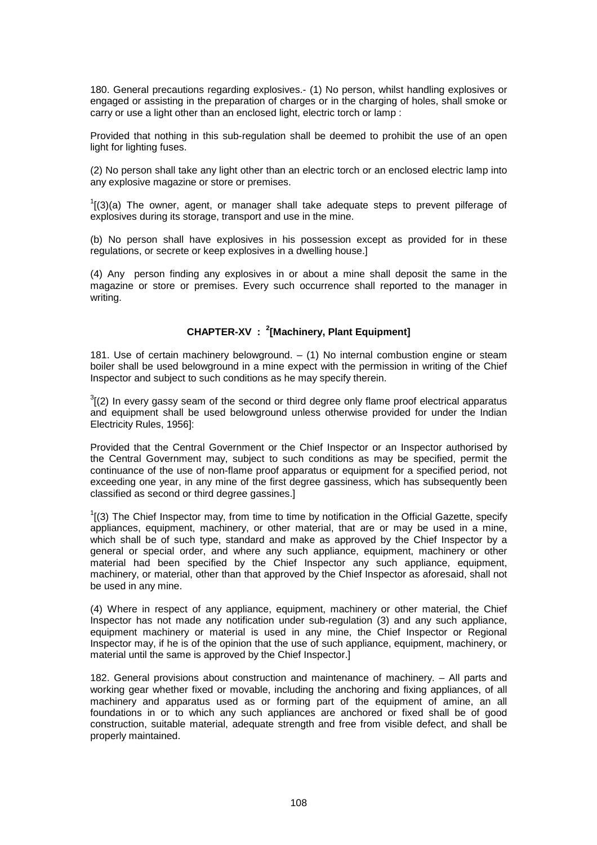180. General precautions regarding explosives.- (1) No person, whilst handling explosives or engaged or assisting in the preparation of charges or in the charging of holes, shall smoke or carry or use a light other than an enclosed light, electric torch or lamp :

Provided that nothing in this sub-regulation shall be deemed to prohibit the use of an open light for lighting fuses.

(2) No person shall take any light other than an electric torch or an enclosed electric lamp into any explosive magazine or store or premises.

 $I(3)$ (a) The owner, agent, or manager shall take adequate steps to prevent pilferage of explosives during its storage, transport and use in the mine.

(b) No person shall have explosives in his possession except as provided for in these regulations, or secrete or keep explosives in a dwelling house.]

(4) Any person finding any explosives in or about a mine shall deposit the same in the magazine or store or premises. Every such occurrence shall reported to the manager in writing.

## **CHAPTER-XV : <sup>2</sup> [Machinery, Plant Equipment]**

181. Use of certain machinery belowground. – (1) No internal combustion engine or steam boiler shall be used belowground in a mine expect with the permission in writing of the Chief Inspector and subject to such conditions as he may specify therein.

 $3$ [(2) In every gassy seam of the second or third degree only flame proof electrical apparatus and equipment shall be used belowground unless otherwise provided for under the Indian Electricity Rules, 1956]:

Provided that the Central Government or the Chief Inspector or an Inspector authorised by the Central Government may, subject to such conditions as may be specified, permit the continuance of the use of non-flame proof apparatus or equipment for a specified period, not exceeding one year, in any mine of the first degree gassiness, which has subsequently been classified as second or third degree gassines.]

 $1$ [(3) The Chief Inspector may, from time to time by notification in the Official Gazette, specify appliances, equipment, machinery, or other material, that are or may be used in a mine, which shall be of such type, standard and make as approved by the Chief Inspector by a general or special order, and where any such appliance, equipment, machinery or other material had been specified by the Chief Inspector any such appliance, equipment, machinery, or material, other than that approved by the Chief Inspector as aforesaid, shall not be used in any mine.

(4) Where in respect of any appliance, equipment, machinery or other material, the Chief Inspector has not made any notification under sub-regulation (3) and any such appliance, equipment machinery or material is used in any mine, the Chief Inspector or Regional Inspector may, if he is of the opinion that the use of such appliance, equipment, machinery, or material until the same is approved by the Chief Inspector.]

182. General provisions about construction and maintenance of machinery. – All parts and working gear whether fixed or movable, including the anchoring and fixing appliances, of all machinery and apparatus used as or forming part of the equipment of amine, an all foundations in or to which any such appliances are anchored or fixed shall be of good construction, suitable material, adequate strength and free from visible defect, and shall be properly maintained.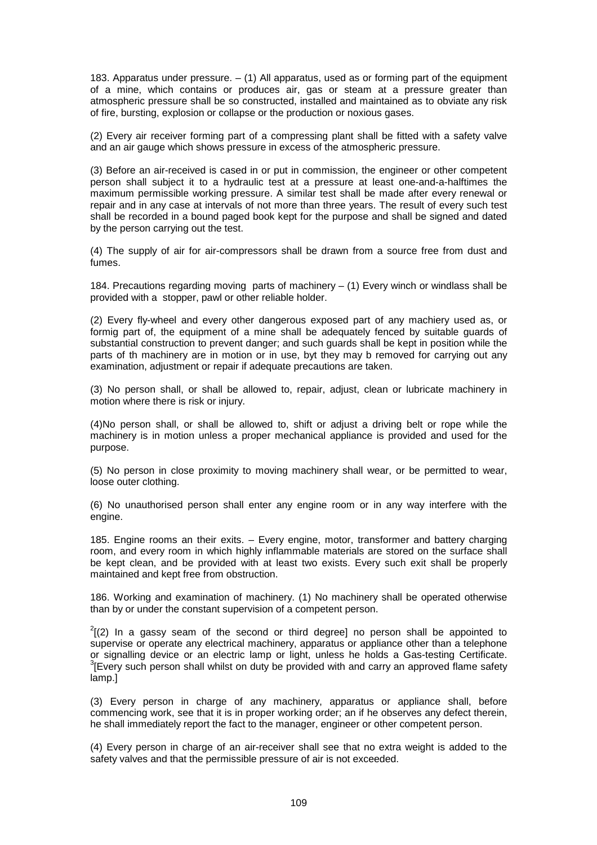183. Apparatus under pressure.  $-$  (1) All apparatus, used as or forming part of the equipment of a mine, which contains or produces air, gas or steam at a pressure greater than atmospheric pressure shall be so constructed, installed and maintained as to obviate any risk of fire, bursting, explosion or collapse or the production or noxious gases.

(2) Every air receiver forming part of a compressing plant shall be fitted with a safety valve and an air gauge which shows pressure in excess of the atmospheric pressure.

(3) Before an air-received is cased in or put in commission, the engineer or other competent person shall subject it to a hydraulic test at a pressure at least one-and-a-halftimes the maximum permissible working pressure. A similar test shall be made after every renewal or repair and in any case at intervals of not more than three years. The result of every such test shall be recorded in a bound paged book kept for the purpose and shall be signed and dated by the person carrying out the test.

(4) The supply of air for air-compressors shall be drawn from a source free from dust and fumes.

184. Precautions regarding moving parts of machinery – (1) Every winch or windlass shall be provided with a stopper, pawl or other reliable holder.

(2) Every fly-wheel and every other dangerous exposed part of any machiery used as, or formig part of, the equipment of a mine shall be adequately fenced by suitable guards of substantial construction to prevent danger; and such guards shall be kept in position while the parts of th machinery are in motion or in use, byt they may b removed for carrying out any examination, adjustment or repair if adequate precautions are taken.

(3) No person shall, or shall be allowed to, repair, adjust, clean or lubricate machinery in motion where there is risk or injury.

(4)No person shall, or shall be allowed to, shift or adjust a driving belt or rope while the machinery is in motion unless a proper mechanical appliance is provided and used for the purpose.

(5) No person in close proximity to moving machinery shall wear, or be permitted to wear, loose outer clothing.

(6) No unauthorised person shall enter any engine room or in any way interfere with the engine.

185. Engine rooms an their exits. – Every engine, motor, transformer and battery charging room, and every room in which highly inflammable materials are stored on the surface shall be kept clean, and be provided with at least two exists. Every such exit shall be properly maintained and kept free from obstruction.

186. Working and examination of machinery. (1) No machinery shall be operated otherwise than by or under the constant supervision of a competent person.

 $2(2)$  In a gassy seam of the second or third degree] no person shall be appointed to supervise or operate any electrical machinery, apparatus or appliance other than a telephone or signalling device or an electric lamp or light, unless he holds a Gas-testing Certificate. <sup>3</sup> [Every such person shall whilst on duty be provided with and carry an approved flame safety lamp.]

(3) Every person in charge of any machinery, apparatus or appliance shall, before commencing work, see that it is in proper working order; an if he observes any defect therein, he shall immediately report the fact to the manager, engineer or other competent person.

(4) Every person in charge of an air-receiver shall see that no extra weight is added to the safety valves and that the permissible pressure of air is not exceeded.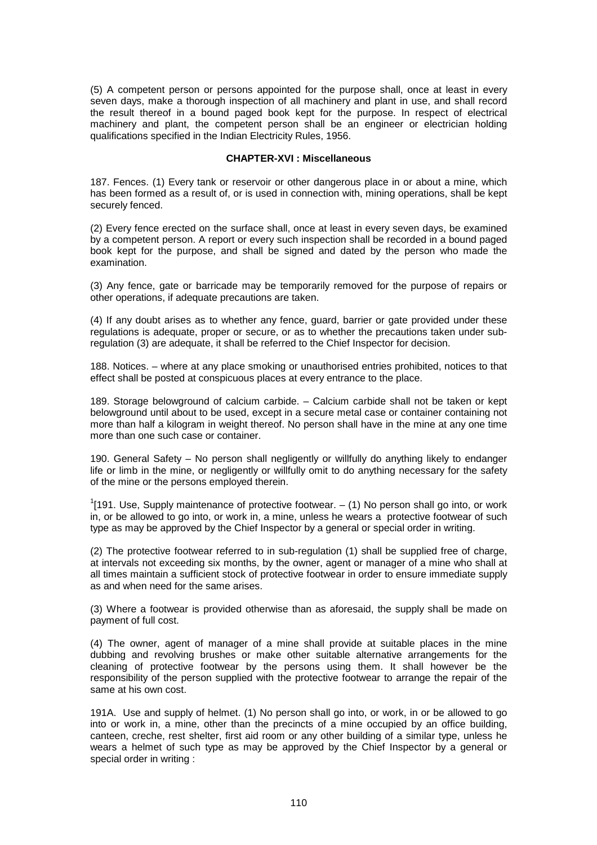(5) A competent person or persons appointed for the purpose shall, once at least in every seven days, make a thorough inspection of all machinery and plant in use, and shall record the result thereof in a bound paged book kept for the purpose. In respect of electrical machinery and plant, the competent person shall be an engineer or electrician holding qualifications specified in the Indian Electricity Rules, 1956.

#### **CHAPTER-XVI : Miscellaneous**

187. Fences. (1) Every tank or reservoir or other dangerous place in or about a mine, which has been formed as a result of, or is used in connection with, mining operations, shall be kept securely fenced.

(2) Every fence erected on the surface shall, once at least in every seven days, be examined by a competent person. A report or every such inspection shall be recorded in a bound paged book kept for the purpose, and shall be signed and dated by the person who made the examination.

(3) Any fence, gate or barricade may be temporarily removed for the purpose of repairs or other operations, if adequate precautions are taken.

(4) If any doubt arises as to whether any fence, guard, barrier or gate provided under these regulations is adequate, proper or secure, or as to whether the precautions taken under subregulation (3) are adequate, it shall be referred to the Chief Inspector for decision.

188. Notices. – where at any place smoking or unauthorised entries prohibited, notices to that effect shall be posted at conspicuous places at every entrance to the place.

189. Storage belowground of calcium carbide. – Calcium carbide shall not be taken or kept belowground until about to be used, except in a secure metal case or container containing not more than half a kilogram in weight thereof. No person shall have in the mine at any one time more than one such case or container.

190. General Safety – No person shall negligently or willfully do anything likely to endanger life or limb in the mine, or negligently or willfully omit to do anything necessary for the safety of the mine or the persons employed therein.

 $1$ [191. Use, Supply maintenance of protective footwear.  $-$  (1) No person shall go into, or work in, or be allowed to go into, or work in, a mine, unless he wears a protective footwear of such type as may be approved by the Chief Inspector by a general or special order in writing.

(2) The protective footwear referred to in sub-regulation (1) shall be supplied free of charge, at intervals not exceeding six months, by the owner, agent or manager of a mine who shall at all times maintain a sufficient stock of protective footwear in order to ensure immediate supply as and when need for the same arises.

(3) Where a footwear is provided otherwise than as aforesaid, the supply shall be made on payment of full cost.

(4) The owner, agent of manager of a mine shall provide at suitable places in the mine dubbing and revolving brushes or make other suitable alternative arrangements for the cleaning of protective footwear by the persons using them. It shall however be the responsibility of the person supplied with the protective footwear to arrange the repair of the same at his own cost.

191A. Use and supply of helmet. (1) No person shall go into, or work, in or be allowed to go into or work in, a mine, other than the precincts of a mine occupied by an office building, canteen, creche, rest shelter, first aid room or any other building of a similar type, unless he wears a helmet of such type as may be approved by the Chief Inspector by a general or special order in writing :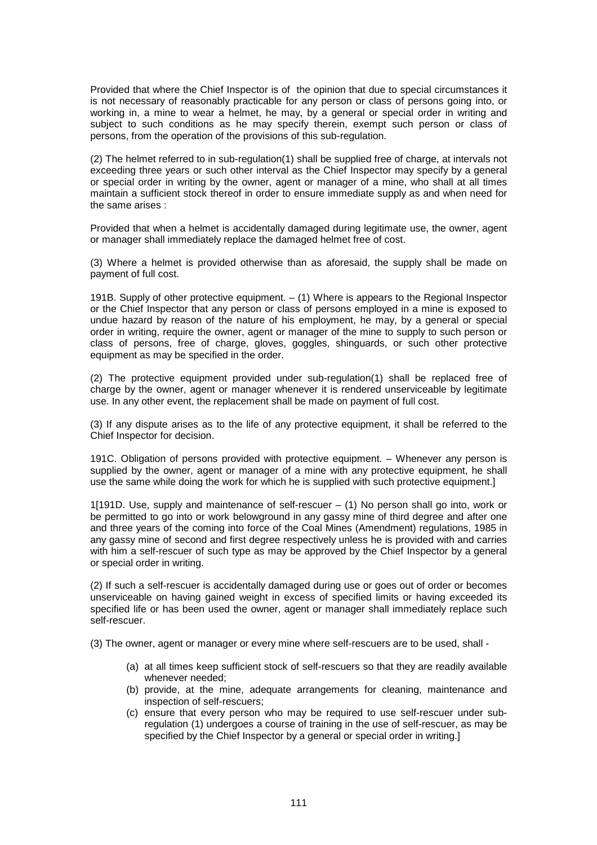Provided that where the Chief Inspector is of the opinion that due to special circumstances it is not necessary of reasonably practicable for any person or class of persons going into, or working in, a mine to wear a helmet, he may, by a general or special order in writing and subject to such conditions as he may specify therein, exempt such person or class of persons, from the operation of the provisions of this sub-regulation.

(2) The helmet referred to in sub-regulation(1) shall be supplied free of charge, at intervals not exceeding three years or such other interval as the Chief Inspector may specify by a general or special order in writing by the owner, agent or manager of a mine, who shall at all times maintain a sufficient stock thereof in order to ensure immediate supply as and when need for the same arises :

Provided that when a helmet is accidentally damaged during legitimate use, the owner, agent or manager shall immediately replace the damaged helmet free of cost.

(3) Where a helmet is provided otherwise than as aforesaid, the supply shall be made on payment of full cost.

191B. Supply of other protective equipment. – (1) Where is appears to the Regional Inspector or the Chief Inspector that any person or class of persons employed in a mine is exposed to undue hazard by reason of the nature of his employment, he may, by a general or special order in writing, require the owner, agent or manager of the mine to supply to such person or class of persons, free of charge, gloves, goggles, shinguards, or such other protective equipment as may be specified in the order.

(2) The protective equipment provided under sub-regulation(1) shall be replaced free of charge by the owner, agent or manager whenever it is rendered unserviceable by legitimate use. In any other event, the replacement shall be made on payment of full cost.

(3) If any dispute arises as to the life of any protective equipment, it shall be referred to the Chief Inspector for decision.

191C. Obligation of persons provided with protective equipment. – Whenever any person is supplied by the owner, agent or manager of a mine with any protective equipment, he shall use the same while doing the work for which he is supplied with such protective equipment.]

1[191D. Use, supply and maintenance of self-rescuer – (1) No person shall go into, work or be permitted to go into or work belowground in any gassy mine of third degree and after one and three years of the coming into force of the Coal Mines (Amendment) regulations, 1985 in any gassy mine of second and first degree respectively unless he is provided with and carries with him a self-rescuer of such type as may be approved by the Chief Inspector by a general or special order in writing.

(2) If such a self-rescuer is accidentally damaged during use or goes out of order or becomes unserviceable on having gained weight in excess of specified limits or having exceeded its specified life or has been used the owner, agent or manager shall immediately replace such self-rescuer.

(3) The owner, agent or manager or every mine where self-rescuers are to be used, shall -

- (a) at all times keep sufficient stock of self-rescuers so that they are readily available whenever needed;
- (b) provide, at the mine, adequate arrangements for cleaning, maintenance and inspection of self-rescuers;
- (c) ensure that every person who may be required to use self-rescuer under subregulation (1) undergoes a course of training in the use of self-rescuer, as may be specified by the Chief Inspector by a general or special order in writing.]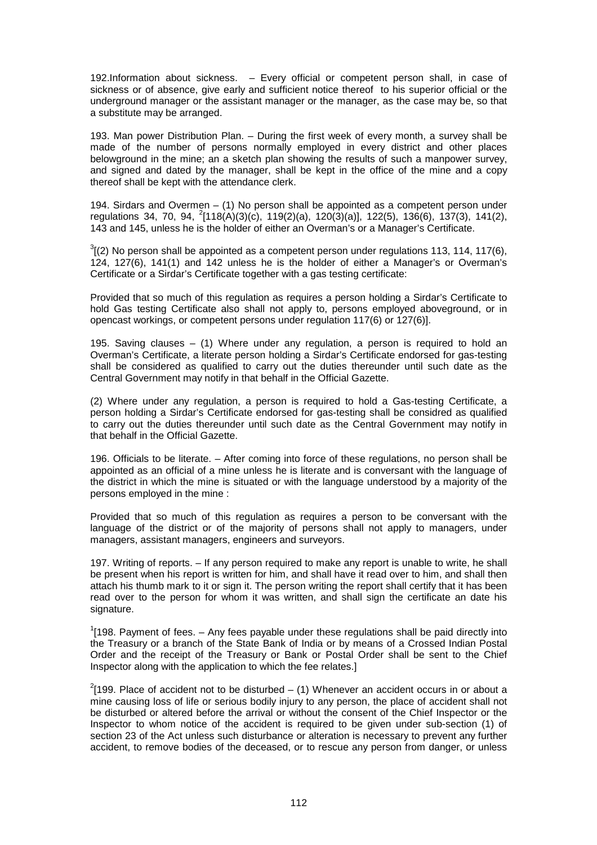192.Information about sickness. – Every official or competent person shall, in case of sickness or of absence, give early and sufficient notice thereof to his superior official or the underground manager or the assistant manager or the manager, as the case may be, so that a substitute may be arranged.

193. Man power Distribution Plan. – During the first week of every month, a survey shall be made of the number of persons normally employed in every district and other places belowground in the mine; an a sketch plan showing the results of such a manpower survey, and signed and dated by the manager, shall be kept in the office of the mine and a copy thereof shall be kept with the attendance clerk.

194. Sirdars and Overmen – (1) No person shall be appointed as a competent person under regulations 34, 70, 94,  $^{2}[118(A)(3)(c), 119(2)(a), 120(3)(a)], 122(5), 136(6), 137(3), 141(2),$ 143 and 145, unless he is the holder of either an Overman's or a Manager's Certificate.

 $3$ [(2) No person shall be appointed as a competent person under regulations 113, 114, 117(6), 124, 127(6), 141(1) and 142 unless he is the holder of either a Manager's or Overman's Certificate or a Sirdar's Certificate together with a gas testing certificate:

Provided that so much of this regulation as requires a person holding a Sirdar's Certificate to hold Gas testing Certificate also shall not apply to, persons employed aboveground, or in opencast workings, or competent persons under regulation 117(6) or 127(6)].

195. Saving clauses – (1) Where under any regulation, a person is required to hold an Overman's Certificate, a literate person holding a Sirdar's Certificate endorsed for gas-testing shall be considered as qualified to carry out the duties thereunder until such date as the Central Government may notify in that behalf in the Official Gazette.

(2) Where under any regulation, a person is required to hold a Gas-testing Certificate, a person holding a Sirdar's Certificate endorsed for gas-testing shall be considred as qualified to carry out the duties thereunder until such date as the Central Government may notify in that behalf in the Official Gazette.

196. Officials to be literate. – After coming into force of these regulations, no person shall be appointed as an official of a mine unless he is literate and is conversant with the language of the district in which the mine is situated or with the language understood by a majority of the persons employed in the mine :

Provided that so much of this regulation as requires a person to be conversant with the language of the district or of the majority of persons shall not apply to managers, under managers, assistant managers, engineers and surveyors.

197. Writing of reports. – If any person required to make any report is unable to write, he shall be present when his report is written for him, and shall have it read over to him, and shall then attach his thumb mark to it or sign it. The person writing the report shall certify that it has been read over to the person for whom it was written, and shall sign the certificate an date his signature.

 $1$ [198. Payment of fees.  $-$  Any fees payable under these regulations shall be paid directly into the Treasury or a branch of the State Bank of India or by means of a Crossed Indian Postal Order and the receipt of the Treasury or Bank or Postal Order shall be sent to the Chief Inspector along with the application to which the fee relates.]

 $2$ [199. Place of accident not to be disturbed – (1) Whenever an accident occurs in or about a mine causing loss of life or serious bodily injury to any person, the place of accident shall not be disturbed or altered before the arrival or without the consent of the Chief Inspector or the Inspector to whom notice of the accident is required to be given under sub-section (1) of section 23 of the Act unless such disturbance or alteration is necessary to prevent any further accident, to remove bodies of the deceased, or to rescue any person from danger, or unless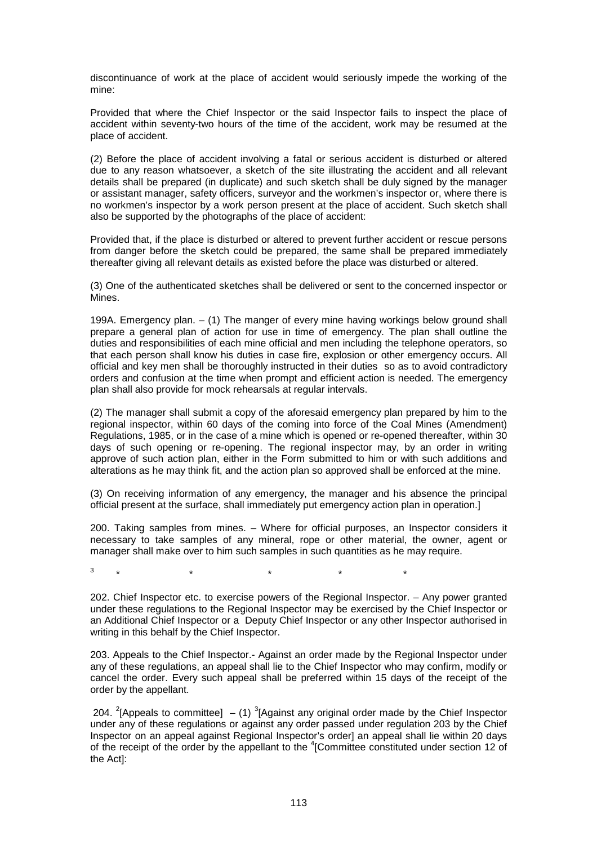discontinuance of work at the place of accident would seriously impede the working of the mine:

Provided that where the Chief Inspector or the said Inspector fails to inspect the place of accident within seventy-two hours of the time of the accident, work may be resumed at the place of accident.

(2) Before the place of accident involving a fatal or serious accident is disturbed or altered due to any reason whatsoever, a sketch of the site illustrating the accident and all relevant details shall be prepared (in duplicate) and such sketch shall be duly signed by the manager or assistant manager, safety officers, surveyor and the workmen's inspector or, where there is no workmen's inspector by a work person present at the place of accident. Such sketch shall also be supported by the photographs of the place of accident:

Provided that, if the place is disturbed or altered to prevent further accident or rescue persons from danger before the sketch could be prepared, the same shall be prepared immediately thereafter giving all relevant details as existed before the place was disturbed or altered.

(3) One of the authenticated sketches shall be delivered or sent to the concerned inspector or Mines.

199A. Emergency plan. – (1) The manger of every mine having workings below ground shall prepare a general plan of action for use in time of emergency. The plan shall outline the duties and responsibilities of each mine official and men including the telephone operators, so that each person shall know his duties in case fire, explosion or other emergency occurs. All official and key men shall be thoroughly instructed in their duties so as to avoid contradictory orders and confusion at the time when prompt and efficient action is needed. The emergency plan shall also provide for mock rehearsals at regular intervals.

(2) The manager shall submit a copy of the aforesaid emergency plan prepared by him to the regional inspector, within 60 days of the coming into force of the Coal Mines (Amendment) Regulations, 1985, or in the case of a mine which is opened or re-opened thereafter, within 30 days of such opening or re-opening. The regional inspector may, by an order in writing approve of such action plan, either in the Form submitted to him or with such additions and alterations as he may think fit, and the action plan so approved shall be enforced at the mine.

(3) On receiving information of any emergency, the manager and his absence the principal official present at the surface, shall immediately put emergency action plan in operation.]

200. Taking samples from mines. – Where for official purposes, an Inspector considers it necessary to take samples of any mineral, rope or other material, the owner, agent or manager shall make over to him such samples in such quantities as he may require.

3  $\star$   $\star$   $\star$   $\star$   $\star$   $\star$ 

202. Chief Inspector etc. to exercise powers of the Regional Inspector. – Any power granted under these regulations to the Regional Inspector may be exercised by the Chief Inspector or an Additional Chief Inspector or a Deputy Chief Inspector or any other Inspector authorised in writing in this behalf by the Chief Inspector.

203. Appeals to the Chief Inspector.- Against an order made by the Regional Inspector under any of these regulations, an appeal shall lie to the Chief Inspector who may confirm, modify or cancel the order. Every such appeal shall be preferred within 15 days of the receipt of the order by the appellant.

204. <sup>2</sup>[Appeals to committee]  $- (1)$  <sup>3</sup>[Against any original order made by the Chief Inspector under any of these regulations or against any order passed under regulation 203 by the Chief Inspector on an appeal against Regional Inspector's order] an appeal shall lie within 20 days of the receipt of the order by the appellant to the <sup>4</sup>[Committee constituted under section 12 of the Act]: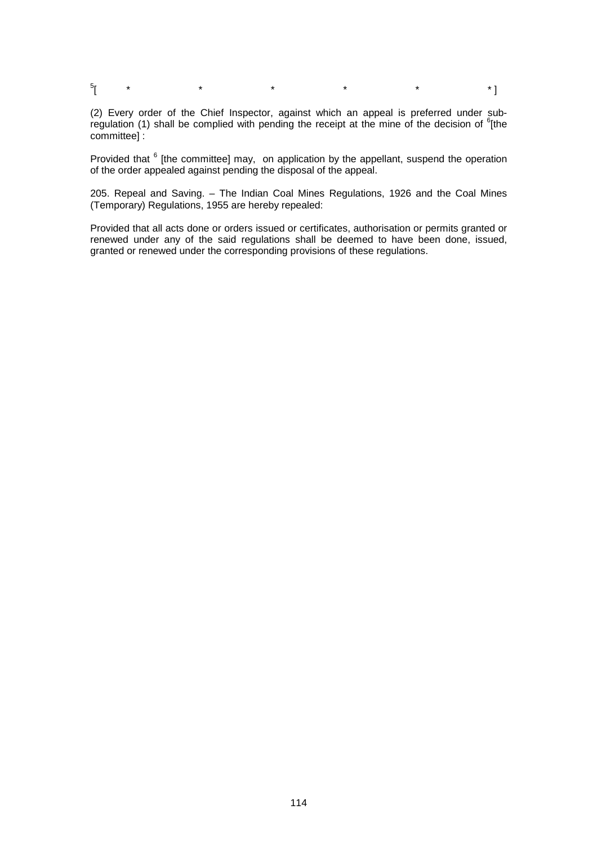$\frac{5}{1}$ [ \* \* \* \* \* \* \* \* <mark>\*</mark>

(2) Every order of the Chief Inspector, against which an appeal is preferred under subregulation (1) shall be complied with pending the receipt at the mine of the decision of  $e$ <sup>6</sup>[the committee] :

Provided that <sup>6</sup> [the committee] may, on application by the appellant, suspend the operation of the order appealed against pending the disposal of the appeal.

205. Repeal and Saving. – The Indian Coal Mines Regulations, 1926 and the Coal Mines (Temporary) Regulations, 1955 are hereby repealed:

Provided that all acts done or orders issued or certificates, authorisation or permits granted or renewed under any of the said regulations shall be deemed to have been done, issued, granted or renewed under the corresponding provisions of these regulations.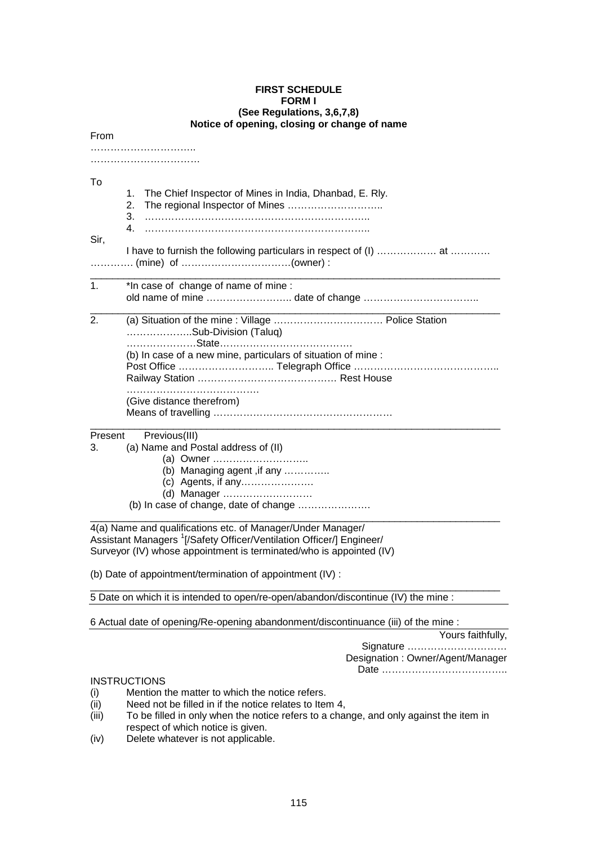#### **FIRST SCHEDULE FORM I (See Regulations, 3,6,7,8) Notice of opening, closing or change of name**

| From          |                                                                                                                                                         |
|---------------|---------------------------------------------------------------------------------------------------------------------------------------------------------|
|               |                                                                                                                                                         |
| To<br>Sir,    | The Chief Inspector of Mines in India, Dhanbad, E. Rly.<br>1.<br>The regional Inspector of Mines<br>2.<br>3.<br>4                                       |
|               | I have to furnish the following particulars in respect of (I)  at                                                                                       |
| $\mathbf 1$ . | *In case of change of name of mine :<br>old name of mine date of change                                                                                 |
| 2.            | Sub-Division (Taluq)<br>(b) In case of a new mine, particulars of situation of mine :                                                                   |
|               | (Give distance therefrom)                                                                                                                               |
| Present<br>3. | Previous(III)<br>(a) Name and Postal address of (II)<br>(a) Owner<br>(b) Managing agent, if any<br>(d) Manager<br>(b) In case of change, date of change |

4(a) Name and qualifications etc. of Manager/Under Manager/ Assistant Managers <sup>1</sup>[/Safety Officer/Ventilation Officer/] Engineer/ Surveyor (IV) whose appointment is terminated/who is appointed (IV)

(b) Date of appointment/termination of appointment (IV) :

5 Date on which it is intended to open/re-open/abandon/discontinue (IV) the mine :

\_\_\_\_\_\_\_\_\_\_\_\_\_\_\_\_\_\_\_\_\_\_\_\_\_\_\_\_\_\_\_\_\_\_\_\_\_\_\_\_\_\_\_\_\_\_\_\_\_\_\_\_\_\_\_\_\_\_\_\_\_\_\_\_\_\_\_\_\_\_\_\_\_\_

6 Actual date of opening/Re-opening abandonment/discontinuance (iii) of the mine :

 Yours faithfully, Signature ………………………… Designation : Owner/Agent/Manager Date ………………………………..

## **INSTRUCTIONS**

- (i) Mention the matter to which the notice refers.
- (ii) Need not be filled in if the notice relates to Item 4,
- (iii) To be filled in only when the notice refers to a change, and only against the item in respect of which notice is given.
- (iv) Delete whatever is not applicable.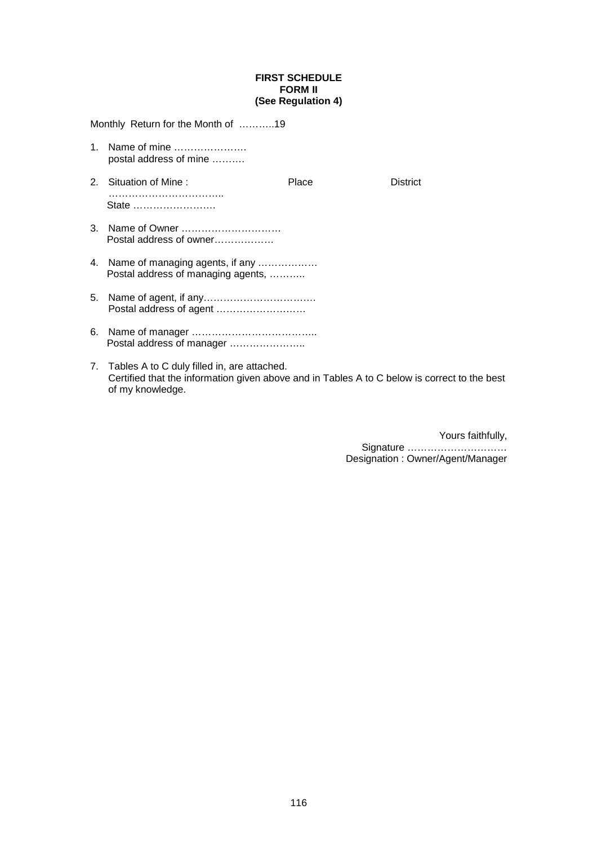## **FIRST SCHEDULE FORM II (See Regulation 4)**

| Monthly Return for the Month of 19                                                                                                           |       |                 |
|----------------------------------------------------------------------------------------------------------------------------------------------|-------|-----------------|
| 1. Name of mine<br>postal address of mine                                                                                                    |       |                 |
| 2. Situation of Mine:<br>State                                                                                                               | Place | <b>District</b> |
| 3. Name of Owner<br>Postal address of owner                                                                                                  |       |                 |
| 4. Name of managing agents, if any<br>Postal address of managing agents,                                                                     |       |                 |
|                                                                                                                                              |       |                 |
| Postal address of manager                                                                                                                    |       |                 |
| 7. Tables A to C duly filled in, are attached.<br>Certified that the information given above and in Tables A to C below is correct to the be |       |                 |

Certified that the information given above and in Tables A to C below is correct to the best of my knowledge.

> Yours faithfully, Signature ………………………… Designation : Owner/Agent/Manager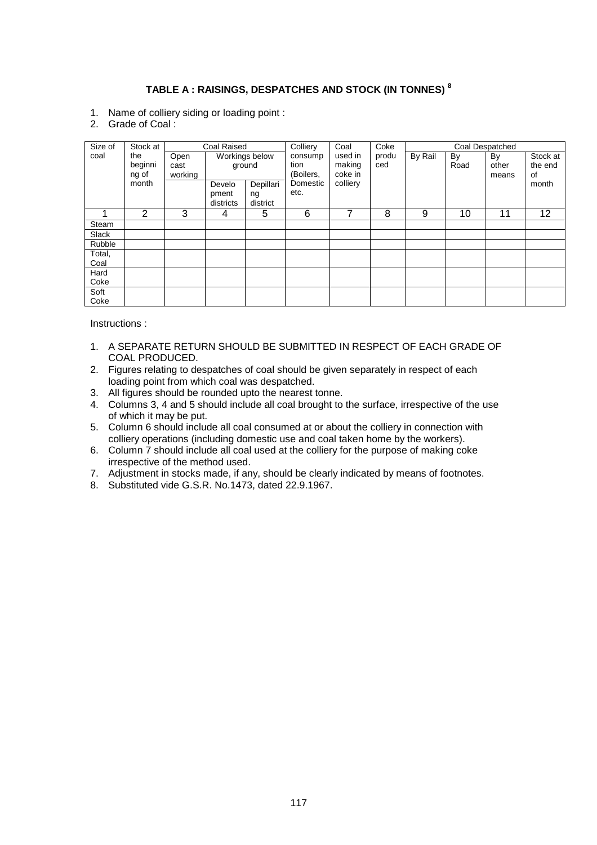# **TABLE A : RAISINGS, DESPATCHES AND STOCK (IN TONNES) <sup>8</sup>**

- 1. Name of colliery siding or loading point :
- 2. Grade of Coal :

| Size of | Stock at                |                         | Coal Raised                  |                             | Colliery                     | Coal                         | Coke         |         |            | Coal Despatched      |                           |
|---------|-------------------------|-------------------------|------------------------------|-----------------------------|------------------------------|------------------------------|--------------|---------|------------|----------------------|---------------------------|
| coal    | the<br>beginni<br>ng of | Open<br>cast<br>working |                              | Workings below<br>ground    | consump<br>tion<br>(Boilers, | used in<br>making<br>coke in | produ<br>ced | By Rail | By<br>Road | By<br>other<br>means | Stock at<br>the end<br>of |
|         | month                   |                         | Develo<br>pment<br>districts | Depillari<br>ng<br>district | Domestic<br>etc.             | colliery                     |              |         |            |                      | month                     |
|         | 2                       | 3                       | 4                            | 5                           | 6                            | 7                            | 8            | 9       | 10         | 11                   | 12                        |
| Steam   |                         |                         |                              |                             |                              |                              |              |         |            |                      |                           |
| Slack   |                         |                         |                              |                             |                              |                              |              |         |            |                      |                           |
| Rubble  |                         |                         |                              |                             |                              |                              |              |         |            |                      |                           |
| Total,  |                         |                         |                              |                             |                              |                              |              |         |            |                      |                           |
| Coal    |                         |                         |                              |                             |                              |                              |              |         |            |                      |                           |
| Hard    |                         |                         |                              |                             |                              |                              |              |         |            |                      |                           |
| Coke    |                         |                         |                              |                             |                              |                              |              |         |            |                      |                           |
| Soft    |                         |                         |                              |                             |                              |                              |              |         |            |                      |                           |
| Coke    |                         |                         |                              |                             |                              |                              |              |         |            |                      |                           |

Instructions :

- 1. A SEPARATE RETURN SHOULD BE SUBMITTED IN RESPECT OF EACH GRADE OF COAL PRODUCED.
- 2. Figures relating to despatches of coal should be given separately in respect of each loading point from which coal was despatched.
- 3. All figures should be rounded upto the nearest tonne.
- 4. Columns 3, 4 and 5 should include all coal brought to the surface, irrespective of the use of which it may be put.
- 5. Column 6 should include all coal consumed at or about the colliery in connection with colliery operations (including domestic use and coal taken home by the workers).
- 6. Column 7 should include all coal used at the colliery for the purpose of making coke irrespective of the method used.
- 7. Adjustment in stocks made, if any, should be clearly indicated by means of footnotes.
- 8. Substituted vide G.S.R. No.1473, dated 22.9.1967.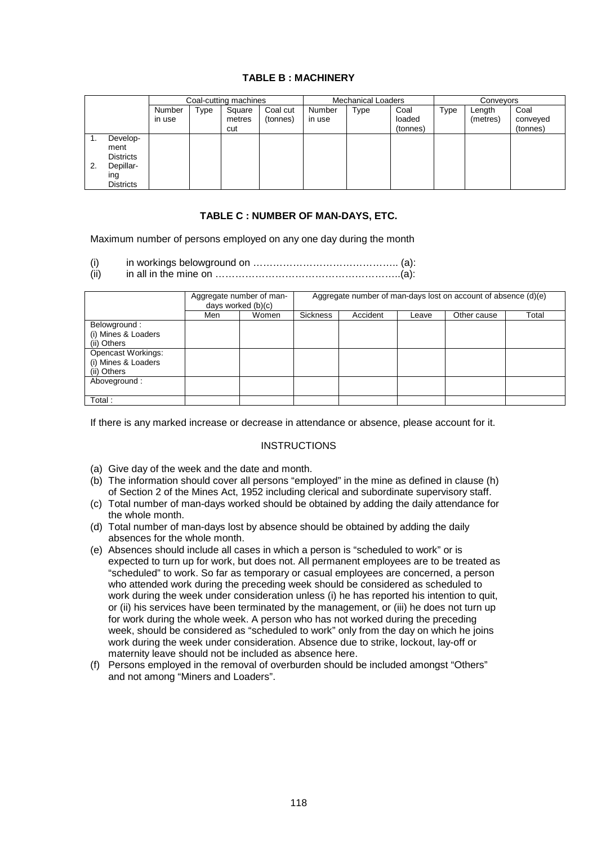## **TABLE B : MACHINERY**

|    |                                                                              | Coal-cutting machines |      |                         | <b>Mechanical Loaders</b> |                  |             | Conveyors                  |      |                    |                              |
|----|------------------------------------------------------------------------------|-----------------------|------|-------------------------|---------------------------|------------------|-------------|----------------------------|------|--------------------|------------------------------|
|    |                                                                              | Number<br>in use      | Type | Square<br>metres<br>cut | Coal cut<br>(tonnes)      | Number<br>in use | <b>Type</b> | Coal<br>loaded<br>(tonnes) | Type | Length<br>(metres) | Coal<br>conveyed<br>(tonnes) |
| 2. | Develop-<br>ment<br><b>Districts</b><br>Depillar-<br>ing<br><b>Districts</b> |                       |      |                         |                           |                  |             |                            |      |                    |                              |

## **TABLE C : NUMBER OF MAN-DAYS, ETC.**

Maximum number of persons employed on any one day during the month

- $(i)$  in workings belowground on  $\dots\dots\dots\dots\dots\dots\dots\dots\dots\dots\dots\dots$  (a):
- (ii) in all in the mine on  $\ldots$   $\ldots$   $\ldots$   $\ldots$   $\ldots$   $\ldots$   $\ldots$   $\ldots$   $\ldots$   $\ldots$   $\ldots$   $\ldots$   $\ldots$   $\ldots$   $\ldots$   $\ldots$

|                                                          |     | Aggregate number of man-<br>days worked (b)(c) | Aggregate number of man-days lost on account of absence (d)(e) |          |       |             |       |  |  |
|----------------------------------------------------------|-----|------------------------------------------------|----------------------------------------------------------------|----------|-------|-------------|-------|--|--|
|                                                          | Men | Women                                          | Sickness                                                       | Accident | Leave | Other cause | Total |  |  |
| Belowground:<br>(i) Mines & Loaders<br>(ii) Others       |     |                                                |                                                                |          |       |             |       |  |  |
| Opencast Workings:<br>(i) Mines & Loaders<br>(ii) Others |     |                                                |                                                                |          |       |             |       |  |  |
| Aboveground:                                             |     |                                                |                                                                |          |       |             |       |  |  |
| Total:                                                   |     |                                                |                                                                |          |       |             |       |  |  |

If there is any marked increase or decrease in attendance or absence, please account for it.

## **INSTRUCTIONS**

- (a) Give day of the week and the date and month.
- (b) The information should cover all persons "employed" in the mine as defined in clause (h) of Section 2 of the Mines Act, 1952 including clerical and subordinate supervisory staff.
- (c) Total number of man-days worked should be obtained by adding the daily attendance for the whole month.
- (d) Total number of man-days lost by absence should be obtained by adding the daily absences for the whole month.
- (e) Absences should include all cases in which a person is "scheduled to work" or is expected to turn up for work, but does not. All permanent employees are to be treated as "scheduled" to work. So far as temporary or casual employees are concerned, a person who attended work during the preceding week should be considered as scheduled to work during the week under consideration unless (i) he has reported his intention to quit, or (ii) his services have been terminated by the management, or (iii) he does not turn up for work during the whole week. A person who has not worked during the preceding week, should be considered as "scheduled to work" only from the day on which he joins work during the week under consideration. Absence due to strike, lockout, lay-off or maternity leave should not be included as absence here.
- (f) Persons employed in the removal of overburden should be included amongst "Others" and not among "Miners and Loaders".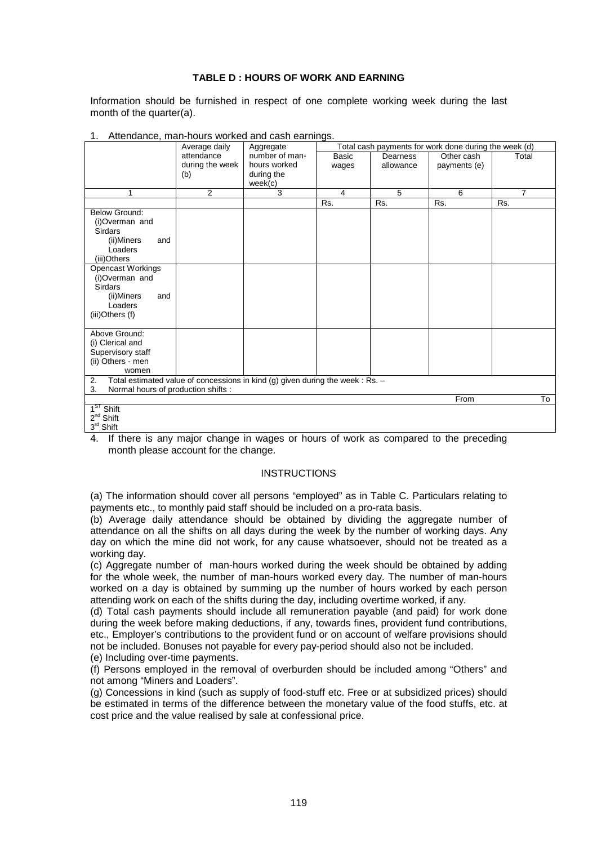## **TABLE D : HOURS OF WORK AND EARNING**

Information should be furnished in respect of one complete working week during the last month of the quarter(a).

| Altonadi lot, mai modio fiontoa dila cacii cariffigoi | Average daily   | Aggregate                                                                      |              |           | Total cash payments for work done during the week (d) |                |
|-------------------------------------------------------|-----------------|--------------------------------------------------------------------------------|--------------|-----------|-------------------------------------------------------|----------------|
|                                                       | attendance      | number of man-                                                                 | <b>Basic</b> | Dearness  | Other cash                                            | Total          |
|                                                       | during the week | hours worked                                                                   | wages        | allowance | payments (e)                                          |                |
|                                                       | (b)             | during the                                                                     |              |           |                                                       |                |
|                                                       |                 | week(c)                                                                        |              |           |                                                       |                |
| 1                                                     | $\overline{2}$  | 3                                                                              | 4            | 5         | 6                                                     | $\overline{7}$ |
|                                                       |                 |                                                                                | Rs.          | Rs.       | Rs.                                                   | Rs.            |
| <b>Below Ground:</b>                                  |                 |                                                                                |              |           |                                                       |                |
| (i)Overman and                                        |                 |                                                                                |              |           |                                                       |                |
| <b>Sirdars</b>                                        |                 |                                                                                |              |           |                                                       |                |
| (ii)Miners<br>and                                     |                 |                                                                                |              |           |                                                       |                |
| Loaders                                               |                 |                                                                                |              |           |                                                       |                |
| (iii)Others                                           |                 |                                                                                |              |           |                                                       |                |
| <b>Opencast Workings</b>                              |                 |                                                                                |              |           |                                                       |                |
| (i)Overman and                                        |                 |                                                                                |              |           |                                                       |                |
| <b>Sirdars</b>                                        |                 |                                                                                |              |           |                                                       |                |
| (ii)Miners<br>and                                     |                 |                                                                                |              |           |                                                       |                |
| Loaders                                               |                 |                                                                                |              |           |                                                       |                |
| (iii)Others (f)                                       |                 |                                                                                |              |           |                                                       |                |
|                                                       |                 |                                                                                |              |           |                                                       |                |
| Above Ground:                                         |                 |                                                                                |              |           |                                                       |                |
| (i) Clerical and                                      |                 |                                                                                |              |           |                                                       |                |
| Supervisory staff                                     |                 |                                                                                |              |           |                                                       |                |
| (ii) Others - men                                     |                 |                                                                                |              |           |                                                       |                |
| women                                                 |                 |                                                                                |              |           |                                                       |                |
| 2.                                                    |                 | Total estimated value of concessions in kind (g) given during the week : Rs. - |              |           |                                                       |                |
| Normal hours of production shifts :<br>3.             |                 |                                                                                |              |           |                                                       |                |
|                                                       |                 |                                                                                |              |           | From                                                  | To             |
| 1 <sup>ST</sup> Shift<br>$2^{nd}$ Shift               |                 |                                                                                |              |           |                                                       |                |
|                                                       |                 |                                                                                |              |           |                                                       |                |
| $3rd$ Shift                                           |                 |                                                                                |              |           |                                                       |                |

#### Attendance, man-hours worked and cash earnings.

4. If there is any major change in wages or hours of work as compared to the preceding month please account for the change.

## **INSTRUCTIONS**

(a) The information should cover all persons "employed" as in Table C. Particulars relating to payments etc., to monthly paid staff should be included on a pro-rata basis.

(b) Average daily attendance should be obtained by dividing the aggregate number of attendance on all the shifts on all days during the week by the number of working days. Any day on which the mine did not work, for any cause whatsoever, should not be treated as a working day.

(c) Aggregate number of man-hours worked during the week should be obtained by adding for the whole week, the number of man-hours worked every day. The number of man-hours worked on a day is obtained by summing up the number of hours worked by each person attending work on each of the shifts during the day, including overtime worked, if any.

(d) Total cash payments should include all remuneration payable (and paid) for work done during the week before making deductions, if any, towards fines, provident fund contributions, etc., Employer's contributions to the provident fund or on account of welfare provisions should not be included. Bonuses not payable for every pay-period should also not be included.

(e) Including over-time payments.

(f) Persons employed in the removal of overburden should be included among "Others" and not among "Miners and Loaders".

(g) Concessions in kind (such as supply of food-stuff etc. Free or at subsidized prices) should be estimated in terms of the difference between the monetary value of the food stuffs, etc. at cost price and the value realised by sale at confessional price.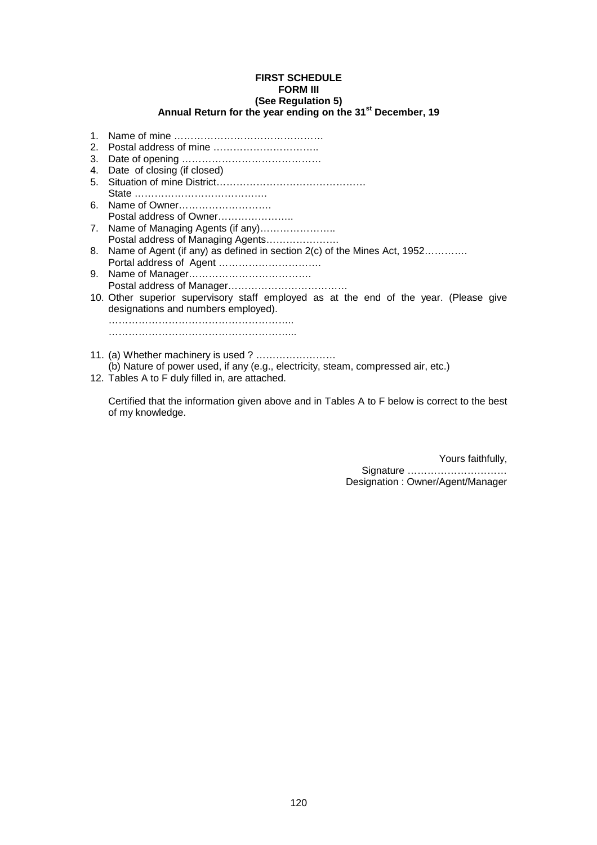#### **FIRST SCHEDULE FORM III (See Regulation 5) Annual Return for the year ending on the 31st December, 19**

- 1. Name of mine ……………………………………… 2. Postal address of mine ………………………….. 3. Date of opening …………………………………… 4. Date of closing (if closed) 5. Situation of mine District……………………………………… State …………………………………. 6. Name of Owner………………………. Postal address of Owner…………………. 7. Name of Managing Agents (if any)………………….. Postal address of Managing Agents…………………. 8. Name of Agent (if any) as defined in section 2(c) of the Mines Act, 1952…………. Portal address of Agent …………………………. 9. Name of Manager………………………………. Postal address of Manager……………………………… 10. Other superior supervisory staff employed as at the end of the year. (Please give designations and numbers employed). ……………………………………………….. ………………………………………………...
- 11. (a) Whether machinery is used ? …………………… (b) Nature of power used, if any (e.g., electricity, steam, compressed air, etc.)
- 12. Tables A to F duly filled in, are attached.

Certified that the information given above and in Tables A to F below is correct to the best of my knowledge.

> Yours faithfully, Signature ………………………… Designation : Owner/Agent/Manager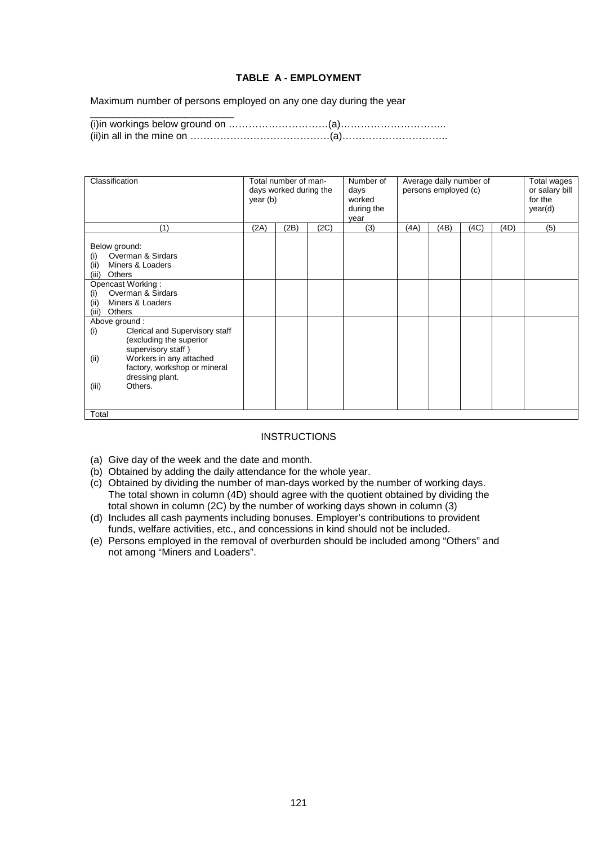## **TABLE A - EMPLOYMENT**

Maximum number of persons employed on any one day during the year

\_\_\_\_\_\_\_\_\_\_\_\_\_\_\_\_\_\_\_\_\_\_\_\_\_\_

(i)in workings below ground on …………………………(a)………………………….. (ii)in all in the mine on ……………………………………(a)…………………………..

| Classification                                                                                                                                                                                                                                                                                                                                                                                                       | year (b) | Total number of man-<br>days worked during the |      | Number of<br>days<br>worked<br>during the<br>year |      | persons employed (c) | Average daily number of |      | Total wages<br>or salary bill<br>for the<br>year(d) |
|----------------------------------------------------------------------------------------------------------------------------------------------------------------------------------------------------------------------------------------------------------------------------------------------------------------------------------------------------------------------------------------------------------------------|----------|------------------------------------------------|------|---------------------------------------------------|------|----------------------|-------------------------|------|-----------------------------------------------------|
| (1)                                                                                                                                                                                                                                                                                                                                                                                                                  | (2A)     | (2B)                                           | (2C) | (3)                                               | (4A) | (4B)                 | (4C)                    | (4D) | (5)                                                 |
| Below ground:<br>Overman & Sirdars<br>(i)<br>Miners & Loaders<br>(ii)<br>(iii)<br>Others<br>Opencast Working:<br>Overman & Sirdars<br>(i)<br>(ii)<br>Miners & Loaders<br>(iii)<br><b>Others</b><br>Above ground:<br>Clerical and Supervisory staff<br>(i)<br>(excluding the superior<br>supervisory staff)<br>Workers in any attached<br>(ii)<br>factory, workshop or mineral<br>dressing plant.<br>Others.<br>(iii) |          |                                                |      |                                                   |      |                      |                         |      |                                                     |
| Total                                                                                                                                                                                                                                                                                                                                                                                                                |          |                                                |      |                                                   |      |                      |                         |      |                                                     |

## **INSTRUCTIONS**

- (a) Give day of the week and the date and month.
- (b) Obtained by adding the daily attendance for the whole year.
- (c) Obtained by dividing the number of man-days worked by the number of working days. The total shown in column (4D) should agree with the quotient obtained by dividing the total shown in column (2C) by the number of working days shown in column (3)
- (d) Includes all cash payments including bonuses. Employer's contributions to provident funds, welfare activities, etc., and concessions in kind should not be included.
- (e) Persons employed in the removal of overburden should be included among "Others" and not among "Miners and Loaders".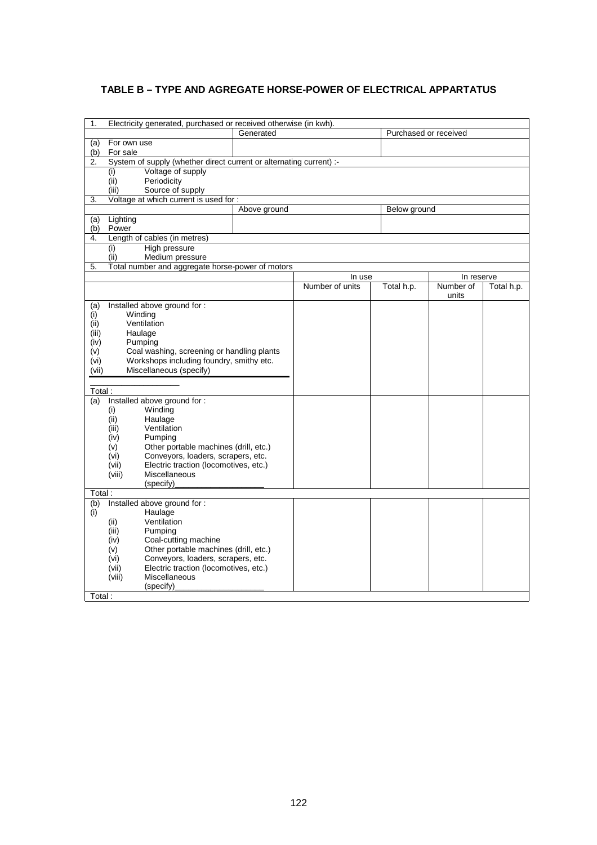## **TABLE B – TYPE AND AGREGATE HORSE-POWER OF ELECTRICAL APPARTATUS**

| 1.         | Electricity generated, purchased or received otherwise (in kwh).             |              |                 |                       |            |            |
|------------|------------------------------------------------------------------------------|--------------|-----------------|-----------------------|------------|------------|
|            |                                                                              | Generated    |                 | Purchased or received |            |            |
| (a)        | For own use                                                                  |              |                 |                       |            |            |
| (b)        | For sale                                                                     |              |                 |                       |            |            |
| 2.         | System of supply (whether direct current or alternating current) :-          |              |                 |                       |            |            |
|            | Voltage of supply<br>(i)                                                     |              |                 |                       |            |            |
|            | (ii)<br>Periodicity                                                          |              |                 |                       |            |            |
|            | (iii)<br>Source of supply                                                    |              |                 |                       |            |            |
| 3.         | Voltage at which current is used for :                                       |              |                 |                       |            |            |
|            |                                                                              | Above ground |                 | Below ground          |            |            |
| (a)<br>(b) | Lighting<br>Power                                                            |              |                 |                       |            |            |
| 4.         | Length of cables (in metres)                                                 |              |                 |                       |            |            |
|            | High pressure<br>(i)                                                         |              |                 |                       |            |            |
|            | (ii)<br>Medium pressure                                                      |              |                 |                       |            |            |
| 5.         | Total number and aggregate horse-power of motors                             |              |                 |                       |            |            |
|            |                                                                              |              | In use          |                       | In reserve |            |
|            |                                                                              |              | Number of units | Total h.p.            | Number of  | Total h.p. |
|            |                                                                              |              |                 |                       | units      |            |
| (a)        | Installed above ground for :                                                 |              |                 |                       |            |            |
| (i)        | Winding                                                                      |              |                 |                       |            |            |
| (ii)       | Ventilation                                                                  |              |                 |                       |            |            |
| (iii)      | Haulage                                                                      |              |                 |                       |            |            |
| (iv)       | Pumping                                                                      |              |                 |                       |            |            |
| (v)        | Coal washing, screening or handling plants                                   |              |                 |                       |            |            |
| (vi)       | Workshops including foundry, smithy etc.                                     |              |                 |                       |            |            |
| (vii)      | Miscellaneous (specify)                                                      |              |                 |                       |            |            |
|            |                                                                              |              |                 |                       |            |            |
| Total:     |                                                                              |              |                 |                       |            |            |
| (a)        | Installed above ground for :<br>Winding<br>(i)                               |              |                 |                       |            |            |
|            | (ii)<br>Haulage                                                              |              |                 |                       |            |            |
|            | (iii)<br>Ventilation                                                         |              |                 |                       |            |            |
|            | (iv)<br>Pumping                                                              |              |                 |                       |            |            |
|            | Other portable machines (drill, etc.)<br>(v)                                 |              |                 |                       |            |            |
|            | Conveyors, loaders, scrapers, etc.<br>(vi)                                   |              |                 |                       |            |            |
|            | Electric traction (locomotives, etc.)<br>(vii)                               |              |                 |                       |            |            |
|            | (viii)<br><b>Miscellaneous</b>                                               |              |                 |                       |            |            |
|            | (specify)                                                                    |              |                 |                       |            |            |
| Total:     |                                                                              |              |                 |                       |            |            |
| (b)        | Installed above ground for :                                                 |              |                 |                       |            |            |
| (i)        | Haulage                                                                      |              |                 |                       |            |            |
|            | Ventilation<br>(ii)                                                          |              |                 |                       |            |            |
|            | (iii)<br>Pumping                                                             |              |                 |                       |            |            |
|            | Coal-cutting machine<br>(iv)<br>Other portable machines (drill, etc.)<br>(v) |              |                 |                       |            |            |
|            | Conveyors, loaders, scrapers, etc.<br>(vi)                                   |              |                 |                       |            |            |
|            | Electric traction (locomotives, etc.)<br>(vii)                               |              |                 |                       |            |            |
|            | Miscellaneous<br>(viii)                                                      |              |                 |                       |            |            |
|            | (specify)                                                                    |              |                 |                       |            |            |
| Total:     |                                                                              |              |                 |                       |            |            |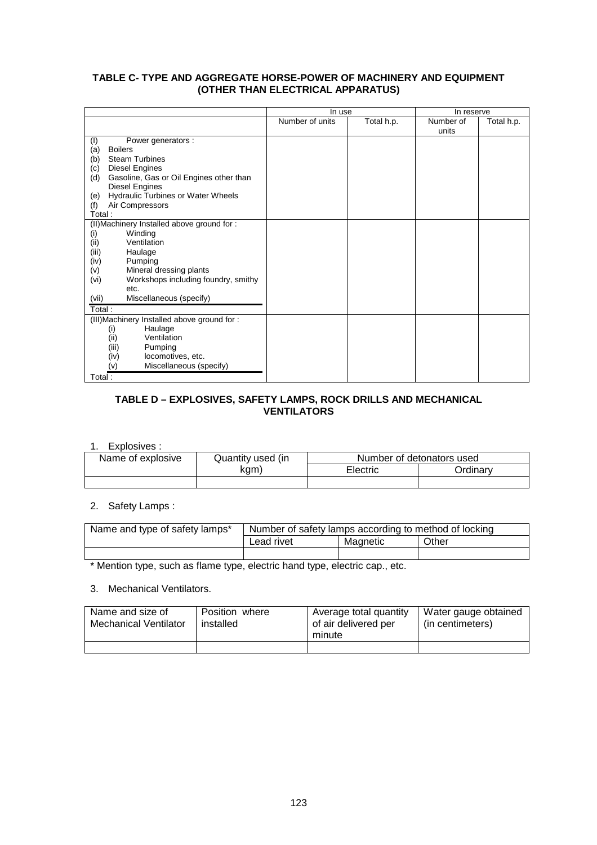## **TABLE C- TYPE AND AGGREGATE HORSE-POWER OF MACHINERY AND EQUIPMENT (OTHER THAN ELECTRICAL APPARATUS)**

|                                                  | In use          |            | In reserve         |            |
|--------------------------------------------------|-----------------|------------|--------------------|------------|
|                                                  | Number of units | Total h.p. | Number of<br>units | Total h.p. |
| Power generators :<br>(1)                        |                 |            |                    |            |
| (a)<br><b>Boilers</b>                            |                 |            |                    |            |
| <b>Steam Turbines</b><br>(b)                     |                 |            |                    |            |
| <b>Diesel Engines</b><br>(c)                     |                 |            |                    |            |
| Gasoline, Gas or Oil Engines other than<br>(d)   |                 |            |                    |            |
| Diesel Engines                                   |                 |            |                    |            |
| <b>Hydraulic Turbines or Water Wheels</b><br>(e) |                 |            |                    |            |
| Air Compressors<br>(f)                           |                 |            |                    |            |
| Total:                                           |                 |            |                    |            |
| (II) Machinery Installed above ground for :      |                 |            |                    |            |
| Winding<br>(i)                                   |                 |            |                    |            |
| Ventilation<br>(i)                               |                 |            |                    |            |
| (iii)<br>Haulage                                 |                 |            |                    |            |
| Pumping<br>(iv)<br>Mineral dressing plants       |                 |            |                    |            |
| (v)<br>Workshops including foundry, smithy       |                 |            |                    |            |
| (vi)<br>etc.                                     |                 |            |                    |            |
| Miscellaneous (specify)<br>(vii)                 |                 |            |                    |            |
|                                                  |                 |            |                    |            |
| Total:                                           |                 |            |                    |            |
| (III) Machinery Installed above ground for:      |                 |            |                    |            |
| Haulage<br>(i)<br>Ventilation                    |                 |            |                    |            |
| (ii)<br>(iii)<br>Pumping                         |                 |            |                    |            |
| (iv)<br>locomotives, etc.                        |                 |            |                    |            |
| Miscellaneous (specify)<br>(v)                   |                 |            |                    |            |
|                                                  |                 |            |                    |            |
| Total:                                           |                 |            |                    |            |

## **TABLE D – EXPLOSIVES, SAFETY LAMPS, ROCK DRILLS AND MECHANICAL VENTILATORS**

#### 1. Explosives :

| ------------      |                   |          |                           |
|-------------------|-------------------|----------|---------------------------|
| Name of explosive | Quantity used (in |          | Number of detonators used |
|                   | kam)              | Electric | <b>Ordinarv</b>           |
|                   |                   |          |                           |

### 2. Safety Lamps :

| Name and type of safety lamps* | Number of safety lamps according to method of locking |  |  |  |  |
|--------------------------------|-------------------------------------------------------|--|--|--|--|
|                                | Lead rivet<br>Other<br>Magnetic                       |  |  |  |  |
|                                |                                                       |  |  |  |  |

\* Mention type, such as flame type, electric hand type, electric cap., etc.

#### 3. Mechanical Ventilators.

| Name and size of<br><b>Mechanical Ventilator</b> | Position where<br>installed | Average total quantity<br>of air delivered per<br>minute | Water gauge obtained<br>(in centimeters) |
|--------------------------------------------------|-----------------------------|----------------------------------------------------------|------------------------------------------|
|                                                  |                             |                                                          |                                          |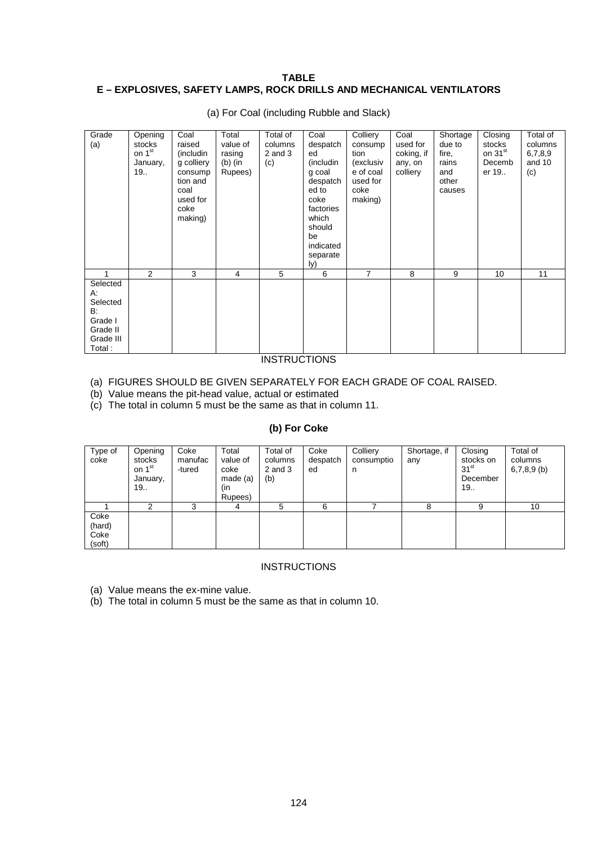## **TABLE E – EXPLOSIVES, SAFETY LAMPS, ROCK DRILLS AND MECHANICAL VENTILATORS**

| Grade<br>(a)   | Opening<br>stocks<br>on 1 <sup>st</sup><br>January,<br>19 | Coal<br>raised<br>(includin<br>g colliery<br>consump<br>tion and<br>coal<br>used for<br>coke<br>making) | Total<br>value of<br>rasing<br>$(b)$ (in<br>Rupees) | Total of<br>columns<br>$2$ and $3$<br>(c) | Coal<br>despatch<br>ed<br>(includin<br>g coal<br>despatch<br>ed to<br>coke<br>factories<br>which<br>should<br>be<br>indicated<br>separate<br>ly) | Colliery<br>consump<br>tion<br>(exclusiv<br>e of coal<br>used for<br>coke<br>making) | Coal<br>used for<br>coking, if<br>any, on<br>colliery | Shortage<br>due to<br>fire,<br>rains<br>and<br>other<br>causes | Closing<br>stocks<br>on 31 <sup>st</sup><br>Decemb<br>er 19 | Total of<br>columns<br>6,7,8,9<br>and 10<br>(c) |
|----------------|-----------------------------------------------------------|---------------------------------------------------------------------------------------------------------|-----------------------------------------------------|-------------------------------------------|--------------------------------------------------------------------------------------------------------------------------------------------------|--------------------------------------------------------------------------------------|-------------------------------------------------------|----------------------------------------------------------------|-------------------------------------------------------------|-------------------------------------------------|
|                | $\overline{2}$                                            | 3                                                                                                       | 4                                                   | 5                                         | 6                                                                                                                                                | 7                                                                                    | 8                                                     | 9                                                              | 10                                                          | 11                                              |
| Selected<br>А: |                                                           |                                                                                                         |                                                     |                                           |                                                                                                                                                  |                                                                                      |                                                       |                                                                |                                                             |                                                 |
| Selected       |                                                           |                                                                                                         |                                                     |                                           |                                                                                                                                                  |                                                                                      |                                                       |                                                                |                                                             |                                                 |
| B:             |                                                           |                                                                                                         |                                                     |                                           |                                                                                                                                                  |                                                                                      |                                                       |                                                                |                                                             |                                                 |
| Grade I        |                                                           |                                                                                                         |                                                     |                                           |                                                                                                                                                  |                                                                                      |                                                       |                                                                |                                                             |                                                 |
| Grade II       |                                                           |                                                                                                         |                                                     |                                           |                                                                                                                                                  |                                                                                      |                                                       |                                                                |                                                             |                                                 |
| Grade III      |                                                           |                                                                                                         |                                                     |                                           |                                                                                                                                                  |                                                                                      |                                                       |                                                                |                                                             |                                                 |
| Total:         |                                                           |                                                                                                         |                                                     |                                           |                                                                                                                                                  |                                                                                      |                                                       |                                                                |                                                             |                                                 |
|                |                                                           |                                                                                                         |                                                     | .                                         |                                                                                                                                                  |                                                                                      |                                                       |                                                                |                                                             |                                                 |

(a) For Coal (including Rubble and Slack)

## **INSTRUCTIONS**

(a) FIGURES SHOULD BE GIVEN SEPARATELY FOR EACH GRADE OF COAL RAISED.

(b) Value means the pit-head value, actual or estimated

(c) The total in column 5 must be the same as that in column 11.

## **(b) For Coke**

| Type of<br>coke                  | Opening<br>stocks<br>on 1 <sup>st</sup><br>January,<br>19 | Coke<br>manufac<br>-tured | Total<br>value of<br>coke<br>made (a)<br>(in<br>Rupees) | Total of<br>columns<br>$2$ and $3$<br>(b) | Coke<br>despatch<br>ed | Colliery<br>consumptio<br>n | Shortage, if<br>any | Closing<br>stocks on<br>31 <sup>st</sup><br>December<br>19 | Total of<br>columns<br>$6,7,8,9$ (b) |
|----------------------------------|-----------------------------------------------------------|---------------------------|---------------------------------------------------------|-------------------------------------------|------------------------|-----------------------------|---------------------|------------------------------------------------------------|--------------------------------------|
|                                  | ົ                                                         |                           | 4                                                       | 5                                         | 6                      |                             | 8                   | 9                                                          | 10                                   |
| Coke<br>(hard)<br>Coke<br>(soft) |                                                           |                           |                                                         |                                           |                        |                             |                     |                                                            |                                      |

## **INSTRUCTIONS**

(a) Value means the ex-mine value.

(b) The total in column 5 must be the same as that in column 10.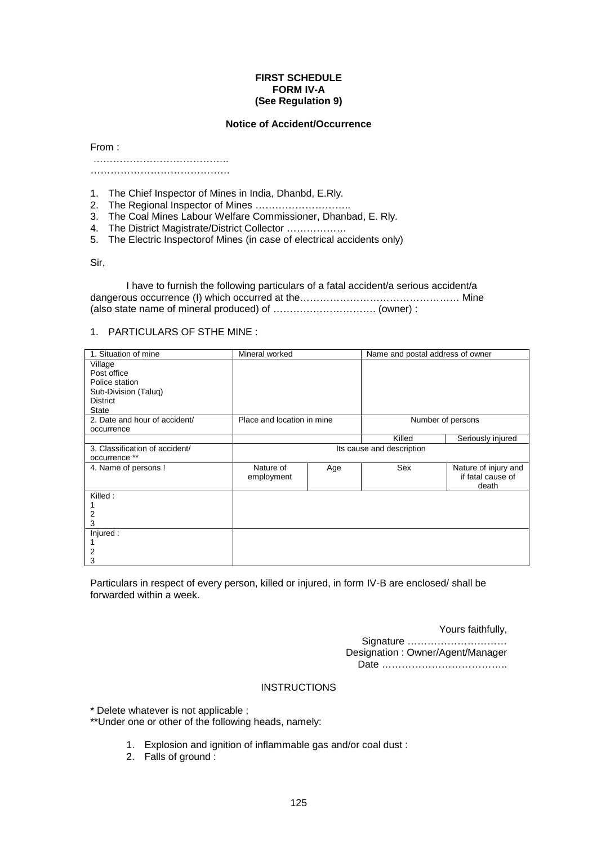#### **FIRST SCHEDULE FORM IV-A (See Regulation 9)**

#### **Notice of Accident/Occurrence**

From :

 ………………………………….. ……………………………………

1. The Chief Inspector of Mines in India, Dhanbd, E.Rly.

- 2. The Regional Inspector of Mines ………………………..
- 3. The Coal Mines Labour Welfare Commissioner, Dhanbad, E. Rly.
- 4. The District Magistrate/District Collector ………………
- 5. The Electric Inspectorof Mines (in case of electrical accidents only)

Sir,

 I have to furnish the following particulars of a fatal accident/a serious accident/a dangerous occurrence (I) which occurred at the………………………………………… Mine (also state name of mineral produced) of …………………………. (owner) :

#### 1. PARTICULARS OF STHE MINE :

| 1. Situation of mine           | Mineral worked             |     | Name and postal address of owner |                      |  |
|--------------------------------|----------------------------|-----|----------------------------------|----------------------|--|
| Village                        |                            |     |                                  |                      |  |
| Post office                    |                            |     |                                  |                      |  |
| Police station                 |                            |     |                                  |                      |  |
| Sub-Division (Taluq)           |                            |     |                                  |                      |  |
| <b>District</b>                |                            |     |                                  |                      |  |
| <b>State</b>                   |                            |     |                                  |                      |  |
| 2. Date and hour of accident/  | Place and location in mine |     |                                  | Number of persons    |  |
| occurrence                     |                            |     |                                  |                      |  |
|                                |                            |     | Killed                           | Seriously injured    |  |
| 3. Classification of accident/ | Its cause and description  |     |                                  |                      |  |
| occurrence **                  |                            |     |                                  |                      |  |
| 4. Name of persons !           | Nature of                  | Age | Sex                              | Nature of injury and |  |
|                                | employment                 |     |                                  | if fatal cause of    |  |
|                                |                            |     |                                  | death                |  |
| Killed:                        |                            |     |                                  |                      |  |
|                                |                            |     |                                  |                      |  |
| 2                              |                            |     |                                  |                      |  |
| 3                              |                            |     |                                  |                      |  |
| Injured:                       |                            |     |                                  |                      |  |
|                                |                            |     |                                  |                      |  |
| 2                              |                            |     |                                  |                      |  |
| 3                              |                            |     |                                  |                      |  |

Particulars in respect of every person, killed or injured, in form IV-B are enclosed/ shall be forwarded within a week.

Yours faithfully,

Signature ………………………… Designation : Owner/Agent/Manager Date ………………………………..

#### **INSTRUCTIONS**

\* Delete whatever is not applicable ;

\*\*Under one or other of the following heads, namely:

- 1. Explosion and ignition of inflammable gas and/or coal dust :
- 2. Falls of ground :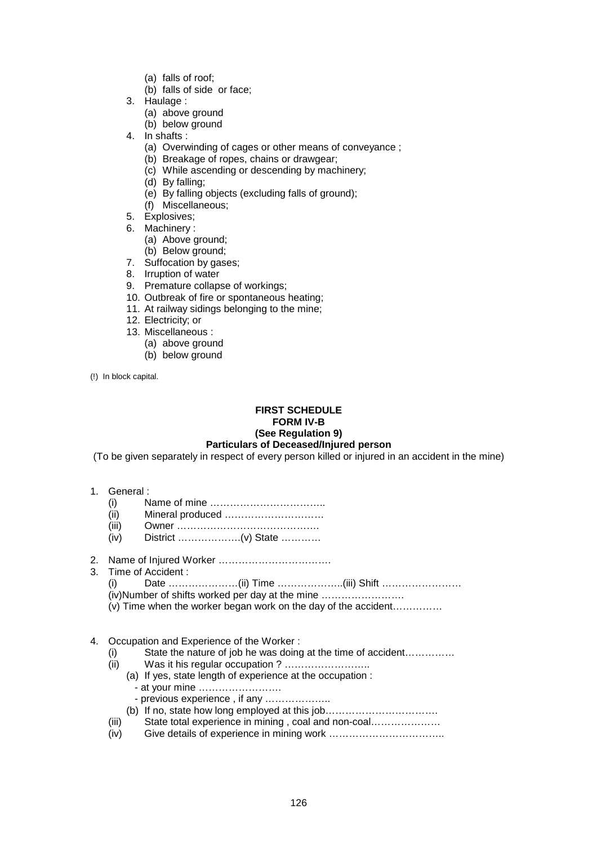- (a) falls of roof;
- (b) falls of side or face;
- 3. Haulage :
	- (a) above ground
	- (b) below ground
- 4. In shafts :
	- (a) Overwinding of cages or other means of conveyance ;
	- (b) Breakage of ropes, chains or drawgear;
	- (c) While ascending or descending by machinery;
	- (d) By falling;
	- (e) By falling objects (excluding falls of ground);
	- (f) Miscellaneous;
- 5. Explosives;
- 6. Machinery :
	- (a) Above ground;
	- (b) Below ground;
- 7. Suffocation by gases;
- 8. Irruption of water
- 9. Premature collapse of workings;
- 10. Outbreak of fire or spontaneous heating;
- 11. At railway sidings belonging to the mine;
- 12. Electricity; or
- 13. Miscellaneous :
	- (a) above ground
	- (b) below ground

(!) In block capital.

#### **FIRST SCHEDULE FORM IV-B (See Regulation 9) Particulars of Deceased/Injured person**

(To be given separately in respect of every person killed or injured in an accident in the mine)

- 1. General :
	- (i) Name of mine ……………………………..
	- (ii) Mineral produced …………………………
	- (iii) Owner …………………………………….
	- (iv) District ……………….(v) State …………
- 2. Name of Injured Worker …………………………….
- 3. Time of Accident :
	- (i) Date …………………(ii) Time ………………..(iii) Shift …………………… (iv)Number of shifts worked per day at the mine …………………….
	- (v) Time when the worker began work on the day of the accident……………

#### 4. Occupation and Experience of the Worker :

- (i) State the nature of job he was doing at the time of accident……………
- (ii) Was it his regular occupation ? ……………………..
	- (a) If yes, state length of experience at the occupation :
		- at your mine …………………….
		- previous experience , if any ………………..
	- (b) If no, state how long employed at this job…………………………….
- (iii) State total experience in mining , coal and non-coal…………………
- (iv) Give details of experience in mining work ……………………………..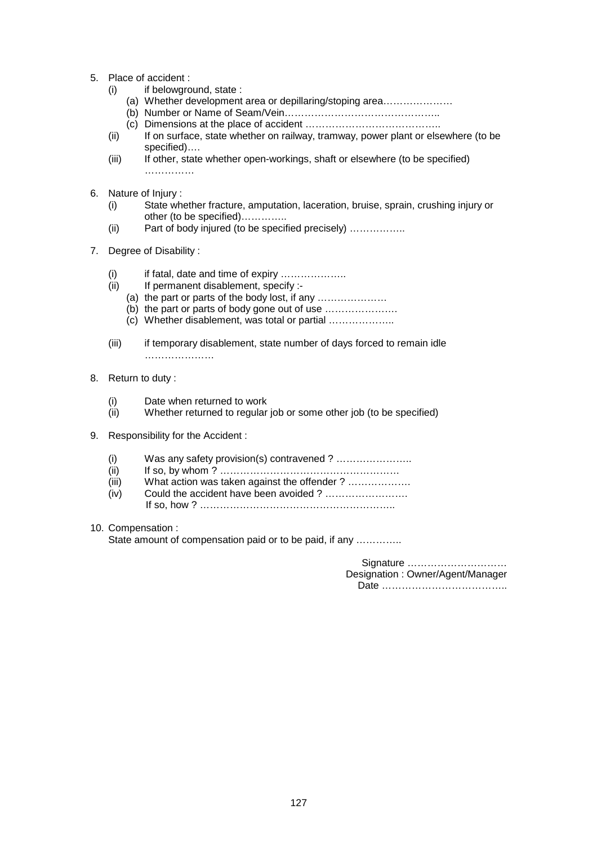- 5. Place of accident :
	- (i) if belowground, state :
		- (a) Whether development area or depillaring/stoping area…………………
		- (b) Number or Name of Seam/Vein………………………………………..
		- (c) Dimensions at the place of accident …………………………………..
	- (ii) If on surface, state whether on railway, tramway, power plant or elsewhere (to be specified)….
	- (iii) If other, state whether open-workings, shaft or elsewhere (to be specified) ……………
- 6. Nature of Injury :
	- (i) State whether fracture, amputation, laceration, bruise, sprain, crushing injury or other (to be specified)…………..
	- (ii) Part of body injured (to be specified precisely) ……………..
- 7. Degree of Disability :
	- (i) if fatal, date and time of expiry ………………..
	- (ii) If permanent disablement, specify :-
		- (a) the part or parts of the body lost, if any …………………
		- (b) the part or parts of body gone out of use ………………….
		- (c) Whether disablement, was total or partial ………………..
	- (iii) if temporary disablement, state number of days forced to remain idle …………………………
- 8. Return to duty :
	- (i) Date when returned to work
	- (ii) Whether returned to regular job or some other job (to be specified)
- 9. Responsibility for the Accident :
	- (i) Was any safety provision(s) contravened ? …………………..
	- (ii) If so, by whom ? ………………………………………………
	- (iii) What action was taken against the offender ? ………………
	- (iv) Could the accident have been avoided ? ……………………. If so, how ? …………………………………………………..
- 10. Compensation :

State amount of compensation paid or to be paid, if any ..............

Signature ………………………… Designation : Owner/Agent/Manager Date ………………………………..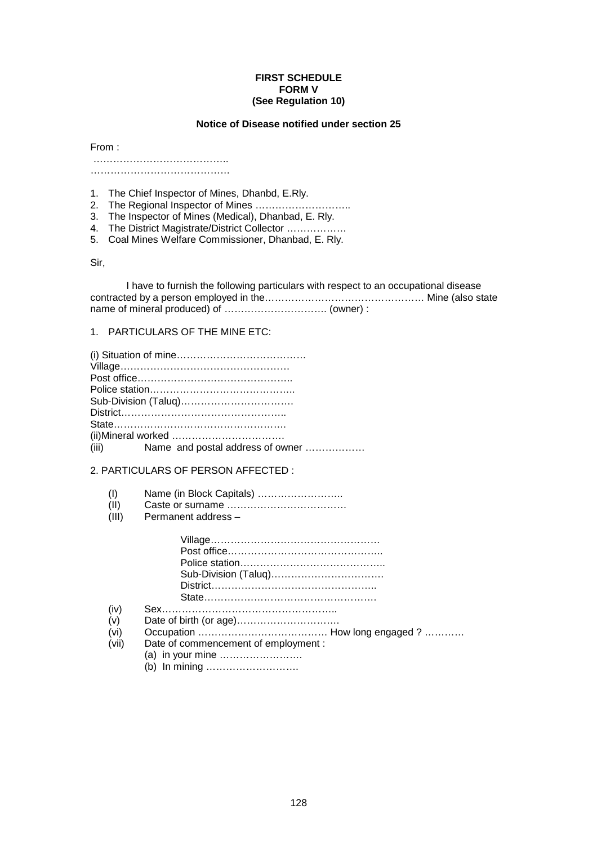#### **FIRST SCHEDULE FORM V (See Regulation 10)**

#### **Notice of Disease notified under section 25**

From :

 ………………………………….. ……………………………………

1. The Chief Inspector of Mines, Dhanbd, E.Rly.

2. The Regional Inspector of Mines ………………………..

3. The Inspector of Mines (Medical), Dhanbad, E. Rly.

4. The District Magistrate/District Collector ………………

5. Coal Mines Welfare Commissioner, Dhanbad, E. Rly.

Sir,

 I have to furnish the following particulars with respect to an occupational disease contracted by a person employed in the………………………………………… Mine (also state name of mineral produced) of …………………………. (owner) :

#### 1. PARTICULARS OF THE MINE ETC:

| (iii) Name and postal address of owner |  |
|----------------------------------------|--|

2. PARTICULARS OF PERSON AFFECTED :

(I) Name (in Block Capitals) ……………………..

 $(III)$  Caste or surname  $(III)$  Permanent address -

Permanent address –

| (iv)<br>(v) |                                      |
|-------------|--------------------------------------|
|             |                                      |
| (vi)        |                                      |
| (vii)       | Date of commencement of employment : |
|             |                                      |

(b) In mining ……………………….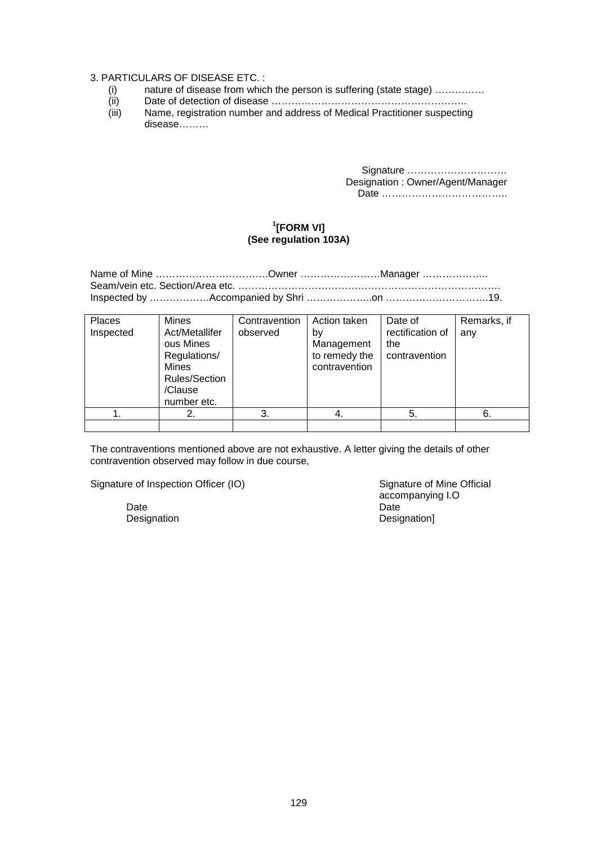#### 3. PARTICULARS OF DISEASE ETC. :

- (i) nature of disease from which the person is suffering (state stage) ……………
- (ii) Date of detection of disease …………………………………………………..
- (iii) Name, registration number and address of Medical Practitioner suspecting disease………

Signature ………………………… Designation : Owner/Agent/Manager Date ………………………………..

### **1 [FORM VI] (See regulation 103A)**

| Name of Mine Owner Manager |  |
|----------------------------|--|
|                            |  |
|                            |  |

| Places<br>Inspected | <b>Mines</b><br>Act/Metallifer<br>ous Mines<br>Regulations/<br><b>Mines</b><br><b>Rules/Section</b><br>/Clause<br>number etc. | Contravention<br>observed | Action taken<br>by<br>Management<br>to remedy the<br>contravention | Date of<br>rectification of<br>the<br>contravention | Remarks, if<br>any |
|---------------------|-------------------------------------------------------------------------------------------------------------------------------|---------------------------|--------------------------------------------------------------------|-----------------------------------------------------|--------------------|
|                     |                                                                                                                               | 3.                        | -4.                                                                | 5.                                                  | 6.                 |
|                     |                                                                                                                               |                           |                                                                    |                                                     |                    |

The contraventions mentioned above are not exhaustive. A letter giving the details of other contravention observed may follow in due course,

Signature of Inspection Officer (IO) Signature of Mine Official

Date **Date Date Date Date Date Date** 

 accompanying I.O Designation **Designation**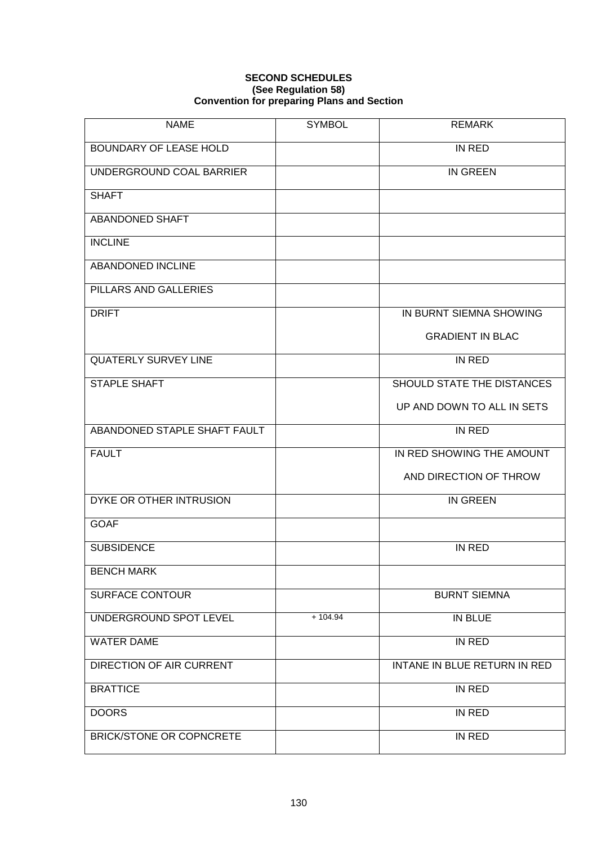### **SECOND SCHEDULES (See Regulation 58) Convention for preparing Plans and Section**

| <b>NAME</b>                     | <b>SYMBOL</b> | <b>REMARK</b>                |
|---------------------------------|---------------|------------------------------|
| <b>BOUNDARY OF LEASE HOLD</b>   |               | IN RED                       |
| UNDERGROUND COAL BARRIER        |               | <b>IN GREEN</b>              |
| <b>SHAFT</b>                    |               |                              |
| ABANDONED SHAFT                 |               |                              |
| <b>INCLINE</b>                  |               |                              |
| ABANDONED INCLINE               |               |                              |
| PILLARS AND GALLERIES           |               |                              |
| <b>DRIFT</b>                    |               | IN BURNT SIEMNA SHOWING      |
|                                 |               | <b>GRADIENT IN BLAC</b>      |
| <b>QUATERLY SURVEY LINE</b>     |               | IN RED                       |
| STAPLE SHAFT                    |               | SHOULD STATE THE DISTANCES   |
|                                 |               | UP AND DOWN TO ALL IN SETS   |
| ABANDONED STAPLE SHAFT FAULT    |               | IN RED                       |
| <b>FAULT</b>                    |               | IN RED SHOWING THE AMOUNT    |
|                                 |               | AND DIRECTION OF THROW       |
| DYKE OR OTHER INTRUSION         |               | <b>IN GREEN</b>              |
| <b>GOAF</b>                     |               |                              |
| <b>SUBSIDENCE</b>               |               | <b>IN RED</b>                |
| <b>BENCH MARK</b>               |               |                              |
| <b>SURFACE CONTOUR</b>          |               | <b>BURNT SIEMNA</b>          |
| UNDERGROUND SPOT LEVEL          | $+104.94$     | IN BLUE                      |
| <b>WATER DAME</b>               |               | IN RED                       |
| <b>DIRECTION OF AIR CURRENT</b> |               | INTANE IN BLUE RETURN IN RED |
| <b>BRATTICE</b>                 |               | IN RED                       |
| <b>DOORS</b>                    |               | IN RED                       |
| <b>BRICK/STONE OR COPNCRETE</b> |               | IN RED                       |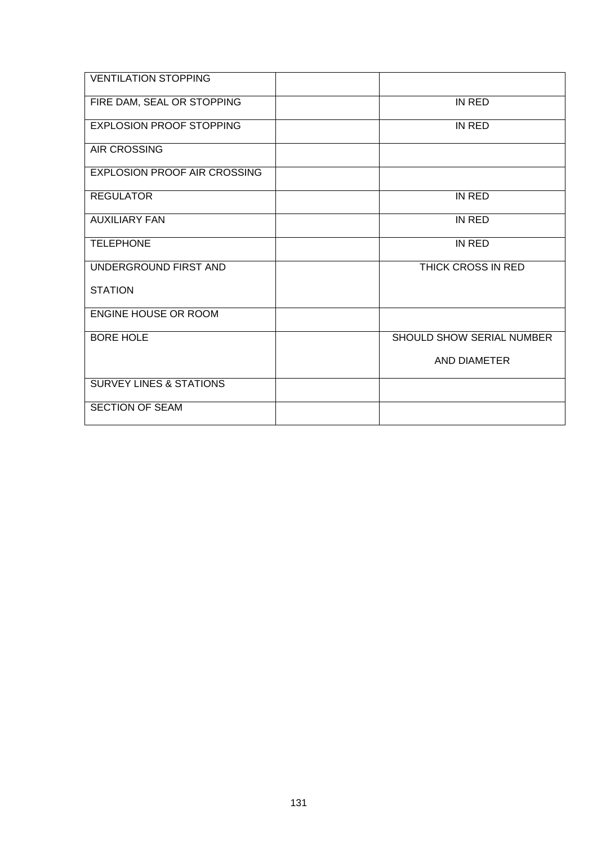| <b>VENTILATION STOPPING</b>         |                           |
|-------------------------------------|---------------------------|
| FIRE DAM, SEAL OR STOPPING          | IN RED                    |
| <b>EXPLOSION PROOF STOPPING</b>     | IN RED                    |
| <b>AIR CROSSING</b>                 |                           |
| <b>EXPLOSION PROOF AIR CROSSING</b> |                           |
| <b>REGULATOR</b>                    | IN RED                    |
| <b>AUXILIARY FAN</b>                | IN RED                    |
| <b>TELEPHONE</b>                    | IN RED                    |
| UNDERGROUND FIRST AND               | THICK CROSS IN RED        |
| <b>STATION</b>                      |                           |
| <b>ENGINE HOUSE OR ROOM</b>         |                           |
| <b>BORE HOLE</b>                    | SHOULD SHOW SERIAL NUMBER |
|                                     | AND DIAMETER              |
| <b>SURVEY LINES &amp; STATIONS</b>  |                           |
| <b>SECTION OF SEAM</b>              |                           |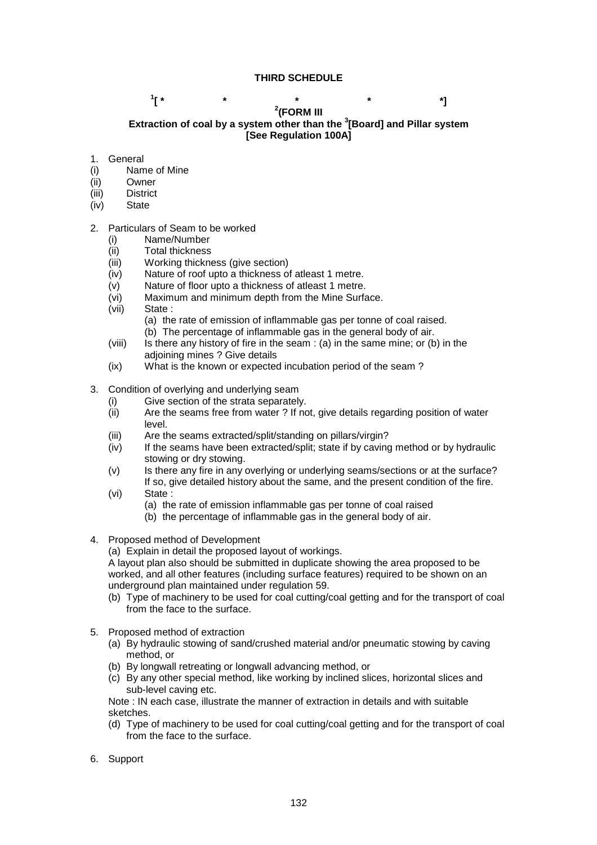## **THIRD SCHEDULE**

#### $1$ <sup>\*</sup>  $\begin{bmatrix} * & * & * & * & * \ * & * & * & * \end{bmatrix}$ **(FORM III Extraction of coal by a system other than the 3 [Board] and Pillar system [See Regulation 100A]**

### 1. General

- (i) Name of Mine
- (ii) Owner
- (iii) District
- (iv) State

## 2. Particulars of Seam to be worked

- (i) Name/Number
- (ii) Total thickness
- (iii) Working thickness (give section)
- (iv) Nature of roof upto a thickness of atleast 1 metre.
- (v) Nature of floor upto a thickness of atleast 1 metre.
- (vi) Maximum and minimum depth from the Mine Surface.
- (vii) State :
	- (a) the rate of emission of inflammable gas per tonne of coal raised.
	- (b) The percentage of inflammable gas in the general body of air.
- (viii) Is there any history of fire in the seam : (a) in the same mine; or (b) in the adioining mines ? Give details
- (ix) What is the known or expected incubation period of the seam ?
- 3. Condition of overlying and underlying seam
	- (i) Give section of the strata separately.
	- (ii) Are the seams free from water ? If not, give details regarding position of water level.
	- (iii) Are the seams extracted/split/standing on pillars/virgin?
	- (iv) If the seams have been extracted/split; state if by caving method or by hydraulic stowing or dry stowing.
	- (v) Is there any fire in any overlying or underlying seams/sections or at the surface? If so, give detailed history about the same, and the present condition of the fire.
	- (vi) State :
		- (a) the rate of emission inflammable gas per tonne of coal raised
		- (b) the percentage of inflammable gas in the general body of air.
- 4. Proposed method of Development

(a) Explain in detail the proposed layout of workings.

A layout plan also should be submitted in duplicate showing the area proposed to be worked, and all other features (including surface features) required to be shown on an underground plan maintained under regulation 59.

- (b) Type of machinery to be used for coal cutting/coal getting and for the transport of coal from the face to the surface.
- 5. Proposed method of extraction
	- (a) By hydraulic stowing of sand/crushed material and/or pneumatic stowing by caving method, or
	- (b) By longwall retreating or longwall advancing method, or
	- (c) By any other special method, like working by inclined slices, horizontal slices and sub-level caving etc.

Note : IN each case, illustrate the manner of extraction in details and with suitable sketches.

- (d) Type of machinery to be used for coal cutting/coal getting and for the transport of coal from the face to the surface.
- 6. Support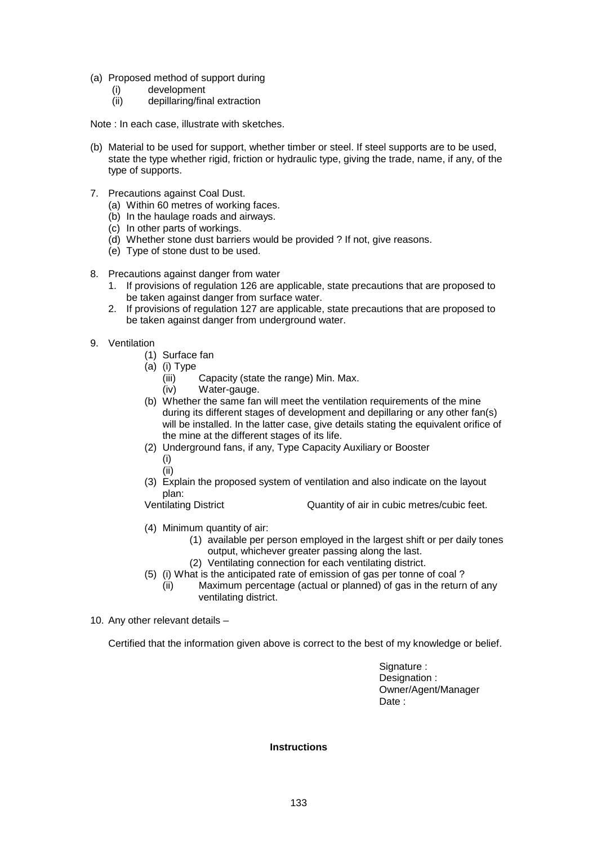- (a) Proposed method of support during
	- (i) development
	- (ii) depillaring/final extraction

Note : In each case, illustrate with sketches.

- (b) Material to be used for support, whether timber or steel. If steel supports are to be used, state the type whether rigid, friction or hydraulic type, giving the trade, name, if any, of the type of supports.
- 7. Precautions against Coal Dust.
	- (a) Within 60 metres of working faces.
	- (b) In the haulage roads and airways.
	- (c) In other parts of workings.
	- (d) Whether stone dust barriers would be provided ? If not, give reasons.
	- (e) Type of stone dust to be used.
- 8. Precautions against danger from water
	- 1. If provisions of regulation 126 are applicable, state precautions that are proposed to be taken against danger from surface water.
	- 2. If provisions of regulation 127 are applicable, state precautions that are proposed to be taken against danger from underground water.
- 9. Ventilation
	- (1) Surface fan
	- (a) (i) Type
		- (iii) Capacity (state the range) Min. Max. (iv) Water-gauge.
	- (b) Whether the same fan will meet the ventilation requirements of the mine during its different stages of development and depillaring or any other fan(s)
		- will be installed. In the latter case, give details stating the equivalent orifice of the mine at the different stages of its life.
	- (2) Underground fans, if any, Type Capacity Auxiliary or Booster (i)
		- (ii)
	- (3) Explain the proposed system of ventilation and also indicate on the layout plan:
	- Ventilating District Quantity of air in cubic metres/cubic feet.
	- (4) Minimum quantity of air:
		- (1) available per person employed in the largest shift or per daily tones output, whichever greater passing along the last.
		- (2) Ventilating connection for each ventilating district.
	- (5) (i) What is the anticipated rate of emission of gas per tonne of coal ?
		- (ii) Maximum percentage (actual or planned) of gas in the return of any ventilating district.
- 10. Any other relevant details –

Certified that the information given above is correct to the best of my knowledge or belief.

Signature : Designation : Owner/Agent/Manager Date:

**Instructions**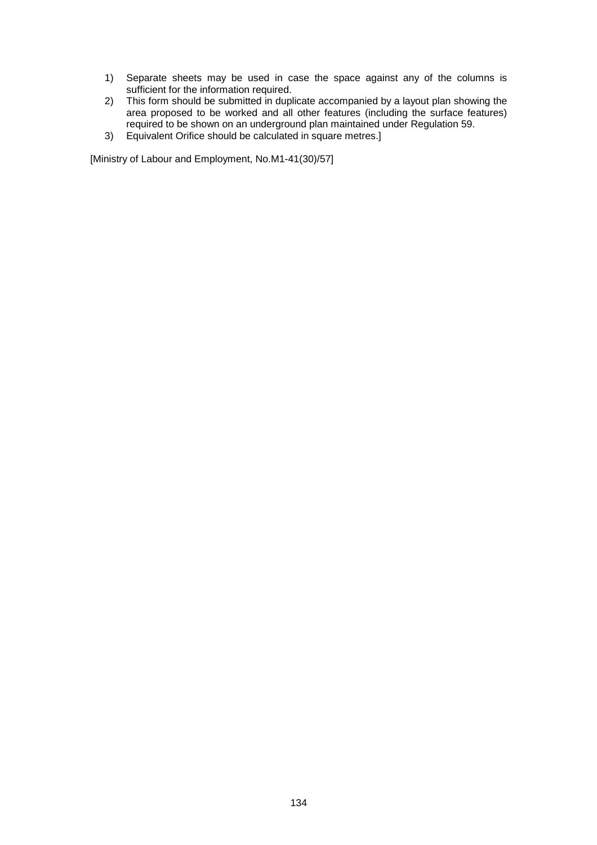- 1) Separate sheets may be used in case the space against any of the columns is sufficient for the information required.
- 2) This form should be submitted in duplicate accompanied by a layout plan showing the area proposed to be worked and all other features (including the surface features) required to be shown on an underground plan maintained under Regulation 59.
- 3) Equivalent Orifice should be calculated in square metres.]

[Ministry of Labour and Employment, No.M1-41(30)/57]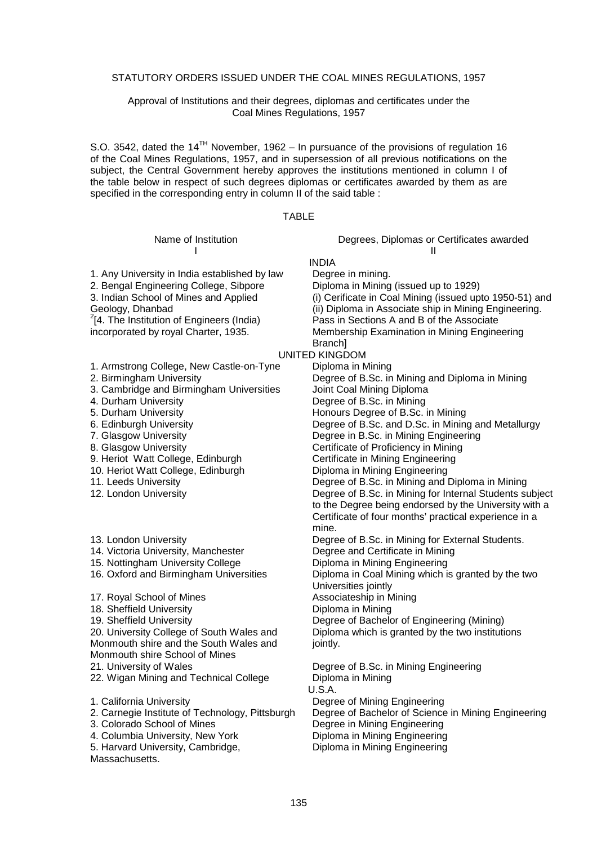#### STATUTORY ORDERS ISSUED UNDER THE COAL MINES REGULATIONS, 1957

#### Approval of Institutions and their degrees, diplomas and certificates under the Coal Mines Regulations, 1957

S.O. 3542, dated the 14<sup>TH</sup> November, 1962 – In pursuance of the provisions of regulation 16 of the Coal Mines Regulations, 1957, and in supersession of all previous notifications on the subject, the Central Government hereby approves the institutions mentioned in column I of the table below in respect of such degrees diplomas or certificates awarded by them as are specified in the corresponding entry in column II of the said table :

#### TABLE

1. Any University in India established by law Degree in mining.<br>2. Bengal Engineering College, Sibpore Diploma in Mining (issued up to 1929) 2. Bengal Engineering College, Sibpore 3. Indian School of Mines and Applied Geology, Dhanbad  $^{2}$ [4. The Institution of Engineers (India)

incorporated by royal Charter, 1935.

- 3. Cambridge and Birmingham Universities
- 
- 
- 
- 
- 
- 
- 
- 
- 
- 
- 14. Victoria University, Manchester Degree and Certificate in Mining
- 15. Nottingham University College Diploma in Mining Engineering
- 
- 17. Royal School of Mines Associateship in Mining
- 
- 

20. University College of South Wales and Monmouth shire and the South Wales and Monmouth shire School of Mines

- 
- 22. Wigan Mining and Technical College Diploma in Mining
- 
- 
- 
- 4. Columbia University, New York Diploma in Mining Engineering
- 5. Harvard University, Cambridge,

**Massachusetts** 

Name of Institution Degrees, Diplomas or Certificates awarded I and the second contract of the second contract of the second contract of the second contract of the second contract of the second contract of the second contract of the second contract of the second contract of the secon

INDIA<br>Degree in mining.

(i) Cerificate in Coal Mining (issued upto 1950-51) and

(ii) Diploma in Associate ship in Mining Engineering. 2

Pass in Sections A and B of the Associate

Membership Examination in Mining Engineering **Branch** 

## UNITED KINGDOM

1. Armstrong College, New Castle-on-Tyne Diploma in Mining<br>2. Birmingham University Degree of B.Sc. in Degree of B.Sc. in Mining and Diploma in Mining<br>Joint Coal Mining Diploma 4. Durham University<br>
5. Durham University<br>
Begree of B.Sc. in Mining<br>
Honours Degree of B.Sc. in Honours Degree of B.Sc. in Mining 6. Edinburgh University Degree of B.Sc. and D.Sc. in Mining and Metallurgy 7. Glasgow University Degree in B.Sc. in Mining Engineering 8. Glasgow University **Certificate of Proficiency in Mining** 9. Heriot Watt College, Edinburgh Certificate in Mining Engineering 10. Heriot Watt College, Edinburgh Diploma in Mining Engineering 11. Leeds University Degree of B.Sc. in Mining and Diploma in Mining 12. London University Degree of B.Sc. in Mining for Internal Students subject to the Degree being endorsed by the University with a Certificate of four months' practical experience in a mine. 13. London University Degree of B.Sc. in Mining for External Students. 16. Oxford and Birmingham Universities Diploma in Coal Mining which is granted by the two Universities jointly 18. Sheffield University<br>
19. Sheffield University<br>
19. Sheffield University<br>
20. Degree of Bacheld Degree of Bachelor of Engineering (Mining) Diploma which is granted by the two institutions jointly.

21. University of Wales Degree of B.Sc. in Mining Engineering U.S.A. 1. California University Degree of Mining Engineering 2. Carnegie Institute of Technology, Pittsburgh Degree of Bachelor of Science in Mining Engineering 3. Colorado School of Mines Degree in Mining Engineering

Diploma in Mining Engineering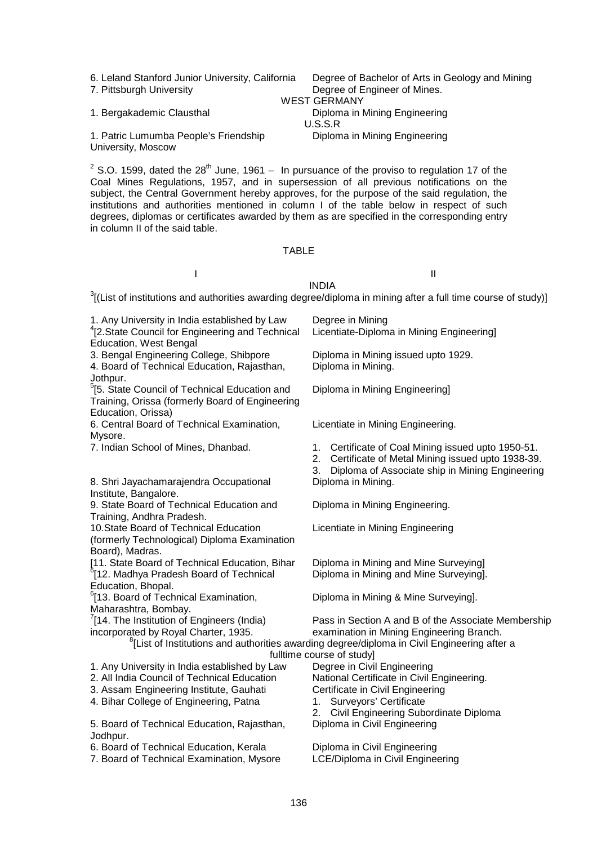7. Pittsburgh University Degree of Engineer of Mines.

6. Leland Stanford Junior University, California Degree of Bachelor of Arts in Geology and Mining WEST GERMANY

Diploma in Mining Engineering

1. Bergakademic Clausthal **Diploma** in Mining Engineering

1. Patric Lumumba People's Friendship University, Moscow

<sup>2</sup> S.O. 1599, dated the 28<sup>th</sup> June, 1961 – In pursuance of the proviso to regulation 17 of the Coal Mines Regulations, 1957, and in supersession of all previous notifications on the subject, the Central Government hereby approves, for the purpose of the said regulation, the institutions and authorities mentioned in column I of the table below in respect of such degrees, diplomas or certificates awarded by them as are specified in the corresponding entry in column II of the said table.

U.S.S.R

#### TABLE

I and the second contract of the second contract of the second contract of the second contract of the second contract of the second contract of the second contract of the second contract of the second contract of the secon

INDIA  $3$ [(List of institutions and authorities awarding degree/diploma in mining after a full time course of study)]

| 1. Any University in India established by Law<br><sup>4</sup> [2.State Council for Engineering and Technical<br><b>Education, West Bengal</b> | Degree in Mining<br>Licentiate-Diploma in Mining Engineering]                                                                                                                                                                            |
|-----------------------------------------------------------------------------------------------------------------------------------------------|------------------------------------------------------------------------------------------------------------------------------------------------------------------------------------------------------------------------------------------|
| 3. Bengal Engineering College, Shibpore<br>4. Board of Technical Education, Rajasthan,<br>Jothpur.                                            | Diploma in Mining issued upto 1929.<br>Diploma in Mining.                                                                                                                                                                                |
| <sup>5</sup> [5. State Council of Technical Education and<br>Training, Orissa (formerly Board of Engineering<br>Education, Orissa)            | Diploma in Mining Engineering]                                                                                                                                                                                                           |
| 6. Central Board of Technical Examination,<br>Mysore.                                                                                         | Licentiate in Mining Engineering.                                                                                                                                                                                                        |
| 7. Indian School of Mines, Dhanbad.                                                                                                           | Certificate of Coal Mining issued upto 1950-51.<br>1.<br>2.<br>Certificate of Metal Mining issued upto 1938-39.<br>3.<br>Diploma of Associate ship in Mining Engineering                                                                 |
| 8. Shri Jayachamarajendra Occupational<br>Institute, Bangalore.                                                                               | Diploma in Mining.                                                                                                                                                                                                                       |
| 9. State Board of Technical Education and<br>Training, Andhra Pradesh.                                                                        | Diploma in Mining Engineering.                                                                                                                                                                                                           |
| 10. State Board of Technical Education<br>(formerly Technological) Diploma Examination<br>Board), Madras.                                     | Licentiate in Mining Engineering                                                                                                                                                                                                         |
| [11. State Board of Technical Education, Bihar<br><sup>6</sup> [12. Madhya Pradesh Board of Technical<br>Education, Bhopal.                   | Diploma in Mining and Mine Surveying]<br>Diploma in Mining and Mine Surveying].                                                                                                                                                          |
| <sup>6</sup> [13. Board of Technical Examination,<br>Maharashtra, Bombay.                                                                     | Diploma in Mining & Mine Surveying].                                                                                                                                                                                                     |
| (14. The Institution of Engineers (India)<br>incorporated by Royal Charter, 1935.                                                             | Pass in Section A and B of the Associate Membership<br>examination in Mining Engineering Branch.<br><sup>8</sup> [List of Institutions and authorities awarding degree/diploma in Civil Engineering after a<br>fulltime course of study] |
| 1. Any University in India established by Law                                                                                                 | Degree in Civil Engineering                                                                                                                                                                                                              |
| 2. All India Council of Technical Education                                                                                                   | National Certificate in Civil Engineering.                                                                                                                                                                                               |
| 3. Assam Engineering Institute, Gauhati                                                                                                       | Certificate in Civil Engineering                                                                                                                                                                                                         |
| 4. Bihar College of Engineering, Patna                                                                                                        | Surveyors' Certificate<br>1.<br>Civil Engineering Subordinate Diploma<br>2.                                                                                                                                                              |
| 5. Board of Technical Education, Rajasthan,<br>Jodhpur.                                                                                       | Diploma in Civil Engineering                                                                                                                                                                                                             |
| 6. Board of Technical Education, Kerala<br>7. Board of Technical Examination, Mysore                                                          | Diploma in Civil Engineering<br>LCE/Diploma in Civil Engineering                                                                                                                                                                         |
|                                                                                                                                               |                                                                                                                                                                                                                                          |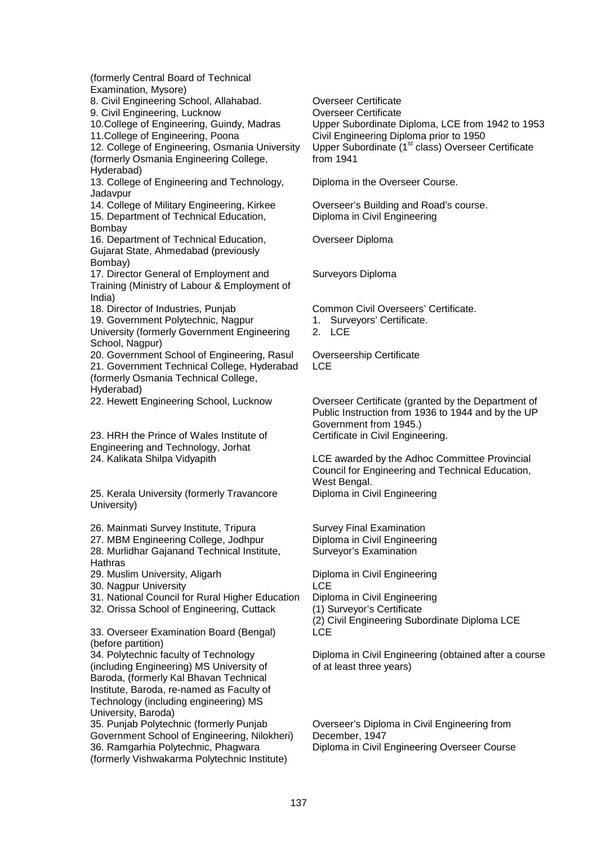(formerly Central Board of Technical Examination, Mysore)

8. Civil Engineering School, Allahabad. Overseer Certificate

9. Civil Engineering, Lucknow **Overseer Certificate** 

12. College of Engineering, Osmania University (formerly Osmania Engineering College, Hyderabad)

13. College of Engineering and Technology, Jadavpur

14. College of Military Engineering, Kirkee Overseer's Building and Road's course. 15. Department of Technical Education, Bombay

16. Department of Technical Education, Gujarat State, Ahmedabad (previously Bombay)

17. Director General of Employment and Training (Ministry of Labour & Employment of India)

19. Government Polytechnic, Nagpur

University (formerly Government Engineering School, Nagpur)

20. Government School of Engineering, Rasul Overseership Certificate 21. Government Technical College, Hyderabad (formerly Osmania Technical College, Hyderabad)

23. HRH the Prince of Wales Institute of Engineering and Technology, Jorhat

25. Kerala University (formerly Travancore University)

26. Mainmati Survey Institute, Tripura Survey Final Examination

27. MBM Engineering College, Jodhpur Diploma in Civil Engineering

28. Murlidhar Gajanand Technical Institute, Hathras

29. Muslim University, Aligarh Diploma in Civil Engineering

30. Nagpur University LCE

31. National Council for Rural Higher Education Diploma in Civil Engineering

32. Orissa School of Engineering, Cuttack (1) Surveyor's Certificate

33. Overseer Examination Board (Bengal) (before partition)

34. Polytechnic faculty of Technology (including Engineering) MS University of Baroda, (formerly Kal Bhavan Technical Institute, Baroda, re-named as Faculty of Technology (including engineering) MS University, Baroda)

35. Punjab Polytechnic (formerly Punjab Government School of Engineering, Nilokheri) 36. Ramgarhia Polytechnic, Phagwara (formerly Vishwakarma Polytechnic Institute)

10.College of Engineering, Guindy, Madras Upper Subordinate Diploma, LCE from 1942 to 1953<br>11.College of Engineering, Poona Civil Engineering Diploma prior to 1950 Civil Engineering Diploma prior to 1950 Upper Subordinate (1<sup>st</sup> class) Overseer Certificate from 1941

Diploma in the Overseer Course.

Diploma in Civil Engineering

Overseer Diploma

Surveyors Diploma

18. Director of Industries, Punjab Common Civil Overseers' Certificate.

1. Surveyors' Certificate.

2. LCE

**LCE** 

22. Hewett Engineering School, Lucknow Overseer Certificate (granted by the Department of Public Instruction from 1936 to 1944 and by the UP Government from 1945.) Certificate in Civil Engineering.

24. Kalikata Shilpa Vidyapith LCE awarded by the Adhoc Committee Provincial Council for Engineering and Technical Education, West Bengal. Diploma in Civil Engineering

Surveyor's Examination

(2) Civil Engineering Subordinate Diploma LCE **LCE** 

Diploma in Civil Engineering (obtained after a course of at least three years)

Overseer's Diploma in Civil Engineering from December, 1947 Diploma in Civil Engineering Overseer Course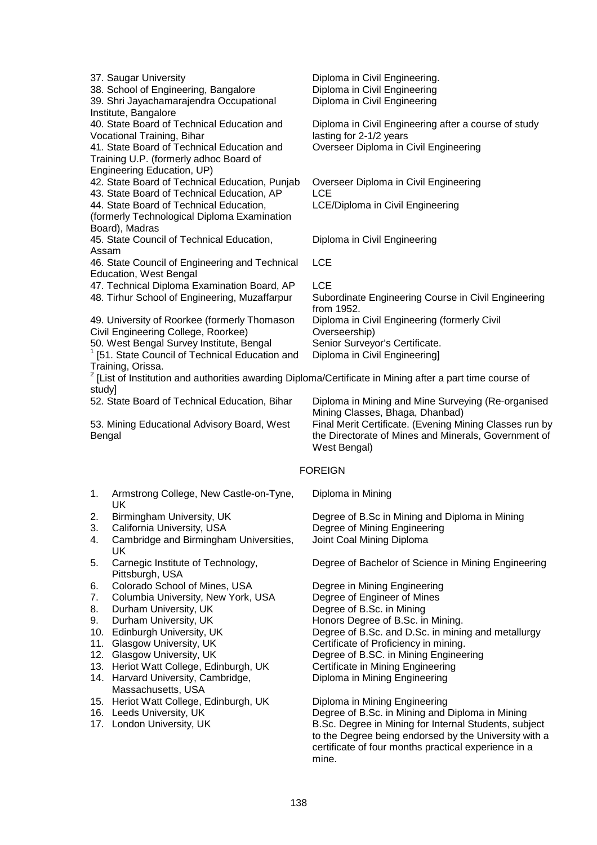|            | 37. Saugar University<br>38. School of Engineering, Bangalore<br>39. Shri Jayachamarajendra Occupational<br>Institute, Bangalore | Diploma in Civil Engineering.<br>Diploma in Civil Engineering<br>Diploma in Civil Engineering               |  |  |
|------------|----------------------------------------------------------------------------------------------------------------------------------|-------------------------------------------------------------------------------------------------------------|--|--|
|            | 40. State Board of Technical Education and                                                                                       | Diploma in Civil Engineering after a course of study                                                        |  |  |
|            | Vocational Training, Bihar                                                                                                       | lasting for 2-1/2 years                                                                                     |  |  |
|            | 41. State Board of Technical Education and                                                                                       | Overseer Diploma in Civil Engineering                                                                       |  |  |
|            | Training U.P. (formerly adhoc Board of                                                                                           |                                                                                                             |  |  |
|            | Engineering Education, UP)<br>42. State Board of Technical Education, Punjab                                                     | Overseer Diploma in Civil Engineering                                                                       |  |  |
|            | 43. State Board of Technical Education, AP                                                                                       | <b>LCE</b>                                                                                                  |  |  |
|            | 44. State Board of Technical Education,                                                                                          | LCE/Diploma in Civil Engineering                                                                            |  |  |
|            | (formerly Technological Diploma Examination                                                                                      |                                                                                                             |  |  |
|            | Board), Madras                                                                                                                   |                                                                                                             |  |  |
|            | 45. State Council of Technical Education,                                                                                        | Diploma in Civil Engineering                                                                                |  |  |
| Assam      |                                                                                                                                  | <b>LCE</b>                                                                                                  |  |  |
|            | 46. State Council of Engineering and Technical<br>Education, West Bengal                                                         |                                                                                                             |  |  |
|            | 47. Technical Diploma Examination Board, AP                                                                                      | <b>LCE</b>                                                                                                  |  |  |
|            | 48. Tirhur School of Engineering, Muzaffarpur                                                                                    | Subordinate Engineering Course in Civil Engineering                                                         |  |  |
|            |                                                                                                                                  | from 1952.                                                                                                  |  |  |
|            | 49. University of Roorkee (formerly Thomason                                                                                     | Diploma in Civil Engineering (formerly Civil                                                                |  |  |
|            | Civil Engineering College, Roorkee)                                                                                              | Overseership)                                                                                               |  |  |
|            | 50. West Bengal Survey Institute, Bengal                                                                                         | Senior Surveyor's Certificate.                                                                              |  |  |
|            | [51. State Council of Technical Education and<br>Training, Orissa.                                                               | Diploma in Civil Engineering]                                                                               |  |  |
|            |                                                                                                                                  | $2$ [List of Institution and authorities awarding Diploma/Certificate in Mining after a part time course of |  |  |
| study]     |                                                                                                                                  |                                                                                                             |  |  |
|            | 52. State Board of Technical Education, Bihar                                                                                    | Diploma in Mining and Mine Surveying (Re-organised                                                          |  |  |
|            |                                                                                                                                  | Mining Classes, Bhaga, Dhanbad)                                                                             |  |  |
|            | 53. Mining Educational Advisory Board, West                                                                                      | Final Merit Certificate. (Evening Mining Classes run by                                                     |  |  |
| Bengal     |                                                                                                                                  | the Directorate of Mines and Minerals, Government of<br>West Bengal)                                        |  |  |
|            |                                                                                                                                  |                                                                                                             |  |  |
|            |                                                                                                                                  | <b>FOREIGN</b>                                                                                              |  |  |
| 1.         | Armstrong College, New Castle-on-Tyne,<br>UK                                                                                     | Diploma in Mining                                                                                           |  |  |
| 2.         | Birmingham University, UK                                                                                                        | Degree of B.Sc in Mining and Diploma in Mining                                                              |  |  |
| 3.         | California University, USA                                                                                                       | Degree of Mining Engineering                                                                                |  |  |
| 4.         | Cambridge and Birmingham Universities,<br>UK                                                                                     | Joint Coal Mining Diploma                                                                                   |  |  |
| 5.         | Carnegic Institute of Technology,<br>Pittsburgh, USA                                                                             | Degree of Bachelor of Science in Mining Engineering                                                         |  |  |
| 6.         | Colorado School of Mines, USA                                                                                                    | Degree in Mining Engineering                                                                                |  |  |
| 7.         | Columbia University, New York, USA                                                                                               | Degree of Engineer of Mines                                                                                 |  |  |
| 8.         | Durham University, UK                                                                                                            | Degree of B.Sc. in Mining                                                                                   |  |  |
| 9.         | Durham University, UK                                                                                                            | Honors Degree of B.Sc. in Mining.                                                                           |  |  |
| 10.        | Edinburgh University, UK<br>Glasgow University, UK                                                                               | Degree of B.Sc. and D.Sc. in mining and metallurgy                                                          |  |  |
| 11.<br>12. | Glasgow University, UK                                                                                                           | Certificate of Proficiency in mining.<br>Degree of B.SC. in Mining Engineering                              |  |  |
|            | 13. Heriot Watt College, Edinburgh, UK                                                                                           | Certificate in Mining Engineering                                                                           |  |  |
|            | 14. Harvard University, Cambridge,                                                                                               | Diploma in Mining Engineering                                                                               |  |  |
|            | Massachusetts, USA                                                                                                               |                                                                                                             |  |  |
|            | 15. Heriot Watt College, Edinburgh, UK                                                                                           | Diploma in Mining Engineering                                                                               |  |  |

16. Leeds University, UK Degree of B.Sc. in Mining and Diploma in Mining 17. London University, UK **B.S. Degree in Mining for Internal Students**, subject to the Degree being endorsed by the University with a certificate of four months practical experience in a mine.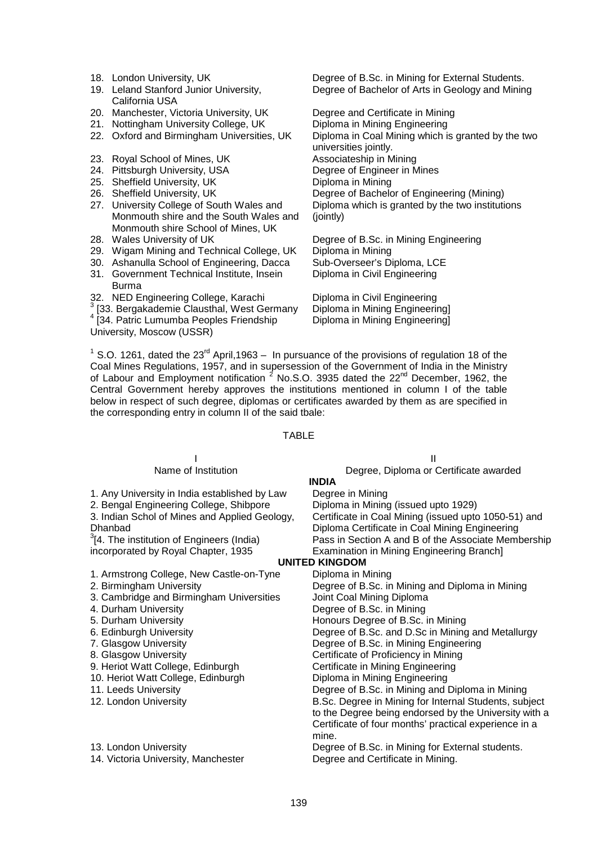- 
- 19. Leland Stanford Junior University, California USA
- 20. Manchester, Victoria University, UK Degree and Certificate in Mining
- 21. Nottingham University College, UK Diploma in Mining Engineering
- 
- 
- 24. Pittsburgh University, USA
- 25. Sheffield University, UK Diploma in Mining
- 
- 27. University College of South Wales and Monmouth shire and the South Wales and Monmouth shire School of Mines, UK
- 
- 29. Wigam Mining and Technical College, UK Diploma in Mining
- 30. Ashanulla School of Engineering, Dacca Sub-Overseer's Diploma, LCE
- 31. Government Technical Institute, Insein
- Burma
- 32. NED Engineering College, Karachi and Diploma in Civil Engineering<br>3.133. Bergekedemis Claugthel, West Cermany a Diploma in Mining Engineering
- 
- 4 [34. Patric Lumumba Peoples Friendship

University, Moscow (USSR)

18. London University, UK **Degree of B.Sc. in Mining for External Students.** Degree of Bachelor of Arts in Geology and Mining

22. Oxford and Birmingham Universities, UK Diploma in Coal Mining which is granted by the two universities jointly. 23. Royal School of Mines, UK<br>
24. Pittsburgh University, USA<br>
24. Pittsburgh University, USA<br>
29. Degree of Engineer in Mines 26. Sheffield University, UK Degree of Bachelor of Engineering (Mining) Diploma which is granted by the two institutions (jointly)

28. Wales University of UK Degree of B.Sc. in Mining Engineering Diploma in Civil Engineering

[33. Bergakademie Clausthal, West Germany Diploma in Mining Engineering] Diploma in Mining Engineering]

<sup>1</sup> S.O. 1261, dated the 23<sup>rd</sup> April, 1963 – In pursuance of the provisions of regulation 18 of the Coal Mines Regulations, 1957, and in supersession of the Government of India in the Ministry of Labour and Employment notification  $^2$  No.S.O. 3935 dated the 22<sup>nd</sup> December, 1962, the Central Government hereby approves the institutions mentioned in column I of the table below in respect of such degree, diplomas or certificates awarded by them as are specified in the corresponding entry in column II of the said tbale:

#### TABLE

|                                                       | Ш                                                     |
|-------------------------------------------------------|-------------------------------------------------------|
| Name of Institution                                   | Degree, Diploma or Certificate awarded                |
|                                                       | <b>INDIA</b>                                          |
| 1. Any University in India established by Law         | Degree in Mining                                      |
| 2. Bengal Engineering College, Shibpore               | Diploma in Mining (issued upto 1929)                  |
| 3. Indian Schol of Mines and Applied Geology,         | Certificate in Coal Mining (issued upto 1050-51) and  |
| Dhanbad                                               | Diploma Certificate in Coal Mining Engineering        |
| <sup>3</sup> [4. The institution of Engineers (India) | Pass in Section A and B of the Associate Membership   |
| incorporated by Royal Chapter, 1935                   | Examination in Mining Engineering Branch]             |
|                                                       | <b>UNITED KINGDOM</b>                                 |
| 1. Armstrong College, New Castle-on-Tyne              | Diploma in Mining                                     |
| 2. Birmingham University                              | Degree of B.Sc. in Mining and Diploma in Mining       |
| 3. Cambridge and Birmingham Universities              | Joint Coal Mining Diploma                             |
| 4. Durham University                                  | Degree of B.Sc. in Mining                             |
| 5. Durham University                                  | Honours Degree of B.Sc. in Mining                     |
| 6. Edinburgh University                               | Degree of B.Sc. and D.Sc in Mining and Metallurgy     |
| 7. Glasgow University                                 | Degree of B.Sc. in Mining Engineering                 |
| 8. Glasgow University                                 | Certificate of Proficiency in Mining                  |
| 9. Heriot Watt College, Edinburgh                     | Certificate in Mining Engineering                     |
| 10. Heriot Watt College, Edinburgh                    | Diploma in Mining Engineering                         |
| 11. Leeds University                                  | Degree of B.Sc. in Mining and Diploma in Mining       |
| 12. London University                                 | B.Sc. Degree in Mining for Internal Students, subject |
|                                                       | to the Degree being endorsed by the University with a |
|                                                       | Certificate of four months' practical experience in a |
|                                                       | mine.                                                 |
| 13. London University                                 | Degree of B.Sc. in Mining for External students.      |
| 14. Victoria University, Manchester                   | Degree and Certificate in Mining.                     |